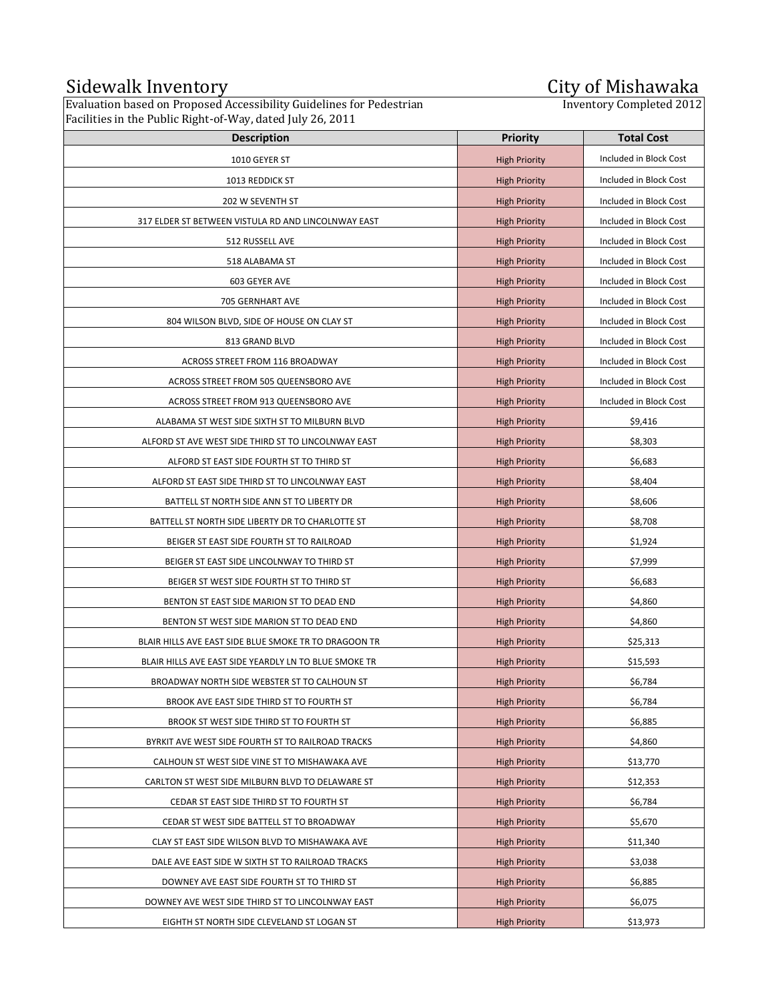## Sidewalk Inventory **City of Mishawaka**

Evaluation based on Proposed Accessibility Guidelines for Pedestrian Facilities in the Public Right-of-Way, dated July 26, 2011

## **City of Mishawaka**<br>Inventory Completed 2012

| Pacifices in the Fubile Right-OP Way, dated july 20, 2011 |                      |                        |
|-----------------------------------------------------------|----------------------|------------------------|
| <b>Description</b>                                        | <b>Priority</b>      | <b>Total Cost</b>      |
| 1010 GEYER ST                                             | <b>High Priority</b> | Included in Block Cost |
| 1013 REDDICK ST                                           | <b>High Priority</b> | Included in Block Cost |
| 202 W SEVENTH ST                                          | <b>High Priority</b> | Included in Block Cost |
| 317 ELDER ST BETWEEN VISTULA RD AND LINCOLNWAY EAST       | <b>High Priority</b> | Included in Block Cost |
| 512 RUSSELL AVE                                           | <b>High Priority</b> | Included in Block Cost |
| 518 ALABAMA ST                                            | <b>High Priority</b> | Included in Block Cost |
| 603 GEYER AVE                                             | <b>High Priority</b> | Included in Block Cost |
| 705 GERNHART AVE                                          | <b>High Priority</b> | Included in Block Cost |
| 804 WILSON BLVD, SIDE OF HOUSE ON CLAY ST                 | <b>High Priority</b> | Included in Block Cost |
| 813 GRAND BLVD                                            | <b>High Priority</b> | Included in Block Cost |
| ACROSS STREET FROM 116 BROADWAY                           | <b>High Priority</b> | Included in Block Cost |
| ACROSS STREET FROM 505 QUEENSBORO AVE                     | <b>High Priority</b> | Included in Block Cost |
| ACROSS STREET FROM 913 QUEENSBORO AVE                     | <b>High Priority</b> | Included in Block Cost |
| ALABAMA ST WEST SIDE SIXTH ST TO MILBURN BLVD             | <b>High Priority</b> | \$9,416                |
| ALFORD ST AVE WEST SIDE THIRD ST TO LINCOLNWAY EAST       | <b>High Priority</b> | \$8,303                |
| ALFORD ST EAST SIDE FOURTH ST TO THIRD ST                 | <b>High Priority</b> | \$6,683                |
| ALFORD ST EAST SIDE THIRD ST TO LINCOLNWAY EAST           | <b>High Priority</b> | \$8,404                |
| BATTELL ST NORTH SIDE ANN ST TO LIBERTY DR                | <b>High Priority</b> | \$8,606                |
| BATTELL ST NORTH SIDE LIBERTY DR TO CHARLOTTE ST          | <b>High Priority</b> | \$8,708                |
| BEIGER ST EAST SIDE FOURTH ST TO RAILROAD                 | <b>High Priority</b> | \$1,924                |
| BEIGER ST EAST SIDE LINCOLNWAY TO THIRD ST                | <b>High Priority</b> | \$7,999                |
| BEIGER ST WEST SIDE FOURTH ST TO THIRD ST                 | <b>High Priority</b> | \$6,683                |
| BENTON ST EAST SIDE MARION ST TO DEAD END                 | <b>High Priority</b> | \$4,860                |
| BENTON ST WEST SIDE MARION ST TO DEAD END                 | <b>High Priority</b> | \$4,860                |
| BLAIR HILLS AVE EAST SIDE BLUE SMOKE TR TO DRAGOON TR     | <b>High Priority</b> | \$25,313               |
| BLAIR HILLS AVE EAST SIDE YEARDLY LN TO BLUE SMOKE TR     | <b>High Priority</b> | \$15,593               |
| BROADWAY NORTH SIDE WEBSTER ST TO CALHOUN ST              | <b>High Priority</b> | \$6,784                |
| BROOK AVE EAST SIDE THIRD ST TO FOURTH ST                 | <b>High Priority</b> | \$6,784                |
| BROOK ST WEST SIDE THIRD ST TO FOURTH ST                  | <b>High Priority</b> | \$6,885                |
| BYRKIT AVE WEST SIDE FOURTH ST TO RAILROAD TRACKS         | <b>High Priority</b> | \$4,860                |
| CALHOUN ST WEST SIDE VINE ST TO MISHAWAKA AVE             | <b>High Priority</b> | \$13,770               |
| CARLTON ST WEST SIDE MILBURN BLVD TO DELAWARE ST          | <b>High Priority</b> | \$12,353               |
| CEDAR ST EAST SIDE THIRD ST TO FOURTH ST                  | <b>High Priority</b> | \$6,784                |
| CEDAR ST WEST SIDE BATTELL ST TO BROADWAY                 | <b>High Priority</b> | \$5,670                |
| CLAY ST EAST SIDE WILSON BLVD TO MISHAWAKA AVE            | <b>High Priority</b> | \$11,340               |
| DALE AVE EAST SIDE W SIXTH ST TO RAILROAD TRACKS          | <b>High Priority</b> | \$3,038                |
| DOWNEY AVE EAST SIDE FOURTH ST TO THIRD ST                | <b>High Priority</b> | \$6,885                |
| DOWNEY AVE WEST SIDE THIRD ST TO LINCOLNWAY EAST          | <b>High Priority</b> | \$6,075                |
| EIGHTH ST NORTH SIDE CLEVELAND ST LOGAN ST                | <b>High Priority</b> | \$13,973               |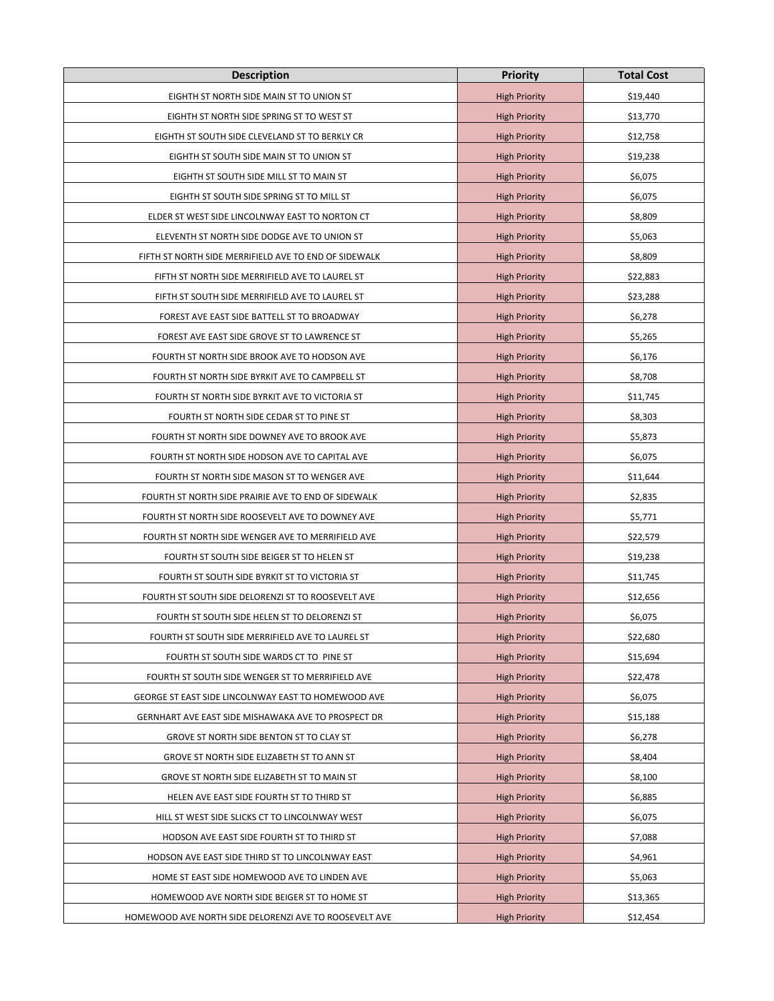| <b>Description</b>                                     | <b>Priority</b>      | <b>Total Cost</b> |
|--------------------------------------------------------|----------------------|-------------------|
| EIGHTH ST NORTH SIDE MAIN ST TO UNION ST               | <b>High Priority</b> | \$19,440          |
| EIGHTH ST NORTH SIDE SPRING ST TO WEST ST              | <b>High Priority</b> | \$13,770          |
| EIGHTH ST SOUTH SIDE CLEVELAND ST TO BERKLY CR         | <b>High Priority</b> | \$12,758          |
| EIGHTH ST SOUTH SIDE MAIN ST TO UNION ST               | <b>High Priority</b> | \$19,238          |
| EIGHTH ST SOUTH SIDE MILL ST TO MAIN ST                | <b>High Priority</b> | \$6,075           |
| EIGHTH ST SOUTH SIDE SPRING ST TO MILL ST              | <b>High Priority</b> | \$6,075           |
| ELDER ST WEST SIDE LINCOLNWAY EAST TO NORTON CT        | <b>High Priority</b> | \$8,809           |
| ELEVENTH ST NORTH SIDE DODGE AVE TO UNION ST           | <b>High Priority</b> | \$5,063           |
| FIFTH ST NORTH SIDE MERRIFIELD AVE TO END OF SIDEWALK  | <b>High Priority</b> | \$8,809           |
| FIFTH ST NORTH SIDE MERRIFIELD AVE TO LAUREL ST        | <b>High Priority</b> | \$22,883          |
| FIFTH ST SOUTH SIDE MERRIFIELD AVE TO LAUREL ST        | <b>High Priority</b> | \$23,288          |
| FOREST AVE EAST SIDE BATTELL ST TO BROADWAY            | <b>High Priority</b> | \$6,278           |
| FOREST AVE EAST SIDE GROVE ST TO LAWRENCE ST           | <b>High Priority</b> | \$5,265           |
| FOURTH ST NORTH SIDE BROOK AVE TO HODSON AVE           | <b>High Priority</b> | \$6,176           |
| FOURTH ST NORTH SIDE BYRKIT AVE TO CAMPBELL ST         | <b>High Priority</b> | \$8,708           |
| FOURTH ST NORTH SIDE BYRKIT AVE TO VICTORIA ST         | <b>High Priority</b> | \$11,745          |
| FOURTH ST NORTH SIDE CEDAR ST TO PINE ST               | <b>High Priority</b> | \$8,303           |
| FOURTH ST NORTH SIDE DOWNEY AVE TO BROOK AVE           | <b>High Priority</b> | \$5,873           |
| FOURTH ST NORTH SIDE HODSON AVE TO CAPITAL AVE         | <b>High Priority</b> | \$6,075           |
| FOURTH ST NORTH SIDE MASON ST TO WENGER AVE            | <b>High Priority</b> | \$11,644          |
| FOURTH ST NORTH SIDE PRAIRIE AVE TO END OF SIDEWALK    | <b>High Priority</b> | \$2,835           |
| FOURTH ST NORTH SIDE ROOSEVELT AVE TO DOWNEY AVE       | <b>High Priority</b> | \$5,771           |
| FOURTH ST NORTH SIDE WENGER AVE TO MERRIFIELD AVE      | <b>High Priority</b> | \$22,579          |
| FOURTH ST SOUTH SIDE BEIGER ST TO HELEN ST             | <b>High Priority</b> | \$19,238          |
| FOURTH ST SOUTH SIDE BYRKIT ST TO VICTORIA ST          | <b>High Priority</b> | \$11,745          |
| FOURTH ST SOUTH SIDE DELORENZI ST TO ROOSEVELT AVE     | <b>High Priority</b> | \$12,656          |
| FOURTH ST SOUTH SIDE HELEN ST TO DELORENZI ST          | <b>High Priority</b> | \$6,075           |
| FOURTH ST SOUTH SIDE MERRIFIELD AVE TO LAUREL ST       | <b>High Priority</b> | \$22,680          |
| FOURTH ST SOUTH SIDE WARDS CT TO PINE ST               | <b>High Priority</b> | \$15,694          |
| FOURTH ST SOUTH SIDE WENGER ST TO MERRIFIELD AVE       | <b>High Priority</b> | \$22,478          |
| GEORGE ST EAST SIDE LINCOLNWAY EAST TO HOMEWOOD AVE    | <b>High Priority</b> | \$6,075           |
| GERNHART AVE EAST SIDE MISHAWAKA AVE TO PROSPECT DR    | <b>High Priority</b> | \$15,188          |
| GROVE ST NORTH SIDE BENTON ST TO CLAY ST               | <b>High Priority</b> | \$6,278           |
| GROVE ST NORTH SIDE ELIZABETH ST TO ANN ST             | <b>High Priority</b> | \$8,404           |
| GROVE ST NORTH SIDE ELIZABETH ST TO MAIN ST            | <b>High Priority</b> | \$8,100           |
| HELEN AVE EAST SIDE FOURTH ST TO THIRD ST              | <b>High Priority</b> | \$6,885           |
| HILL ST WEST SIDE SLICKS CT TO LINCOLNWAY WEST         | <b>High Priority</b> | \$6,075           |
| HODSON AVE EAST SIDE FOURTH ST TO THIRD ST             | <b>High Priority</b> | \$7,088           |
| HODSON AVE EAST SIDE THIRD ST TO LINCOLNWAY EAST       | <b>High Priority</b> | \$4,961           |
| HOME ST EAST SIDE HOMEWOOD AVE TO LINDEN AVE           | <b>High Priority</b> | \$5,063           |
| HOMEWOOD AVE NORTH SIDE BEIGER ST TO HOME ST           | <b>High Priority</b> | \$13,365          |
| HOMEWOOD AVE NORTH SIDE DELORENZI AVE TO ROOSEVELT AVE | <b>High Priority</b> | \$12,454          |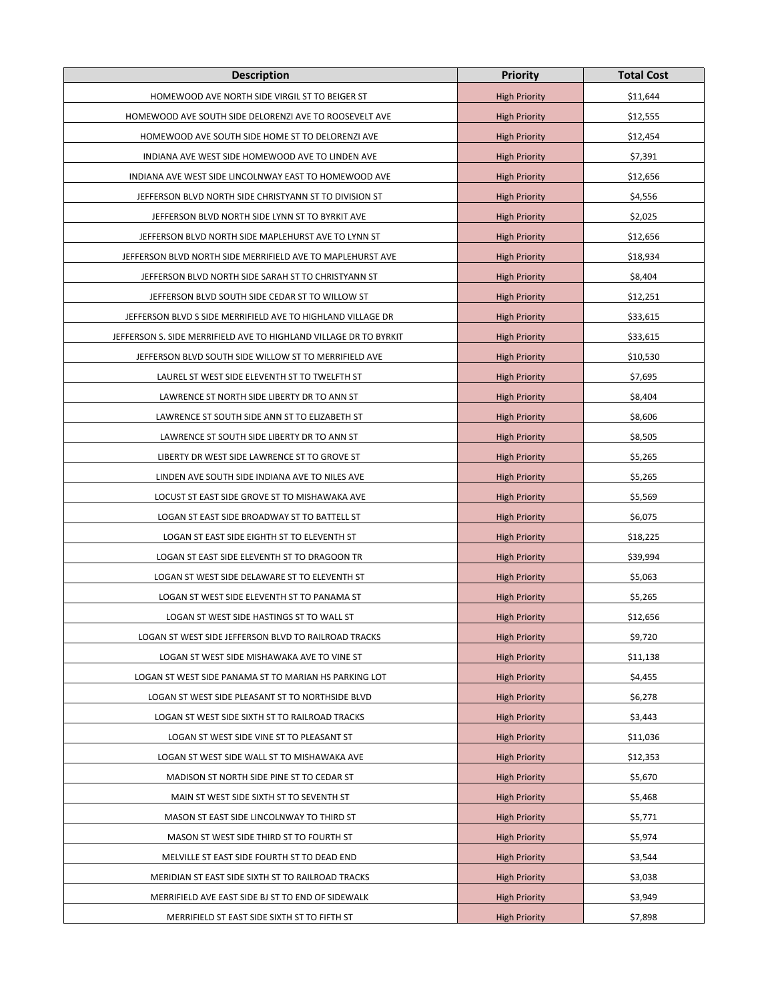| <b>Description</b>                                                | <b>Priority</b>      | <b>Total Cost</b> |
|-------------------------------------------------------------------|----------------------|-------------------|
| HOMEWOOD AVE NORTH SIDE VIRGIL ST TO BEIGER ST                    | <b>High Priority</b> | \$11,644          |
| HOMEWOOD AVE SOUTH SIDE DELORENZI AVE TO ROOSEVELT AVE            | <b>High Priority</b> | \$12,555          |
| HOMEWOOD AVE SOUTH SIDE HOME ST TO DELORENZI AVE                  | <b>High Priority</b> | \$12,454          |
| INDIANA AVE WEST SIDE HOMEWOOD AVE TO LINDEN AVE                  | <b>High Priority</b> | \$7,391           |
| INDIANA AVE WEST SIDE LINCOLNWAY EAST TO HOMEWOOD AVE             | <b>High Priority</b> | \$12,656          |
| JEFFERSON BLVD NORTH SIDE CHRISTYANN ST TO DIVISION ST            | <b>High Priority</b> | \$4,556           |
| JEFFERSON BLVD NORTH SIDE LYNN ST TO BYRKIT AVE                   | <b>High Priority</b> | \$2,025           |
| JEFFERSON BLVD NORTH SIDE MAPLEHURST AVE TO LYNN ST               | <b>High Priority</b> | \$12,656          |
| JEFFERSON BLVD NORTH SIDE MERRIFIELD AVE TO MAPLEHURST AVE        | <b>High Priority</b> | \$18,934          |
| JEFFERSON BLVD NORTH SIDE SARAH ST TO CHRISTYANN ST               | <b>High Priority</b> | \$8,404           |
| JEFFERSON BLVD SOUTH SIDE CEDAR ST TO WILLOW ST                   | <b>High Priority</b> | \$12,251          |
| JEFFERSON BLVD S SIDE MERRIFIELD AVE TO HIGHLAND VILLAGE DR       | <b>High Priority</b> | \$33,615          |
| JEFFERSON S. SIDE MERRIFIELD AVE TO HIGHLAND VILLAGE DR TO BYRKIT | <b>High Priority</b> | \$33,615          |
| JEFFERSON BLVD SOUTH SIDE WILLOW ST TO MERRIFIELD AVE             | <b>High Priority</b> | \$10,530          |
| LAUREL ST WEST SIDE ELEVENTH ST TO TWELFTH ST                     | <b>High Priority</b> | \$7,695           |
| LAWRENCE ST NORTH SIDE LIBERTY DR TO ANN ST                       | <b>High Priority</b> | \$8,404           |
| LAWRENCE ST SOUTH SIDE ANN ST TO ELIZABETH ST                     | <b>High Priority</b> | \$8,606           |
| LAWRENCE ST SOUTH SIDE LIBERTY DR TO ANN ST                       | <b>High Priority</b> | \$8,505           |
| LIBERTY DR WEST SIDE LAWRENCE ST TO GROVE ST                      | <b>High Priority</b> | \$5,265           |
| LINDEN AVE SOUTH SIDE INDIANA AVE TO NILES AVE                    | <b>High Priority</b> | \$5,265           |
| LOCUST ST EAST SIDE GROVE ST TO MISHAWAKA AVE                     | <b>High Priority</b> | \$5,569           |
| LOGAN ST EAST SIDE BROADWAY ST TO BATTELL ST                      | <b>High Priority</b> | \$6,075           |
| LOGAN ST EAST SIDE EIGHTH ST TO ELEVENTH ST                       | <b>High Priority</b> | \$18,225          |
| LOGAN ST EAST SIDE ELEVENTH ST TO DRAGOON TR                      | <b>High Priority</b> | \$39,994          |
| LOGAN ST WEST SIDE DELAWARE ST TO ELEVENTH ST                     | <b>High Priority</b> | \$5,063           |
| LOGAN ST WEST SIDE ELEVENTH ST TO PANAMA ST                       | <b>High Priority</b> | \$5,265           |
| LOGAN ST WEST SIDE HASTINGS ST TO WALL ST                         | <b>High Priority</b> | \$12,656          |
| LOGAN ST WEST SIDE JEFFERSON BLVD TO RAILROAD TRACKS              | <b>High Priority</b> | \$9,720           |
| LOGAN ST WEST SIDE MISHAWAKA AVE TO VINE ST                       | <b>High Priority</b> | \$11,138          |
| LOGAN ST WEST SIDE PANAMA ST TO MARIAN HS PARKING LOT             | <b>High Priority</b> | \$4,455           |
| LOGAN ST WEST SIDE PLEASANT ST TO NORTHSIDE BLVD                  | <b>High Priority</b> | \$6,278           |
| LOGAN ST WEST SIDE SIXTH ST TO RAILROAD TRACKS                    | <b>High Priority</b> | \$3,443           |
| LOGAN ST WEST SIDE VINE ST TO PLEASANT ST                         | <b>High Priority</b> | \$11,036          |
| LOGAN ST WEST SIDE WALL ST TO MISHAWAKA AVE                       | <b>High Priority</b> | \$12,353          |
| MADISON ST NORTH SIDE PINE ST TO CEDAR ST                         | <b>High Priority</b> | \$5,670           |
| MAIN ST WEST SIDE SIXTH ST TO SEVENTH ST                          | <b>High Priority</b> | \$5,468           |
| MASON ST EAST SIDE LINCOLNWAY TO THIRD ST                         | <b>High Priority</b> | \$5,771           |
| MASON ST WEST SIDE THIRD ST TO FOURTH ST                          | <b>High Priority</b> | \$5,974           |
| MELVILLE ST EAST SIDE FOURTH ST TO DEAD END                       | <b>High Priority</b> | \$3,544           |
| MERIDIAN ST EAST SIDE SIXTH ST TO RAILROAD TRACKS                 | <b>High Priority</b> | \$3,038           |
| MERRIFIELD AVE EAST SIDE BJ ST TO END OF SIDEWALK                 | <b>High Priority</b> | \$3,949           |
| MERRIFIELD ST EAST SIDE SIXTH ST TO FIFTH ST                      | <b>High Priority</b> | \$7,898           |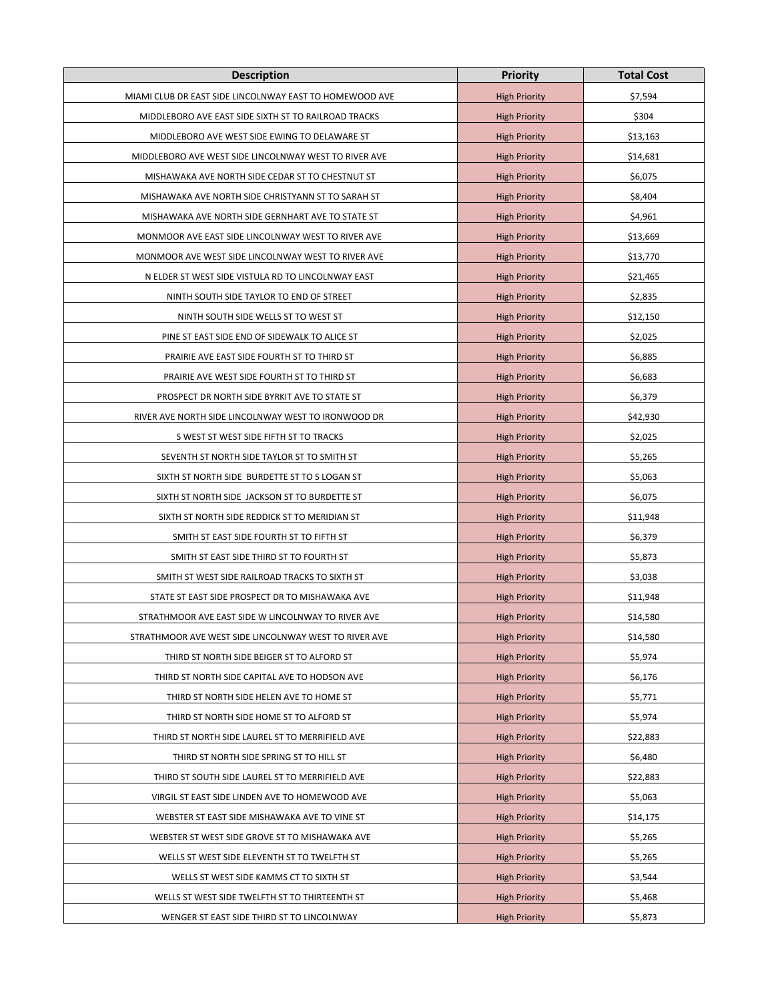| <b>Description</b>                                      | <b>Priority</b>      | <b>Total Cost</b> |
|---------------------------------------------------------|----------------------|-------------------|
| MIAMI CLUB DR EAST SIDE LINCOLNWAY EAST TO HOMEWOOD AVE | <b>High Priority</b> | \$7,594           |
| MIDDLEBORO AVE EAST SIDE SIXTH ST TO RAILROAD TRACKS    | <b>High Priority</b> | \$304             |
| MIDDLEBORO AVE WEST SIDE EWING TO DELAWARE ST           | <b>High Priority</b> | \$13,163          |
| MIDDLEBORO AVE WEST SIDE LINCOLNWAY WEST TO RIVER AVE   | <b>High Priority</b> | \$14,681          |
| MISHAWAKA AVE NORTH SIDE CEDAR ST TO CHESTNUT ST        | <b>High Priority</b> | \$6,075           |
| MISHAWAKA AVE NORTH SIDE CHRISTYANN ST TO SARAH ST      | <b>High Priority</b> | \$8,404           |
| MISHAWAKA AVE NORTH SIDE GERNHART AVE TO STATE ST       | <b>High Priority</b> | \$4,961           |
| MONMOOR AVE EAST SIDE LINCOLNWAY WEST TO RIVER AVE      | <b>High Priority</b> | \$13,669          |
| MONMOOR AVE WEST SIDE LINCOLNWAY WEST TO RIVER AVE      | <b>High Priority</b> | \$13,770          |
| N ELDER ST WEST SIDE VISTULA RD TO LINCOLNWAY EAST      | <b>High Priority</b> | \$21,465          |
| NINTH SOUTH SIDE TAYLOR TO END OF STREET                | <b>High Priority</b> | \$2,835           |
| NINTH SOUTH SIDE WELLS ST TO WEST ST                    | <b>High Priority</b> | \$12,150          |
| PINE ST EAST SIDE END OF SIDEWALK TO ALICE ST           | <b>High Priority</b> | \$2,025           |
| PRAIRIE AVE EAST SIDE FOURTH ST TO THIRD ST             | <b>High Priority</b> | \$6,885           |
| PRAIRIE AVE WEST SIDE FOURTH ST TO THIRD ST             | <b>High Priority</b> | \$6,683           |
| PROSPECT DR NORTH SIDE BYRKIT AVE TO STATE ST           | <b>High Priority</b> | \$6,379           |
| RIVER AVE NORTH SIDE LINCOLNWAY WEST TO IRONWOOD DR     | <b>High Priority</b> | \$42,930          |
| S WEST ST WEST SIDE FIFTH ST TO TRACKS                  | <b>High Priority</b> | \$2,025           |
| SEVENTH ST NORTH SIDE TAYLOR ST TO SMITH ST             | <b>High Priority</b> | \$5,265           |
| SIXTH ST NORTH SIDE BURDETTE ST TO S LOGAN ST           | <b>High Priority</b> | \$5,063           |
| SIXTH ST NORTH SIDE JACKSON ST TO BURDETTE ST           | <b>High Priority</b> | \$6,075           |
| SIXTH ST NORTH SIDE REDDICK ST TO MERIDIAN ST           | <b>High Priority</b> | \$11,948          |
| SMITH ST EAST SIDE FOURTH ST TO FIFTH ST                | <b>High Priority</b> | \$6,379           |
| SMITH ST EAST SIDE THIRD ST TO FOURTH ST                | <b>High Priority</b> | \$5,873           |
| SMITH ST WEST SIDE RAILROAD TRACKS TO SIXTH ST          | <b>High Priority</b> | \$3,038           |
| STATE ST EAST SIDE PROSPECT DR TO MISHAWAKA AVE         | <b>High Priority</b> | \$11,948          |
| STRATHMOOR AVE EAST SIDE W LINCOLNWAY TO RIVER AVE      | <b>High Priority</b> | \$14,580          |
| STRATHMOOR AVE WEST SIDE LINCOLNWAY WEST TO RIVER AVE   | <b>High Priority</b> | \$14,580          |
| THIRD ST NORTH SIDE BEIGER ST TO ALFORD ST              | <b>High Priority</b> | \$5,974           |
| THIRD ST NORTH SIDE CAPITAL AVE TO HODSON AVE           | <b>High Priority</b> | \$6,176           |
| THIRD ST NORTH SIDE HELEN AVE TO HOME ST                | <b>High Priority</b> | \$5,771           |
| THIRD ST NORTH SIDE HOME ST TO ALFORD ST                | <b>High Priority</b> | \$5,974           |
| THIRD ST NORTH SIDE LAUREL ST TO MERRIFIELD AVE         | <b>High Priority</b> | \$22,883          |
| THIRD ST NORTH SIDE SPRING ST TO HILL ST                | <b>High Priority</b> | \$6,480           |
| THIRD ST SOUTH SIDE LAUREL ST TO MERRIFIELD AVE         | <b>High Priority</b> | \$22,883          |
| VIRGIL ST EAST SIDE LINDEN AVE TO HOMEWOOD AVE          | <b>High Priority</b> | \$5,063           |
| WEBSTER ST EAST SIDE MISHAWAKA AVE TO VINE ST           | <b>High Priority</b> | \$14,175          |
| WEBSTER ST WEST SIDE GROVE ST TO MISHAWAKA AVE          | <b>High Priority</b> | \$5,265           |
| WELLS ST WEST SIDE ELEVENTH ST TO TWELFTH ST            | <b>High Priority</b> | \$5,265           |
| WELLS ST WEST SIDE KAMMS CT TO SIXTH ST                 | <b>High Priority</b> | \$3,544           |
| WELLS ST WEST SIDE TWELFTH ST TO THIRTEENTH ST          | <b>High Priority</b> | \$5,468           |
| WENGER ST EAST SIDE THIRD ST TO LINCOLNWAY              | <b>High Priority</b> | \$5,873           |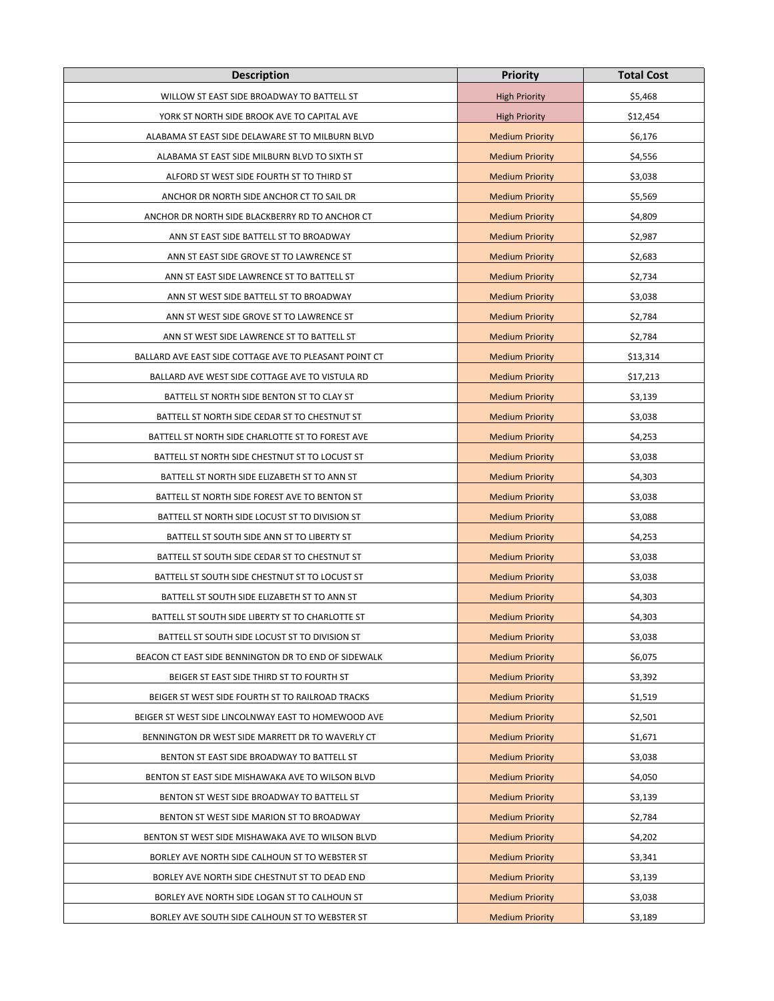| <b>Description</b>                                     | <b>Priority</b>        | <b>Total Cost</b> |
|--------------------------------------------------------|------------------------|-------------------|
| WILLOW ST EAST SIDE BROADWAY TO BATTELL ST             | <b>High Priority</b>   | \$5,468           |
| YORK ST NORTH SIDE BROOK AVE TO CAPITAL AVE            | <b>High Priority</b>   | \$12,454          |
| ALABAMA ST EAST SIDE DELAWARE ST TO MILBURN BLVD       | <b>Medium Priority</b> | \$6,176           |
| ALABAMA ST EAST SIDE MILBURN BLVD TO SIXTH ST          | <b>Medium Priority</b> | \$4,556           |
| ALFORD ST WEST SIDE FOURTH ST TO THIRD ST              | <b>Medium Priority</b> | \$3,038           |
| ANCHOR DR NORTH SIDE ANCHOR CT TO SAIL DR              | <b>Medium Priority</b> | \$5,569           |
| ANCHOR DR NORTH SIDE BLACKBERRY RD TO ANCHOR CT        | <b>Medium Priority</b> | \$4,809           |
| ANN ST EAST SIDE BATTELL ST TO BROADWAY                | <b>Medium Priority</b> | \$2,987           |
| ANN ST EAST SIDE GROVE ST TO LAWRENCE ST               | <b>Medium Priority</b> | \$2,683           |
| ANN ST EAST SIDE LAWRENCE ST TO BATTELL ST             | <b>Medium Priority</b> | \$2,734           |
| ANN ST WEST SIDE BATTELL ST TO BROADWAY                | <b>Medium Priority</b> | \$3,038           |
| ANN ST WEST SIDE GROVE ST TO LAWRENCE ST               | <b>Medium Priority</b> | \$2,784           |
| ANN ST WEST SIDE LAWRENCE ST TO BATTELL ST             | <b>Medium Priority</b> | \$2,784           |
| BALLARD AVE EAST SIDE COTTAGE AVE TO PLEASANT POINT CT | <b>Medium Priority</b> | \$13,314          |
| BALLARD AVE WEST SIDE COTTAGE AVE TO VISTULA RD        | <b>Medium Priority</b> | \$17,213          |
| BATTELL ST NORTH SIDE BENTON ST TO CLAY ST             | <b>Medium Priority</b> | \$3,139           |
| BATTELL ST NORTH SIDE CEDAR ST TO CHESTNUT ST          | <b>Medium Priority</b> | \$3,038           |
| BATTELL ST NORTH SIDE CHARLOTTE ST TO FOREST AVE       | <b>Medium Priority</b> | \$4,253           |
| BATTELL ST NORTH SIDE CHESTNUT ST TO LOCUST ST         | <b>Medium Priority</b> | \$3,038           |
| BATTELL ST NORTH SIDE ELIZABETH ST TO ANN ST           | <b>Medium Priority</b> | \$4,303           |
| BATTELL ST NORTH SIDE FOREST AVE TO BENTON ST          | <b>Medium Priority</b> | \$3,038           |
| BATTELL ST NORTH SIDE LOCUST ST TO DIVISION ST         | <b>Medium Priority</b> | \$3,088           |
| BATTELL ST SOUTH SIDE ANN ST TO LIBERTY ST             | <b>Medium Priority</b> | \$4,253           |
| BATTELL ST SOUTH SIDE CEDAR ST TO CHESTNUT ST          | <b>Medium Priority</b> | \$3,038           |
| BATTELL ST SOUTH SIDE CHESTNUT ST TO LOCUST ST         | <b>Medium Priority</b> | \$3,038           |
| BATTELL ST SOUTH SIDE ELIZABETH ST TO ANN ST           | <b>Medium Priority</b> | \$4,303           |
| BATTELL ST SOUTH SIDE LIBERTY ST TO CHARLOTTE ST       | <b>Medium Priority</b> | \$4,303           |
| BATTELL ST SOUTH SIDE LOCUST ST TO DIVISION ST         | <b>Medium Priority</b> | \$3,038           |
| BEACON CT EAST SIDE BENNINGTON DR TO END OF SIDEWALK   | <b>Medium Priority</b> | \$6,075           |
| BEIGER ST EAST SIDE THIRD ST TO FOURTH ST              | <b>Medium Priority</b> | \$3,392           |
| BEIGER ST WEST SIDE FOURTH ST TO RAILROAD TRACKS       | <b>Medium Priority</b> | \$1,519           |
| BEIGER ST WEST SIDE LINCOLNWAY EAST TO HOMEWOOD AVE    | <b>Medium Priority</b> | \$2,501           |
| BENNINGTON DR WEST SIDE MARRETT DR TO WAVERLY CT       | <b>Medium Priority</b> | \$1,671           |
| BENTON ST EAST SIDE BROADWAY TO BATTELL ST             | <b>Medium Priority</b> | \$3,038           |
| BENTON ST EAST SIDE MISHAWAKA AVE TO WILSON BLVD       | <b>Medium Priority</b> | \$4,050           |
| BENTON ST WEST SIDE BROADWAY TO BATTELL ST             | <b>Medium Priority</b> | \$3,139           |
| BENTON ST WEST SIDE MARION ST TO BROADWAY              | <b>Medium Priority</b> | \$2,784           |
| BENTON ST WEST SIDE MISHAWAKA AVE TO WILSON BLVD       | <b>Medium Priority</b> | \$4,202           |
| BORLEY AVE NORTH SIDE CALHOUN ST TO WEBSTER ST         | <b>Medium Priority</b> | \$3,341           |
| BORLEY AVE NORTH SIDE CHESTNUT ST TO DEAD END          | <b>Medium Priority</b> | \$3,139           |
| BORLEY AVE NORTH SIDE LOGAN ST TO CALHOUN ST           | <b>Medium Priority</b> | \$3,038           |
| BORLEY AVE SOUTH SIDE CALHOUN ST TO WEBSTER ST         | <b>Medium Priority</b> | \$3,189           |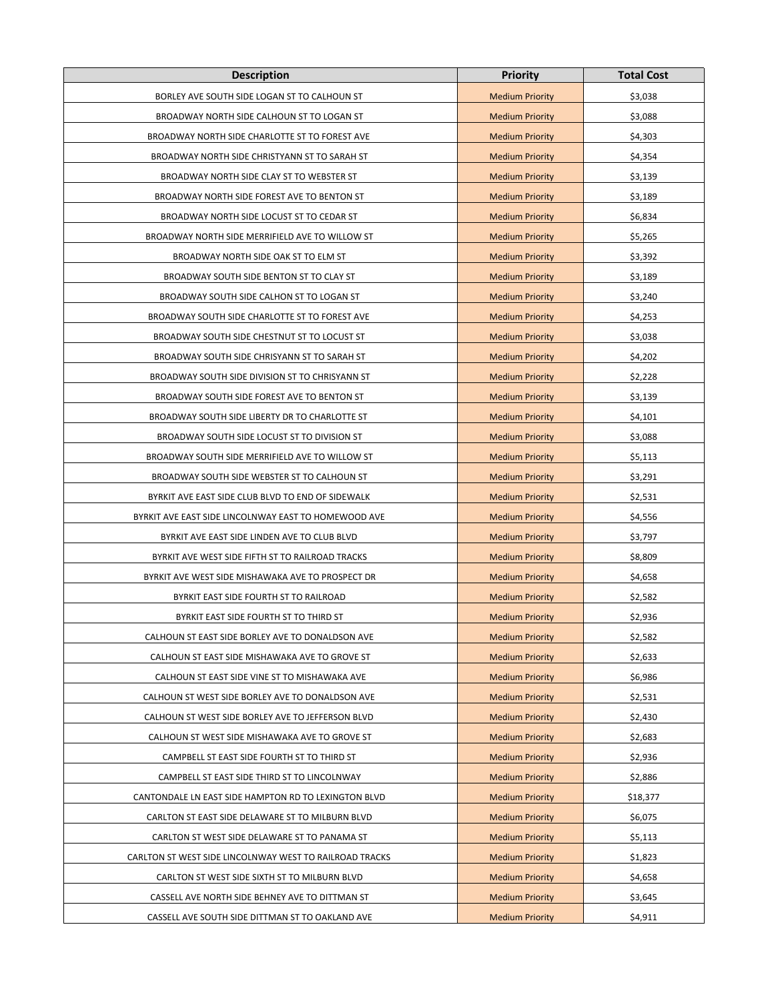| <b>Description</b>                                      | <b>Priority</b>        | <b>Total Cost</b> |
|---------------------------------------------------------|------------------------|-------------------|
| BORLEY AVE SOUTH SIDE LOGAN ST TO CALHOUN ST            | <b>Medium Priority</b> | \$3,038           |
| BROADWAY NORTH SIDE CALHOUN ST TO LOGAN ST              | <b>Medium Priority</b> | \$3,088           |
| BROADWAY NORTH SIDE CHARLOTTE ST TO FOREST AVE          | <b>Medium Priority</b> | \$4,303           |
| BROADWAY NORTH SIDE CHRISTYANN ST TO SARAH ST           | <b>Medium Priority</b> | \$4,354           |
| BROADWAY NORTH SIDE CLAY ST TO WEBSTER ST               | <b>Medium Priority</b> | \$3,139           |
| BROADWAY NORTH SIDE FOREST AVE TO BENTON ST             | <b>Medium Priority</b> | \$3,189           |
| BROADWAY NORTH SIDE LOCUST ST TO CEDAR ST               | <b>Medium Priority</b> | \$6,834           |
| BROADWAY NORTH SIDE MERRIFIELD AVE TO WILLOW ST         | <b>Medium Priority</b> | \$5,265           |
| BROADWAY NORTH SIDE OAK ST TO ELM ST                    | <b>Medium Priority</b> | \$3,392           |
| BROADWAY SOUTH SIDE BENTON ST TO CLAY ST                | <b>Medium Priority</b> | \$3,189           |
| BROADWAY SOUTH SIDE CALHON ST TO LOGAN ST               | <b>Medium Priority</b> | \$3,240           |
| BROADWAY SOUTH SIDE CHARLOTTE ST TO FOREST AVE          | <b>Medium Priority</b> | \$4,253           |
| BROADWAY SOUTH SIDE CHESTNUT ST TO LOCUST ST            | <b>Medium Priority</b> | \$3,038           |
| BROADWAY SOUTH SIDE CHRISYANN ST TO SARAH ST            | <b>Medium Priority</b> | \$4,202           |
| BROADWAY SOUTH SIDE DIVISION ST TO CHRISYANN ST         | <b>Medium Priority</b> | \$2,228           |
| BROADWAY SOUTH SIDE FOREST AVE TO BENTON ST             | <b>Medium Priority</b> | \$3,139           |
| BROADWAY SOUTH SIDE LIBERTY DR TO CHARLOTTE ST          | <b>Medium Priority</b> | \$4,101           |
| BROADWAY SOUTH SIDE LOCUST ST TO DIVISION ST            | <b>Medium Priority</b> | \$3,088           |
| BROADWAY SOUTH SIDE MERRIFIELD AVE TO WILLOW ST         | <b>Medium Priority</b> | \$5,113           |
| BROADWAY SOUTH SIDE WEBSTER ST TO CALHOUN ST            | <b>Medium Priority</b> | \$3,291           |
| BYRKIT AVE EAST SIDE CLUB BLVD TO END OF SIDEWALK       | <b>Medium Priority</b> | \$2,531           |
| BYRKIT AVE EAST SIDE LINCOLNWAY EAST TO HOMEWOOD AVE    | <b>Medium Priority</b> | \$4,556           |
| BYRKIT AVE EAST SIDE LINDEN AVE TO CLUB BLVD            | <b>Medium Priority</b> | \$3,797           |
| BYRKIT AVE WEST SIDE FIFTH ST TO RAILROAD TRACKS        | <b>Medium Priority</b> | \$8,809           |
| BYRKIT AVE WEST SIDE MISHAWAKA AVE TO PROSPECT DR       | <b>Medium Priority</b> | \$4,658           |
| BYRKIT EAST SIDE FOURTH ST TO RAILROAD                  | <b>Medium Priority</b> | \$2,582           |
| BYRKIT EAST SIDE FOURTH ST TO THIRD ST                  | <b>Medium Priority</b> | \$2,936           |
| CALHOUN ST EAST SIDE BORLEY AVE TO DONALDSON AVE        | <b>Medium Priority</b> | \$2,582           |
| CALHOUN ST EAST SIDE MISHAWAKA AVE TO GROVE ST          | <b>Medium Priority</b> | \$2,633           |
| CALHOUN ST EAST SIDE VINE ST TO MISHAWAKA AVE           | <b>Medium Priority</b> | \$6,986           |
| CALHOUN ST WEST SIDE BORLEY AVE TO DONALDSON AVE        | <b>Medium Priority</b> | \$2,531           |
| CALHOUN ST WEST SIDE BORLEY AVE TO JEFFERSON BLVD       | <b>Medium Priority</b> | \$2,430           |
| CALHOUN ST WEST SIDE MISHAWAKA AVE TO GROVE ST          | <b>Medium Priority</b> | \$2,683           |
| CAMPBELL ST EAST SIDE FOURTH ST TO THIRD ST             | <b>Medium Priority</b> | \$2,936           |
| CAMPBELL ST EAST SIDE THIRD ST TO LINCOLNWAY            | <b>Medium Priority</b> | \$2,886           |
| CANTONDALE LN EAST SIDE HAMPTON RD TO LEXINGTON BLVD    | <b>Medium Priority</b> | \$18,377          |
| CARLTON ST EAST SIDE DELAWARE ST TO MILBURN BLVD        | <b>Medium Priority</b> | \$6,075           |
| CARLTON ST WEST SIDE DELAWARE ST TO PANAMA ST           | <b>Medium Priority</b> | \$5,113           |
| CARLTON ST WEST SIDE LINCOLNWAY WEST TO RAILROAD TRACKS | <b>Medium Priority</b> | \$1,823           |
| CARLTON ST WEST SIDE SIXTH ST TO MILBURN BLVD           | <b>Medium Priority</b> | \$4,658           |
| CASSELL AVE NORTH SIDE BEHNEY AVE TO DITTMAN ST         | <b>Medium Priority</b> | \$3,645           |
| CASSELL AVE SOUTH SIDE DITTMAN ST TO OAKLAND AVE        | <b>Medium Priority</b> | \$4,911           |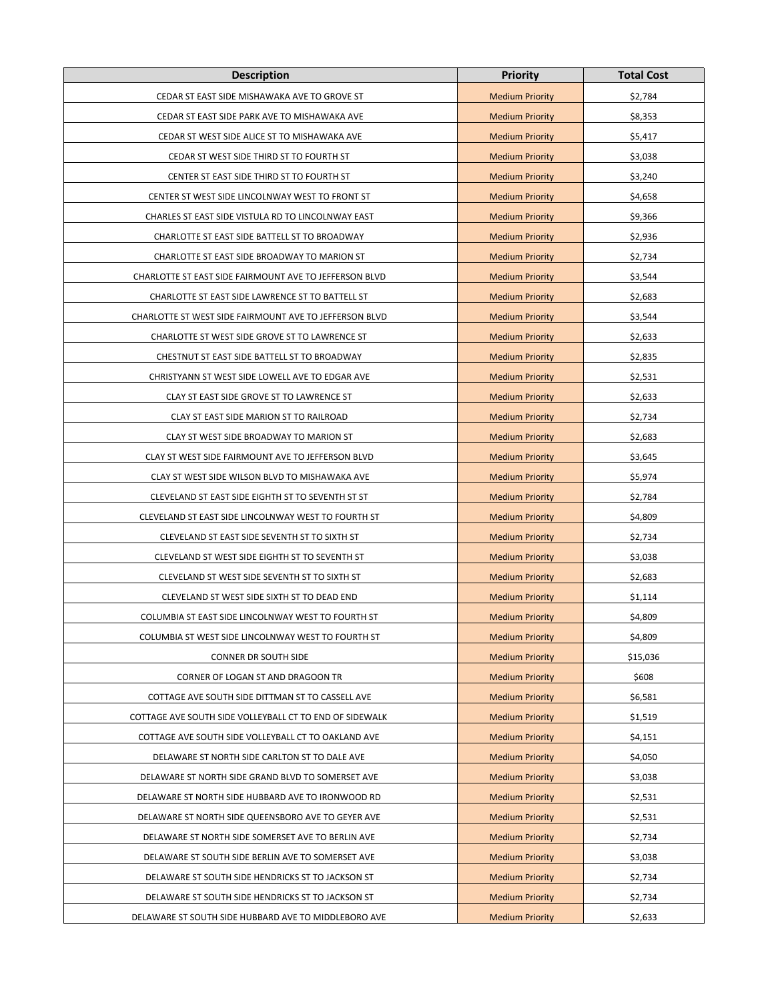| <b>Description</b>                                      | <b>Priority</b>        | <b>Total Cost</b> |
|---------------------------------------------------------|------------------------|-------------------|
| CEDAR ST EAST SIDE MISHAWAKA AVE TO GROVE ST            | <b>Medium Priority</b> | \$2,784           |
| CEDAR ST EAST SIDE PARK AVE TO MISHAWAKA AVE            | <b>Medium Priority</b> | \$8,353           |
| CEDAR ST WEST SIDE ALICE ST TO MISHAWAKA AVE            | <b>Medium Priority</b> | \$5,417           |
| CEDAR ST WEST SIDE THIRD ST TO FOURTH ST                | <b>Medium Priority</b> | \$3,038           |
| CENTER ST EAST SIDE THIRD ST TO FOURTH ST               | <b>Medium Priority</b> | \$3,240           |
| CENTER ST WEST SIDE LINCOLNWAY WEST TO FRONT ST         | <b>Medium Priority</b> | \$4,658           |
| CHARLES ST EAST SIDE VISTULA RD TO LINCOLNWAY EAST      | <b>Medium Priority</b> | \$9,366           |
| CHARLOTTE ST EAST SIDE BATTELL ST TO BROADWAY           | <b>Medium Priority</b> | \$2,936           |
| CHARLOTTE ST EAST SIDE BROADWAY TO MARION ST            | <b>Medium Priority</b> | \$2,734           |
| CHARLOTTE ST EAST SIDE FAIRMOUNT AVE TO JEFFERSON BLVD  | <b>Medium Priority</b> | \$3,544           |
| CHARLOTTE ST EAST SIDE LAWRENCE ST TO BATTELL ST        | <b>Medium Priority</b> | \$2,683           |
| CHARLOTTE ST WEST SIDE FAIRMOUNT AVE TO JEFFERSON BLVD  | <b>Medium Priority</b> | \$3,544           |
| CHARLOTTE ST WEST SIDE GROVE ST TO LAWRENCE ST          | <b>Medium Priority</b> | \$2,633           |
| CHESTNUT ST EAST SIDE BATTELL ST TO BROADWAY            | <b>Medium Priority</b> | \$2,835           |
| CHRISTYANN ST WEST SIDE LOWELL AVE TO EDGAR AVE         | <b>Medium Priority</b> | \$2,531           |
| CLAY ST EAST SIDE GROVE ST TO LAWRENCE ST               | <b>Medium Priority</b> | \$2,633           |
| CLAY ST EAST SIDE MARION ST TO RAILROAD                 | <b>Medium Priority</b> | \$2,734           |
| CLAY ST WEST SIDE BROADWAY TO MARION ST                 | <b>Medium Priority</b> | \$2,683           |
| CLAY ST WEST SIDE FAIRMOUNT AVE TO JEFFERSON BLVD       | <b>Medium Priority</b> | \$3,645           |
| CLAY ST WEST SIDE WILSON BLVD TO MISHAWAKA AVE          | <b>Medium Priority</b> | \$5,974           |
| CLEVELAND ST EAST SIDE EIGHTH ST TO SEVENTH ST ST       | <b>Medium Priority</b> | \$2,784           |
| CLEVELAND ST EAST SIDE LINCOLNWAY WEST TO FOURTH ST     | <b>Medium Priority</b> | \$4,809           |
| CLEVELAND ST EAST SIDE SEVENTH ST TO SIXTH ST           | <b>Medium Priority</b> | \$2,734           |
| CLEVELAND ST WEST SIDE EIGHTH ST TO SEVENTH ST          | <b>Medium Priority</b> | \$3,038           |
| CLEVELAND ST WEST SIDE SEVENTH ST TO SIXTH ST           | <b>Medium Priority</b> | \$2,683           |
| CLEVELAND ST WEST SIDE SIXTH ST TO DEAD END             | <b>Medium Priority</b> | \$1,114           |
| COLUMBIA ST EAST SIDE LINCOLNWAY WEST TO FOURTH ST      | <b>Medium Priority</b> | \$4,809           |
| COLUMBIA ST WEST SIDE LINCOLNWAY WEST TO FOURTH ST      | <b>Medium Priority</b> | \$4,809           |
| CONNER DR SOUTH SIDE                                    | <b>Medium Priority</b> | \$15,036          |
| CORNER OF LOGAN ST AND DRAGOON TR                       | <b>Medium Priority</b> | \$608             |
| COTTAGE AVE SOUTH SIDE DITTMAN ST TO CASSELL AVE        | <b>Medium Priority</b> | \$6,581           |
| COTTAGE AVE SOUTH SIDE VOLLEYBALL CT TO END OF SIDEWALK | <b>Medium Priority</b> | \$1,519           |
| COTTAGE AVE SOUTH SIDE VOLLEYBALL CT TO OAKLAND AVE     | <b>Medium Priority</b> | \$4,151           |
| DELAWARE ST NORTH SIDE CARLTON ST TO DALE AVE           | <b>Medium Priority</b> | \$4,050           |
| DELAWARE ST NORTH SIDE GRAND BLVD TO SOMERSET AVE       | <b>Medium Priority</b> | \$3,038           |
| DELAWARE ST NORTH SIDE HUBBARD AVE TO IRONWOOD RD       | <b>Medium Priority</b> | \$2,531           |
| DELAWARE ST NORTH SIDE QUEENSBORO AVE TO GEYER AVE      | <b>Medium Priority</b> | \$2,531           |
| DELAWARE ST NORTH SIDE SOMERSET AVE TO BERLIN AVE       | <b>Medium Priority</b> | \$2,734           |
| DELAWARE ST SOUTH SIDE BERLIN AVE TO SOMERSET AVE       | <b>Medium Priority</b> | \$3,038           |
| DELAWARE ST SOUTH SIDE HENDRICKS ST TO JACKSON ST       | <b>Medium Priority</b> | \$2,734           |
| DELAWARE ST SOUTH SIDE HENDRICKS ST TO JACKSON ST       | <b>Medium Priority</b> | \$2,734           |
| DELAWARE ST SOUTH SIDE HUBBARD AVE TO MIDDLEBORO AVE    | <b>Medium Priority</b> | \$2,633           |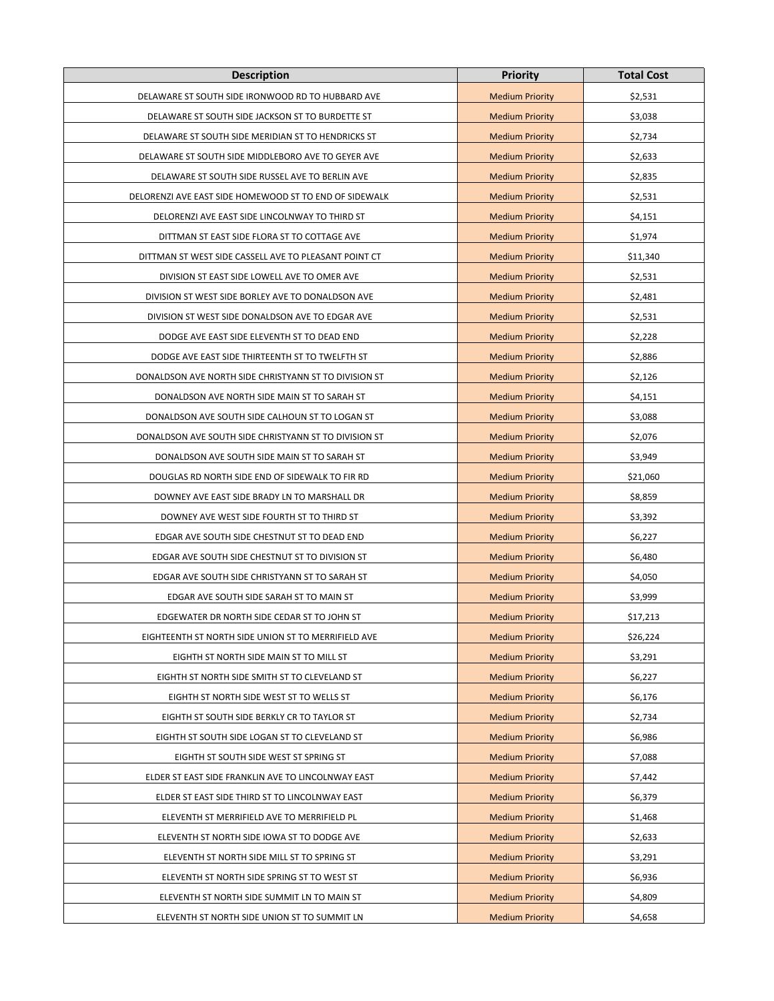| <b>Description</b>                                     | <b>Priority</b>        | <b>Total Cost</b> |
|--------------------------------------------------------|------------------------|-------------------|
| DELAWARE ST SOUTH SIDE IRONWOOD RD TO HUBBARD AVE      | <b>Medium Priority</b> | \$2,531           |
| DELAWARE ST SOUTH SIDE JACKSON ST TO BURDETTE ST       | <b>Medium Priority</b> | \$3,038           |
| DELAWARE ST SOUTH SIDE MERIDIAN ST TO HENDRICKS ST     | <b>Medium Priority</b> | \$2,734           |
| DELAWARE ST SOUTH SIDE MIDDLEBORO AVE TO GEYER AVE     | <b>Medium Priority</b> | \$2,633           |
| DELAWARE ST SOUTH SIDE RUSSEL AVE TO BERLIN AVE        | <b>Medium Priority</b> | \$2,835           |
| DELORENZI AVE EAST SIDE HOMEWOOD ST TO END OF SIDEWALK | <b>Medium Priority</b> | \$2,531           |
| DELORENZI AVE EAST SIDE LINCOLNWAY TO THIRD ST         | <b>Medium Priority</b> | \$4,151           |
| DITTMAN ST EAST SIDE FLORA ST TO COTTAGE AVE           | <b>Medium Priority</b> | \$1,974           |
| DITTMAN ST WEST SIDE CASSELL AVE TO PLEASANT POINT CT  | <b>Medium Priority</b> | \$11,340          |
| DIVISION ST EAST SIDE LOWELL AVE TO OMER AVE           | <b>Medium Priority</b> | \$2,531           |
| DIVISION ST WEST SIDE BORLEY AVE TO DONALDSON AVE      | <b>Medium Priority</b> | \$2,481           |
| DIVISION ST WEST SIDE DONALDSON AVE TO EDGAR AVE       | <b>Medium Priority</b> | \$2,531           |
| DODGE AVE EAST SIDE ELEVENTH ST TO DEAD END            | <b>Medium Priority</b> | \$2,228           |
| DODGE AVE EAST SIDE THIRTEENTH ST TO TWELFTH ST        | <b>Medium Priority</b> | \$2,886           |
| DONALDSON AVE NORTH SIDE CHRISTYANN ST TO DIVISION ST  | <b>Medium Priority</b> | \$2,126           |
| DONALDSON AVE NORTH SIDE MAIN ST TO SARAH ST           | <b>Medium Priority</b> | \$4,151           |
| DONALDSON AVE SOUTH SIDE CALHOUN ST TO LOGAN ST        | <b>Medium Priority</b> | \$3,088           |
| DONALDSON AVE SOUTH SIDE CHRISTYANN ST TO DIVISION ST  | <b>Medium Priority</b> | \$2,076           |
| DONALDSON AVE SOUTH SIDE MAIN ST TO SARAH ST           | <b>Medium Priority</b> | \$3,949           |
| DOUGLAS RD NORTH SIDE END OF SIDEWALK TO FIR RD        | <b>Medium Priority</b> | \$21,060          |
| DOWNEY AVE EAST SIDE BRADY LN TO MARSHALL DR           | <b>Medium Priority</b> | \$8,859           |
| DOWNEY AVE WEST SIDE FOURTH ST TO THIRD ST             | <b>Medium Priority</b> | \$3,392           |
| EDGAR AVE SOUTH SIDE CHESTNUT ST TO DEAD END           | <b>Medium Priority</b> | \$6,227           |
| EDGAR AVE SOUTH SIDE CHESTNUT ST TO DIVISION ST        | <b>Medium Priority</b> | \$6,480           |
| EDGAR AVE SOUTH SIDE CHRISTYANN ST TO SARAH ST         | <b>Medium Priority</b> | \$4,050           |
| EDGAR AVE SOUTH SIDE SARAH ST TO MAIN ST               | <b>Medium Priority</b> | \$3,999           |
| EDGEWATER DR NORTH SIDE CEDAR ST TO JOHN ST            | <b>Medium Priority</b> | \$17,213          |
| EIGHTEENTH ST NORTH SIDE UNION ST TO MERRIFIELD AVE    | <b>Medium Priority</b> | \$26,224          |
| EIGHTH ST NORTH SIDE MAIN ST TO MILL ST                | <b>Medium Priority</b> | \$3,291           |
| EIGHTH ST NORTH SIDE SMITH ST TO CLEVELAND ST          | <b>Medium Priority</b> | \$6,227           |
| EIGHTH ST NORTH SIDE WEST ST TO WELLS ST               | <b>Medium Priority</b> | \$6,176           |
| EIGHTH ST SOUTH SIDE BERKLY CR TO TAYLOR ST            | <b>Medium Priority</b> | \$2,734           |
| EIGHTH ST SOUTH SIDE LOGAN ST TO CLEVELAND ST          | <b>Medium Priority</b> | \$6,986           |
| EIGHTH ST SOUTH SIDE WEST ST SPRING ST                 | <b>Medium Priority</b> | \$7,088           |
| ELDER ST EAST SIDE FRANKLIN AVE TO LINCOLNWAY EAST     | <b>Medium Priority</b> | \$7,442           |
| ELDER ST EAST SIDE THIRD ST TO LINCOLNWAY EAST         | <b>Medium Priority</b> | \$6,379           |
| ELEVENTH ST MERRIFIELD AVE TO MERRIFIELD PL            | <b>Medium Priority</b> | \$1,468           |
| ELEVENTH ST NORTH SIDE IOWA ST TO DODGE AVE            | <b>Medium Priority</b> | \$2,633           |
| ELEVENTH ST NORTH SIDE MILL ST TO SPRING ST            | <b>Medium Priority</b> | \$3,291           |
| ELEVENTH ST NORTH SIDE SPRING ST TO WEST ST            | <b>Medium Priority</b> | \$6,936           |
| ELEVENTH ST NORTH SIDE SUMMIT LN TO MAIN ST            | <b>Medium Priority</b> | \$4,809           |
| ELEVENTH ST NORTH SIDE UNION ST TO SUMMIT LN           | <b>Medium Priority</b> | \$4,658           |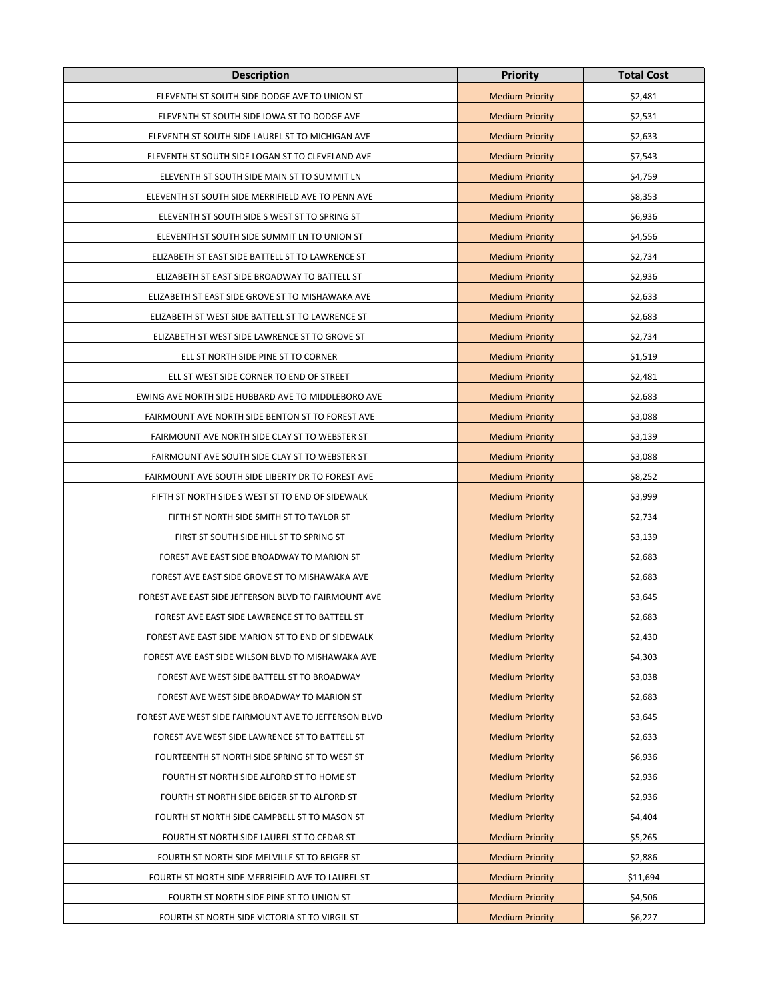| <b>Description</b>                                   | <b>Priority</b>        | <b>Total Cost</b> |
|------------------------------------------------------|------------------------|-------------------|
| ELEVENTH ST SOUTH SIDE DODGE AVE TO UNION ST         | <b>Medium Priority</b> | \$2,481           |
| ELEVENTH ST SOUTH SIDE IOWA ST TO DODGE AVE          | <b>Medium Priority</b> | \$2,531           |
| ELEVENTH ST SOUTH SIDE LAUREL ST TO MICHIGAN AVE     | <b>Medium Priority</b> | \$2,633           |
| ELEVENTH ST SOUTH SIDE LOGAN ST TO CLEVELAND AVE     | <b>Medium Priority</b> | \$7,543           |
| ELEVENTH ST SOUTH SIDE MAIN ST TO SUMMIT LN          | <b>Medium Priority</b> | \$4,759           |
| ELEVENTH ST SOUTH SIDE MERRIFIELD AVE TO PENN AVE    | <b>Medium Priority</b> | \$8,353           |
| ELEVENTH ST SOUTH SIDE S WEST ST TO SPRING ST        | <b>Medium Priority</b> | \$6,936           |
| ELEVENTH ST SOUTH SIDE SUMMIT LN TO UNION ST         | <b>Medium Priority</b> | \$4,556           |
| ELIZABETH ST EAST SIDE BATTELL ST TO LAWRENCE ST     | <b>Medium Priority</b> | \$2,734           |
| ELIZABETH ST EAST SIDE BROADWAY TO BATTELL ST        | <b>Medium Priority</b> | \$2,936           |
| ELIZABETH ST EAST SIDE GROVE ST TO MISHAWAKA AVE     | <b>Medium Priority</b> | \$2,633           |
| ELIZABETH ST WEST SIDE BATTELL ST TO LAWRENCE ST     | <b>Medium Priority</b> | \$2,683           |
| ELIZABETH ST WEST SIDE LAWRENCE ST TO GROVE ST       | <b>Medium Priority</b> | \$2,734           |
| ELL ST NORTH SIDE PINE ST TO CORNER                  | <b>Medium Priority</b> | \$1,519           |
| ELL ST WEST SIDE CORNER TO END OF STREET             | <b>Medium Priority</b> | \$2,481           |
| EWING AVE NORTH SIDE HUBBARD AVE TO MIDDLEBORO AVE   | <b>Medium Priority</b> | \$2,683           |
| FAIRMOUNT AVE NORTH SIDE BENTON ST TO FOREST AVE     | <b>Medium Priority</b> | \$3,088           |
| FAIRMOUNT AVE NORTH SIDE CLAY ST TO WEBSTER ST       | <b>Medium Priority</b> | \$3,139           |
| FAIRMOUNT AVE SOUTH SIDE CLAY ST TO WEBSTER ST       | <b>Medium Priority</b> | \$3,088           |
| FAIRMOUNT AVE SOUTH SIDE LIBERTY DR TO FOREST AVE    | <b>Medium Priority</b> | \$8,252           |
| FIFTH ST NORTH SIDE S WEST ST TO END OF SIDEWALK     | <b>Medium Priority</b> | \$3,999           |
| FIFTH ST NORTH SIDE SMITH ST TO TAYLOR ST            | <b>Medium Priority</b> | \$2,734           |
| FIRST ST SOUTH SIDE HILL ST TO SPRING ST             | <b>Medium Priority</b> | \$3,139           |
| FOREST AVE EAST SIDE BROADWAY TO MARION ST           | <b>Medium Priority</b> | \$2,683           |
| FOREST AVE EAST SIDE GROVE ST TO MISHAWAKA AVE       | <b>Medium Priority</b> | \$2,683           |
| FOREST AVE EAST SIDE JEFFERSON BLVD TO FAIRMOUNT AVE | <b>Medium Priority</b> | \$3,645           |
| FOREST AVE EAST SIDE LAWRENCE ST TO BATTELL ST       | <b>Medium Priority</b> | \$2,683           |
| FOREST AVE EAST SIDE MARION ST TO END OF SIDEWALK    | <b>Medium Priority</b> | \$2,430           |
| FOREST AVE EAST SIDE WILSON BLVD TO MISHAWAKA AVE    | <b>Medium Priority</b> | \$4,303           |
| FOREST AVE WEST SIDE BATTELL ST TO BROADWAY          | <b>Medium Priority</b> | \$3,038           |
| FOREST AVE WEST SIDE BROADWAY TO MARION ST           | <b>Medium Priority</b> | \$2,683           |
| FOREST AVE WEST SIDE FAIRMOUNT AVE TO JEFFERSON BLVD | <b>Medium Priority</b> | \$3,645           |
| FOREST AVE WEST SIDE LAWRENCE ST TO BATTELL ST       | <b>Medium Priority</b> | \$2,633           |
| FOURTEENTH ST NORTH SIDE SPRING ST TO WEST ST        | <b>Medium Priority</b> | \$6,936           |
| FOURTH ST NORTH SIDE ALFORD ST TO HOME ST            | <b>Medium Priority</b> | \$2,936           |
| FOURTH ST NORTH SIDE BEIGER ST TO ALFORD ST          | <b>Medium Priority</b> | \$2,936           |
| FOURTH ST NORTH SIDE CAMPBELL ST TO MASON ST         | <b>Medium Priority</b> | \$4,404           |
| FOURTH ST NORTH SIDE LAUREL ST TO CEDAR ST           | <b>Medium Priority</b> | \$5,265           |
| FOURTH ST NORTH SIDE MELVILLE ST TO BEIGER ST        | <b>Medium Priority</b> | \$2,886           |
| FOURTH ST NORTH SIDE MERRIFIELD AVE TO LAUREL ST     | <b>Medium Priority</b> | \$11,694          |
| FOURTH ST NORTH SIDE PINE ST TO UNION ST             | <b>Medium Priority</b> | \$4,506           |
| FOURTH ST NORTH SIDE VICTORIA ST TO VIRGIL ST        | <b>Medium Priority</b> | \$6,227           |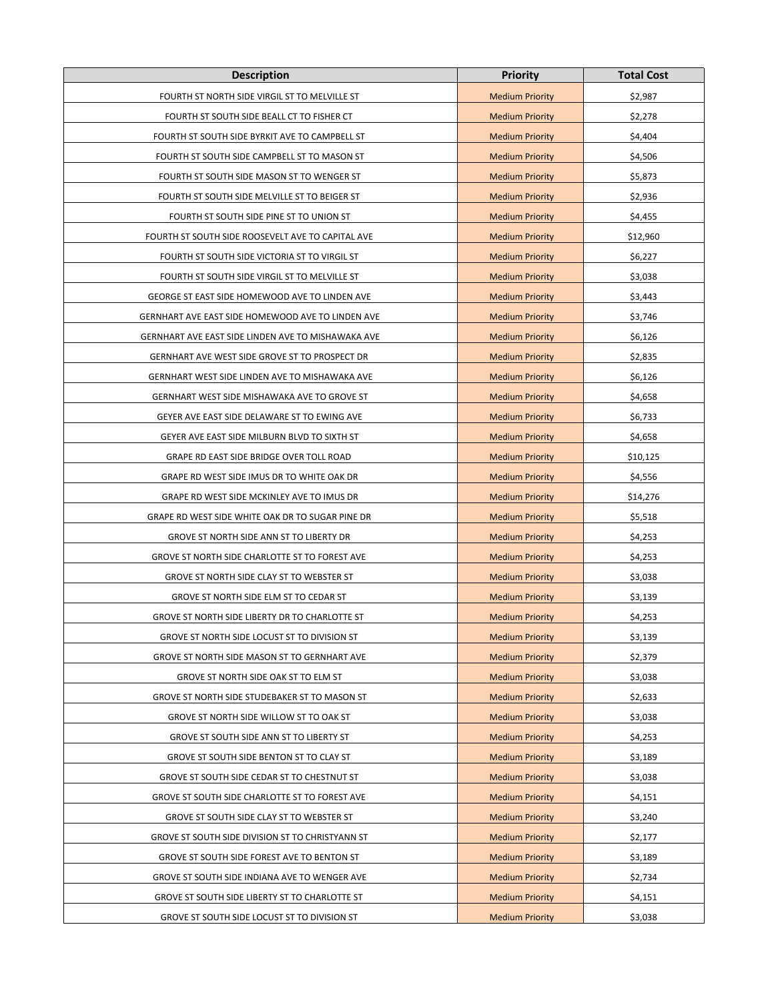| <b>Description</b>                                  | <b>Priority</b>        | <b>Total Cost</b> |
|-----------------------------------------------------|------------------------|-------------------|
| FOURTH ST NORTH SIDE VIRGIL ST TO MELVILLE ST       | <b>Medium Priority</b> | \$2,987           |
| FOURTH ST SOUTH SIDE BEALL CT TO FISHER CT          | <b>Medium Priority</b> | \$2,278           |
| FOURTH ST SOUTH SIDE BYRKIT AVE TO CAMPBELL ST      | <b>Medium Priority</b> | \$4,404           |
| FOURTH ST SOUTH SIDE CAMPBELL ST TO MASON ST        | <b>Medium Priority</b> | \$4,506           |
| FOURTH ST SOUTH SIDE MASON ST TO WENGER ST          | <b>Medium Priority</b> | \$5,873           |
| FOURTH ST SOUTH SIDE MELVILLE ST TO BEIGER ST       | <b>Medium Priority</b> | \$2,936           |
| FOURTH ST SOUTH SIDE PINE ST TO UNION ST            | <b>Medium Priority</b> | \$4,455           |
| FOURTH ST SOUTH SIDE ROOSEVELT AVE TO CAPITAL AVE   | <b>Medium Priority</b> | \$12,960          |
| FOURTH ST SOUTH SIDE VICTORIA ST TO VIRGIL ST       | <b>Medium Priority</b> | \$6,227           |
| FOURTH ST SOUTH SIDE VIRGIL ST TO MELVILLE ST       | <b>Medium Priority</b> | \$3,038           |
| GEORGE ST EAST SIDE HOMEWOOD AVE TO LINDEN AVE      | <b>Medium Priority</b> | \$3,443           |
| GERNHART AVE EAST SIDE HOMEWOOD AVE TO LINDEN AVE   | <b>Medium Priority</b> | \$3,746           |
| GERNHART AVE EAST SIDE LINDEN AVE TO MISHAWAKA AVE  | <b>Medium Priority</b> | \$6,126           |
| GERNHART AVE WEST SIDE GROVE ST TO PROSPECT DR      | <b>Medium Priority</b> | \$2,835           |
| GERNHART WEST SIDE LINDEN AVE TO MISHAWAKA AVE      | <b>Medium Priority</b> | \$6,126           |
| <b>GERNHART WEST SIDE MISHAWAKA AVE TO GROVE ST</b> | <b>Medium Priority</b> | \$4,658           |
| GEYER AVE EAST SIDE DELAWARE ST TO EWING AVE        | <b>Medium Priority</b> | \$6,733           |
| GEYER AVE EAST SIDE MILBURN BLVD TO SIXTH ST        | <b>Medium Priority</b> | \$4,658           |
| GRAPE RD EAST SIDE BRIDGE OVER TOLL ROAD            | <b>Medium Priority</b> | \$10,125          |
| GRAPE RD WEST SIDE IMUS DR TO WHITE OAK DR          | <b>Medium Priority</b> | \$4,556           |
| GRAPE RD WEST SIDE MCKINLEY AVE TO IMUS DR          | <b>Medium Priority</b> | \$14,276          |
| GRAPE RD WEST SIDE WHITE OAK DR TO SUGAR PINE DR    | <b>Medium Priority</b> | \$5,518           |
| GROVE ST NORTH SIDE ANN ST TO LIBERTY DR            | <b>Medium Priority</b> | \$4,253           |
| GROVE ST NORTH SIDE CHARLOTTE ST TO FOREST AVE      | <b>Medium Priority</b> | \$4,253           |
| GROVE ST NORTH SIDE CLAY ST TO WEBSTER ST           | <b>Medium Priority</b> | \$3,038           |
| GROVE ST NORTH SIDE ELM ST TO CEDAR ST              | <b>Medium Priority</b> | \$3,139           |
| GROVE ST NORTH SIDE LIBERTY DR TO CHARLOTTE ST      | <b>Medium Priority</b> | \$4,253           |
| GROVE ST NORTH SIDE LOCUST ST TO DIVISION ST        | <b>Medium Priority</b> | \$3,139           |
| GROVE ST NORTH SIDE MASON ST TO GERNHART AVE        | <b>Medium Priority</b> | \$2,379           |
| GROVE ST NORTH SIDE OAK ST TO ELM ST                | <b>Medium Priority</b> | \$3,038           |
| GROVE ST NORTH SIDE STUDEBAKER ST TO MASON ST       | <b>Medium Priority</b> | \$2,633           |
| GROVE ST NORTH SIDE WILLOW ST TO OAK ST             | <b>Medium Priority</b> | \$3,038           |
| GROVE ST SOUTH SIDE ANN ST TO LIBERTY ST            | <b>Medium Priority</b> | \$4,253           |
| GROVE ST SOUTH SIDE BENTON ST TO CLAY ST            | <b>Medium Priority</b> | \$3,189           |
| GROVE ST SOUTH SIDE CEDAR ST TO CHESTNUT ST         | <b>Medium Priority</b> | \$3,038           |
| GROVE ST SOUTH SIDE CHARLOTTE ST TO FOREST AVE      | <b>Medium Priority</b> | \$4,151           |
| GROVE ST SOUTH SIDE CLAY ST TO WEBSTER ST           | <b>Medium Priority</b> | \$3,240           |
| GROVE ST SOUTH SIDE DIVISION ST TO CHRISTYANN ST    | <b>Medium Priority</b> | \$2,177           |
| GROVE ST SOUTH SIDE FOREST AVE TO BENTON ST         | <b>Medium Priority</b> | \$3,189           |
| GROVE ST SOUTH SIDE INDIANA AVE TO WENGER AVE       | <b>Medium Priority</b> | \$2,734           |
| GROVE ST SOUTH SIDE LIBERTY ST TO CHARLOTTE ST      | <b>Medium Priority</b> | \$4,151           |
| GROVE ST SOUTH SIDE LOCUST ST TO DIVISION ST        | <b>Medium Priority</b> | \$3,038           |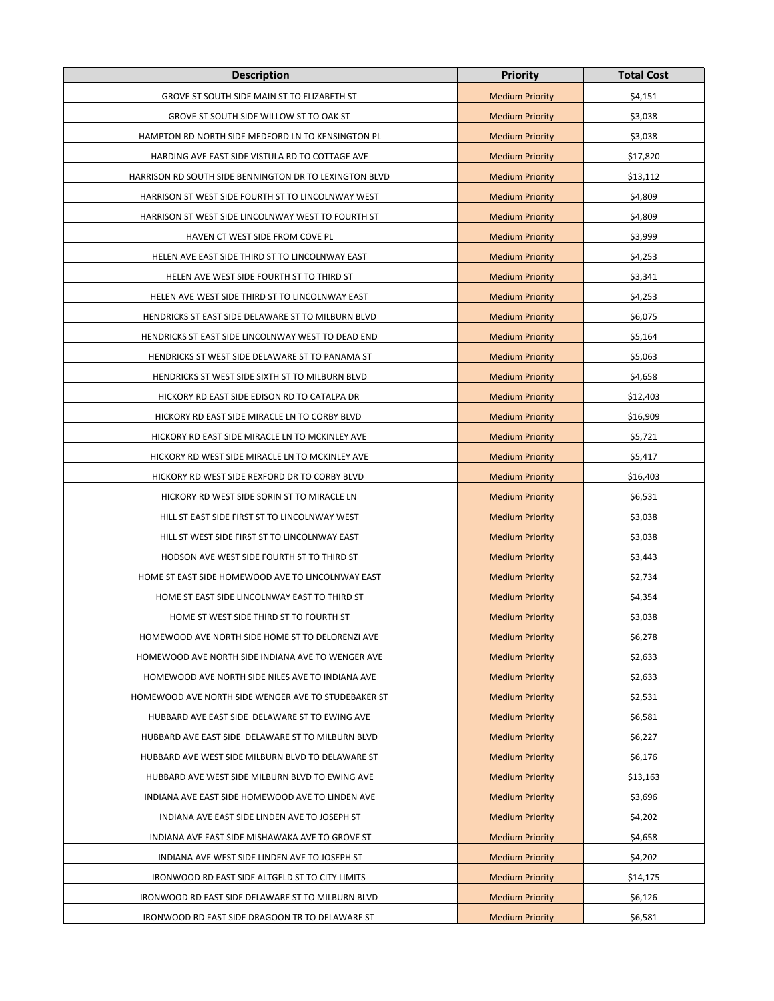| <b>Description</b>                                     | <b>Priority</b>        | <b>Total Cost</b> |
|--------------------------------------------------------|------------------------|-------------------|
| GROVE ST SOUTH SIDE MAIN ST TO ELIZABETH ST            | <b>Medium Priority</b> | \$4,151           |
| GROVE ST SOUTH SIDE WILLOW ST TO OAK ST                | <b>Medium Priority</b> | \$3,038           |
| HAMPTON RD NORTH SIDE MEDFORD LN TO KENSINGTON PL      | <b>Medium Priority</b> | \$3,038           |
| HARDING AVE EAST SIDE VISTULA RD TO COTTAGE AVE        | <b>Medium Priority</b> | \$17,820          |
| HARRISON RD SOUTH SIDE BENNINGTON DR TO LEXINGTON BLVD | <b>Medium Priority</b> | \$13,112          |
| HARRISON ST WEST SIDE FOURTH ST TO LINCOLNWAY WEST     | <b>Medium Priority</b> | \$4,809           |
| HARRISON ST WEST SIDE LINCOLNWAY WEST TO FOURTH ST     | <b>Medium Priority</b> | \$4,809           |
| HAVEN CT WEST SIDE FROM COVE PL                        | <b>Medium Priority</b> | \$3,999           |
| HELEN AVE EAST SIDE THIRD ST TO LINCOLNWAY EAST        | <b>Medium Priority</b> | \$4,253           |
| HELEN AVE WEST SIDE FOURTH ST TO THIRD ST              | <b>Medium Priority</b> | \$3,341           |
| HELEN AVE WEST SIDE THIRD ST TO LINCOLNWAY EAST        | <b>Medium Priority</b> | \$4,253           |
| HENDRICKS ST EAST SIDE DELAWARE ST TO MILBURN BLVD     | <b>Medium Priority</b> | \$6,075           |
| HENDRICKS ST EAST SIDE LINCOLNWAY WEST TO DEAD END     | <b>Medium Priority</b> | \$5,164           |
| HENDRICKS ST WEST SIDE DELAWARE ST TO PANAMA ST        | <b>Medium Priority</b> | \$5,063           |
| HENDRICKS ST WEST SIDE SIXTH ST TO MILBURN BLVD        | <b>Medium Priority</b> | \$4,658           |
| HICKORY RD EAST SIDE EDISON RD TO CATALPA DR           | <b>Medium Priority</b> | \$12,403          |
| HICKORY RD EAST SIDE MIRACLE LN TO CORBY BLVD          | <b>Medium Priority</b> | \$16,909          |
| HICKORY RD EAST SIDE MIRACLE LN TO MCKINLEY AVE        | <b>Medium Priority</b> | \$5,721           |
| HICKORY RD WEST SIDE MIRACLE LN TO MCKINLEY AVE        | <b>Medium Priority</b> | \$5,417           |
| HICKORY RD WEST SIDE REXFORD DR TO CORBY BLVD          | <b>Medium Priority</b> | \$16,403          |
| HICKORY RD WEST SIDE SORIN ST TO MIRACLE LN            | <b>Medium Priority</b> | \$6,531           |
| HILL ST EAST SIDE FIRST ST TO LINCOLNWAY WEST          | <b>Medium Priority</b> | \$3,038           |
| HILL ST WEST SIDE FIRST ST TO LINCOLNWAY EAST          | <b>Medium Priority</b> | \$3,038           |
| HODSON AVE WEST SIDE FOURTH ST TO THIRD ST             | <b>Medium Priority</b> | \$3,443           |
| HOME ST EAST SIDE HOMEWOOD AVE TO LINCOLNWAY EAST      | <b>Medium Priority</b> | \$2,734           |
| HOME ST EAST SIDE LINCOLNWAY EAST TO THIRD ST          | <b>Medium Priority</b> | \$4,354           |
| HOME ST WEST SIDE THIRD ST TO FOURTH ST                | <b>Medium Priority</b> | \$3,038           |
| HOMEWOOD AVE NORTH SIDE HOME ST TO DELORENZI AVE       | <b>Medium Priority</b> | \$6,278           |
| HOMEWOOD AVE NORTH SIDE INDIANA AVE TO WENGER AVE      | <b>Medium Priority</b> | \$2,633           |
| HOMEWOOD AVE NORTH SIDE NILES AVE TO INDIANA AVE       | <b>Medium Priority</b> | \$2,633           |
| HOMEWOOD AVE NORTH SIDE WENGER AVE TO STUDEBAKER ST    | <b>Medium Priority</b> | \$2,531           |
| HUBBARD AVE EAST SIDE DELAWARE ST TO EWING AVE         | <b>Medium Priority</b> | \$6,581           |
| HUBBARD AVE EAST SIDE DELAWARE ST TO MILBURN BLVD      | <b>Medium Priority</b> | \$6,227           |
| HUBBARD AVE WEST SIDE MILBURN BLVD TO DELAWARE ST      | <b>Medium Priority</b> | \$6,176           |
| HUBBARD AVE WEST SIDE MILBURN BLVD TO EWING AVE        | <b>Medium Priority</b> | \$13,163          |
| INDIANA AVE EAST SIDE HOMEWOOD AVE TO LINDEN AVE       | <b>Medium Priority</b> | \$3,696           |
| INDIANA AVE EAST SIDE LINDEN AVE TO JOSEPH ST          | <b>Medium Priority</b> | \$4,202           |
| INDIANA AVE EAST SIDE MISHAWAKA AVE TO GROVE ST        | <b>Medium Priority</b> | \$4,658           |
| INDIANA AVE WEST SIDE LINDEN AVE TO JOSEPH ST          | <b>Medium Priority</b> | \$4,202           |
| IRONWOOD RD EAST SIDE ALTGELD ST TO CITY LIMITS        | <b>Medium Priority</b> | \$14,175          |
| IRONWOOD RD EAST SIDE DELAWARE ST TO MILBURN BLVD      | <b>Medium Priority</b> | \$6,126           |
| IRONWOOD RD EAST SIDE DRAGOON TR TO DELAWARE ST        | <b>Medium Priority</b> | \$6,581           |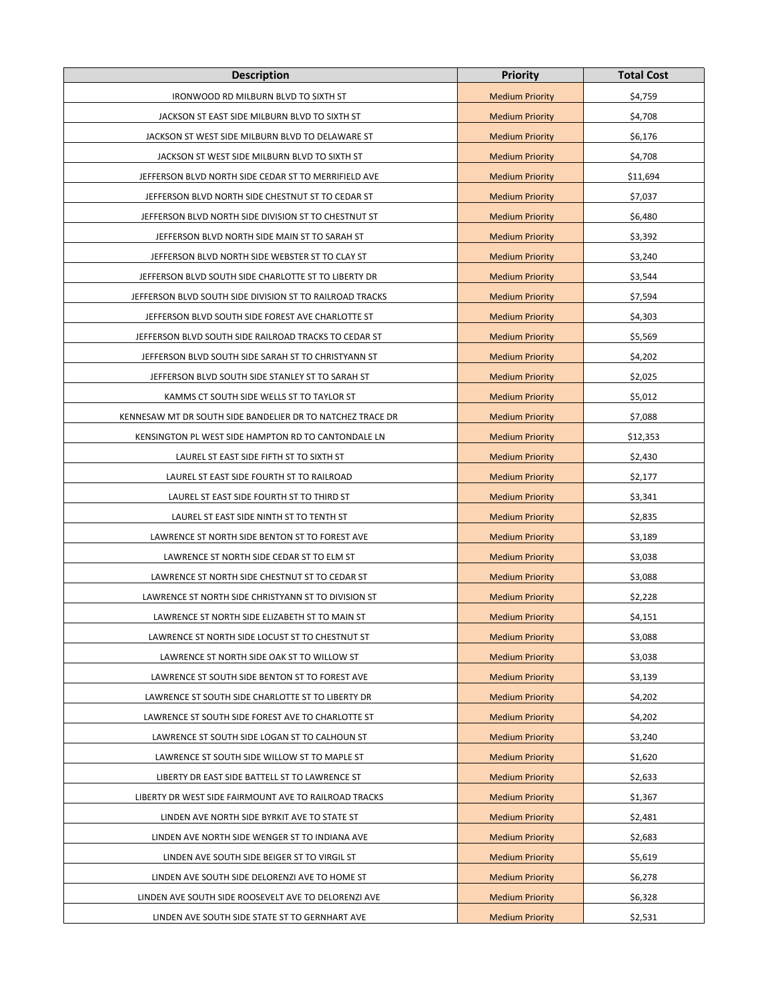| <b>Description</b>                                         | <b>Priority</b>        | <b>Total Cost</b> |
|------------------------------------------------------------|------------------------|-------------------|
| IRONWOOD RD MILBURN BLVD TO SIXTH ST                       | <b>Medium Priority</b> | \$4,759           |
| JACKSON ST EAST SIDE MILBURN BLVD TO SIXTH ST              | <b>Medium Priority</b> | \$4,708           |
| JACKSON ST WEST SIDE MILBURN BLVD TO DELAWARE ST           | <b>Medium Priority</b> | \$6,176           |
| JACKSON ST WEST SIDE MILBURN BLVD TO SIXTH ST              | <b>Medium Priority</b> | \$4,708           |
| JEFFERSON BLVD NORTH SIDE CEDAR ST TO MERRIFIELD AVE       | <b>Medium Priority</b> | \$11,694          |
| JEFFERSON BLVD NORTH SIDE CHESTNUT ST TO CEDAR ST          | <b>Medium Priority</b> | \$7,037           |
| JEFFERSON BLVD NORTH SIDE DIVISION ST TO CHESTNUT ST       | <b>Medium Priority</b> | \$6,480           |
| JEFFERSON BLVD NORTH SIDE MAIN ST TO SARAH ST              | <b>Medium Priority</b> | \$3,392           |
| JEFFERSON BLVD NORTH SIDE WEBSTER ST TO CLAY ST            | <b>Medium Priority</b> | \$3,240           |
| JEFFERSON BLVD SOUTH SIDE CHARLOTTE ST TO LIBERTY DR       | <b>Medium Priority</b> | \$3,544           |
| JEFFERSON BLVD SOUTH SIDE DIVISION ST TO RAILROAD TRACKS   | <b>Medium Priority</b> | \$7,594           |
| JEFFERSON BLVD SOUTH SIDE FOREST AVE CHARLOTTE ST          | <b>Medium Priority</b> | \$4,303           |
| JEFFERSON BLVD SOUTH SIDE RAILROAD TRACKS TO CEDAR ST      | <b>Medium Priority</b> | \$5,569           |
| JEFFERSON BLVD SOUTH SIDE SARAH ST TO CHRISTYANN ST        | <b>Medium Priority</b> | \$4,202           |
| JEFFERSON BLVD SOUTH SIDE STANLEY ST TO SARAH ST           | <b>Medium Priority</b> | \$2,025           |
| KAMMS CT SOUTH SIDE WELLS ST TO TAYLOR ST                  | <b>Medium Priority</b> | \$5,012           |
| KENNESAW MT DR SOUTH SIDE BANDELIER DR TO NATCHEZ TRACE DR | <b>Medium Priority</b> | \$7,088           |
| KENSINGTON PL WEST SIDE HAMPTON RD TO CANTONDALE LN        | <b>Medium Priority</b> | \$12,353          |
| LAUREL ST EAST SIDE FIFTH ST TO SIXTH ST                   | <b>Medium Priority</b> | \$2,430           |
| LAUREL ST EAST SIDE FOURTH ST TO RAILROAD                  | <b>Medium Priority</b> | \$2,177           |
| LAUREL ST EAST SIDE FOURTH ST TO THIRD ST                  | <b>Medium Priority</b> | \$3,341           |
| LAUREL ST EAST SIDE NINTH ST TO TENTH ST                   | <b>Medium Priority</b> | \$2,835           |
| LAWRENCE ST NORTH SIDE BENTON ST TO FOREST AVE             | <b>Medium Priority</b> | \$3,189           |
| LAWRENCE ST NORTH SIDE CEDAR ST TO ELM ST                  | <b>Medium Priority</b> | \$3,038           |
| LAWRENCE ST NORTH SIDE CHESTNUT ST TO CEDAR ST             | <b>Medium Priority</b> | \$3,088           |
| LAWRENCE ST NORTH SIDE CHRISTYANN ST TO DIVISION ST        | <b>Medium Priority</b> | \$2,228           |
| LAWRENCE ST NORTH SIDE ELIZABETH ST TO MAIN ST             | <b>Medium Priority</b> | \$4,151           |
| LAWRENCE ST NORTH SIDE LOCUST ST TO CHESTNUT ST            | <b>Medium Priority</b> | \$3,088           |
| LAWRENCE ST NORTH SIDE OAK ST TO WILLOW ST                 | <b>Medium Priority</b> | \$3,038           |
| LAWRENCE ST SOUTH SIDE BENTON ST TO FOREST AVE             | <b>Medium Priority</b> | \$3,139           |
| LAWRENCE ST SOUTH SIDE CHARLOTTE ST TO LIBERTY DR          | <b>Medium Priority</b> | \$4,202           |
| LAWRENCE ST SOUTH SIDE FOREST AVE TO CHARLOTTE ST          | <b>Medium Priority</b> | \$4,202           |
| LAWRENCE ST SOUTH SIDE LOGAN ST TO CALHOUN ST              | <b>Medium Priority</b> | \$3,240           |
| LAWRENCE ST SOUTH SIDE WILLOW ST TO MAPLE ST               | <b>Medium Priority</b> | \$1,620           |
| LIBERTY DR EAST SIDE BATTELL ST TO LAWRENCE ST             | <b>Medium Priority</b> | \$2,633           |
| LIBERTY DR WEST SIDE FAIRMOUNT AVE TO RAILROAD TRACKS      | <b>Medium Priority</b> | \$1,367           |
| LINDEN AVE NORTH SIDE BYRKIT AVE TO STATE ST               | <b>Medium Priority</b> | \$2,481           |
| LINDEN AVE NORTH SIDE WENGER ST TO INDIANA AVE             | <b>Medium Priority</b> | \$2,683           |
| LINDEN AVE SOUTH SIDE BEIGER ST TO VIRGIL ST               | <b>Medium Priority</b> | \$5,619           |
| LINDEN AVE SOUTH SIDE DELORENZI AVE TO HOME ST             | <b>Medium Priority</b> | \$6,278           |
| LINDEN AVE SOUTH SIDE ROOSEVELT AVE TO DELORENZI AVE       | <b>Medium Priority</b> | \$6,328           |
| LINDEN AVE SOUTH SIDE STATE ST TO GERNHART AVE             | <b>Medium Priority</b> | \$2,531           |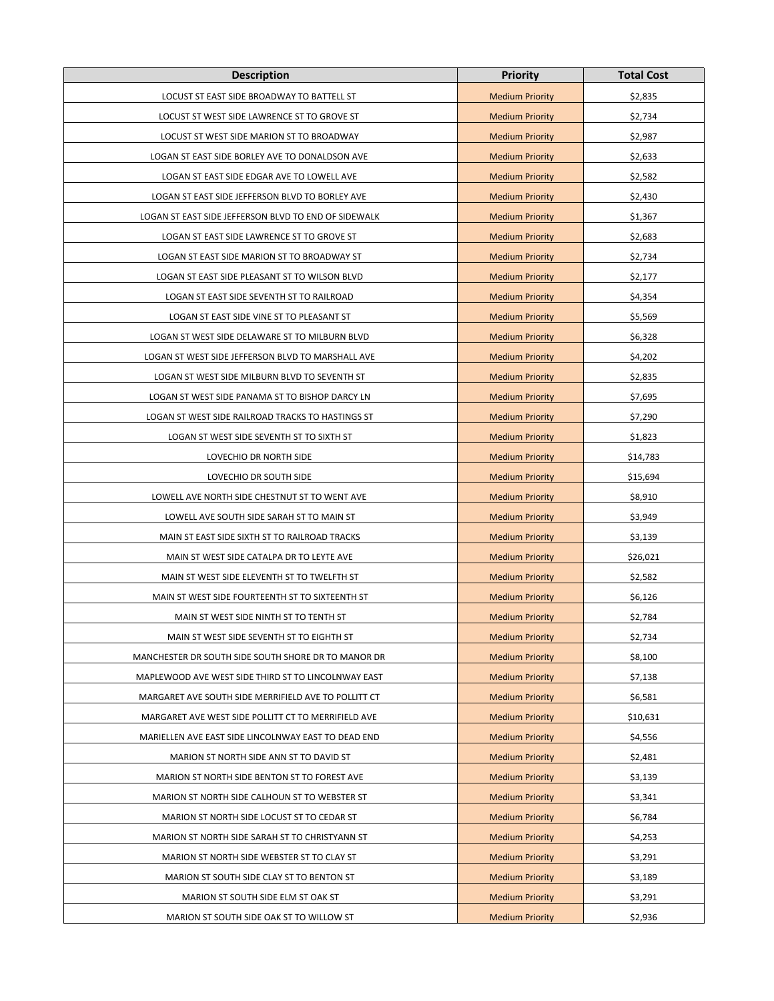| <b>Description</b>                                   | <b>Priority</b>        | <b>Total Cost</b> |
|------------------------------------------------------|------------------------|-------------------|
| LOCUST ST EAST SIDE BROADWAY TO BATTELL ST           | <b>Medium Priority</b> | \$2,835           |
| LOCUST ST WEST SIDE LAWRENCE ST TO GROVE ST          | <b>Medium Priority</b> | \$2,734           |
| LOCUST ST WEST SIDE MARION ST TO BROADWAY            | <b>Medium Priority</b> | \$2,987           |
| LOGAN ST EAST SIDE BORLEY AVE TO DONALDSON AVE       | <b>Medium Priority</b> | \$2,633           |
| LOGAN ST EAST SIDE EDGAR AVE TO LOWELL AVE           | <b>Medium Priority</b> | \$2,582           |
| LOGAN ST EAST SIDE JEFFERSON BLVD TO BORLEY AVE      | <b>Medium Priority</b> | \$2,430           |
| LOGAN ST EAST SIDE JEFFERSON BLVD TO END OF SIDEWALK | <b>Medium Priority</b> | \$1,367           |
| LOGAN ST EAST SIDE LAWRENCE ST TO GROVE ST           | <b>Medium Priority</b> | \$2,683           |
| LOGAN ST EAST SIDE MARION ST TO BROADWAY ST          | <b>Medium Priority</b> | \$2,734           |
| LOGAN ST EAST SIDE PLEASANT ST TO WILSON BLVD        | <b>Medium Priority</b> | \$2,177           |
| LOGAN ST EAST SIDE SEVENTH ST TO RAILROAD            | <b>Medium Priority</b> | \$4,354           |
| LOGAN ST EAST SIDE VINE ST TO PLEASANT ST            | <b>Medium Priority</b> | \$5,569           |
| LOGAN ST WEST SIDE DELAWARE ST TO MILBURN BLVD       | <b>Medium Priority</b> | \$6,328           |
| LOGAN ST WEST SIDE JEFFERSON BLVD TO MARSHALL AVE    | <b>Medium Priority</b> | \$4,202           |
| LOGAN ST WEST SIDE MILBURN BLVD TO SEVENTH ST        | <b>Medium Priority</b> | \$2,835           |
| LOGAN ST WEST SIDE PANAMA ST TO BISHOP DARCY LN      | <b>Medium Priority</b> | \$7,695           |
| LOGAN ST WEST SIDE RAILROAD TRACKS TO HASTINGS ST    | <b>Medium Priority</b> | \$7,290           |
| LOGAN ST WEST SIDE SEVENTH ST TO SIXTH ST            | <b>Medium Priority</b> | \$1,823           |
| LOVECHIO DR NORTH SIDE                               | <b>Medium Priority</b> | \$14,783          |
| LOVECHIO DR SOUTH SIDE                               | <b>Medium Priority</b> | \$15,694          |
| LOWELL AVE NORTH SIDE CHESTNUT ST TO WENT AVE        | <b>Medium Priority</b> | \$8,910           |
| LOWELL AVE SOUTH SIDE SARAH ST TO MAIN ST            | <b>Medium Priority</b> | \$3,949           |
| MAIN ST EAST SIDE SIXTH ST TO RAILROAD TRACKS        | <b>Medium Priority</b> | \$3,139           |
| MAIN ST WEST SIDE CATALPA DR TO LEYTE AVE            | <b>Medium Priority</b> | \$26,021          |
| MAIN ST WEST SIDE ELEVENTH ST TO TWELFTH ST          | <b>Medium Priority</b> | \$2,582           |
| MAIN ST WEST SIDE FOURTEENTH ST TO SIXTEENTH ST      | <b>Medium Priority</b> | \$6,126           |
| MAIN ST WEST SIDE NINTH ST TO TENTH ST               | <b>Medium Priority</b> | \$2,784           |
| MAIN ST WEST SIDE SEVENTH ST TO EIGHTH ST            | <b>Medium Priority</b> | \$2,734           |
| MANCHESTER DR SOUTH SIDE SOUTH SHORE DR TO MANOR DR  | <b>Medium Priority</b> | \$8,100           |
| MAPLEWOOD AVE WEST SIDE THIRD ST TO LINCOLNWAY EAST  | <b>Medium Priority</b> | \$7,138           |
| MARGARET AVE SOUTH SIDE MERRIFIELD AVE TO POLLITT CT | <b>Medium Priority</b> | \$6,581           |
| MARGARET AVE WEST SIDE POLLITT CT TO MERRIFIELD AVE  | <b>Medium Priority</b> | \$10,631          |
| MARIELLEN AVE EAST SIDE LINCOLNWAY EAST TO DEAD END  | <b>Medium Priority</b> | \$4,556           |
| MARION ST NORTH SIDE ANN ST TO DAVID ST              | <b>Medium Priority</b> | \$2,481           |
| MARION ST NORTH SIDE BENTON ST TO FOREST AVE         | <b>Medium Priority</b> | \$3,139           |
| MARION ST NORTH SIDE CALHOUN ST TO WEBSTER ST        | <b>Medium Priority</b> | \$3,341           |
| MARION ST NORTH SIDE LOCUST ST TO CEDAR ST           | <b>Medium Priority</b> | \$6,784           |
| MARION ST NORTH SIDE SARAH ST TO CHRISTYANN ST       | <b>Medium Priority</b> | \$4,253           |
| MARION ST NORTH SIDE WEBSTER ST TO CLAY ST           | <b>Medium Priority</b> | \$3,291           |
| MARION ST SOUTH SIDE CLAY ST TO BENTON ST            | <b>Medium Priority</b> | \$3,189           |
| MARION ST SOUTH SIDE ELM ST OAK ST                   | <b>Medium Priority</b> | \$3,291           |
| MARION ST SOUTH SIDE OAK ST TO WILLOW ST             | <b>Medium Priority</b> | \$2,936           |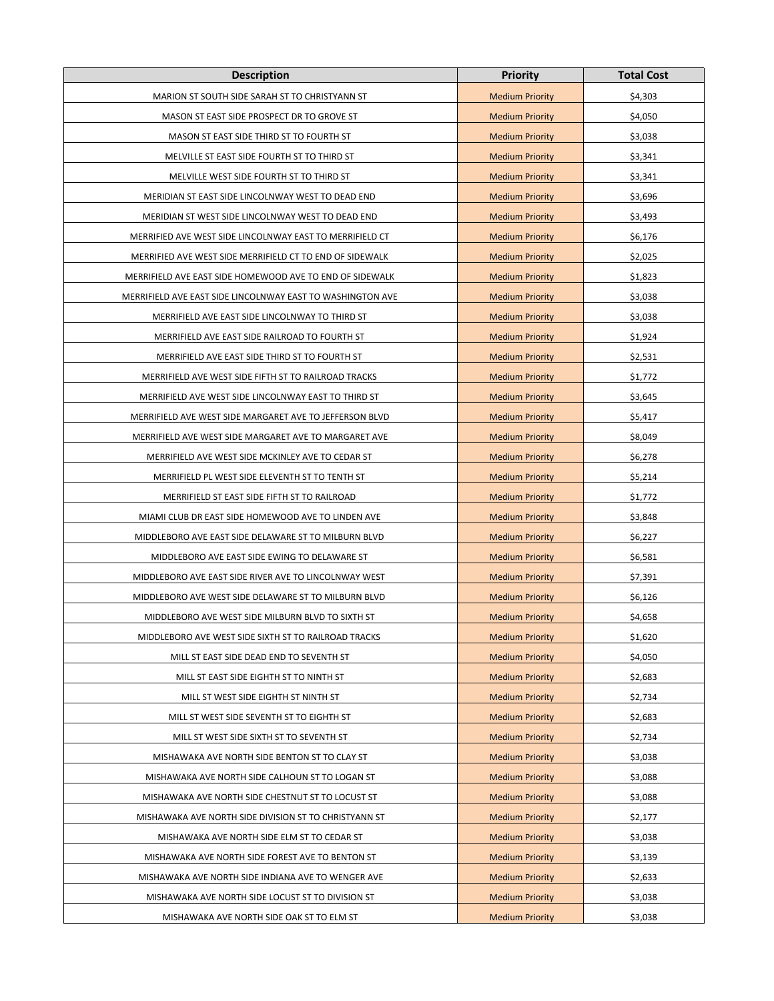| <b>Description</b>                                         | <b>Priority</b>        | <b>Total Cost</b> |
|------------------------------------------------------------|------------------------|-------------------|
| MARION ST SOUTH SIDE SARAH ST TO CHRISTYANN ST             | <b>Medium Priority</b> | \$4,303           |
| MASON ST EAST SIDE PROSPECT DR TO GROVE ST                 | <b>Medium Priority</b> | \$4,050           |
| MASON ST EAST SIDE THIRD ST TO FOURTH ST                   | <b>Medium Priority</b> | \$3,038           |
| MELVILLE ST EAST SIDE FOURTH ST TO THIRD ST                | <b>Medium Priority</b> | \$3,341           |
| MELVILLE WEST SIDE FOURTH ST TO THIRD ST                   | <b>Medium Priority</b> | \$3,341           |
| MERIDIAN ST EAST SIDE LINCOLNWAY WEST TO DEAD END          | <b>Medium Priority</b> | \$3,696           |
| MERIDIAN ST WEST SIDE LINCOLNWAY WEST TO DEAD END          | <b>Medium Priority</b> | \$3,493           |
| MERRIFIED AVE WEST SIDE LINCOLNWAY EAST TO MERRIFIELD CT   | <b>Medium Priority</b> | \$6,176           |
| MERRIFIED AVE WEST SIDE MERRIFIELD CT TO END OF SIDEWALK   | <b>Medium Priority</b> | \$2,025           |
| MERRIFIELD AVE EAST SIDE HOMEWOOD AVE TO END OF SIDEWALK   | <b>Medium Priority</b> | \$1,823           |
| MERRIFIELD AVE EAST SIDE LINCOLNWAY EAST TO WASHINGTON AVE | <b>Medium Priority</b> | \$3,038           |
| MERRIFIELD AVE EAST SIDE LINCOLNWAY TO THIRD ST            | <b>Medium Priority</b> | \$3,038           |
| MERRIFIELD AVE EAST SIDE RAILROAD TO FOURTH ST             | <b>Medium Priority</b> | \$1,924           |
| MERRIFIELD AVE EAST SIDE THIRD ST TO FOURTH ST             | <b>Medium Priority</b> | \$2,531           |
| MERRIFIELD AVE WEST SIDE FIFTH ST TO RAILROAD TRACKS       | <b>Medium Priority</b> | \$1,772           |
| MERRIFIELD AVE WEST SIDE LINCOLNWAY EAST TO THIRD ST       | <b>Medium Priority</b> | \$3,645           |
| MERRIFIELD AVE WEST SIDE MARGARET AVE TO JEFFERSON BLVD    | <b>Medium Priority</b> | \$5,417           |
| MERRIFIELD AVE WEST SIDE MARGARET AVE TO MARGARET AVE      | <b>Medium Priority</b> | \$8,049           |
| MERRIFIELD AVE WEST SIDE MCKINLEY AVE TO CEDAR ST          | <b>Medium Priority</b> | \$6,278           |
| MERRIFIELD PL WEST SIDE ELEVENTH ST TO TENTH ST            | <b>Medium Priority</b> | \$5,214           |
| MERRIFIELD ST EAST SIDE FIFTH ST TO RAILROAD               | <b>Medium Priority</b> | \$1,772           |
| MIAMI CLUB DR EAST SIDE HOMEWOOD AVE TO LINDEN AVE         | <b>Medium Priority</b> | \$3,848           |
| MIDDLEBORO AVE EAST SIDE DELAWARE ST TO MILBURN BLVD       | <b>Medium Priority</b> | \$6,227           |
| MIDDLEBORO AVE EAST SIDE EWING TO DELAWARE ST              | <b>Medium Priority</b> | \$6,581           |
| MIDDLEBORO AVE EAST SIDE RIVER AVE TO LINCOLNWAY WEST      | <b>Medium Priority</b> | \$7,391           |
| MIDDLEBORO AVE WEST SIDE DELAWARE ST TO MILBURN BLVD       | <b>Medium Priority</b> | \$6,126           |
| MIDDLEBORO AVE WEST SIDE MILBURN BLVD TO SIXTH ST          | <b>Medium Priority</b> | \$4,658           |
| MIDDLEBORO AVE WEST SIDE SIXTH ST TO RAILROAD TRACKS       | <b>Medium Priority</b> | \$1,620           |
| MILL ST EAST SIDE DEAD END TO SEVENTH ST                   | <b>Medium Priority</b> | \$4,050           |
| MILL ST EAST SIDE EIGHTH ST TO NINTH ST                    | <b>Medium Priority</b> | \$2,683           |
| MILL ST WEST SIDE EIGHTH ST NINTH ST                       | <b>Medium Priority</b> | \$2,734           |
| MILL ST WEST SIDE SEVENTH ST TO EIGHTH ST                  | <b>Medium Priority</b> | \$2,683           |
| MILL ST WEST SIDE SIXTH ST TO SEVENTH ST                   | <b>Medium Priority</b> | \$2,734           |
| MISHAWAKA AVE NORTH SIDE BENTON ST TO CLAY ST              | <b>Medium Priority</b> | \$3,038           |
| MISHAWAKA AVE NORTH SIDE CALHOUN ST TO LOGAN ST            | <b>Medium Priority</b> | \$3,088           |
| MISHAWAKA AVE NORTH SIDE CHESTNUT ST TO LOCUST ST          | <b>Medium Priority</b> | \$3,088           |
| MISHAWAKA AVE NORTH SIDE DIVISION ST TO CHRISTYANN ST      | <b>Medium Priority</b> | \$2,177           |
| MISHAWAKA AVE NORTH SIDE ELM ST TO CEDAR ST                | <b>Medium Priority</b> | \$3,038           |
| MISHAWAKA AVE NORTH SIDE FOREST AVE TO BENTON ST           | <b>Medium Priority</b> | \$3,139           |
| MISHAWAKA AVE NORTH SIDE INDIANA AVE TO WENGER AVE         | <b>Medium Priority</b> | \$2,633           |
| MISHAWAKA AVE NORTH SIDE LOCUST ST TO DIVISION ST          | <b>Medium Priority</b> | \$3,038           |
| MISHAWAKA AVE NORTH SIDE OAK ST TO ELM ST                  | <b>Medium Priority</b> | \$3,038           |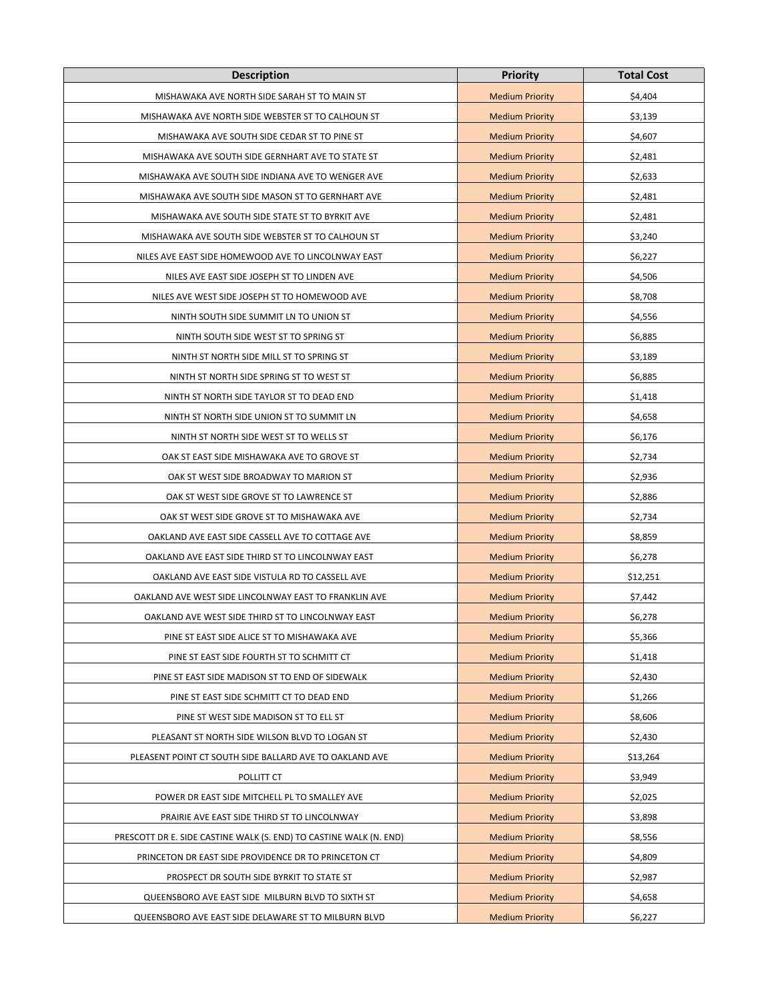| <b>Description</b>                                                 | <b>Priority</b>        | <b>Total Cost</b> |
|--------------------------------------------------------------------|------------------------|-------------------|
| MISHAWAKA AVE NORTH SIDE SARAH ST TO MAIN ST                       | <b>Medium Priority</b> | \$4,404           |
| MISHAWAKA AVE NORTH SIDE WEBSTER ST TO CALHOUN ST                  | <b>Medium Priority</b> | \$3,139           |
| MISHAWAKA AVE SOUTH SIDE CEDAR ST TO PINE ST                       | <b>Medium Priority</b> | \$4,607           |
| MISHAWAKA AVE SOUTH SIDE GERNHART AVE TO STATE ST                  | <b>Medium Priority</b> | \$2,481           |
| MISHAWAKA AVE SOUTH SIDE INDIANA AVE TO WENGER AVE                 | <b>Medium Priority</b> | \$2,633           |
| MISHAWAKA AVE SOUTH SIDE MASON ST TO GERNHART AVE                  | <b>Medium Priority</b> | \$2,481           |
| MISHAWAKA AVE SOUTH SIDE STATE ST TO BYRKIT AVE                    | <b>Medium Priority</b> | \$2,481           |
| MISHAWAKA AVE SOUTH SIDE WEBSTER ST TO CALHOUN ST                  | <b>Medium Priority</b> | \$3,240           |
| NILES AVE EAST SIDE HOMEWOOD AVE TO LINCOLNWAY EAST                | <b>Medium Priority</b> | \$6,227           |
| NILES AVE EAST SIDE JOSEPH ST TO LINDEN AVE                        | <b>Medium Priority</b> | \$4,506           |
| NILES AVE WEST SIDE JOSEPH ST TO HOMEWOOD AVE                      | <b>Medium Priority</b> | \$8,708           |
| NINTH SOUTH SIDE SUMMIT LN TO UNION ST                             | <b>Medium Priority</b> | \$4,556           |
| NINTH SOUTH SIDE WEST ST TO SPRING ST                              | <b>Medium Priority</b> | \$6,885           |
| NINTH ST NORTH SIDE MILL ST TO SPRING ST                           | <b>Medium Priority</b> | \$3,189           |
| NINTH ST NORTH SIDE SPRING ST TO WEST ST                           | <b>Medium Priority</b> | \$6,885           |
| NINTH ST NORTH SIDE TAYLOR ST TO DEAD END                          | <b>Medium Priority</b> | \$1,418           |
| NINTH ST NORTH SIDE UNION ST TO SUMMIT LN                          | <b>Medium Priority</b> | \$4,658           |
| NINTH ST NORTH SIDE WEST ST TO WELLS ST                            | <b>Medium Priority</b> | \$6,176           |
| OAK ST EAST SIDE MISHAWAKA AVE TO GROVE ST                         | <b>Medium Priority</b> | \$2,734           |
| OAK ST WEST SIDE BROADWAY TO MARION ST                             | <b>Medium Priority</b> | \$2,936           |
| OAK ST WEST SIDE GROVE ST TO LAWRENCE ST                           | <b>Medium Priority</b> | \$2,886           |
| OAK ST WEST SIDE GROVE ST TO MISHAWAKA AVE                         | <b>Medium Priority</b> | \$2,734           |
| OAKLAND AVE EAST SIDE CASSELL AVE TO COTTAGE AVE                   | <b>Medium Priority</b> | \$8,859           |
| OAKLAND AVE EAST SIDE THIRD ST TO LINCOLNWAY EAST                  | <b>Medium Priority</b> | \$6,278           |
| OAKLAND AVE EAST SIDE VISTULA RD TO CASSELL AVE                    | <b>Medium Priority</b> | \$12,251          |
| OAKLAND AVE WEST SIDE LINCOLNWAY EAST TO FRANKLIN AVE              | <b>Medium Priority</b> | \$7,442           |
| OAKLAND AVE WEST SIDE THIRD ST TO LINCOLNWAY EAST                  | <b>Medium Priority</b> | \$6,278           |
| PINE ST EAST SIDE ALICE ST TO MISHAWAKA AVE                        | <b>Medium Priority</b> | \$5,366           |
| PINE ST EAST SIDE FOURTH ST TO SCHMITT CT                          | <b>Medium Priority</b> | \$1,418           |
| PINE ST EAST SIDE MADISON ST TO END OF SIDEWALK                    | <b>Medium Priority</b> | \$2,430           |
| PINE ST EAST SIDE SCHMITT CT TO DEAD END                           | <b>Medium Priority</b> | \$1,266           |
| PINE ST WEST SIDE MADISON ST TO ELL ST                             | <b>Medium Priority</b> | \$8,606           |
| PLEASANT ST NORTH SIDE WILSON BLVD TO LOGAN ST                     | <b>Medium Priority</b> | \$2,430           |
| PLEASENT POINT CT SOUTH SIDE BALLARD AVE TO OAKLAND AVE            | <b>Medium Priority</b> | \$13,264          |
| POLLITT CT                                                         | <b>Medium Priority</b> | \$3,949           |
| POWER DR EAST SIDE MITCHELL PL TO SMALLEY AVE                      | <b>Medium Priority</b> | \$2,025           |
| PRAIRIE AVE EAST SIDE THIRD ST TO LINCOLNWAY                       | <b>Medium Priority</b> | \$3,898           |
| PRESCOTT DR E. SIDE CASTINE WALK (S. END) TO CASTINE WALK (N. END) | <b>Medium Priority</b> | \$8,556           |
| PRINCETON DR EAST SIDE PROVIDENCE DR TO PRINCETON CT               | <b>Medium Priority</b> | \$4,809           |
| PROSPECT DR SOUTH SIDE BYRKIT TO STATE ST                          | <b>Medium Priority</b> | \$2,987           |
| QUEENSBORO AVE EAST SIDE MILBURN BLVD TO SIXTH ST                  | <b>Medium Priority</b> | \$4,658           |
| QUEENSBORO AVE EAST SIDE DELAWARE ST TO MILBURN BLVD               | <b>Medium Priority</b> | \$6,227           |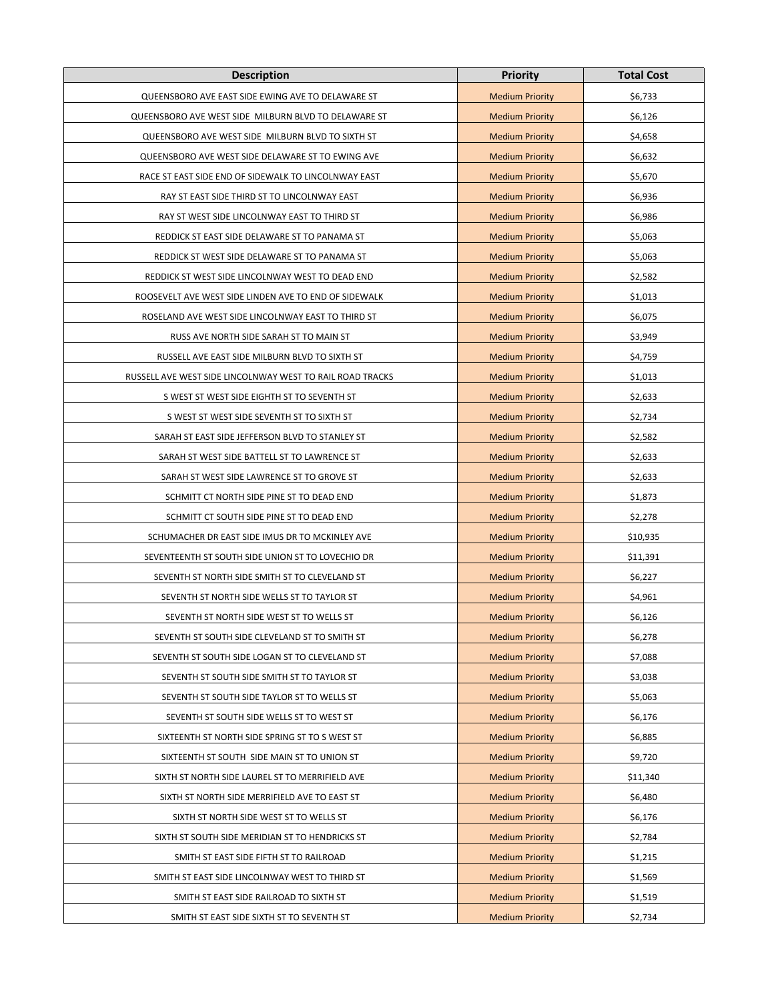| <b>Description</b>                                        | <b>Priority</b>        | <b>Total Cost</b> |
|-----------------------------------------------------------|------------------------|-------------------|
| QUEENSBORO AVE EAST SIDE EWING AVE TO DELAWARE ST         | <b>Medium Priority</b> | \$6,733           |
| QUEENSBORO AVE WEST SIDE MILBURN BLVD TO DELAWARE ST      | <b>Medium Priority</b> | \$6,126           |
| QUEENSBORO AVE WEST SIDE MILBURN BLVD TO SIXTH ST         | <b>Medium Priority</b> | \$4,658           |
| QUEENSBORO AVE WEST SIDE DELAWARE ST TO EWING AVE         | <b>Medium Priority</b> | \$6,632           |
| RACE ST EAST SIDE END OF SIDEWALK TO LINCOLNWAY EAST      | <b>Medium Priority</b> | \$5,670           |
| RAY ST EAST SIDE THIRD ST TO LINCOLNWAY EAST              | <b>Medium Priority</b> | \$6,936           |
| RAY ST WEST SIDE LINCOLNWAY EAST TO THIRD ST              | <b>Medium Priority</b> | \$6,986           |
| REDDICK ST EAST SIDE DELAWARE ST TO PANAMA ST             | <b>Medium Priority</b> | \$5,063           |
| REDDICK ST WEST SIDE DELAWARE ST TO PANAMA ST             | <b>Medium Priority</b> | \$5,063           |
| REDDICK ST WEST SIDE LINCOLNWAY WEST TO DEAD END          | <b>Medium Priority</b> | \$2,582           |
| ROOSEVELT AVE WEST SIDE LINDEN AVE TO END OF SIDEWALK     | <b>Medium Priority</b> | \$1,013           |
| ROSELAND AVE WEST SIDE LINCOLNWAY EAST TO THIRD ST        | <b>Medium Priority</b> | \$6,075           |
| RUSS AVE NORTH SIDE SARAH ST TO MAIN ST                   | <b>Medium Priority</b> | \$3,949           |
| RUSSELL AVE EAST SIDE MILBURN BLVD TO SIXTH ST            | <b>Medium Priority</b> | \$4,759           |
| RUSSELL AVE WEST SIDE LINCOLNWAY WEST TO RAIL ROAD TRACKS | <b>Medium Priority</b> | \$1,013           |
| S WEST ST WEST SIDE EIGHTH ST TO SEVENTH ST               | <b>Medium Priority</b> | \$2,633           |
| S WEST ST WEST SIDE SEVENTH ST TO SIXTH ST                | <b>Medium Priority</b> | \$2,734           |
| SARAH ST EAST SIDE JEFFERSON BLVD TO STANLEY ST           | <b>Medium Priority</b> | \$2,582           |
| SARAH ST WEST SIDE BATTELL ST TO LAWRENCE ST              | <b>Medium Priority</b> | \$2,633           |
| SARAH ST WEST SIDE LAWRENCE ST TO GROVE ST                | <b>Medium Priority</b> | \$2,633           |
| SCHMITT CT NORTH SIDE PINE ST TO DEAD END                 | <b>Medium Priority</b> | \$1,873           |
| SCHMITT CT SOUTH SIDE PINE ST TO DEAD END                 | <b>Medium Priority</b> | \$2,278           |
| SCHUMACHER DR EAST SIDE IMUS DR TO MCKINLEY AVE           | <b>Medium Priority</b> | \$10,935          |
| SEVENTEENTH ST SOUTH SIDE UNION ST TO LOVECHIO DR         | <b>Medium Priority</b> | \$11,391          |
| SEVENTH ST NORTH SIDE SMITH ST TO CLEVELAND ST            | <b>Medium Priority</b> | \$6,227           |
| SEVENTH ST NORTH SIDE WELLS ST TO TAYLOR ST               | <b>Medium Priority</b> | \$4,961           |
| SEVENTH ST NORTH SIDE WEST ST TO WELLS ST                 | <b>Medium Priority</b> | \$6,126           |
| SEVENTH ST SOUTH SIDE CLEVELAND ST TO SMITH ST            | <b>Medium Priority</b> | \$6,278           |
| SEVENTH ST SOUTH SIDE LOGAN ST TO CLEVELAND ST            | <b>Medium Priority</b> | \$7,088           |
| SEVENTH ST SOUTH SIDE SMITH ST TO TAYLOR ST               | <b>Medium Priority</b> | \$3,038           |
| SEVENTH ST SOUTH SIDE TAYLOR ST TO WELLS ST               | <b>Medium Priority</b> | \$5,063           |
| SEVENTH ST SOUTH SIDE WELLS ST TO WEST ST                 | <b>Medium Priority</b> | \$6,176           |
| SIXTEENTH ST NORTH SIDE SPRING ST TO S WEST ST            | <b>Medium Priority</b> | \$6,885           |
| SIXTEENTH ST SOUTH SIDE MAIN ST TO UNION ST               | <b>Medium Priority</b> | \$9,720           |
| SIXTH ST NORTH SIDE LAUREL ST TO MERRIFIELD AVE           | <b>Medium Priority</b> | \$11,340          |
| SIXTH ST NORTH SIDE MERRIFIELD AVE TO EAST ST             | <b>Medium Priority</b> | \$6,480           |
| SIXTH ST NORTH SIDE WEST ST TO WELLS ST                   | <b>Medium Priority</b> | \$6,176           |
| SIXTH ST SOUTH SIDE MERIDIAN ST TO HENDRICKS ST           | <b>Medium Priority</b> | \$2,784           |
| SMITH ST EAST SIDE FIFTH ST TO RAILROAD                   | <b>Medium Priority</b> | \$1,215           |
| SMITH ST EAST SIDE LINCOLNWAY WEST TO THIRD ST            | <b>Medium Priority</b> | \$1,569           |
| SMITH ST EAST SIDE RAILROAD TO SIXTH ST                   | <b>Medium Priority</b> | \$1,519           |
| SMITH ST EAST SIDE SIXTH ST TO SEVENTH ST                 | <b>Medium Priority</b> | \$2,734           |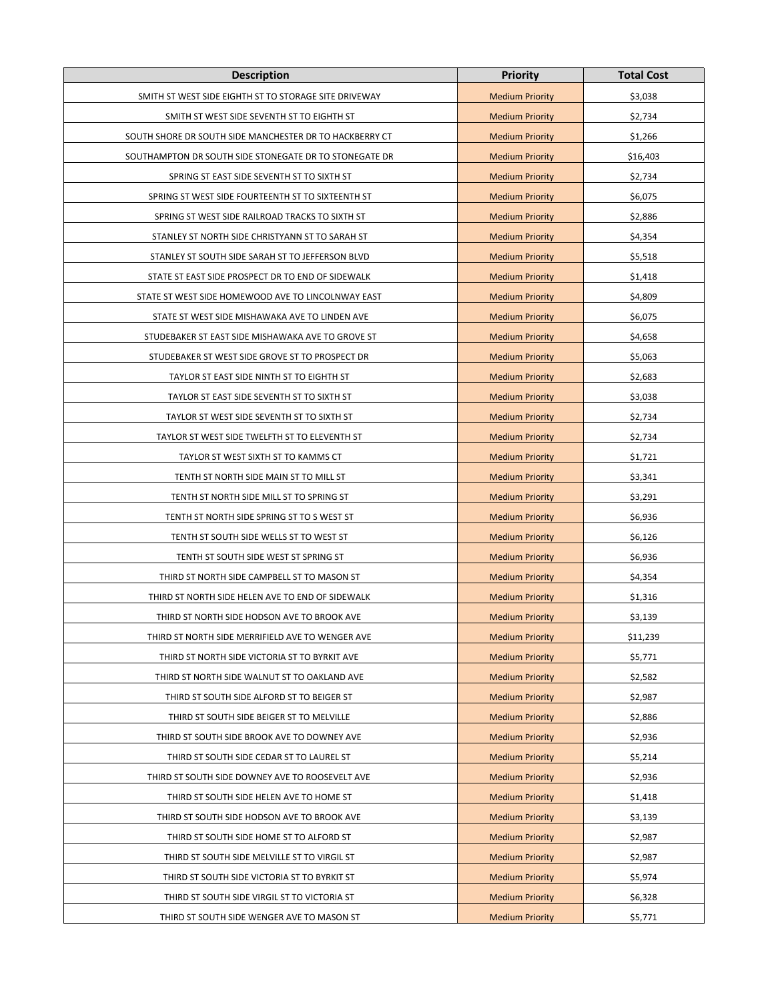| <b>Description</b>                                      | <b>Priority</b>        | <b>Total Cost</b> |
|---------------------------------------------------------|------------------------|-------------------|
| SMITH ST WEST SIDE EIGHTH ST TO STORAGE SITE DRIVEWAY   | <b>Medium Priority</b> | \$3,038           |
| SMITH ST WEST SIDE SEVENTH ST TO EIGHTH ST              | <b>Medium Priority</b> | \$2,734           |
| SOUTH SHORE DR SOUTH SIDE MANCHESTER DR TO HACKBERRY CT | <b>Medium Priority</b> | \$1,266           |
| SOUTHAMPTON DR SOUTH SIDE STONEGATE DR TO STONEGATE DR  | <b>Medium Priority</b> | \$16,403          |
| SPRING ST EAST SIDE SEVENTH ST TO SIXTH ST              | <b>Medium Priority</b> | \$2,734           |
| SPRING ST WEST SIDE FOURTEENTH ST TO SIXTEENTH ST       | <b>Medium Priority</b> | \$6,075           |
| SPRING ST WEST SIDE RAILROAD TRACKS TO SIXTH ST         | <b>Medium Priority</b> | \$2,886           |
| STANLEY ST NORTH SIDE CHRISTYANN ST TO SARAH ST         | <b>Medium Priority</b> | \$4,354           |
| STANLEY ST SOUTH SIDE SARAH ST TO JEFFERSON BLVD        | <b>Medium Priority</b> | \$5,518           |
| STATE ST EAST SIDE PROSPECT DR TO END OF SIDEWALK       | <b>Medium Priority</b> | \$1,418           |
| STATE ST WEST SIDE HOMEWOOD AVE TO LINCOLNWAY EAST      | <b>Medium Priority</b> | \$4,809           |
| STATE ST WEST SIDE MISHAWAKA AVE TO LINDEN AVE          | <b>Medium Priority</b> | \$6,075           |
| STUDEBAKER ST EAST SIDE MISHAWAKA AVE TO GROVE ST       | <b>Medium Priority</b> | \$4,658           |
| STUDEBAKER ST WEST SIDE GROVE ST TO PROSPECT DR         | <b>Medium Priority</b> | \$5,063           |
| TAYLOR ST EAST SIDE NINTH ST TO EIGHTH ST               | <b>Medium Priority</b> | \$2,683           |
| TAYLOR ST EAST SIDE SEVENTH ST TO SIXTH ST              | <b>Medium Priority</b> | \$3,038           |
| TAYLOR ST WEST SIDE SEVENTH ST TO SIXTH ST              | <b>Medium Priority</b> | \$2,734           |
| TAYLOR ST WEST SIDE TWELFTH ST TO ELEVENTH ST           | <b>Medium Priority</b> | \$2,734           |
| TAYLOR ST WEST SIXTH ST TO KAMMS CT                     | <b>Medium Priority</b> | \$1,721           |
| TENTH ST NORTH SIDE MAIN ST TO MILL ST                  | <b>Medium Priority</b> | \$3,341           |
| TENTH ST NORTH SIDE MILL ST TO SPRING ST                | <b>Medium Priority</b> | \$3,291           |
| TENTH ST NORTH SIDE SPRING ST TO S WEST ST              | <b>Medium Priority</b> | \$6,936           |
| TENTH ST SOUTH SIDE WELLS ST TO WEST ST                 | <b>Medium Priority</b> | \$6,126           |
| TENTH ST SOUTH SIDE WEST ST SPRING ST                   | <b>Medium Priority</b> | \$6,936           |
| THIRD ST NORTH SIDE CAMPBELL ST TO MASON ST             | <b>Medium Priority</b> | \$4,354           |
| THIRD ST NORTH SIDE HELEN AVE TO END OF SIDEWALK        | <b>Medium Priority</b> | \$1,316           |
| THIRD ST NORTH SIDE HODSON AVE TO BROOK AVE             | <b>Medium Priority</b> | \$3,139           |
| THIRD ST NORTH SIDE MERRIFIELD AVE TO WENGER AVE        | <b>Medium Priority</b> | \$11,239          |
| THIRD ST NORTH SIDE VICTORIA ST TO BYRKIT AVE           | <b>Medium Priority</b> | \$5,771           |
| THIRD ST NORTH SIDE WALNUT ST TO OAKLAND AVE            | <b>Medium Priority</b> | \$2,582           |
| THIRD ST SOUTH SIDE ALFORD ST TO BEIGER ST              | <b>Medium Priority</b> | \$2,987           |
| THIRD ST SOUTH SIDE BEIGER ST TO MELVILLE               | <b>Medium Priority</b> | \$2,886           |
| THIRD ST SOUTH SIDE BROOK AVE TO DOWNEY AVE             | <b>Medium Priority</b> | \$2,936           |
| THIRD ST SOUTH SIDE CEDAR ST TO LAUREL ST               | <b>Medium Priority</b> | \$5,214           |
| THIRD ST SOUTH SIDE DOWNEY AVE TO ROOSEVELT AVE         | <b>Medium Priority</b> | \$2,936           |
| THIRD ST SOUTH SIDE HELEN AVE TO HOME ST                | <b>Medium Priority</b> | \$1,418           |
| THIRD ST SOUTH SIDE HODSON AVE TO BROOK AVE             | <b>Medium Priority</b> | \$3,139           |
| THIRD ST SOUTH SIDE HOME ST TO ALFORD ST                | <b>Medium Priority</b> | \$2,987           |
| THIRD ST SOUTH SIDE MELVILLE ST TO VIRGIL ST            | <b>Medium Priority</b> | \$2,987           |
| THIRD ST SOUTH SIDE VICTORIA ST TO BYRKIT ST            | <b>Medium Priority</b> | \$5,974           |
| THIRD ST SOUTH SIDE VIRGIL ST TO VICTORIA ST            | <b>Medium Priority</b> | \$6,328           |
| THIRD ST SOUTH SIDE WENGER AVE TO MASON ST              | <b>Medium Priority</b> | \$5,771           |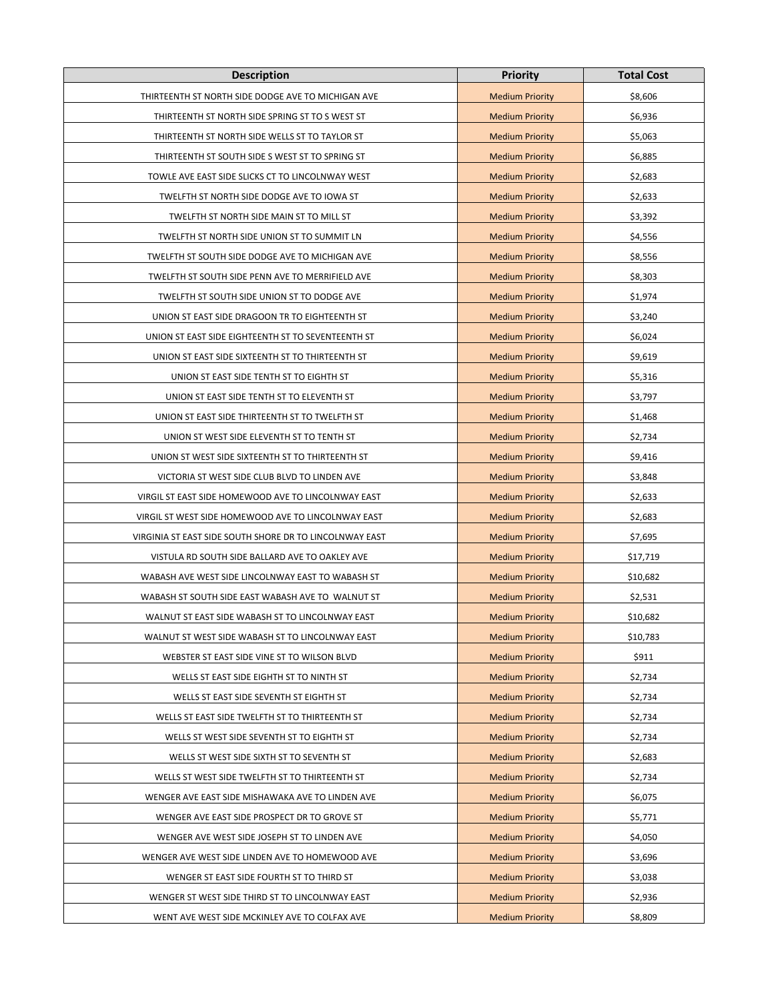| <b>Description</b>                                      | <b>Priority</b>        | <b>Total Cost</b> |
|---------------------------------------------------------|------------------------|-------------------|
| THIRTEENTH ST NORTH SIDE DODGE AVE TO MICHIGAN AVE      | <b>Medium Priority</b> | \$8,606           |
| THIRTEENTH ST NORTH SIDE SPRING ST TO S WEST ST         | <b>Medium Priority</b> | \$6,936           |
| THIRTEENTH ST NORTH SIDE WELLS ST TO TAYLOR ST          | <b>Medium Priority</b> | \$5,063           |
| THIRTEENTH ST SOUTH SIDE S WEST ST TO SPRING ST         | <b>Medium Priority</b> | \$6,885           |
| TOWLE AVE EAST SIDE SLICKS CT TO LINCOLNWAY WEST        | <b>Medium Priority</b> | \$2,683           |
| TWELFTH ST NORTH SIDE DODGE AVE TO IOWA ST              | <b>Medium Priority</b> | \$2,633           |
| TWELFTH ST NORTH SIDE MAIN ST TO MILL ST                | <b>Medium Priority</b> | \$3,392           |
| TWELFTH ST NORTH SIDE UNION ST TO SUMMIT LN             | <b>Medium Priority</b> | \$4,556           |
| TWELFTH ST SOUTH SIDE DODGE AVE TO MICHIGAN AVE         | <b>Medium Priority</b> | \$8,556           |
| TWELFTH ST SOUTH SIDE PENN AVE TO MERRIFIELD AVE        | <b>Medium Priority</b> | \$8,303           |
| TWELFTH ST SOUTH SIDE UNION ST TO DODGE AVE             | <b>Medium Priority</b> | \$1,974           |
| UNION ST EAST SIDE DRAGOON TR TO EIGHTEENTH ST          | <b>Medium Priority</b> | \$3,240           |
| UNION ST EAST SIDE EIGHTEENTH ST TO SEVENTEENTH ST      | <b>Medium Priority</b> | \$6,024           |
| UNION ST EAST SIDE SIXTEENTH ST TO THIRTEENTH ST        | <b>Medium Priority</b> | \$9,619           |
| UNION ST EAST SIDE TENTH ST TO EIGHTH ST                | <b>Medium Priority</b> | \$5,316           |
| UNION ST EAST SIDE TENTH ST TO ELEVENTH ST              | <b>Medium Priority</b> | \$3,797           |
| UNION ST EAST SIDE THIRTEENTH ST TO TWELFTH ST          | <b>Medium Priority</b> | \$1,468           |
| UNION ST WEST SIDE ELEVENTH ST TO TENTH ST              | <b>Medium Priority</b> | \$2,734           |
| UNION ST WEST SIDE SIXTEENTH ST TO THIRTEENTH ST        | <b>Medium Priority</b> | \$9,416           |
| VICTORIA ST WEST SIDE CLUB BLVD TO LINDEN AVE           | <b>Medium Priority</b> | \$3,848           |
| VIRGIL ST EAST SIDE HOMEWOOD AVE TO LINCOLNWAY EAST     | <b>Medium Priority</b> | \$2,633           |
| VIRGIL ST WEST SIDE HOMEWOOD AVE TO LINCOLNWAY EAST     | <b>Medium Priority</b> | \$2,683           |
| VIRGINIA ST EAST SIDE SOUTH SHORE DR TO LINCOLNWAY EAST | <b>Medium Priority</b> | \$7,695           |
| VISTULA RD SOUTH SIDE BALLARD AVE TO OAKLEY AVE         | <b>Medium Priority</b> | \$17,719          |
| WABASH AVE WEST SIDE LINCOLNWAY EAST TO WABASH ST       | <b>Medium Priority</b> | \$10,682          |
| WABASH ST SOUTH SIDE EAST WABASH AVE TO WALNUT ST       | <b>Medium Priority</b> | \$2,531           |
| WALNUT ST EAST SIDE WABASH ST TO LINCOLNWAY EAST        | <b>Medium Priority</b> | \$10,682          |
| WALNUT ST WEST SIDE WABASH ST TO LINCOLNWAY EAST        | <b>Medium Priority</b> | \$10,783          |
| WEBSTER ST EAST SIDE VINE ST TO WILSON BLVD             | <b>Medium Priority</b> | \$911             |
| WELLS ST EAST SIDE EIGHTH ST TO NINTH ST                | <b>Medium Priority</b> | \$2,734           |
| WELLS ST EAST SIDE SEVENTH ST EIGHTH ST                 | <b>Medium Priority</b> | \$2,734           |
| WELLS ST EAST SIDE TWELFTH ST TO THIRTEENTH ST          | <b>Medium Priority</b> | \$2,734           |
| WELLS ST WEST SIDE SEVENTH ST TO EIGHTH ST              | <b>Medium Priority</b> | \$2,734           |
| WELLS ST WEST SIDE SIXTH ST TO SEVENTH ST               | <b>Medium Priority</b> | \$2,683           |
| WELLS ST WEST SIDE TWELFTH ST TO THIRTEENTH ST          | <b>Medium Priority</b> | \$2,734           |
| WENGER AVE EAST SIDE MISHAWAKA AVE TO LINDEN AVE        | <b>Medium Priority</b> | \$6,075           |
| WENGER AVE EAST SIDE PROSPECT DR TO GROVE ST            | <b>Medium Priority</b> | \$5,771           |
| WENGER AVE WEST SIDE JOSEPH ST TO LINDEN AVE            | <b>Medium Priority</b> | \$4,050           |
| WENGER AVE WEST SIDE LINDEN AVE TO HOMEWOOD AVE         | <b>Medium Priority</b> | \$3,696           |
| WENGER ST EAST SIDE FOURTH ST TO THIRD ST               | <b>Medium Priority</b> | \$3,038           |
| WENGER ST WEST SIDE THIRD ST TO LINCOLNWAY EAST         | <b>Medium Priority</b> | \$2,936           |
| WENT AVE WEST SIDE MCKINLEY AVE TO COLFAX AVE           | <b>Medium Priority</b> | \$8,809           |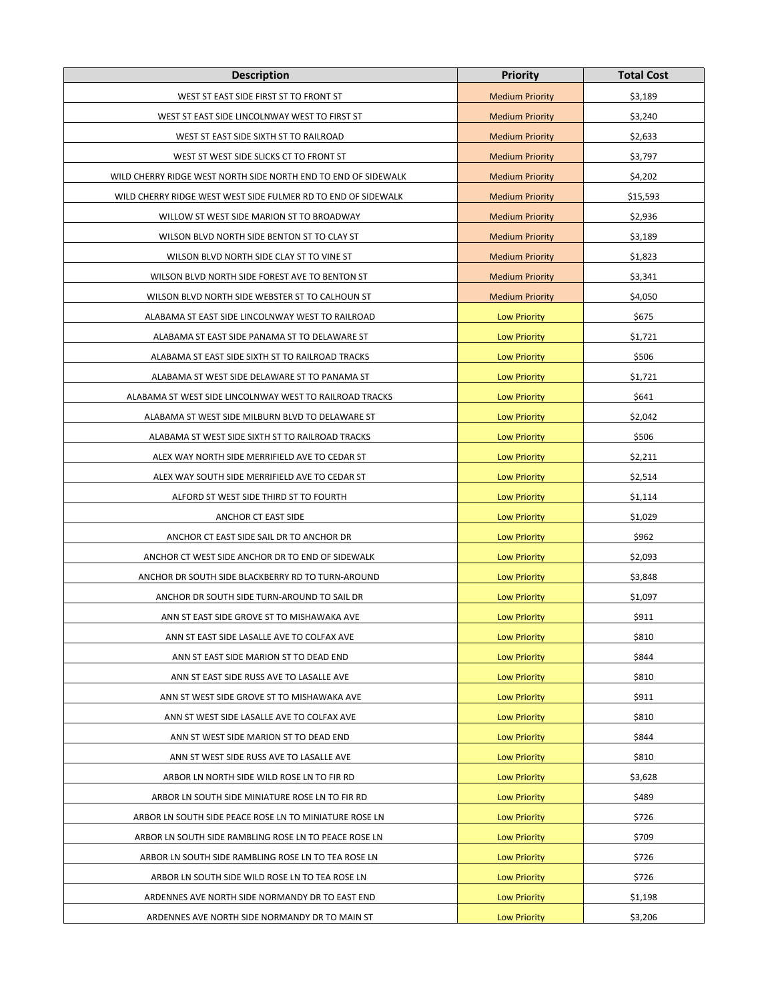| <b>Description</b>                                             | <b>Priority</b>        | <b>Total Cost</b> |
|----------------------------------------------------------------|------------------------|-------------------|
| WEST ST EAST SIDE FIRST ST TO FRONT ST                         | <b>Medium Priority</b> | \$3,189           |
| WEST ST EAST SIDE LINCOLNWAY WEST TO FIRST ST                  | <b>Medium Priority</b> | \$3,240           |
| WEST ST EAST SIDE SIXTH ST TO RAILROAD                         | <b>Medium Priority</b> | \$2,633           |
| WEST ST WEST SIDE SLICKS CT TO FRONT ST                        | <b>Medium Priority</b> | \$3,797           |
| WILD CHERRY RIDGE WEST NORTH SIDE NORTH END TO END OF SIDEWALK | <b>Medium Priority</b> | \$4,202           |
| WILD CHERRY RIDGE WEST WEST SIDE FULMER RD TO END OF SIDEWALK  | <b>Medium Priority</b> | \$15,593          |
| WILLOW ST WEST SIDE MARION ST TO BROADWAY                      | <b>Medium Priority</b> | \$2,936           |
| WILSON BLVD NORTH SIDE BENTON ST TO CLAY ST                    | <b>Medium Priority</b> | \$3,189           |
| WILSON BLVD NORTH SIDE CLAY ST TO VINE ST                      | <b>Medium Priority</b> | \$1,823           |
| WILSON BLVD NORTH SIDE FOREST AVE TO BENTON ST                 | <b>Medium Priority</b> | \$3,341           |
| WILSON BLVD NORTH SIDE WEBSTER ST TO CALHOUN ST                | <b>Medium Priority</b> | \$4,050           |
| ALABAMA ST EAST SIDE LINCOLNWAY WEST TO RAILROAD               | <b>Low Priority</b>    | \$675             |
| ALABAMA ST EAST SIDE PANAMA ST TO DELAWARE ST                  | <b>Low Priority</b>    | \$1,721           |
| ALABAMA ST EAST SIDE SIXTH ST TO RAILROAD TRACKS               | <b>Low Priority</b>    | \$506             |
| ALABAMA ST WEST SIDE DELAWARE ST TO PANAMA ST                  | <b>Low Priority</b>    | \$1,721           |
| ALABAMA ST WEST SIDE LINCOLNWAY WEST TO RAILROAD TRACKS        | <b>Low Priority</b>    | \$641             |
| ALABAMA ST WEST SIDE MILBURN BLVD TO DELAWARE ST               | <b>Low Priority</b>    | \$2,042           |
| ALABAMA ST WEST SIDE SIXTH ST TO RAILROAD TRACKS               | <b>Low Priority</b>    | \$506             |
| ALEX WAY NORTH SIDE MERRIFIELD AVE TO CEDAR ST                 | <b>Low Priority</b>    | \$2,211           |
| ALEX WAY SOUTH SIDE MERRIFIELD AVE TO CEDAR ST                 | <b>Low Priority</b>    | \$2,514           |
| ALFORD ST WEST SIDE THIRD ST TO FOURTH                         | <b>Low Priority</b>    | \$1,114           |
| ANCHOR CT EAST SIDE                                            | <b>Low Priority</b>    | \$1,029           |
| ANCHOR CT EAST SIDE SAIL DR TO ANCHOR DR                       | <b>Low Priority</b>    | \$962             |
| ANCHOR CT WEST SIDE ANCHOR DR TO END OF SIDEWALK               | <b>Low Priority</b>    | \$2,093           |
| ANCHOR DR SOUTH SIDE BLACKBERRY RD TO TURN-AROUND              | <b>Low Priority</b>    | \$3,848           |
| ANCHOR DR SOUTH SIDE TURN-AROUND TO SAIL DR                    | <b>Low Priority</b>    | \$1,097           |
| ANN ST EAST SIDE GROVE ST TO MISHAWAKA AVE                     | <b>Low Priority</b>    | \$911             |
| ANN ST EAST SIDE LASALLE AVE TO COLFAX AVE                     | <b>Low Priority</b>    | \$810             |
| ANN ST EAST SIDE MARION ST TO DEAD END                         | <b>Low Priority</b>    | \$844             |
| ANN ST EAST SIDE RUSS AVE TO LASALLE AVE                       | <b>Low Priority</b>    | \$810             |
| ANN ST WEST SIDE GROVE ST TO MISHAWAKA AVE                     | <b>Low Priority</b>    | \$911             |
| ANN ST WEST SIDE LASALLE AVE TO COLFAX AVE                     | <b>Low Priority</b>    | \$810             |
| ANN ST WEST SIDE MARION ST TO DEAD END                         | <b>Low Priority</b>    | \$844             |
| ANN ST WEST SIDE RUSS AVE TO LASALLE AVE                       | <b>Low Priority</b>    | \$810             |
| ARBOR LN NORTH SIDE WILD ROSE LN TO FIR RD                     | <b>Low Priority</b>    | \$3,628           |
| ARBOR LN SOUTH SIDE MINIATURE ROSE LN TO FIR RD                | <b>Low Priority</b>    | \$489             |
| ARBOR LN SOUTH SIDE PEACE ROSE LN TO MINIATURE ROSE LN         | <b>Low Priority</b>    | \$726             |
| ARBOR LN SOUTH SIDE RAMBLING ROSE LN TO PEACE ROSE LN          | <b>Low Priority</b>    | \$709             |
| ARBOR LN SOUTH SIDE RAMBLING ROSE LN TO TEA ROSE LN            | <b>Low Priority</b>    | \$726             |
| ARBOR LN SOUTH SIDE WILD ROSE LN TO TEA ROSE LN                | <b>Low Priority</b>    | \$726             |
| ARDENNES AVE NORTH SIDE NORMANDY DR TO EAST END                | <b>Low Priority</b>    | \$1,198           |
| ARDENNES AVE NORTH SIDE NORMANDY DR TO MAIN ST                 | <b>Low Priority</b>    | \$3,206           |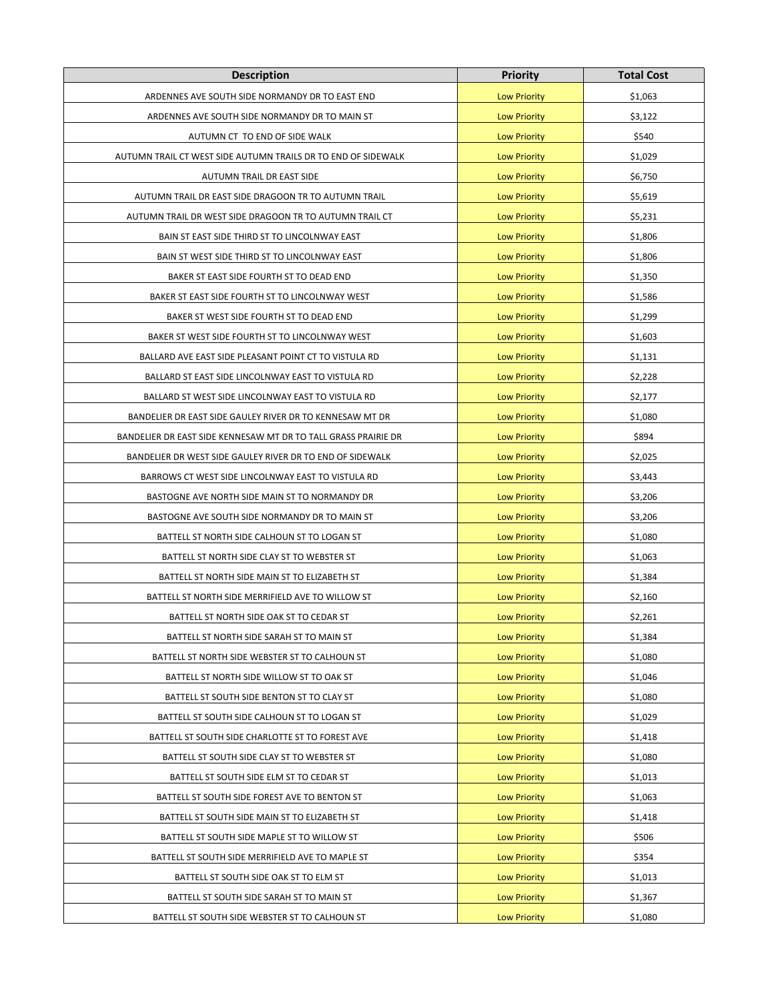| <b>Description</b>                                             | <b>Priority</b>     | <b>Total Cost</b> |
|----------------------------------------------------------------|---------------------|-------------------|
| ARDENNES AVE SOUTH SIDE NORMANDY DR TO EAST END                | <b>Low Priority</b> | \$1,063           |
| ARDENNES AVE SOUTH SIDE NORMANDY DR TO MAIN ST                 | <b>Low Priority</b> | \$3,122           |
| AUTUMN CT TO END OF SIDE WALK                                  | <b>Low Priority</b> | \$540             |
| AUTUMN TRAIL CT WEST SIDE AUTUMN TRAILS DR TO END OF SIDEWALK  | <b>Low Priority</b> | \$1,029           |
| AUTUMN TRAIL DR EAST SIDE                                      | <b>Low Priority</b> | \$6,750           |
| AUTUMN TRAIL DR EAST SIDE DRAGOON TR TO AUTUMN TRAIL           | <b>Low Priority</b> | \$5,619           |
| AUTUMN TRAIL DR WEST SIDE DRAGOON TR TO AUTUMN TRAIL CT        | <b>Low Priority</b> | \$5,231           |
| BAIN ST EAST SIDE THIRD ST TO LINCOLNWAY EAST                  | <b>Low Priority</b> | \$1,806           |
| BAIN ST WEST SIDE THIRD ST TO LINCOLNWAY EAST                  | <b>Low Priority</b> | \$1,806           |
| BAKER ST EAST SIDE FOURTH ST TO DEAD END                       | <b>Low Priority</b> | \$1,350           |
| BAKER ST EAST SIDE FOURTH ST TO LINCOLNWAY WEST                | <b>Low Priority</b> | \$1,586           |
| BAKER ST WEST SIDE FOURTH ST TO DEAD END                       | <b>Low Priority</b> | \$1,299           |
| BAKER ST WEST SIDE FOURTH ST TO LINCOLNWAY WEST                | <b>Low Priority</b> | \$1,603           |
| BALLARD AVE EAST SIDE PLEASANT POINT CT TO VISTULA RD          | <b>Low Priority</b> | \$1,131           |
| BALLARD ST EAST SIDE LINCOLNWAY EAST TO VISTULA RD             | <b>Low Priority</b> | \$2,228           |
| BALLARD ST WEST SIDE LINCOLNWAY EAST TO VISTULA RD             | <b>Low Priority</b> | \$2,177           |
| BANDELIER DR EAST SIDE GAULEY RIVER DR TO KENNESAW MT DR       | <b>Low Priority</b> | \$1,080           |
| BANDELIER DR EAST SIDE KENNESAW MT DR TO TALL GRASS PRAIRIE DR | <b>Low Priority</b> | \$894             |
| BANDELIER DR WEST SIDE GAULEY RIVER DR TO END OF SIDEWALK      | <b>Low Priority</b> | \$2,025           |
| BARROWS CT WEST SIDE LINCOLNWAY EAST TO VISTULA RD             | <b>Low Priority</b> | \$3,443           |
| BASTOGNE AVE NORTH SIDE MAIN ST TO NORMANDY DR                 | <b>Low Priority</b> | \$3,206           |
| BASTOGNE AVE SOUTH SIDE NORMANDY DR TO MAIN ST                 | <b>Low Priority</b> | \$3,206           |
| BATTELL ST NORTH SIDE CALHOUN ST TO LOGAN ST                   | <b>Low Priority</b> | \$1,080           |
| BATTELL ST NORTH SIDE CLAY ST TO WEBSTER ST                    | <b>Low Priority</b> | \$1,063           |
| BATTELL ST NORTH SIDE MAIN ST TO ELIZABETH ST                  | <b>Low Priority</b> | \$1,384           |
| BATTELL ST NORTH SIDE MERRIFIELD AVE TO WILLOW ST              | <b>Low Priority</b> | \$2,160           |
| BATTELL ST NORTH SIDE OAK ST TO CEDAR ST                       | <b>Low Priority</b> | \$2,261           |
| BATTELL ST NORTH SIDE SARAH ST TO MAIN ST                      | <b>Low Priority</b> | \$1,384           |
| BATTELL ST NORTH SIDE WEBSTER ST TO CALHOUN ST                 | <b>Low Priority</b> | \$1,080           |
| BATTELL ST NORTH SIDE WILLOW ST TO OAK ST                      | <b>Low Priority</b> | \$1,046           |
| BATTELL ST SOUTH SIDE BENTON ST TO CLAY ST                     | <b>Low Priority</b> | \$1,080           |
| BATTELL ST SOUTH SIDE CALHOUN ST TO LOGAN ST                   | <b>Low Priority</b> | \$1,029           |
| BATTELL ST SOUTH SIDE CHARLOTTE ST TO FOREST AVE               | <b>Low Priority</b> | \$1,418           |
| BATTELL ST SOUTH SIDE CLAY ST TO WEBSTER ST                    | <b>Low Priority</b> | \$1,080           |
| BATTELL ST SOUTH SIDE ELM ST TO CEDAR ST                       | <b>Low Priority</b> | \$1,013           |
| BATTELL ST SOUTH SIDE FOREST AVE TO BENTON ST                  | <b>Low Priority</b> | \$1,063           |
| BATTELL ST SOUTH SIDE MAIN ST TO ELIZABETH ST                  | <b>Low Priority</b> | \$1,418           |
| BATTELL ST SOUTH SIDE MAPLE ST TO WILLOW ST                    | <b>Low Priority</b> | \$506             |
| BATTELL ST SOUTH SIDE MERRIFIELD AVE TO MAPLE ST               | <b>Low Priority</b> | \$354             |
| BATTELL ST SOUTH SIDE OAK ST TO ELM ST                         | <b>Low Priority</b> | \$1,013           |
| BATTELL ST SOUTH SIDE SARAH ST TO MAIN ST                      | <b>Low Priority</b> | \$1,367           |
| BATTELL ST SOUTH SIDE WEBSTER ST TO CALHOUN ST                 | <b>Low Priority</b> | \$1,080           |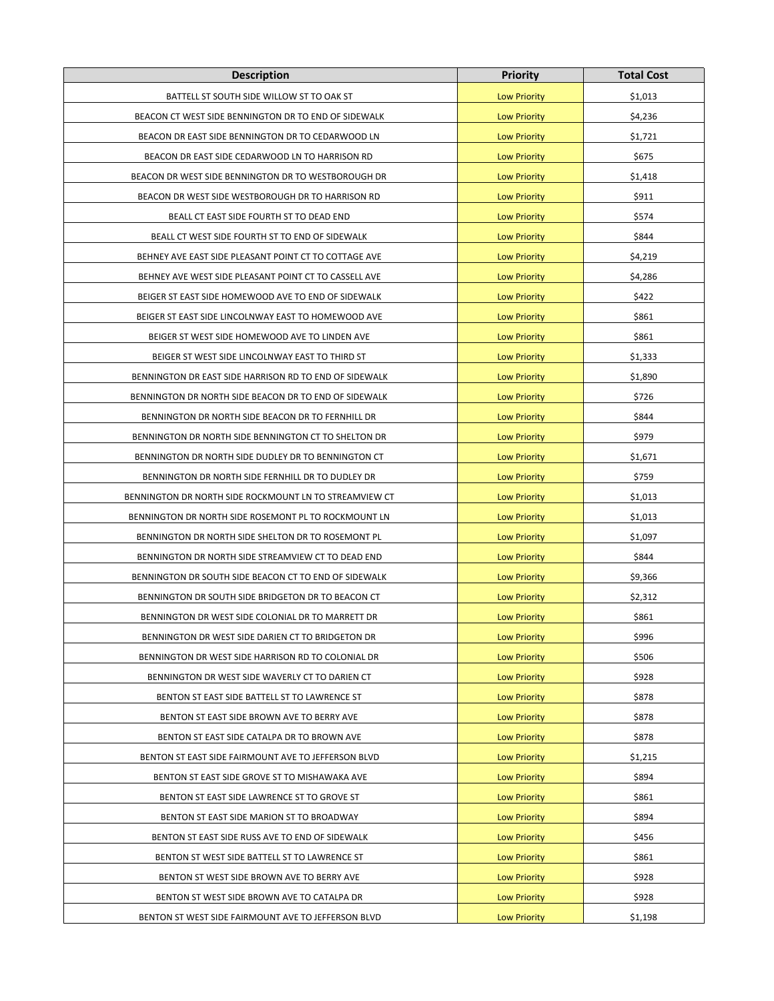| <b>Description</b>                                     | <b>Priority</b>     | <b>Total Cost</b> |
|--------------------------------------------------------|---------------------|-------------------|
| BATTELL ST SOUTH SIDE WILLOW ST TO OAK ST              | <b>Low Priority</b> | \$1,013           |
| BEACON CT WEST SIDE BENNINGTON DR TO END OF SIDEWALK   | <b>Low Priority</b> | \$4,236           |
| BEACON DR EAST SIDE BENNINGTON DR TO CEDARWOOD LN      | <b>Low Priority</b> | \$1,721           |
| BEACON DR EAST SIDE CEDARWOOD LN TO HARRISON RD        | <b>Low Priority</b> | \$675             |
| BEACON DR WEST SIDE BENNINGTON DR TO WESTBOROUGH DR    | <b>Low Priority</b> | \$1,418           |
| BEACON DR WEST SIDE WESTBOROUGH DR TO HARRISON RD      | <b>Low Priority</b> | \$911             |
| BEALL CT EAST SIDE FOURTH ST TO DEAD END               | <b>Low Priority</b> | \$574             |
| BEALL CT WEST SIDE FOURTH ST TO END OF SIDEWALK        | <b>Low Priority</b> | \$844             |
| BEHNEY AVE EAST SIDE PLEASANT POINT CT TO COTTAGE AVE  | <b>Low Priority</b> | \$4,219           |
| BEHNEY AVE WEST SIDE PLEASANT POINT CT TO CASSELL AVE  | <b>Low Priority</b> | \$4,286           |
| BEIGER ST EAST SIDE HOMEWOOD AVE TO END OF SIDEWALK    | <b>Low Priority</b> | \$422             |
| BEIGER ST EAST SIDE LINCOLNWAY EAST TO HOMEWOOD AVE    | <b>Low Priority</b> | \$861             |
| BEIGER ST WEST SIDE HOMEWOOD AVE TO LINDEN AVE         | <b>Low Priority</b> | \$861             |
| BEIGER ST WEST SIDE LINCOLNWAY EAST TO THIRD ST        | <b>Low Priority</b> | \$1,333           |
| BENNINGTON DR EAST SIDE HARRISON RD TO END OF SIDEWALK | <b>Low Priority</b> | \$1,890           |
| BENNINGTON DR NORTH SIDE BEACON DR TO END OF SIDEWALK  | <b>Low Priority</b> | \$726             |
| BENNINGTON DR NORTH SIDE BEACON DR TO FERNHILL DR      | <b>Low Priority</b> | \$844             |
| BENNINGTON DR NORTH SIDE BENNINGTON CT TO SHELTON DR   | <b>Low Priority</b> | \$979             |
| BENNINGTON DR NORTH SIDE DUDLEY DR TO BENNINGTON CT    | <b>Low Priority</b> | \$1,671           |
| BENNINGTON DR NORTH SIDE FERNHILL DR TO DUDLEY DR      | <b>Low Priority</b> | \$759             |
| BENNINGTON DR NORTH SIDE ROCKMOUNT LN TO STREAMVIEW CT | <b>Low Priority</b> | \$1,013           |
| BENNINGTON DR NORTH SIDE ROSEMONT PL TO ROCKMOUNT LN   | <b>Low Priority</b> | \$1,013           |
| BENNINGTON DR NORTH SIDE SHELTON DR TO ROSEMONT PL     | <b>Low Priority</b> | \$1,097           |
| BENNINGTON DR NORTH SIDE STREAMVIEW CT TO DEAD END     | <b>Low Priority</b> | \$844             |
| BENNINGTON DR SOUTH SIDE BEACON CT TO END OF SIDEWALK  | <b>Low Priority</b> | \$9,366           |
| BENNINGTON DR SOUTH SIDE BRIDGETON DR TO BEACON CT     | <b>Low Priority</b> | \$2,312           |
| BENNINGTON DR WEST SIDE COLONIAL DR TO MARRETT DR      | <b>Low Priority</b> | \$861             |
| BENNINGTON DR WEST SIDE DARIEN CT TO BRIDGETON DR      | <b>Low Priority</b> | \$996             |
| BENNINGTON DR WEST SIDE HARRISON RD TO COLONIAL DR     | <b>Low Priority</b> | \$506             |
| BENNINGTON DR WEST SIDE WAVERLY CT TO DARIEN CT        | <b>Low Priority</b> | \$928             |
| BENTON ST EAST SIDE BATTELL ST TO LAWRENCE ST          | <b>Low Priority</b> | \$878             |
| BENTON ST EAST SIDE BROWN AVE TO BERRY AVE             | <b>Low Priority</b> | \$878             |
| BENTON ST EAST SIDE CATALPA DR TO BROWN AVE            | <b>Low Priority</b> | \$878             |
| BENTON ST EAST SIDE FAIRMOUNT AVE TO JEFFERSON BLVD    | <b>Low Priority</b> | \$1,215           |
| BENTON ST EAST SIDE GROVE ST TO MISHAWAKA AVE          | <b>Low Priority</b> | \$894             |
| BENTON ST EAST SIDE LAWRENCE ST TO GROVE ST            | <b>Low Priority</b> | \$861             |
| BENTON ST EAST SIDE MARION ST TO BROADWAY              | <b>Low Priority</b> | \$894             |
| BENTON ST EAST SIDE RUSS AVE TO END OF SIDEWALK        | <b>Low Priority</b> | \$456             |
| BENTON ST WEST SIDE BATTELL ST TO LAWRENCE ST          | <b>Low Priority</b> | \$861             |
| BENTON ST WEST SIDE BROWN AVE TO BERRY AVE             | <b>Low Priority</b> | \$928             |
| BENTON ST WEST SIDE BROWN AVE TO CATALPA DR            | <b>Low Priority</b> | \$928             |
| BENTON ST WEST SIDE FAIRMOUNT AVE TO JEFFERSON BLVD    | <b>Low Priority</b> | \$1,198           |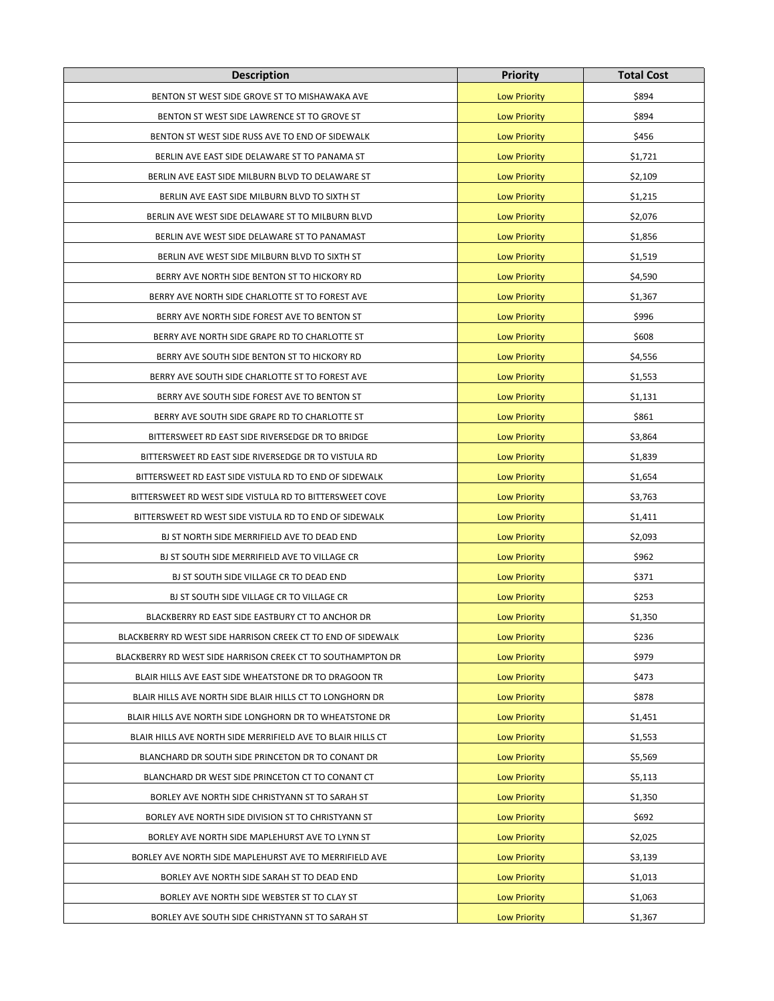| <b>Description</b>                                           | <b>Priority</b>     | <b>Total Cost</b> |
|--------------------------------------------------------------|---------------------|-------------------|
| BENTON ST WEST SIDE GROVE ST TO MISHAWAKA AVE                | <b>Low Priority</b> | \$894             |
| BENTON ST WEST SIDE LAWRENCE ST TO GROVE ST                  | <b>Low Priority</b> | \$894             |
| BENTON ST WEST SIDE RUSS AVE TO END OF SIDEWALK              | <b>Low Priority</b> | \$456             |
| BERLIN AVE EAST SIDE DELAWARE ST TO PANAMA ST                | <b>Low Priority</b> | \$1,721           |
| BERLIN AVE EAST SIDE MILBURN BLVD TO DELAWARE ST             | <b>Low Priority</b> | \$2,109           |
| BERLIN AVE EAST SIDE MILBURN BLVD TO SIXTH ST                | <b>Low Priority</b> | \$1,215           |
| BERLIN AVE WEST SIDE DELAWARE ST TO MILBURN BLVD             | <b>Low Priority</b> | \$2,076           |
| BERLIN AVE WEST SIDE DELAWARE ST TO PANAMAST                 | <b>Low Priority</b> | \$1,856           |
| BERLIN AVE WEST SIDE MILBURN BLVD TO SIXTH ST                | <b>Low Priority</b> | \$1,519           |
| BERRY AVE NORTH SIDE BENTON ST TO HICKORY RD                 | <b>Low Priority</b> | \$4,590           |
| BERRY AVE NORTH SIDE CHARLOTTE ST TO FOREST AVE              | <b>Low Priority</b> | \$1,367           |
| BERRY AVE NORTH SIDE FOREST AVE TO BENTON ST                 | <b>Low Priority</b> | \$996             |
| BERRY AVE NORTH SIDE GRAPE RD TO CHARLOTTE ST                | <b>Low Priority</b> | \$608             |
| BERRY AVE SOUTH SIDE BENTON ST TO HICKORY RD                 | <b>Low Priority</b> | \$4,556           |
| BERRY AVE SOUTH SIDE CHARLOTTE ST TO FOREST AVE              | <b>Low Priority</b> | \$1,553           |
| BERRY AVE SOUTH SIDE FOREST AVE TO BENTON ST                 | <b>Low Priority</b> | \$1,131           |
| BERRY AVE SOUTH SIDE GRAPE RD TO CHARLOTTE ST                | <b>Low Priority</b> | \$861             |
| BITTERSWEET RD EAST SIDE RIVERSEDGE DR TO BRIDGE             | <b>Low Priority</b> | \$3,864           |
| BITTERSWEET RD EAST SIDE RIVERSEDGE DR TO VISTULA RD         | <b>Low Priority</b> | \$1,839           |
| BITTERSWEET RD EAST SIDE VISTULA RD TO END OF SIDEWALK       | <b>Low Priority</b> | \$1,654           |
| BITTERSWEET RD WEST SIDE VISTULA RD TO BITTERSWEET COVE      | <b>Low Priority</b> | \$3,763           |
| BITTERSWEET RD WEST SIDE VISTULA RD TO END OF SIDEWALK       | <b>Low Priority</b> | \$1,411           |
| BJ ST NORTH SIDE MERRIFIELD AVE TO DEAD END                  | <b>Low Priority</b> | \$2,093           |
| BJ ST SOUTH SIDE MERRIFIELD AVE TO VILLAGE CR                | <b>Low Priority</b> | \$962             |
| BJ ST SOUTH SIDE VILLAGE CR TO DEAD END                      | <b>Low Priority</b> | \$371             |
| BJ ST SOUTH SIDE VILLAGE CR TO VILLAGE CR                    | <b>Low Priority</b> | \$253             |
| BLACKBERRY RD EAST SIDE EASTBURY CT TO ANCHOR DR             | <b>Low Priority</b> | \$1,350           |
| BLACKBERRY RD WEST SIDE HARRISON CREEK CT TO END OF SIDEWALK | <b>Low Priority</b> | \$236             |
| BLACKBERRY RD WEST SIDE HARRISON CREEK CT TO SOUTHAMPTON DR  | <b>Low Priority</b> | \$979             |
| BLAIR HILLS AVE EAST SIDE WHEATSTONE DR TO DRAGOON TR        | <b>Low Priority</b> | \$473             |
| BLAIR HILLS AVE NORTH SIDE BLAIR HILLS CT TO LONGHORN DR     | <b>Low Priority</b> | \$878             |
| BLAIR HILLS AVE NORTH SIDE LONGHORN DR TO WHEATSTONE DR      | <b>Low Priority</b> | \$1,451           |
| BLAIR HILLS AVE NORTH SIDE MERRIFIELD AVE TO BLAIR HILLS CT  | <b>Low Priority</b> | \$1,553           |
| BLANCHARD DR SOUTH SIDE PRINCETON DR TO CONANT DR            | <b>Low Priority</b> | \$5,569           |
| BLANCHARD DR WEST SIDE PRINCETON CT TO CONANT CT             | <b>Low Priority</b> | \$5,113           |
| BORLEY AVE NORTH SIDE CHRISTYANN ST TO SARAH ST              | <b>Low Priority</b> | \$1,350           |
| BORLEY AVE NORTH SIDE DIVISION ST TO CHRISTYANN ST           | <b>Low Priority</b> | \$692             |
| BORLEY AVE NORTH SIDE MAPLEHURST AVE TO LYNN ST              | <b>Low Priority</b> | \$2,025           |
| BORLEY AVE NORTH SIDE MAPLEHURST AVE TO MERRIFIELD AVE       | <b>Low Priority</b> | \$3,139           |
| BORLEY AVE NORTH SIDE SARAH ST TO DEAD END                   | <b>Low Priority</b> | \$1,013           |
| BORLEY AVE NORTH SIDE WEBSTER ST TO CLAY ST                  | <b>Low Priority</b> | \$1,063           |
| BORLEY AVE SOUTH SIDE CHRISTYANN ST TO SARAH ST              | <b>Low Priority</b> | \$1,367           |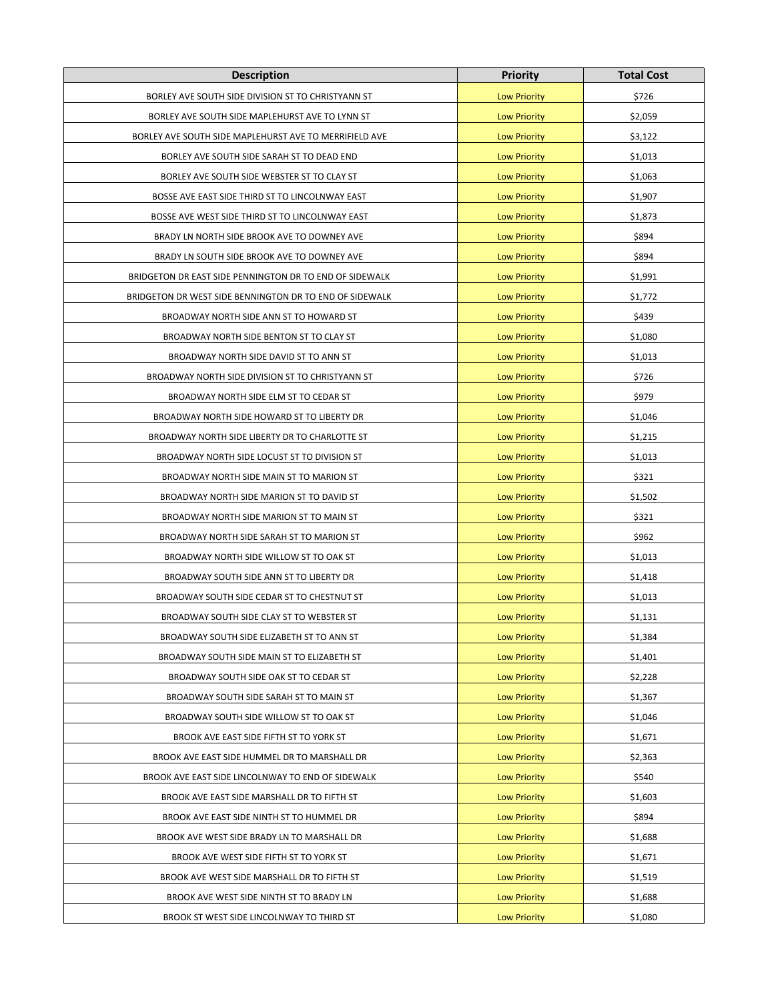| <b>Description</b>                                      | <b>Priority</b>     | <b>Total Cost</b> |
|---------------------------------------------------------|---------------------|-------------------|
| BORLEY AVE SOUTH SIDE DIVISION ST TO CHRISTYANN ST      | <b>Low Priority</b> | \$726             |
| BORLEY AVE SOUTH SIDE MAPLEHURST AVE TO LYNN ST         | <b>Low Priority</b> | \$2,059           |
| BORLEY AVE SOUTH SIDE MAPLEHURST AVE TO MERRIFIELD AVE  | <b>Low Priority</b> | \$3,122           |
| BORLEY AVE SOUTH SIDE SARAH ST TO DEAD END              | <b>Low Priority</b> | \$1,013           |
| BORLEY AVE SOUTH SIDE WEBSTER ST TO CLAY ST             | <b>Low Priority</b> | \$1,063           |
| BOSSE AVE EAST SIDE THIRD ST TO LINCOLNWAY EAST         | <b>Low Priority</b> | \$1,907           |
| BOSSE AVE WEST SIDE THIRD ST TO LINCOLNWAY EAST         | <b>Low Priority</b> | \$1,873           |
| BRADY LN NORTH SIDE BROOK AVE TO DOWNEY AVE             | <b>Low Priority</b> | \$894             |
| BRADY LN SOUTH SIDE BROOK AVE TO DOWNEY AVE             | <b>Low Priority</b> | \$894             |
| BRIDGETON DR EAST SIDE PENNINGTON DR TO END OF SIDEWALK | <b>Low Priority</b> | \$1,991           |
| BRIDGETON DR WEST SIDE BENNINGTON DR TO END OF SIDEWALK | <b>Low Priority</b> | \$1,772           |
| BROADWAY NORTH SIDE ANN ST TO HOWARD ST                 | <b>Low Priority</b> | \$439             |
| BROADWAY NORTH SIDE BENTON ST TO CLAY ST                | <b>Low Priority</b> | \$1,080           |
| BROADWAY NORTH SIDE DAVID ST TO ANN ST                  | <b>Low Priority</b> | \$1,013           |
| BROADWAY NORTH SIDE DIVISION ST TO CHRISTYANN ST        | <b>Low Priority</b> | \$726             |
| BROADWAY NORTH SIDE ELM ST TO CEDAR ST                  | <b>Low Priority</b> | \$979             |
| BROADWAY NORTH SIDE HOWARD ST TO LIBERTY DR             | <b>Low Priority</b> | \$1,046           |
| BROADWAY NORTH SIDE LIBERTY DR TO CHARLOTTE ST          | <b>Low Priority</b> | \$1,215           |
| BROADWAY NORTH SIDE LOCUST ST TO DIVISION ST            | <b>Low Priority</b> | \$1,013           |
| BROADWAY NORTH SIDE MAIN ST TO MARION ST                | <b>Low Priority</b> | \$321             |
| BROADWAY NORTH SIDE MARION ST TO DAVID ST               | <b>Low Priority</b> | \$1,502           |
| BROADWAY NORTH SIDE MARION ST TO MAIN ST                | <b>Low Priority</b> | \$321             |
| BROADWAY NORTH SIDE SARAH ST TO MARION ST               | <b>Low Priority</b> | \$962             |
| BROADWAY NORTH SIDE WILLOW ST TO OAK ST                 | <b>Low Priority</b> | \$1,013           |
| BROADWAY SOUTH SIDE ANN ST TO LIBERTY DR                | <b>Low Priority</b> | \$1,418           |
| BROADWAY SOUTH SIDE CEDAR ST TO CHESTNUT ST             | <b>Low Priority</b> | \$1,013           |
| BROADWAY SOUTH SIDE CLAY ST TO WEBSTER ST               | <b>Low Priority</b> | \$1,131           |
| BROADWAY SOUTH SIDE ELIZABETH ST TO ANN ST              | <b>Low Priority</b> | \$1,384           |
| BROADWAY SOUTH SIDE MAIN ST TO ELIZABETH ST             | <b>Low Priority</b> | \$1,401           |
| BROADWAY SOUTH SIDE OAK ST TO CEDAR ST                  | <b>Low Priority</b> | \$2,228           |
| BROADWAY SOUTH SIDE SARAH ST TO MAIN ST                 | <b>Low Priority</b> | \$1,367           |
| BROADWAY SOUTH SIDE WILLOW ST TO OAK ST                 | <b>Low Priority</b> | \$1,046           |
| BROOK AVE EAST SIDE FIFTH ST TO YORK ST                 | <b>Low Priority</b> | \$1,671           |
| BROOK AVE EAST SIDE HUMMEL DR TO MARSHALL DR            | <b>Low Priority</b> | \$2,363           |
| BROOK AVE EAST SIDE LINCOLNWAY TO END OF SIDEWALK       | <b>Low Priority</b> | \$540             |
| BROOK AVE EAST SIDE MARSHALL DR TO FIFTH ST             | <b>Low Priority</b> | \$1,603           |
| BROOK AVE EAST SIDE NINTH ST TO HUMMEL DR               | <b>Low Priority</b> | \$894             |
| BROOK AVE WEST SIDE BRADY LN TO MARSHALL DR             | <b>Low Priority</b> | \$1,688           |
| BROOK AVE WEST SIDE FIFTH ST TO YORK ST                 | <b>Low Priority</b> | \$1,671           |
| BROOK AVE WEST SIDE MARSHALL DR TO FIFTH ST             | <b>Low Priority</b> | \$1,519           |
| BROOK AVE WEST SIDE NINTH ST TO BRADY LN                | <b>Low Priority</b> | \$1,688           |
| BROOK ST WEST SIDE LINCOLNWAY TO THIRD ST               | <b>Low Priority</b> | \$1,080           |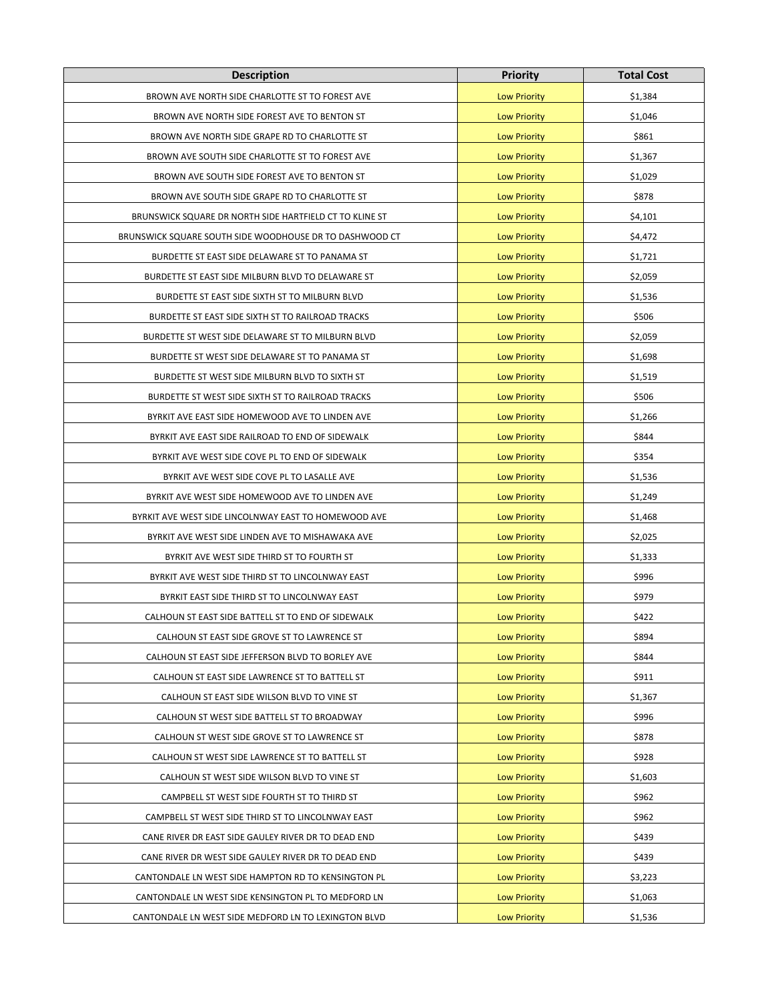| <b>Description</b>                                      | <b>Priority</b>     | <b>Total Cost</b> |
|---------------------------------------------------------|---------------------|-------------------|
| BROWN AVE NORTH SIDE CHARLOTTE ST TO FOREST AVE         | <b>Low Priority</b> | \$1,384           |
| BROWN AVE NORTH SIDE FOREST AVE TO BENTON ST            | <b>Low Priority</b> | \$1,046           |
| BROWN AVE NORTH SIDE GRAPE RD TO CHARLOTTE ST           | <b>Low Priority</b> | \$861             |
| BROWN AVE SOUTH SIDE CHARLOTTE ST TO FOREST AVE         | <b>Low Priority</b> | \$1,367           |
| BROWN AVE SOUTH SIDE FOREST AVE TO BENTON ST            | <b>Low Priority</b> | \$1,029           |
| BROWN AVE SOUTH SIDE GRAPE RD TO CHARLOTTE ST           | <b>Low Priority</b> | \$878             |
| BRUNSWICK SQUARE DR NORTH SIDE HARTFIELD CT TO KLINE ST | <b>Low Priority</b> | \$4,101           |
| BRUNSWICK SQUARE SOUTH SIDE WOODHOUSE DR TO DASHWOOD CT | <b>Low Priority</b> | \$4,472           |
| BURDETTE ST EAST SIDE DELAWARE ST TO PANAMA ST          | <b>Low Priority</b> | \$1,721           |
| BURDETTE ST EAST SIDE MILBURN BLVD TO DELAWARE ST       | <b>Low Priority</b> | \$2,059           |
| BURDETTE ST EAST SIDE SIXTH ST TO MILBURN BLVD          | <b>Low Priority</b> | \$1,536           |
| BURDETTE ST EAST SIDE SIXTH ST TO RAILROAD TRACKS       | <b>Low Priority</b> | \$506             |
| BURDETTE ST WEST SIDE DELAWARE ST TO MILBURN BLVD       | <b>Low Priority</b> | \$2,059           |
| BURDETTE ST WEST SIDE DELAWARE ST TO PANAMA ST          | <b>Low Priority</b> | \$1,698           |
| BURDETTE ST WEST SIDE MILBURN BLVD TO SIXTH ST          | <b>Low Priority</b> | \$1,519           |
| BURDETTE ST WEST SIDE SIXTH ST TO RAILROAD TRACKS       | <b>Low Priority</b> | \$506             |
| BYRKIT AVE EAST SIDE HOMEWOOD AVE TO LINDEN AVE         | <b>Low Priority</b> | \$1,266           |
| BYRKIT AVE EAST SIDE RAILROAD TO END OF SIDEWALK        | <b>Low Priority</b> | \$844             |
| BYRKIT AVE WEST SIDE COVE PL TO END OF SIDEWALK         | <b>Low Priority</b> | \$354             |
| BYRKIT AVE WEST SIDE COVE PL TO LASALLE AVE             | <b>Low Priority</b> | \$1,536           |
| BYRKIT AVE WEST SIDE HOMEWOOD AVE TO LINDEN AVE         | <b>Low Priority</b> | \$1,249           |
| BYRKIT AVE WEST SIDE LINCOLNWAY EAST TO HOMEWOOD AVE    | <b>Low Priority</b> | \$1,468           |
| BYRKIT AVE WEST SIDE LINDEN AVE TO MISHAWAKA AVE        | <b>Low Priority</b> | \$2,025           |
| BYRKIT AVE WEST SIDE THIRD ST TO FOURTH ST              | <b>Low Priority</b> | \$1,333           |
| BYRKIT AVE WEST SIDE THIRD ST TO LINCOLNWAY EAST        | <b>Low Priority</b> | \$996             |
| BYRKIT EAST SIDE THIRD ST TO LINCOLNWAY EAST            | <b>Low Priority</b> | \$979             |
| CALHOUN ST EAST SIDE BATTELL ST TO END OF SIDEWALK      | <b>Low Priority</b> | \$422             |
| CALHOUN ST EAST SIDE GROVE ST TO LAWRENCE ST            | <b>Low Priority</b> | \$894             |
| CALHOUN ST EAST SIDE JEFFERSON BLVD TO BORLEY AVE       | <b>Low Priority</b> | \$844             |
| CALHOUN ST EAST SIDE LAWRENCE ST TO BATTELL ST          | <b>Low Priority</b> | \$911             |
| CALHOUN ST EAST SIDE WILSON BLVD TO VINE ST             | <b>Low Priority</b> | \$1,367           |
| CALHOUN ST WEST SIDE BATTELL ST TO BROADWAY             | <b>Low Priority</b> | \$996             |
| CALHOUN ST WEST SIDE GROVE ST TO LAWRENCE ST            | <b>Low Priority</b> | \$878             |
| CALHOUN ST WEST SIDE LAWRENCE ST TO BATTELL ST          | <b>Low Priority</b> | \$928             |
| CALHOUN ST WEST SIDE WILSON BLVD TO VINE ST             | <b>Low Priority</b> | \$1,603           |
| CAMPBELL ST WEST SIDE FOURTH ST TO THIRD ST             | <b>Low Priority</b> | \$962             |
| CAMPBELL ST WEST SIDE THIRD ST TO LINCOLNWAY EAST       | <b>Low Priority</b> | \$962             |
| CANE RIVER DR EAST SIDE GAULEY RIVER DR TO DEAD END     | <b>Low Priority</b> | \$439             |
| CANE RIVER DR WEST SIDE GAULEY RIVER DR TO DEAD END     | <b>Low Priority</b> | \$439             |
| CANTONDALE LN WEST SIDE HAMPTON RD TO KENSINGTON PL     | <b>Low Priority</b> | \$3,223           |
| CANTONDALE LN WEST SIDE KENSINGTON PL TO MEDFORD LN     | <b>Low Priority</b> | \$1,063           |
| CANTONDALE LN WEST SIDE MEDFORD LN TO LEXINGTON BLVD    | <b>Low Priority</b> | \$1,536           |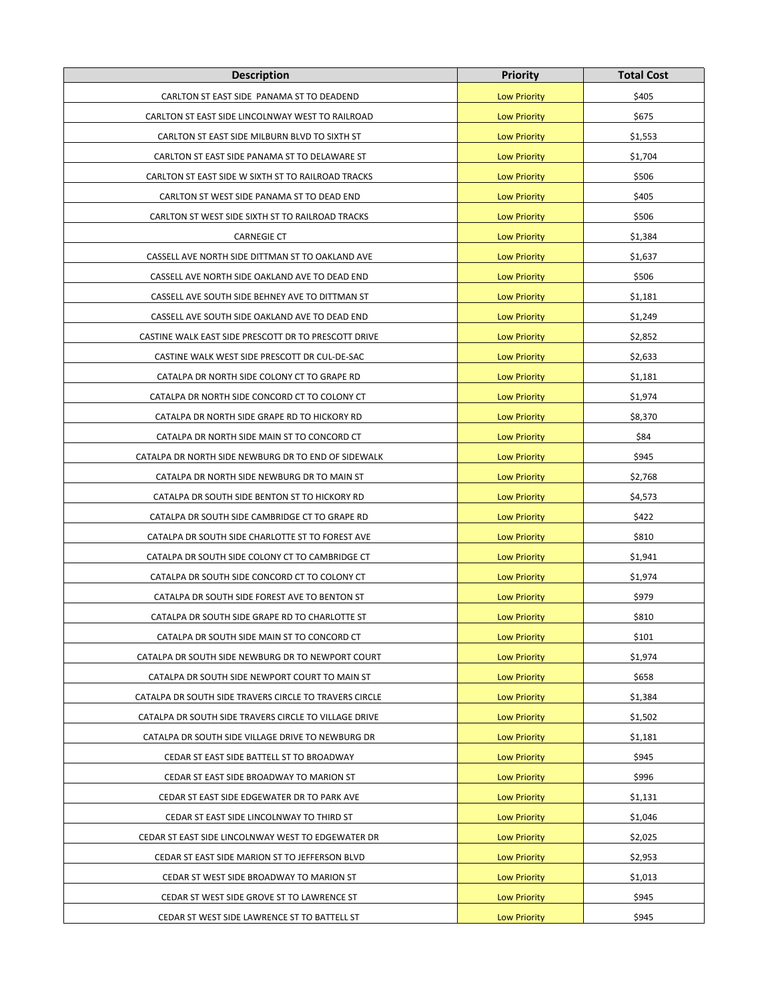| <b>Description</b>                                     | <b>Priority</b>     | <b>Total Cost</b> |
|--------------------------------------------------------|---------------------|-------------------|
| CARLTON ST EAST SIDE PANAMA ST TO DEADEND              | <b>Low Priority</b> | \$405             |
| CARLTON ST EAST SIDE LINCOLNWAY WEST TO RAILROAD       | <b>Low Priority</b> | \$675             |
| CARLTON ST EAST SIDE MILBURN BLVD TO SIXTH ST          | <b>Low Priority</b> | \$1,553           |
| CARLTON ST EAST SIDE PANAMA ST TO DELAWARE ST          | <b>Low Priority</b> | \$1,704           |
| CARLTON ST EAST SIDE W SIXTH ST TO RAILROAD TRACKS     | <b>Low Priority</b> | \$506             |
| CARLTON ST WEST SIDE PANAMA ST TO DEAD END             | <b>Low Priority</b> | \$405             |
| CARLTON ST WEST SIDE SIXTH ST TO RAILROAD TRACKS       | <b>Low Priority</b> | \$506             |
| <b>CARNEGIE CT</b>                                     | <b>Low Priority</b> | \$1,384           |
| CASSELL AVE NORTH SIDE DITTMAN ST TO OAKLAND AVE       | <b>Low Priority</b> | \$1,637           |
| CASSELL AVE NORTH SIDE OAKLAND AVE TO DEAD END         | <b>Low Priority</b> | \$506             |
| CASSELL AVE SOUTH SIDE BEHNEY AVE TO DITTMAN ST        | <b>Low Priority</b> | \$1,181           |
| CASSELL AVE SOUTH SIDE OAKLAND AVE TO DEAD END         | <b>Low Priority</b> | \$1,249           |
| CASTINE WALK EAST SIDE PRESCOTT DR TO PRESCOTT DRIVE   | <b>Low Priority</b> | \$2,852           |
| CASTINE WALK WEST SIDE PRESCOTT DR CUL-DE-SAC          | <b>Low Priority</b> | \$2,633           |
| CATALPA DR NORTH SIDE COLONY CT TO GRAPE RD            | <b>Low Priority</b> | \$1,181           |
| CATALPA DR NORTH SIDE CONCORD CT TO COLONY CT          | <b>Low Priority</b> | \$1,974           |
| CATALPA DR NORTH SIDE GRAPE RD TO HICKORY RD           | <b>Low Priority</b> | \$8,370           |
| CATALPA DR NORTH SIDE MAIN ST TO CONCORD CT            | <b>Low Priority</b> | \$84              |
| CATALPA DR NORTH SIDE NEWBURG DR TO END OF SIDEWALK    | <b>Low Priority</b> | \$945             |
| CATALPA DR NORTH SIDE NEWBURG DR TO MAIN ST            | <b>Low Priority</b> | \$2,768           |
| CATALPA DR SOUTH SIDE BENTON ST TO HICKORY RD          | <b>Low Priority</b> | \$4,573           |
| CATALPA DR SOUTH SIDE CAMBRIDGE CT TO GRAPE RD         | <b>Low Priority</b> | \$422             |
| CATALPA DR SOUTH SIDE CHARLOTTE ST TO FOREST AVE       | <b>Low Priority</b> | \$810             |
| CATALPA DR SOUTH SIDE COLONY CT TO CAMBRIDGE CT        | <b>Low Priority</b> | \$1,941           |
| CATALPA DR SOUTH SIDE CONCORD CT TO COLONY CT          | <b>Low Priority</b> | \$1,974           |
| CATALPA DR SOUTH SIDE FOREST AVE TO BENTON ST          | <b>Low Priority</b> | \$979             |
| CATALPA DR SOUTH SIDE GRAPE RD TO CHARLOTTE ST         | <b>Low Priority</b> | \$810             |
| CATALPA DR SOUTH SIDE MAIN ST TO CONCORD CT            | <b>Low Priority</b> | \$101             |
| CATALPA DR SOUTH SIDE NEWBURG DR TO NEWPORT COURT      | <b>Low Priority</b> | \$1,974           |
| CATALPA DR SOUTH SIDE NEWPORT COURT TO MAIN ST         | <b>Low Priority</b> | \$658             |
| CATALPA DR SOUTH SIDE TRAVERS CIRCLE TO TRAVERS CIRCLE | <b>Low Priority</b> | \$1,384           |
| CATALPA DR SOUTH SIDE TRAVERS CIRCLE TO VILLAGE DRIVE  | <b>Low Priority</b> | \$1,502           |
| CATALPA DR SOUTH SIDE VILLAGE DRIVE TO NEWBURG DR      | <b>Low Priority</b> | \$1,181           |
| CEDAR ST EAST SIDE BATTELL ST TO BROADWAY              | <b>Low Priority</b> | \$945             |
| CEDAR ST EAST SIDE BROADWAY TO MARION ST               | <b>Low Priority</b> | \$996             |
| CEDAR ST EAST SIDE EDGEWATER DR TO PARK AVE            | <b>Low Priority</b> | \$1,131           |
| CEDAR ST EAST SIDE LINCOLNWAY TO THIRD ST              | <b>Low Priority</b> | \$1,046           |
| CEDAR ST EAST SIDE LINCOLNWAY WEST TO EDGEWATER DR     | <b>Low Priority</b> | \$2,025           |
| CEDAR ST EAST SIDE MARION ST TO JEFFERSON BLVD         | <b>Low Priority</b> | \$2,953           |
| CEDAR ST WEST SIDE BROADWAY TO MARION ST               | <b>Low Priority</b> | \$1,013           |
| CEDAR ST WEST SIDE GROVE ST TO LAWRENCE ST             | <b>Low Priority</b> | \$945             |
| CEDAR ST WEST SIDE LAWRENCE ST TO BATTELL ST           | <b>Low Priority</b> | \$945             |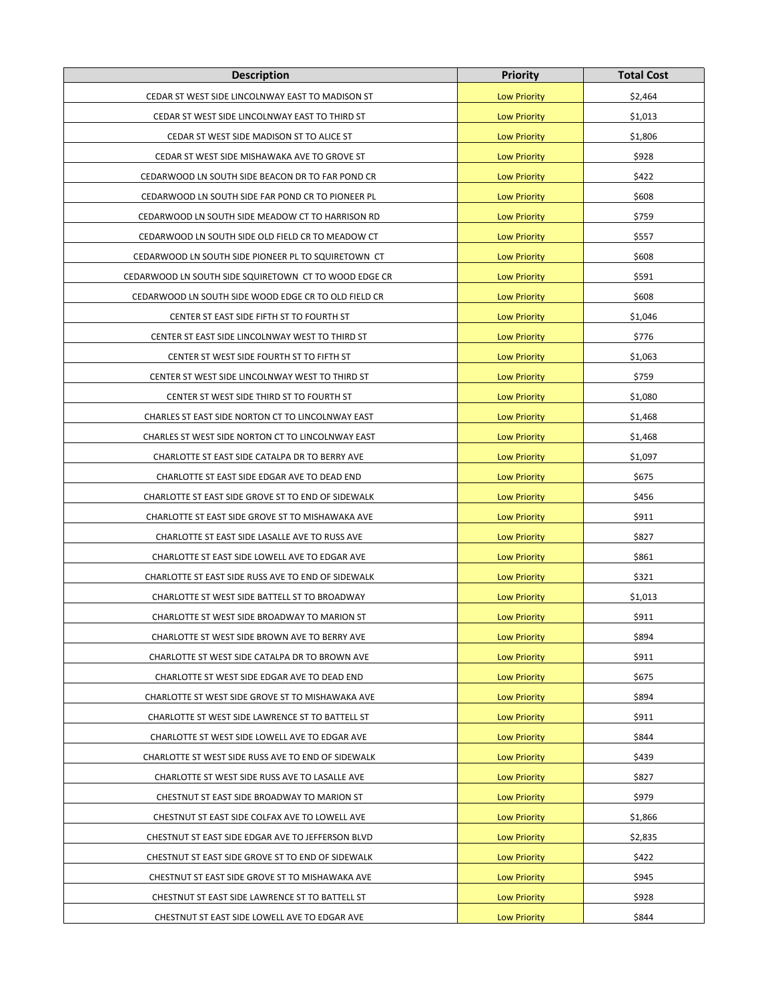| <b>Description</b>                                    | <b>Priority</b>     | <b>Total Cost</b> |
|-------------------------------------------------------|---------------------|-------------------|
| CEDAR ST WEST SIDE LINCOLNWAY EAST TO MADISON ST      | <b>Low Priority</b> | \$2,464           |
| CEDAR ST WEST SIDE LINCOLNWAY EAST TO THIRD ST        | <b>Low Priority</b> | \$1,013           |
| CEDAR ST WEST SIDE MADISON ST TO ALICE ST             | <b>Low Priority</b> | \$1,806           |
| CEDAR ST WEST SIDE MISHAWAKA AVE TO GROVE ST          | <b>Low Priority</b> | \$928             |
| CEDARWOOD LN SOUTH SIDE BEACON DR TO FAR POND CR      | <b>Low Priority</b> | \$422             |
| CEDARWOOD LN SOUTH SIDE FAR POND CR TO PIONEER PL     | <b>Low Priority</b> | \$608             |
| CEDARWOOD LN SOUTH SIDE MEADOW CT TO HARRISON RD      | <b>Low Priority</b> | \$759             |
| CEDARWOOD LN SOUTH SIDE OLD FIELD CR TO MEADOW CT     | <b>Low Priority</b> | \$557             |
| CEDARWOOD LN SOUTH SIDE PIONEER PL TO SQUIRETOWN CT   | <b>Low Priority</b> | \$608             |
| CEDARWOOD LN SOUTH SIDE SQUIRETOWN CT TO WOOD EDGE CR | <b>Low Priority</b> | \$591             |
| CEDARWOOD LN SOUTH SIDE WOOD EDGE CR TO OLD FIELD CR  | <b>Low Priority</b> | \$608             |
| CENTER ST EAST SIDE FIFTH ST TO FOURTH ST             | <b>Low Priority</b> | \$1,046           |
| CENTER ST EAST SIDE LINCOLNWAY WEST TO THIRD ST       | <b>Low Priority</b> | \$776             |
| CENTER ST WEST SIDE FOURTH ST TO FIFTH ST             | <b>Low Priority</b> | \$1,063           |
| CENTER ST WEST SIDE LINCOLNWAY WEST TO THIRD ST       | <b>Low Priority</b> | \$759             |
| CENTER ST WEST SIDE THIRD ST TO FOURTH ST             | <b>Low Priority</b> | \$1,080           |
| CHARLES ST EAST SIDE NORTON CT TO LINCOLNWAY EAST     | <b>Low Priority</b> | \$1,468           |
| CHARLES ST WEST SIDE NORTON CT TO LINCOLNWAY EAST     | <b>Low Priority</b> | \$1,468           |
| CHARLOTTE ST EAST SIDE CATALPA DR TO BERRY AVE        | <b>Low Priority</b> | \$1,097           |
| CHARLOTTE ST EAST SIDE EDGAR AVE TO DEAD END          | <b>Low Priority</b> | \$675             |
| CHARLOTTE ST EAST SIDE GROVE ST TO END OF SIDEWALK    | <b>Low Priority</b> | \$456             |
| CHARLOTTE ST EAST SIDE GROVE ST TO MISHAWAKA AVE      | <b>Low Priority</b> | \$911             |
| CHARLOTTE ST EAST SIDE LASALLE AVE TO RUSS AVE        | <b>Low Priority</b> | \$827             |
| CHARLOTTE ST EAST SIDE LOWELL AVE TO EDGAR AVE        | <b>Low Priority</b> | \$861             |
| CHARLOTTE ST EAST SIDE RUSS AVE TO END OF SIDEWALK    | <b>Low Priority</b> | \$321             |
| CHARLOTTE ST WEST SIDE BATTELL ST TO BROADWAY         | <b>Low Priority</b> | \$1,013           |
| CHARLOTTE ST WEST SIDE BROADWAY TO MARION ST          | <b>Low Priority</b> | \$911             |
| CHARLOTTE ST WEST SIDE BROWN AVE TO BERRY AVE         | <b>Low Priority</b> | \$894             |
| CHARLOTTE ST WEST SIDE CATALPA DR TO BROWN AVE        | <b>Low Priority</b> | \$911             |
| CHARLOTTE ST WEST SIDE EDGAR AVE TO DEAD END          | <b>Low Priority</b> | \$675             |
| CHARLOTTE ST WEST SIDE GROVE ST TO MISHAWAKA AVE      | <b>Low Priority</b> | \$894             |
| CHARLOTTE ST WEST SIDE LAWRENCE ST TO BATTELL ST      | <b>Low Priority</b> | \$911             |
| CHARLOTTE ST WEST SIDE LOWELL AVE TO EDGAR AVE        | <b>Low Priority</b> | \$844             |
| CHARLOTTE ST WEST SIDE RUSS AVE TO END OF SIDEWALK    | <b>Low Priority</b> | \$439             |
| CHARLOTTE ST WEST SIDE RUSS AVE TO LASALLE AVE        | <b>Low Priority</b> | \$827             |
| CHESTNUT ST EAST SIDE BROADWAY TO MARION ST           | <b>Low Priority</b> | \$979             |
| CHESTNUT ST EAST SIDE COLFAX AVE TO LOWELL AVE        | <b>Low Priority</b> | \$1,866           |
| CHESTNUT ST EAST SIDE EDGAR AVE TO JEFFERSON BLVD     | <b>Low Priority</b> | \$2,835           |
| CHESTNUT ST EAST SIDE GROVE ST TO END OF SIDEWALK     | <b>Low Priority</b> | \$422             |
| CHESTNUT ST EAST SIDE GROVE ST TO MISHAWAKA AVE       | <b>Low Priority</b> | \$945             |
| CHESTNUT ST EAST SIDE LAWRENCE ST TO BATTELL ST       | <b>Low Priority</b> | \$928             |
| CHESTNUT ST EAST SIDE LOWELL AVE TO EDGAR AVE         | <b>Low Priority</b> | \$844             |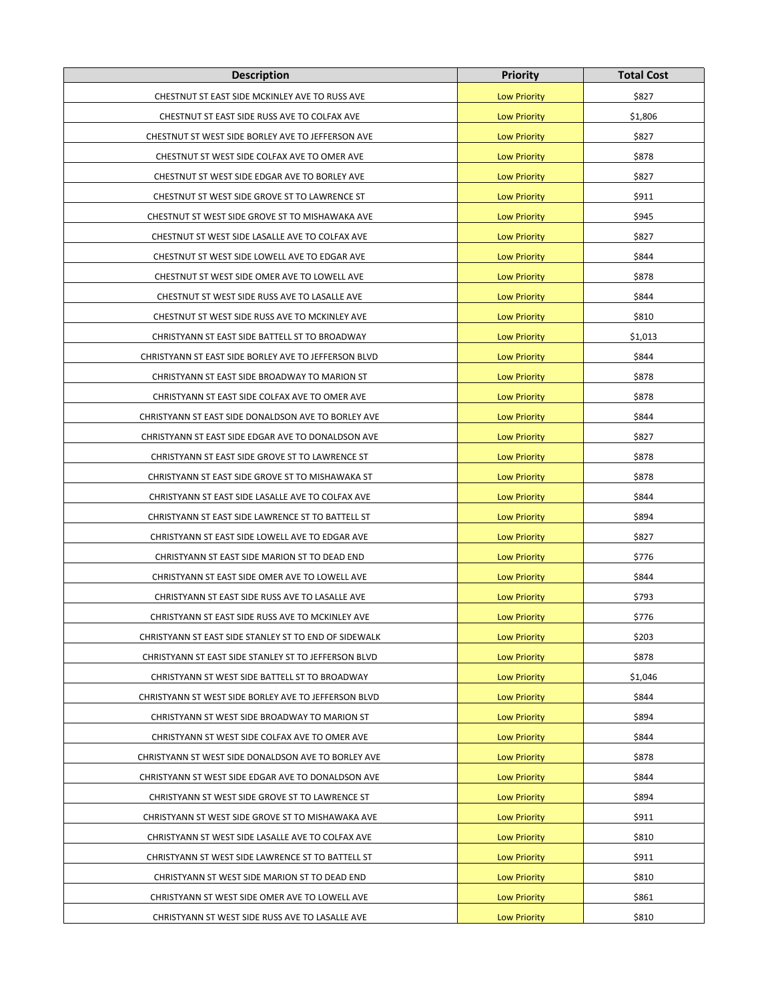| <b>Description</b>                                    | <b>Priority</b>     | <b>Total Cost</b> |
|-------------------------------------------------------|---------------------|-------------------|
| CHESTNUT ST EAST SIDE MCKINLEY AVE TO RUSS AVE        | <b>Low Priority</b> | \$827             |
| CHESTNUT ST EAST SIDE RUSS AVE TO COLFAX AVE          | <b>Low Priority</b> | \$1,806           |
| CHESTNUT ST WEST SIDE BORLEY AVE TO JEFFERSON AVE     | <b>Low Priority</b> | \$827             |
| CHESTNUT ST WEST SIDE COLFAX AVE TO OMER AVE          | <b>Low Priority</b> | \$878             |
| CHESTNUT ST WEST SIDE EDGAR AVE TO BORLEY AVE         | <b>Low Priority</b> | \$827             |
| CHESTNUT ST WEST SIDE GROVE ST TO LAWRENCE ST         | <b>Low Priority</b> | \$911             |
| CHESTNUT ST WEST SIDE GROVE ST TO MISHAWAKA AVE       | <b>Low Priority</b> | \$945             |
| CHESTNUT ST WEST SIDE LASALLE AVE TO COLFAX AVE       | <b>Low Priority</b> | \$827             |
| CHESTNUT ST WEST SIDE LOWELL AVE TO EDGAR AVE         | <b>Low Priority</b> | \$844             |
| CHESTNUT ST WEST SIDE OMER AVE TO LOWELL AVE          | <b>Low Priority</b> | \$878             |
| CHESTNUT ST WEST SIDE RUSS AVE TO LASALLE AVE         | <b>Low Priority</b> | \$844             |
| CHESTNUT ST WEST SIDE RUSS AVE TO MCKINLEY AVE        | <b>Low Priority</b> | \$810             |
| CHRISTYANN ST EAST SIDE BATTELL ST TO BROADWAY        | <b>Low Priority</b> | \$1,013           |
| CHRISTYANN ST EAST SIDE BORLEY AVE TO JEFFERSON BLVD  | <b>Low Priority</b> | \$844             |
| CHRISTYANN ST EAST SIDE BROADWAY TO MARION ST         | <b>Low Priority</b> | \$878             |
| CHRISTYANN ST EAST SIDE COLFAX AVE TO OMER AVE        | <b>Low Priority</b> | \$878             |
| CHRISTYANN ST EAST SIDE DONALDSON AVE TO BORLEY AVE   | <b>Low Priority</b> | \$844             |
| CHRISTYANN ST EAST SIDE EDGAR AVE TO DONALDSON AVE    | <b>Low Priority</b> | \$827             |
| CHRISTYANN ST EAST SIDE GROVE ST TO LAWRENCE ST       | <b>Low Priority</b> | \$878             |
| CHRISTYANN ST EAST SIDE GROVE ST TO MISHAWAKA ST      | <b>Low Priority</b> | \$878             |
| CHRISTYANN ST EAST SIDE LASALLE AVE TO COLFAX AVE     | <b>Low Priority</b> | \$844             |
| CHRISTYANN ST EAST SIDE LAWRENCE ST TO BATTELL ST     | <b>Low Priority</b> | \$894             |
| CHRISTYANN ST EAST SIDE LOWELL AVE TO EDGAR AVE       | <b>Low Priority</b> | \$827             |
| CHRISTYANN ST EAST SIDE MARION ST TO DEAD END         | <b>Low Priority</b> | \$776             |
| CHRISTYANN ST EAST SIDE OMER AVE TO LOWELL AVE        | <b>Low Priority</b> | \$844             |
| CHRISTYANN ST EAST SIDE RUSS AVE TO LASALLE AVE       | <b>Low Priority</b> | \$793             |
| CHRISTYANN ST EAST SIDE RUSS AVE TO MCKINLEY AVE      | <b>Low Priority</b> | \$776             |
| CHRISTYANN ST EAST SIDE STANLEY ST TO END OF SIDEWALK | <b>Low Priority</b> | \$203             |
| CHRISTYANN ST EAST SIDE STANLEY ST TO JEFFERSON BLVD  | <b>Low Priority</b> | \$878             |
| CHRISTYANN ST WEST SIDE BATTELL ST TO BROADWAY        | <b>Low Priority</b> | \$1,046           |
| CHRISTYANN ST WEST SIDE BORLEY AVE TO JEFFERSON BLVD  | <b>Low Priority</b> | \$844             |
| CHRISTYANN ST WEST SIDE BROADWAY TO MARION ST         | <b>Low Priority</b> | \$894             |
| CHRISTYANN ST WEST SIDE COLFAX AVE TO OMER AVE        | <b>Low Priority</b> | \$844             |
| CHRISTYANN ST WEST SIDE DONALDSON AVE TO BORLEY AVE   | <b>Low Priority</b> | \$878             |
| CHRISTYANN ST WEST SIDE EDGAR AVE TO DONALDSON AVE    | <b>Low Priority</b> | \$844             |
| CHRISTYANN ST WEST SIDE GROVE ST TO LAWRENCE ST       | <b>Low Priority</b> | \$894             |
| CHRISTYANN ST WEST SIDE GROVE ST TO MISHAWAKA AVE     | <b>Low Priority</b> | \$911             |
| CHRISTYANN ST WEST SIDE LASALLE AVE TO COLFAX AVE     | <b>Low Priority</b> | \$810             |
| CHRISTYANN ST WEST SIDE LAWRENCE ST TO BATTELL ST     | <b>Low Priority</b> | \$911             |
| CHRISTYANN ST WEST SIDE MARION ST TO DEAD END         | <b>Low Priority</b> | \$810             |
| CHRISTYANN ST WEST SIDE OMER AVE TO LOWELL AVE        | <b>Low Priority</b> | \$861             |
| CHRISTYANN ST WEST SIDE RUSS AVE TO LASALLE AVE       | <b>Low Priority</b> | \$810             |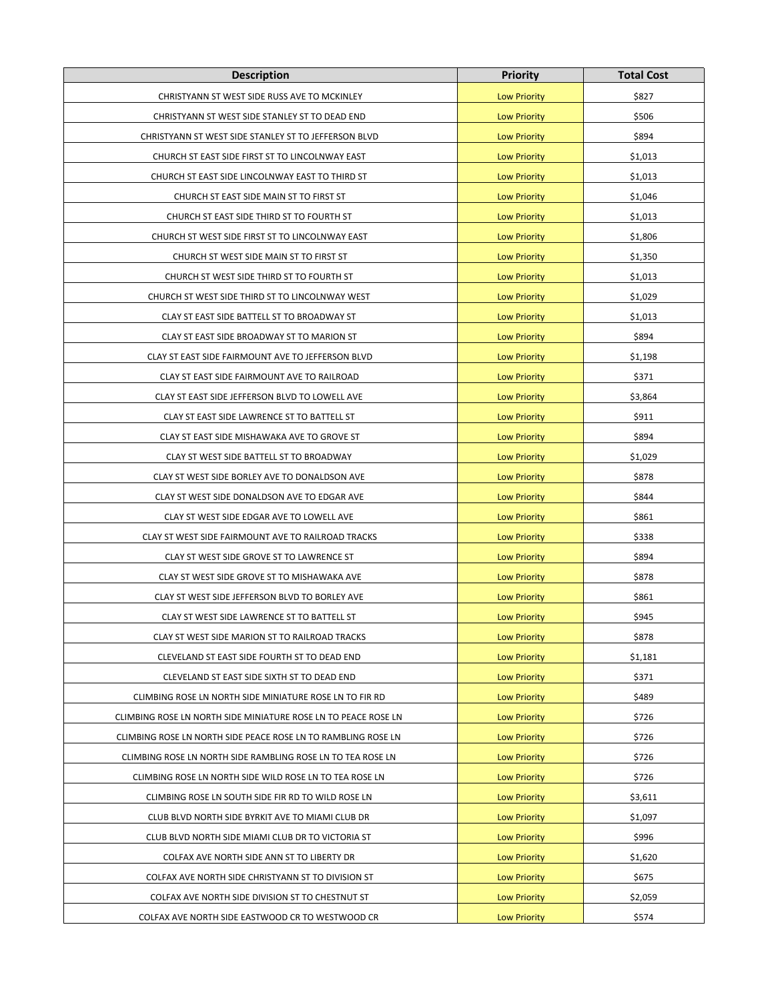| <b>Description</b>                                             | <b>Priority</b>     | <b>Total Cost</b> |
|----------------------------------------------------------------|---------------------|-------------------|
| CHRISTYANN ST WEST SIDE RUSS AVE TO MCKINLEY                   | <b>Low Priority</b> | \$827             |
| CHRISTYANN ST WEST SIDE STANLEY ST TO DEAD END                 | <b>Low Priority</b> | \$506             |
| CHRISTYANN ST WEST SIDE STANLEY ST TO JEFFERSON BLVD           | <b>Low Priority</b> | \$894             |
| CHURCH ST EAST SIDE FIRST ST TO LINCOLNWAY EAST                | <b>Low Priority</b> | \$1,013           |
| CHURCH ST EAST SIDE LINCOLNWAY EAST TO THIRD ST                | <b>Low Priority</b> | \$1,013           |
| CHURCH ST EAST SIDE MAIN ST TO FIRST ST                        | <b>Low Priority</b> | \$1,046           |
| CHURCH ST EAST SIDE THIRD ST TO FOURTH ST                      | <b>Low Priority</b> | \$1,013           |
| CHURCH ST WEST SIDE FIRST ST TO LINCOLNWAY EAST                | <b>Low Priority</b> | \$1,806           |
| CHURCH ST WEST SIDE MAIN ST TO FIRST ST                        | <b>Low Priority</b> | \$1,350           |
| CHURCH ST WEST SIDE THIRD ST TO FOURTH ST                      | <b>Low Priority</b> | \$1,013           |
| CHURCH ST WEST SIDE THIRD ST TO LINCOLNWAY WEST                | <b>Low Priority</b> | \$1,029           |
| CLAY ST EAST SIDE BATTELL ST TO BROADWAY ST                    | <b>Low Priority</b> | \$1,013           |
| CLAY ST EAST SIDE BROADWAY ST TO MARION ST                     | <b>Low Priority</b> | \$894             |
| CLAY ST EAST SIDE FAIRMOUNT AVE TO JEFFERSON BLVD              | <b>Low Priority</b> | \$1,198           |
| CLAY ST EAST SIDE FAIRMOUNT AVE TO RAILROAD                    | <b>Low Priority</b> | \$371             |
| CLAY ST EAST SIDE JEFFERSON BLVD TO LOWELL AVE                 | <b>Low Priority</b> | \$3,864           |
| CLAY ST EAST SIDE LAWRENCE ST TO BATTELL ST                    | <b>Low Priority</b> | \$911             |
| CLAY ST EAST SIDE MISHAWAKA AVE TO GROVE ST                    | <b>Low Priority</b> | \$894             |
| CLAY ST WEST SIDE BATTELL ST TO BROADWAY                       | <b>Low Priority</b> | \$1,029           |
| CLAY ST WEST SIDE BORLEY AVE TO DONALDSON AVE                  | <b>Low Priority</b> | \$878             |
| CLAY ST WEST SIDE DONALDSON AVE TO EDGAR AVE                   | <b>Low Priority</b> | \$844             |
| CLAY ST WEST SIDE EDGAR AVE TO LOWELL AVE                      | <b>Low Priority</b> | \$861             |
| CLAY ST WEST SIDE FAIRMOUNT AVE TO RAILROAD TRACKS             | <b>Low Priority</b> | \$338             |
| CLAY ST WEST SIDE GROVE ST TO LAWRENCE ST                      | <b>Low Priority</b> | \$894             |
| CLAY ST WEST SIDE GROVE ST TO MISHAWAKA AVE                    | <b>Low Priority</b> | \$878             |
| CLAY ST WEST SIDE JEFFERSON BLVD TO BORLEY AVE                 | <b>Low Priority</b> | \$861             |
| CLAY ST WEST SIDE LAWRENCE ST TO BATTELL ST                    | <b>Low Priority</b> | \$945             |
| CLAY ST WEST SIDE MARION ST TO RAILROAD TRACKS                 | <b>Low Priority</b> | \$878             |
| CLEVELAND ST EAST SIDE FOURTH ST TO DEAD END                   | <b>Low Priority</b> | \$1,181           |
| CLEVELAND ST EAST SIDE SIXTH ST TO DEAD END                    | <b>Low Priority</b> | \$371             |
| CLIMBING ROSE LN NORTH SIDE MINIATURE ROSE LN TO FIR RD        | <b>Low Priority</b> | \$489             |
| CLIMBING ROSE LN NORTH SIDE MINIATURE ROSE LN TO PEACE ROSE LN | <b>Low Priority</b> | \$726             |
| CLIMBING ROSE LN NORTH SIDE PEACE ROSE LN TO RAMBLING ROSE LN  | <b>Low Priority</b> | \$726             |
| CLIMBING ROSE LN NORTH SIDE RAMBLING ROSE LN TO TEA ROSE LN    | <b>Low Priority</b> | \$726             |
| CLIMBING ROSE LN NORTH SIDE WILD ROSE LN TO TEA ROSE LN        | <b>Low Priority</b> | \$726             |
| CLIMBING ROSE LN SOUTH SIDE FIR RD TO WILD ROSE LN             | <b>Low Priority</b> | \$3,611           |
| CLUB BLVD NORTH SIDE BYRKIT AVE TO MIAMI CLUB DR               | <b>Low Priority</b> | \$1,097           |
| CLUB BLVD NORTH SIDE MIAMI CLUB DR TO VICTORIA ST              | <b>Low Priority</b> | \$996             |
| COLFAX AVE NORTH SIDE ANN ST TO LIBERTY DR                     | <b>Low Priority</b> | \$1,620           |
| COLFAX AVE NORTH SIDE CHRISTYANN ST TO DIVISION ST             | <b>Low Priority</b> | \$675             |
| COLFAX AVE NORTH SIDE DIVISION ST TO CHESTNUT ST               | <b>Low Priority</b> | \$2,059           |
| COLFAX AVE NORTH SIDE EASTWOOD CR TO WESTWOOD CR               | <b>Low Priority</b> | \$574             |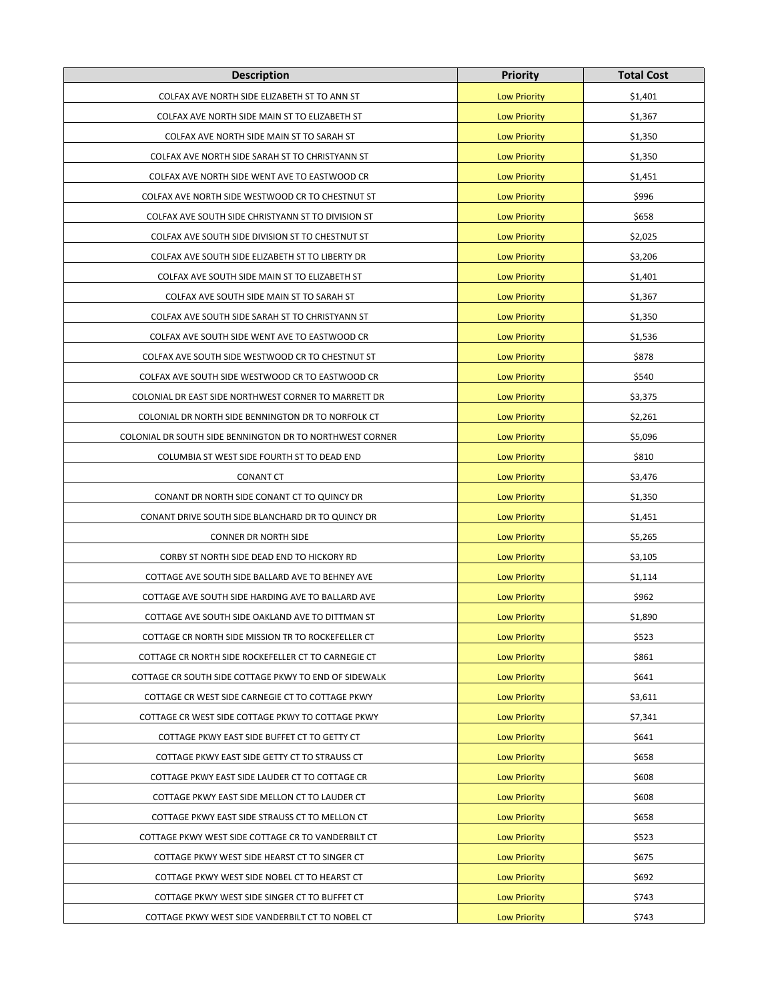| <b>Description</b>                                       | <b>Priority</b>     | <b>Total Cost</b> |
|----------------------------------------------------------|---------------------|-------------------|
| COLFAX AVE NORTH SIDE ELIZABETH ST TO ANN ST             | <b>Low Priority</b> | \$1,401           |
| COLFAX AVE NORTH SIDE MAIN ST TO ELIZABETH ST            | <b>Low Priority</b> | \$1,367           |
| COLFAX AVE NORTH SIDE MAIN ST TO SARAH ST                | <b>Low Priority</b> | \$1,350           |
| COLFAX AVE NORTH SIDE SARAH ST TO CHRISTYANN ST          | <b>Low Priority</b> | \$1,350           |
| COLFAX AVE NORTH SIDE WENT AVE TO EASTWOOD CR            | <b>Low Priority</b> | \$1,451           |
| COLFAX AVE NORTH SIDE WESTWOOD CR TO CHESTNUT ST         | <b>Low Priority</b> | \$996             |
| COLFAX AVE SOUTH SIDE CHRISTYANN ST TO DIVISION ST       | <b>Low Priority</b> | \$658             |
| COLFAX AVE SOUTH SIDE DIVISION ST TO CHESTNUT ST         | <b>Low Priority</b> | \$2,025           |
| COLFAX AVE SOUTH SIDE ELIZABETH ST TO LIBERTY DR         | <b>Low Priority</b> | \$3,206           |
| COLFAX AVE SOUTH SIDE MAIN ST TO ELIZABETH ST            | <b>Low Priority</b> | \$1,401           |
| COLFAX AVE SOUTH SIDE MAIN ST TO SARAH ST                | <b>Low Priority</b> | \$1,367           |
| COLFAX AVE SOUTH SIDE SARAH ST TO CHRISTYANN ST          | <b>Low Priority</b> | \$1,350           |
| COLFAX AVE SOUTH SIDE WENT AVE TO EASTWOOD CR            | <b>Low Priority</b> | \$1,536           |
| COLFAX AVE SOUTH SIDE WESTWOOD CR TO CHESTNUT ST         | <b>Low Priority</b> | \$878             |
| COLFAX AVE SOUTH SIDE WESTWOOD CR TO EASTWOOD CR         | <b>Low Priority</b> | \$540             |
| COLONIAL DR EAST SIDE NORTHWEST CORNER TO MARRETT DR     | <b>Low Priority</b> | \$3,375           |
| COLONIAL DR NORTH SIDE BENNINGTON DR TO NORFOLK CT       | <b>Low Priority</b> | \$2,261           |
| COLONIAL DR SOUTH SIDE BENNINGTON DR TO NORTHWEST CORNER | <b>Low Priority</b> | \$5,096           |
| COLUMBIA ST WEST SIDE FOURTH ST TO DEAD END              | <b>Low Priority</b> | \$810             |
| <b>CONANT CT</b>                                         | <b>Low Priority</b> | \$3,476           |
| CONANT DR NORTH SIDE CONANT CT TO QUINCY DR              | <b>Low Priority</b> | \$1,350           |
| CONANT DRIVE SOUTH SIDE BLANCHARD DR TO QUINCY DR        | <b>Low Priority</b> | \$1,451           |
| <b>CONNER DR NORTH SIDE</b>                              | <b>Low Priority</b> | \$5,265           |
| CORBY ST NORTH SIDE DEAD END TO HICKORY RD               | <b>Low Priority</b> | \$3,105           |
| COTTAGE AVE SOUTH SIDE BALLARD AVE TO BEHNEY AVE         | <b>Low Priority</b> | \$1,114           |
| COTTAGE AVE SOUTH SIDE HARDING AVE TO BALLARD AVE        | <b>Low Priority</b> | \$962             |
| COTTAGE AVE SOUTH SIDE OAKLAND AVE TO DITTMAN ST         | <b>Low Priority</b> | \$1,890           |
| COTTAGE CR NORTH SIDE MISSION TR TO ROCKEFELLER CT       | <b>Low Priority</b> | \$523             |
| COTTAGE CR NORTH SIDE ROCKEFELLER CT TO CARNEGIE CT      | <b>Low Priority</b> | \$861             |
| COTTAGE CR SOUTH SIDE COTTAGE PKWY TO END OF SIDEWALK    | <b>Low Priority</b> | \$641             |
| COTTAGE CR WEST SIDE CARNEGIE CT TO COTTAGE PKWY         | <b>Low Priority</b> | \$3,611           |
| COTTAGE CR WEST SIDE COTTAGE PKWY TO COTTAGE PKWY        | <b>Low Priority</b> | \$7,341           |
| COTTAGE PKWY EAST SIDE BUFFET CT TO GETTY CT             | <b>Low Priority</b> | \$641             |
| COTTAGE PKWY EAST SIDE GETTY CT TO STRAUSS CT            | <b>Low Priority</b> | \$658             |
| COTTAGE PKWY EAST SIDE LAUDER CT TO COTTAGE CR           | <b>Low Priority</b> | \$608             |
| COTTAGE PKWY EAST SIDE MELLON CT TO LAUDER CT            | <b>Low Priority</b> | \$608             |
| COTTAGE PKWY EAST SIDE STRAUSS CT TO MELLON CT           | <b>Low Priority</b> | \$658             |
| COTTAGE PKWY WEST SIDE COTTAGE CR TO VANDERBILT CT       | <b>Low Priority</b> | \$523             |
| COTTAGE PKWY WEST SIDE HEARST CT TO SINGER CT            | <b>Low Priority</b> | \$675             |
| COTTAGE PKWY WEST SIDE NOBEL CT TO HEARST CT             | <b>Low Priority</b> | \$692             |
| COTTAGE PKWY WEST SIDE SINGER CT TO BUFFET CT            | <b>Low Priority</b> | \$743             |
| COTTAGE PKWY WEST SIDE VANDERBILT CT TO NOBEL CT         | <b>Low Priority</b> | \$743             |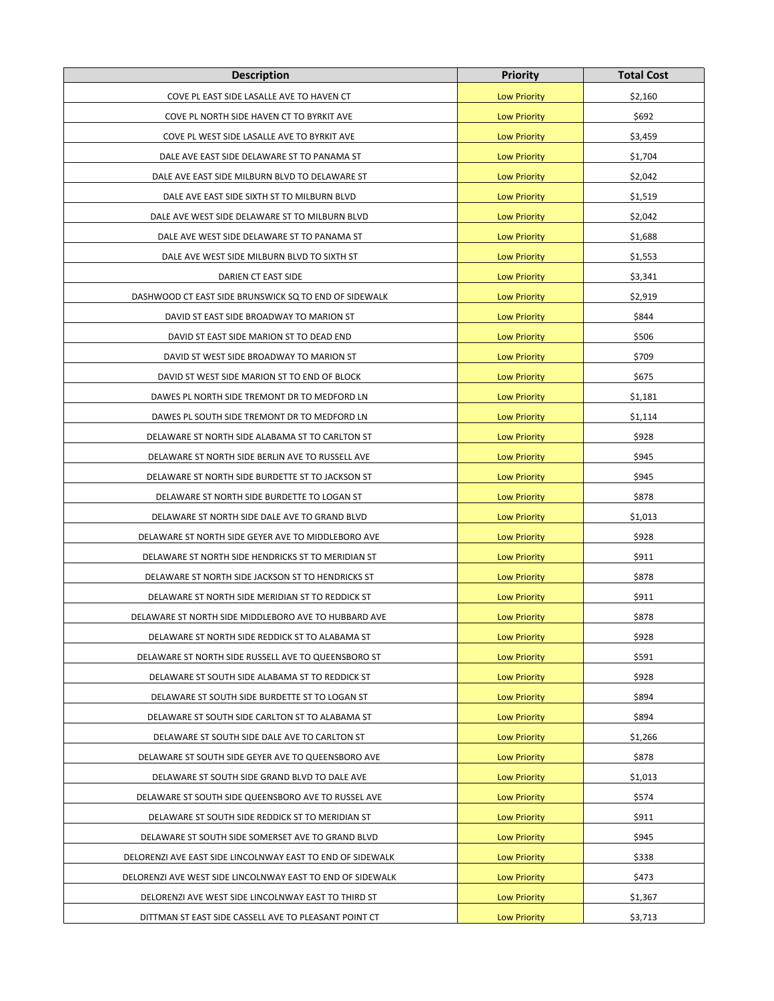| <b>Description</b>                                         | <b>Priority</b>     | <b>Total Cost</b> |
|------------------------------------------------------------|---------------------|-------------------|
| COVE PL EAST SIDE LASALLE AVE TO HAVEN CT                  | <b>Low Priority</b> | \$2,160           |
| COVE PL NORTH SIDE HAVEN CT TO BYRKIT AVE                  | <b>Low Priority</b> | \$692             |
| COVE PL WEST SIDE LASALLE AVE TO BYRKIT AVE                | <b>Low Priority</b> | \$3,459           |
| DALE AVE EAST SIDE DELAWARE ST TO PANAMA ST                | <b>Low Priority</b> | \$1,704           |
| DALE AVE EAST SIDE MILBURN BLVD TO DELAWARE ST             | <b>Low Priority</b> | \$2,042           |
| DALE AVE EAST SIDE SIXTH ST TO MILBURN BLVD                | <b>Low Priority</b> | \$1,519           |
| DALE AVE WEST SIDE DELAWARE ST TO MILBURN BLVD             | <b>Low Priority</b> | \$2,042           |
| DALE AVE WEST SIDE DELAWARE ST TO PANAMA ST                | <b>Low Priority</b> | \$1,688           |
| DALE AVE WEST SIDE MILBURN BLVD TO SIXTH ST                | <b>Low Priority</b> | \$1,553           |
| DARIEN CT EAST SIDE                                        | <b>Low Priority</b> | \$3,341           |
| DASHWOOD CT EAST SIDE BRUNSWICK SQ TO END OF SIDEWALK      | <b>Low Priority</b> | \$2,919           |
| DAVID ST EAST SIDE BROADWAY TO MARION ST                   | <b>Low Priority</b> | \$844             |
| DAVID ST EAST SIDE MARION ST TO DEAD END                   | <b>Low Priority</b> | \$506             |
| DAVID ST WEST SIDE BROADWAY TO MARION ST                   | <b>Low Priority</b> | \$709             |
| DAVID ST WEST SIDE MARION ST TO END OF BLOCK               | <b>Low Priority</b> | \$675             |
| DAWES PL NORTH SIDE TREMONT DR TO MEDFORD LN               | <b>Low Priority</b> | \$1,181           |
| DAWES PL SOUTH SIDE TREMONT DR TO MEDFORD LN               | <b>Low Priority</b> | \$1,114           |
| DELAWARE ST NORTH SIDE ALABAMA ST TO CARLTON ST            | <b>Low Priority</b> | \$928             |
| DELAWARE ST NORTH SIDE BERLIN AVE TO RUSSELL AVE           | <b>Low Priority</b> | \$945             |
| DELAWARE ST NORTH SIDE BURDETTE ST TO JACKSON ST           | <b>Low Priority</b> | \$945             |
| DELAWARE ST NORTH SIDE BURDETTE TO LOGAN ST                | <b>Low Priority</b> | \$878             |
| DELAWARE ST NORTH SIDE DALE AVE TO GRAND BLVD              | <b>Low Priority</b> | \$1,013           |
| DELAWARE ST NORTH SIDE GEYER AVE TO MIDDLEBORO AVE         | <b>Low Priority</b> | \$928             |
| DELAWARE ST NORTH SIDE HENDRICKS ST TO MERIDIAN ST         | <b>Low Priority</b> | \$911             |
| DELAWARE ST NORTH SIDE JACKSON ST TO HENDRICKS ST          | <b>Low Priority</b> | \$878             |
| DELAWARE ST NORTH SIDE MERIDIAN ST TO REDDICK ST           | <b>Low Priority</b> | \$911             |
| DELAWARE ST NORTH SIDE MIDDLEBORO AVE TO HUBBARD AVE       | <b>Low Priority</b> | \$878             |
| DELAWARE ST NORTH SIDE REDDICK ST TO ALABAMA ST            | <b>Low Priority</b> | \$928             |
| DELAWARE ST NORTH SIDE RUSSELL AVE TO QUEENSBORO ST        | <b>Low Priority</b> | \$591             |
| DELAWARE ST SOUTH SIDE ALABAMA ST TO REDDICK ST            | <b>Low Priority</b> | \$928             |
| DELAWARE ST SOUTH SIDE BURDETTE ST TO LOGAN ST             | <b>Low Priority</b> | \$894             |
| DELAWARE ST SOUTH SIDE CARLTON ST TO ALABAMA ST            | <b>Low Priority</b> | \$894             |
| DELAWARE ST SOUTH SIDE DALE AVE TO CARLTON ST              | <b>Low Priority</b> | \$1,266           |
| DELAWARE ST SOUTH SIDE GEYER AVE TO QUEENSBORO AVE         | <b>Low Priority</b> | \$878             |
| DELAWARE ST SOUTH SIDE GRAND BLVD TO DALE AVE              | <b>Low Priority</b> | \$1,013           |
| DELAWARE ST SOUTH SIDE QUEENSBORO AVE TO RUSSEL AVE        | <b>Low Priority</b> | \$574             |
| DELAWARE ST SOUTH SIDE REDDICK ST TO MERIDIAN ST           | <b>Low Priority</b> | \$911             |
| DELAWARE ST SOUTH SIDE SOMERSET AVE TO GRAND BLVD          | <b>Low Priority</b> | \$945             |
| DELORENZI AVE EAST SIDE LINCOLNWAY EAST TO END OF SIDEWALK | <b>Low Priority</b> | \$338             |
| DELORENZI AVE WEST SIDE LINCOLNWAY EAST TO END OF SIDEWALK | <b>Low Priority</b> | \$473             |
| DELORENZI AVE WEST SIDE LINCOLNWAY EAST TO THIRD ST        | <b>Low Priority</b> | \$1,367           |
| DITTMAN ST EAST SIDE CASSELL AVE TO PLEASANT POINT CT      | <b>Low Priority</b> | \$3,713           |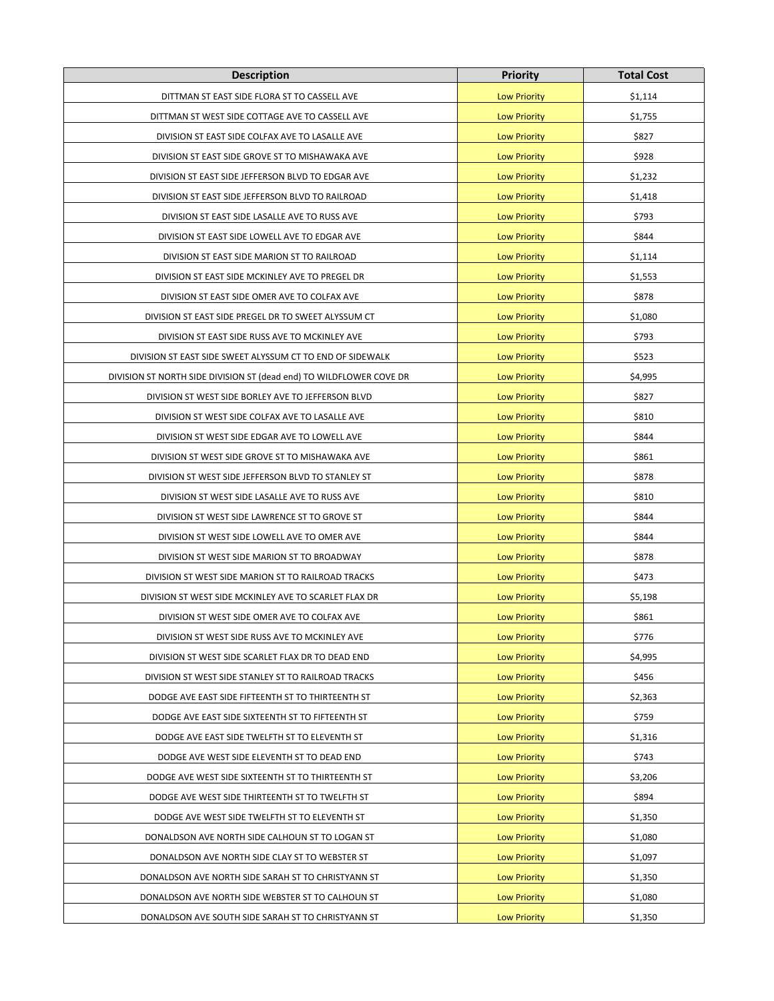| <b>Description</b>                                                  | <b>Priority</b>     | <b>Total Cost</b> |
|---------------------------------------------------------------------|---------------------|-------------------|
| DITTMAN ST EAST SIDE FLORA ST TO CASSELL AVE                        | <b>Low Priority</b> | \$1,114           |
| DITTMAN ST WEST SIDE COTTAGE AVE TO CASSELL AVE                     | <b>Low Priority</b> | \$1,755           |
| DIVISION ST EAST SIDE COLFAX AVE TO LASALLE AVE                     | <b>Low Priority</b> | \$827             |
| DIVISION ST EAST SIDE GROVE ST TO MISHAWAKA AVE                     | <b>Low Priority</b> | \$928             |
| DIVISION ST EAST SIDE JEFFERSON BLVD TO EDGAR AVE                   | <b>Low Priority</b> | \$1,232           |
| DIVISION ST EAST SIDE JEFFERSON BLVD TO RAILROAD                    | <b>Low Priority</b> | \$1,418           |
| DIVISION ST EAST SIDE LASALLE AVE TO RUSS AVE                       | <b>Low Priority</b> | \$793             |
| DIVISION ST EAST SIDE LOWELL AVE TO EDGAR AVE                       | <b>Low Priority</b> | \$844             |
| DIVISION ST EAST SIDE MARION ST TO RAILROAD                         | <b>Low Priority</b> | \$1,114           |
| DIVISION ST EAST SIDE MCKINLEY AVE TO PREGEL DR                     | <b>Low Priority</b> | \$1,553           |
| DIVISION ST EAST SIDE OMER AVE TO COLFAX AVE                        | <b>Low Priority</b> | \$878             |
| DIVISION ST EAST SIDE PREGEL DR TO SWEET ALYSSUM CT                 | <b>Low Priority</b> | \$1,080           |
| DIVISION ST EAST SIDE RUSS AVE TO MCKINLEY AVE                      | <b>Low Priority</b> | \$793             |
| DIVISION ST EAST SIDE SWEET ALYSSUM CT TO END OF SIDEWALK           | <b>Low Priority</b> | \$523             |
| DIVISION ST NORTH SIDE DIVISION ST (dead end) TO WILDFLOWER COVE DR | <b>Low Priority</b> | \$4,995           |
| DIVISION ST WEST SIDE BORLEY AVE TO JEFFERSON BLVD                  | <b>Low Priority</b> | \$827             |
| DIVISION ST WEST SIDE COLFAX AVE TO LASALLE AVE                     | <b>Low Priority</b> | \$810             |
| DIVISION ST WEST SIDE EDGAR AVE TO LOWELL AVE                       | <b>Low Priority</b> | \$844             |
| DIVISION ST WEST SIDE GROVE ST TO MISHAWAKA AVE                     | <b>Low Priority</b> | \$861             |
| DIVISION ST WEST SIDE JEFFERSON BLVD TO STANLEY ST                  | <b>Low Priority</b> | \$878             |
| DIVISION ST WEST SIDE LASALLE AVE TO RUSS AVE                       | <b>Low Priority</b> | \$810             |
| DIVISION ST WEST SIDE LAWRENCE ST TO GROVE ST                       | <b>Low Priority</b> | \$844             |
| DIVISION ST WEST SIDE LOWELL AVE TO OMER AVE                        | <b>Low Priority</b> | \$844             |
| DIVISION ST WEST SIDE MARION ST TO BROADWAY                         | <b>Low Priority</b> | \$878             |
| DIVISION ST WEST SIDE MARION ST TO RAILROAD TRACKS                  | <b>Low Priority</b> | \$473             |
| DIVISION ST WEST SIDE MCKINLEY AVE TO SCARLET FLAX DR               | <b>Low Priority</b> | \$5,198           |
| DIVISION ST WEST SIDE OMER AVE TO COLFAX AVE                        | <b>Low Priority</b> | \$861             |
| DIVISION ST WEST SIDE RUSS AVE TO MCKINLEY AVE                      | <b>Low Priority</b> | \$776             |
| DIVISION ST WEST SIDE SCARLET FLAX DR TO DEAD END                   | <b>Low Priority</b> | \$4,995           |
| DIVISION ST WEST SIDE STANLEY ST TO RAILROAD TRACKS                 | <b>Low Priority</b> | \$456             |
| DODGE AVE EAST SIDE FIFTEENTH ST TO THIRTEENTH ST                   | <b>Low Priority</b> | \$2,363           |
| DODGE AVE EAST SIDE SIXTEENTH ST TO FIFTEENTH ST                    | <b>Low Priority</b> | \$759             |
| DODGE AVE EAST SIDE TWELFTH ST TO ELEVENTH ST                       | <b>Low Priority</b> | \$1,316           |
| DODGE AVE WEST SIDE ELEVENTH ST TO DEAD END                         | <b>Low Priority</b> | \$743             |
| DODGE AVE WEST SIDE SIXTEENTH ST TO THIRTEENTH ST                   | <b>Low Priority</b> | \$3,206           |
| DODGE AVE WEST SIDE THIRTEENTH ST TO TWELFTH ST                     | <b>Low Priority</b> | \$894             |
| DODGE AVE WEST SIDE TWELFTH ST TO ELEVENTH ST                       | <b>Low Priority</b> | \$1,350           |
| DONALDSON AVE NORTH SIDE CALHOUN ST TO LOGAN ST                     | <b>Low Priority</b> | \$1,080           |
| DONALDSON AVE NORTH SIDE CLAY ST TO WEBSTER ST                      | <b>Low Priority</b> | \$1,097           |
| DONALDSON AVE NORTH SIDE SARAH ST TO CHRISTYANN ST                  | <b>Low Priority</b> | \$1,350           |
| DONALDSON AVE NORTH SIDE WEBSTER ST TO CALHOUN ST                   | <b>Low Priority</b> | \$1,080           |
| DONALDSON AVE SOUTH SIDE SARAH ST TO CHRISTYANN ST                  | <b>Low Priority</b> | \$1,350           |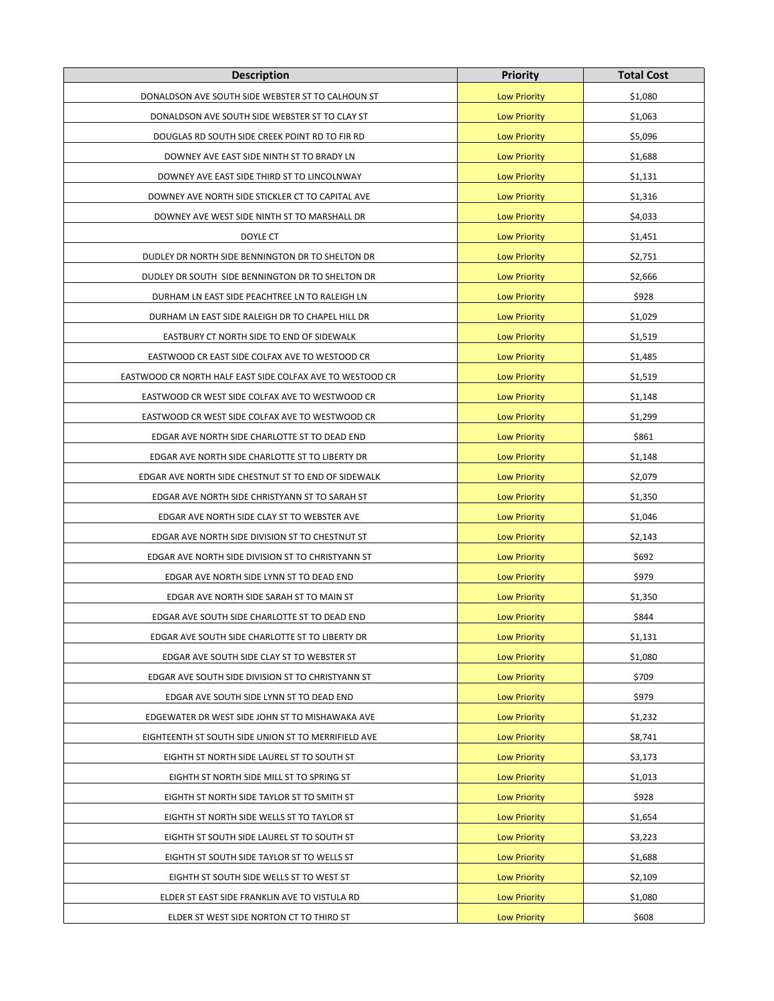| <b>Description</b>                                        | <b>Priority</b>     | <b>Total Cost</b> |
|-----------------------------------------------------------|---------------------|-------------------|
| DONALDSON AVE SOUTH SIDE WEBSTER ST TO CALHOUN ST         | <b>Low Priority</b> | \$1,080           |
| DONALDSON AVE SOUTH SIDE WEBSTER ST TO CLAY ST            | <b>Low Priority</b> | \$1,063           |
| DOUGLAS RD SOUTH SIDE CREEK POINT RD TO FIR RD            | <b>Low Priority</b> | \$5,096           |
| DOWNEY AVE EAST SIDE NINTH ST TO BRADY LN                 | <b>Low Priority</b> | \$1,688           |
| DOWNEY AVE EAST SIDE THIRD ST TO LINCOLNWAY               | <b>Low Priority</b> | \$1,131           |
| DOWNEY AVE NORTH SIDE STICKLER CT TO CAPITAL AVE          | <b>Low Priority</b> | \$1,316           |
| DOWNEY AVE WEST SIDE NINTH ST TO MARSHALL DR              | <b>Low Priority</b> | \$4,033           |
| DOYLE CT                                                  | <b>Low Priority</b> | \$1,451           |
| DUDLEY DR NORTH SIDE BENNINGTON DR TO SHELTON DR          | <b>Low Priority</b> | \$2,751           |
| DUDLEY DR SOUTH SIDE BENNINGTON DR TO SHELTON DR          | <b>Low Priority</b> | \$2,666           |
| DURHAM LN EAST SIDE PEACHTREE LN TO RALEIGH LN            | <b>Low Priority</b> | \$928             |
| DURHAM LN EAST SIDE RALEIGH DR TO CHAPEL HILL DR          | <b>Low Priority</b> | \$1,029           |
| EASTBURY CT NORTH SIDE TO END OF SIDEWALK                 | <b>Low Priority</b> | \$1,519           |
| EASTWOOD CR EAST SIDE COLFAX AVE TO WESTOOD CR            | <b>Low Priority</b> | \$1,485           |
| EASTWOOD CR NORTH HALF EAST SIDE COLFAX AVE TO WESTOOD CR | <b>Low Priority</b> | \$1,519           |
| EASTWOOD CR WEST SIDE COLFAX AVE TO WESTWOOD CR           | <b>Low Priority</b> | \$1,148           |
| EASTWOOD CR WEST SIDE COLFAX AVE TO WESTWOOD CR           | <b>Low Priority</b> | \$1,299           |
| EDGAR AVE NORTH SIDE CHARLOTTE ST TO DEAD END             | <b>Low Priority</b> | \$861             |
| EDGAR AVE NORTH SIDE CHARLOTTE ST TO LIBERTY DR           | <b>Low Priority</b> | \$1,148           |
| EDGAR AVE NORTH SIDE CHESTNUT ST TO END OF SIDEWALK       | <b>Low Priority</b> | \$2,079           |
| EDGAR AVE NORTH SIDE CHRISTYANN ST TO SARAH ST            | <b>Low Priority</b> | \$1,350           |
| EDGAR AVE NORTH SIDE CLAY ST TO WEBSTER AVE               | <b>Low Priority</b> | \$1,046           |
| EDGAR AVE NORTH SIDE DIVISION ST TO CHESTNUT ST           | <b>Low Priority</b> | \$2,143           |
| EDGAR AVE NORTH SIDE DIVISION ST TO CHRISTYANN ST         | <b>Low Priority</b> | \$692             |
| EDGAR AVE NORTH SIDE LYNN ST TO DEAD END                  | <b>Low Priority</b> | \$979             |
| EDGAR AVE NORTH SIDE SARAH ST TO MAIN ST                  | <b>Low Priority</b> | \$1,350           |
| EDGAR AVE SOUTH SIDE CHARLOTTE ST TO DEAD END             | <b>Low Priority</b> | \$844             |
| EDGAR AVE SOUTH SIDE CHARLOTTE ST TO LIBERTY DR           | <b>Low Priority</b> | \$1,131           |
| EDGAR AVE SOUTH SIDE CLAY ST TO WEBSTER ST                | <b>Low Priority</b> | \$1,080           |
| EDGAR AVE SOUTH SIDE DIVISION ST TO CHRISTYANN ST         | <b>Low Priority</b> | \$709             |
| EDGAR AVE SOUTH SIDE LYNN ST TO DEAD END                  | <b>Low Priority</b> | \$979             |
| EDGEWATER DR WEST SIDE JOHN ST TO MISHAWAKA AVE           | <b>Low Priority</b> | \$1,232           |
| EIGHTEENTH ST SOUTH SIDE UNION ST TO MERRIFIELD AVE       | <b>Low Priority</b> | \$8,741           |
| EIGHTH ST NORTH SIDE LAUREL ST TO SOUTH ST                | <b>Low Priority</b> | \$3,173           |
| EIGHTH ST NORTH SIDE MILL ST TO SPRING ST                 | <b>Low Priority</b> | \$1,013           |
| EIGHTH ST NORTH SIDE TAYLOR ST TO SMITH ST                | <b>Low Priority</b> | \$928             |
| EIGHTH ST NORTH SIDE WELLS ST TO TAYLOR ST                | <b>Low Priority</b> | \$1,654           |
| EIGHTH ST SOUTH SIDE LAUREL ST TO SOUTH ST                | <b>Low Priority</b> | \$3,223           |
| EIGHTH ST SOUTH SIDE TAYLOR ST TO WELLS ST                | <b>Low Priority</b> | \$1,688           |
| EIGHTH ST SOUTH SIDE WELLS ST TO WEST ST                  | <b>Low Priority</b> | \$2,109           |
| ELDER ST EAST SIDE FRANKLIN AVE TO VISTULA RD             | <b>Low Priority</b> | \$1,080           |
| ELDER ST WEST SIDE NORTON CT TO THIRD ST                  | <b>Low Priority</b> | \$608             |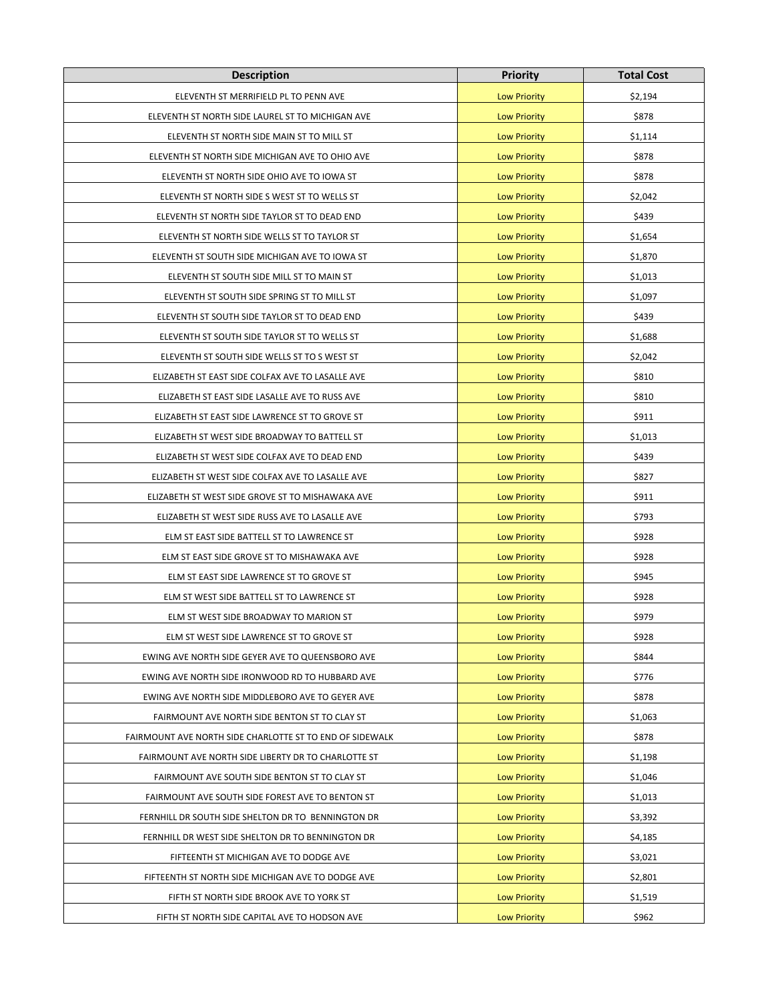| <b>Description</b>                                       | <b>Priority</b>     | <b>Total Cost</b> |
|----------------------------------------------------------|---------------------|-------------------|
| ELEVENTH ST MERRIFIELD PL TO PENN AVE                    | <b>Low Priority</b> | \$2,194           |
| ELEVENTH ST NORTH SIDE LAUREL ST TO MICHIGAN AVE         | <b>Low Priority</b> | \$878             |
| ELEVENTH ST NORTH SIDE MAIN ST TO MILL ST                | <b>Low Priority</b> | \$1,114           |
| ELEVENTH ST NORTH SIDE MICHIGAN AVE TO OHIO AVE          | <b>Low Priority</b> | \$878             |
| ELEVENTH ST NORTH SIDE OHIO AVE TO IOWA ST               | <b>Low Priority</b> | \$878             |
| ELEVENTH ST NORTH SIDE S WEST ST TO WELLS ST             | <b>Low Priority</b> | \$2,042           |
| ELEVENTH ST NORTH SIDE TAYLOR ST TO DEAD END             | <b>Low Priority</b> | \$439             |
| ELEVENTH ST NORTH SIDE WELLS ST TO TAYLOR ST             | <b>Low Priority</b> | \$1,654           |
| ELEVENTH ST SOUTH SIDE MICHIGAN AVE TO IOWA ST           | <b>Low Priority</b> | \$1,870           |
| ELEVENTH ST SOUTH SIDE MILL ST TO MAIN ST                | <b>Low Priority</b> | \$1,013           |
| ELEVENTH ST SOUTH SIDE SPRING ST TO MILL ST              | <b>Low Priority</b> | \$1,097           |
| ELEVENTH ST SOUTH SIDE TAYLOR ST TO DEAD END             | <b>Low Priority</b> | \$439             |
| ELEVENTH ST SOUTH SIDE TAYLOR ST TO WELLS ST             | <b>Low Priority</b> | \$1,688           |
| ELEVENTH ST SOUTH SIDE WELLS ST TO S WEST ST             | <b>Low Priority</b> | \$2,042           |
| ELIZABETH ST EAST SIDE COLFAX AVE TO LASALLE AVE         | <b>Low Priority</b> | \$810             |
| ELIZABETH ST EAST SIDE LASALLE AVE TO RUSS AVE           | <b>Low Priority</b> | \$810             |
| ELIZABETH ST EAST SIDE LAWRENCE ST TO GROVE ST           | <b>Low Priority</b> | \$911             |
| ELIZABETH ST WEST SIDE BROADWAY TO BATTELL ST            | <b>Low Priority</b> | \$1,013           |
| ELIZABETH ST WEST SIDE COLFAX AVE TO DEAD END            | <b>Low Priority</b> | \$439             |
| ELIZABETH ST WEST SIDE COLFAX AVE TO LASALLE AVE         | <b>Low Priority</b> | \$827             |
| ELIZABETH ST WEST SIDE GROVE ST TO MISHAWAKA AVE         | <b>Low Priority</b> | \$911             |
| ELIZABETH ST WEST SIDE RUSS AVE TO LASALLE AVE           | <b>Low Priority</b> | \$793             |
| ELM ST EAST SIDE BATTELL ST TO LAWRENCE ST               | <b>Low Priority</b> | \$928             |
| ELM ST EAST SIDE GROVE ST TO MISHAWAKA AVE               | <b>Low Priority</b> | \$928             |
| ELM ST EAST SIDE LAWRENCE ST TO GROVE ST                 | <b>Low Priority</b> | \$945             |
| ELM ST WEST SIDE BATTELL ST TO LAWRENCE ST               | <b>Low Priority</b> | \$928             |
| ELM ST WEST SIDE BROADWAY TO MARION ST                   | <b>Low Priority</b> | \$979             |
| ELM ST WEST SIDE LAWRENCE ST TO GROVE ST                 | <b>Low Priority</b> | \$928             |
| EWING AVE NORTH SIDE GEYER AVE TO QUEENSBORO AVE         | <b>Low Priority</b> | \$844             |
| EWING AVE NORTH SIDE IRONWOOD RD TO HUBBARD AVE          | <b>Low Priority</b> | \$776             |
| EWING AVE NORTH SIDE MIDDLEBORO AVE TO GEYER AVE         | <b>Low Priority</b> | \$878             |
| FAIRMOUNT AVE NORTH SIDE BENTON ST TO CLAY ST            | <b>Low Priority</b> | \$1,063           |
| FAIRMOUNT AVE NORTH SIDE CHARLOTTE ST TO END OF SIDEWALK | <b>Low Priority</b> | \$878             |
| FAIRMOUNT AVE NORTH SIDE LIBERTY DR TO CHARLOTTE ST      | <b>Low Priority</b> | \$1,198           |
| FAIRMOUNT AVE SOUTH SIDE BENTON ST TO CLAY ST            | <b>Low Priority</b> | \$1,046           |
| FAIRMOUNT AVE SOUTH SIDE FOREST AVE TO BENTON ST         | <b>Low Priority</b> | \$1,013           |
| FERNHILL DR SOUTH SIDE SHELTON DR TO BENNINGTON DR       | <b>Low Priority</b> | \$3,392           |
| FERNHILL DR WEST SIDE SHELTON DR TO BENNINGTON DR        | <b>Low Priority</b> | \$4,185           |
| FIFTEENTH ST MICHIGAN AVE TO DODGE AVE                   | <b>Low Priority</b> | \$3,021           |
| FIFTEENTH ST NORTH SIDE MICHIGAN AVE TO DODGE AVE        | <b>Low Priority</b> | \$2,801           |
| FIFTH ST NORTH SIDE BROOK AVE TO YORK ST                 | <b>Low Priority</b> | \$1,519           |
| FIFTH ST NORTH SIDE CAPITAL AVE TO HODSON AVE            | <b>Low Priority</b> | \$962             |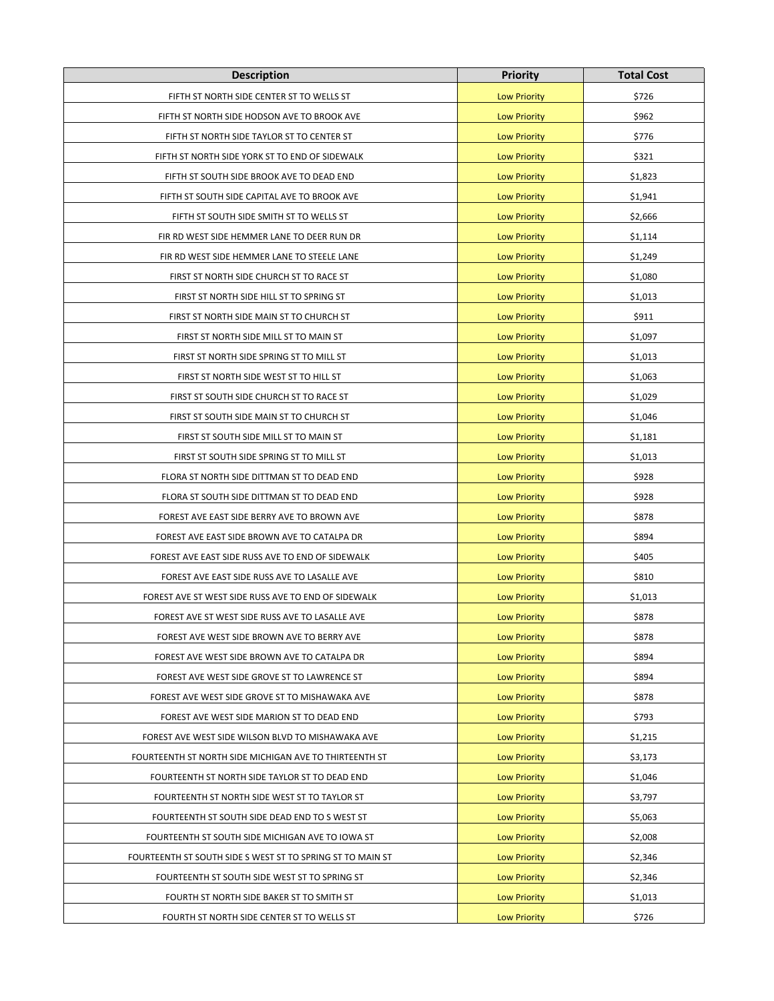| <b>Description</b>                                         | <b>Priority</b>     | <b>Total Cost</b> |
|------------------------------------------------------------|---------------------|-------------------|
| FIFTH ST NORTH SIDE CENTER ST TO WELLS ST                  | <b>Low Priority</b> | \$726             |
| FIFTH ST NORTH SIDE HODSON AVE TO BROOK AVE                | <b>Low Priority</b> | \$962             |
| FIFTH ST NORTH SIDE TAYLOR ST TO CENTER ST                 | <b>Low Priority</b> | \$776             |
| FIFTH ST NORTH SIDE YORK ST TO END OF SIDEWALK             | <b>Low Priority</b> | \$321             |
| FIFTH ST SOUTH SIDE BROOK AVE TO DEAD END                  | <b>Low Priority</b> | \$1,823           |
| FIFTH ST SOUTH SIDE CAPITAL AVE TO BROOK AVE               | <b>Low Priority</b> | \$1,941           |
| FIFTH ST SOUTH SIDE SMITH ST TO WELLS ST                   | <b>Low Priority</b> | \$2,666           |
| FIR RD WEST SIDE HEMMER LANE TO DEER RUN DR                | <b>Low Priority</b> | \$1,114           |
| FIR RD WEST SIDE HEMMER LANE TO STEELE LANE                | <b>Low Priority</b> | \$1,249           |
| FIRST ST NORTH SIDE CHURCH ST TO RACE ST                   | <b>Low Priority</b> | \$1,080           |
| FIRST ST NORTH SIDE HILL ST TO SPRING ST                   | <b>Low Priority</b> | \$1,013           |
| FIRST ST NORTH SIDE MAIN ST TO CHURCH ST                   | <b>Low Priority</b> | \$911             |
| FIRST ST NORTH SIDE MILL ST TO MAIN ST                     | <b>Low Priority</b> | \$1,097           |
| FIRST ST NORTH SIDE SPRING ST TO MILL ST                   | <b>Low Priority</b> | \$1,013           |
| FIRST ST NORTH SIDE WEST ST TO HILL ST                     | <b>Low Priority</b> | \$1,063           |
| FIRST ST SOUTH SIDE CHURCH ST TO RACE ST                   | <b>Low Priority</b> | \$1,029           |
| FIRST ST SOUTH SIDE MAIN ST TO CHURCH ST                   | <b>Low Priority</b> | \$1,046           |
| FIRST ST SOUTH SIDE MILL ST TO MAIN ST                     | <b>Low Priority</b> | \$1,181           |
| FIRST ST SOUTH SIDE SPRING ST TO MILL ST                   | <b>Low Priority</b> | \$1,013           |
| FLORA ST NORTH SIDE DITTMAN ST TO DEAD END                 | <b>Low Priority</b> | \$928             |
| FLORA ST SOUTH SIDE DITTMAN ST TO DEAD END                 | <b>Low Priority</b> | \$928             |
| FOREST AVE EAST SIDE BERRY AVE TO BROWN AVE                | <b>Low Priority</b> | \$878             |
| FOREST AVE EAST SIDE BROWN AVE TO CATALPA DR               | <b>Low Priority</b> | \$894             |
| FOREST AVE EAST SIDE RUSS AVE TO END OF SIDEWALK           | <b>Low Priority</b> | \$405             |
| FOREST AVE EAST SIDE RUSS AVE TO LASALLE AVE               | <b>Low Priority</b> | \$810             |
| FOREST AVE ST WEST SIDE RUSS AVE TO END OF SIDEWALK        | <b>Low Priority</b> | \$1,013           |
| FOREST AVE ST WEST SIDE RUSS AVE TO LASALLE AVE            | <b>Low Priority</b> | \$878             |
| FOREST AVE WEST SIDE BROWN AVE TO BERRY AVE                | <b>Low Priority</b> | \$878             |
| FOREST AVE WEST SIDE BROWN AVE TO CATALPA DR               | <b>Low Priority</b> | \$894             |
| FOREST AVE WEST SIDE GROVE ST TO LAWRENCE ST               | <b>Low Priority</b> | \$894             |
| FOREST AVE WEST SIDE GROVE ST TO MISHAWAKA AVE             | <b>Low Priority</b> | \$878             |
| FOREST AVE WEST SIDE MARION ST TO DEAD END                 | <b>Low Priority</b> | \$793             |
| FOREST AVE WEST SIDE WILSON BLVD TO MISHAWAKA AVE          | <b>Low Priority</b> | \$1,215           |
| FOURTEENTH ST NORTH SIDE MICHIGAN AVE TO THIRTEENTH ST     | <b>Low Priority</b> | \$3,173           |
| FOURTEENTH ST NORTH SIDE TAYLOR ST TO DEAD END             | <b>Low Priority</b> | \$1,046           |
| FOURTEENTH ST NORTH SIDE WEST ST TO TAYLOR ST              | <b>Low Priority</b> | \$3,797           |
| FOURTEENTH ST SOUTH SIDE DEAD END TO S WEST ST             | <b>Low Priority</b> | \$5,063           |
| FOURTEENTH ST SOUTH SIDE MICHIGAN AVE TO IOWA ST           | <b>Low Priority</b> | \$2,008           |
| FOURTEENTH ST SOUTH SIDE S WEST ST TO SPRING ST TO MAIN ST | <b>Low Priority</b> | \$2,346           |
| FOURTEENTH ST SOUTH SIDE WEST ST TO SPRING ST              | <b>Low Priority</b> | \$2,346           |
| FOURTH ST NORTH SIDE BAKER ST TO SMITH ST                  | <b>Low Priority</b> | \$1,013           |
| FOURTH ST NORTH SIDE CENTER ST TO WELLS ST                 | <b>Low Priority</b> | \$726             |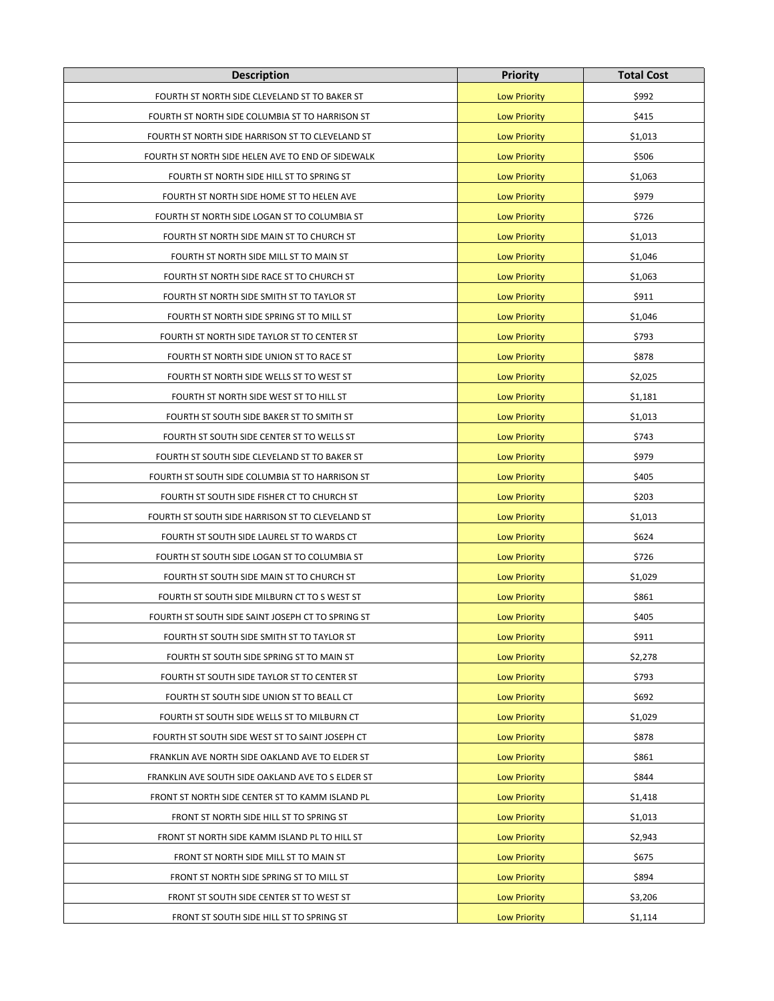| <b>Description</b>                                | <b>Priority</b>     | <b>Total Cost</b> |
|---------------------------------------------------|---------------------|-------------------|
| FOURTH ST NORTH SIDE CLEVELAND ST TO BAKER ST     | <b>Low Priority</b> | \$992             |
| FOURTH ST NORTH SIDE COLUMBIA ST TO HARRISON ST   | <b>Low Priority</b> | \$415             |
| FOURTH ST NORTH SIDE HARRISON ST TO CLEVELAND ST  | <b>Low Priority</b> | \$1,013           |
| FOURTH ST NORTH SIDE HELEN AVE TO END OF SIDEWALK | <b>Low Priority</b> | \$506             |
| FOURTH ST NORTH SIDE HILL ST TO SPRING ST         | <b>Low Priority</b> | \$1,063           |
| FOURTH ST NORTH SIDE HOME ST TO HELEN AVE         | <b>Low Priority</b> | \$979             |
| FOURTH ST NORTH SIDE LOGAN ST TO COLUMBIA ST      | <b>Low Priority</b> | \$726             |
| FOURTH ST NORTH SIDE MAIN ST TO CHURCH ST         | <b>Low Priority</b> | \$1,013           |
| FOURTH ST NORTH SIDE MILL ST TO MAIN ST           | <b>Low Priority</b> | \$1,046           |
| FOURTH ST NORTH SIDE RACE ST TO CHURCH ST         | <b>Low Priority</b> | \$1,063           |
| FOURTH ST NORTH SIDE SMITH ST TO TAYLOR ST        | <b>Low Priority</b> | \$911             |
| FOURTH ST NORTH SIDE SPRING ST TO MILL ST         | <b>Low Priority</b> | \$1,046           |
| FOURTH ST NORTH SIDE TAYLOR ST TO CENTER ST       | <b>Low Priority</b> | \$793             |
| FOURTH ST NORTH SIDE UNION ST TO RACE ST          | <b>Low Priority</b> | \$878             |
| FOURTH ST NORTH SIDE WELLS ST TO WEST ST          | <b>Low Priority</b> | \$2,025           |
| FOURTH ST NORTH SIDE WEST ST TO HILL ST           | <b>Low Priority</b> | \$1,181           |
| FOURTH ST SOUTH SIDE BAKER ST TO SMITH ST         | <b>Low Priority</b> | \$1,013           |
| FOURTH ST SOUTH SIDE CENTER ST TO WELLS ST        | <b>Low Priority</b> | \$743             |
| FOURTH ST SOUTH SIDE CLEVELAND ST TO BAKER ST     | <b>Low Priority</b> | \$979             |
| FOURTH ST SOUTH SIDE COLUMBIA ST TO HARRISON ST   | <b>Low Priority</b> | \$405             |
| FOURTH ST SOUTH SIDE FISHER CT TO CHURCH ST       | <b>Low Priority</b> | \$203             |
| FOURTH ST SOUTH SIDE HARRISON ST TO CLEVELAND ST  | <b>Low Priority</b> | \$1,013           |
| FOURTH ST SOUTH SIDE LAUREL ST TO WARDS CT        | <b>Low Priority</b> | \$624             |
| FOURTH ST SOUTH SIDE LOGAN ST TO COLUMBIA ST      | <b>Low Priority</b> | \$726             |
| FOURTH ST SOUTH SIDE MAIN ST TO CHURCH ST         | <b>Low Priority</b> | \$1,029           |
| FOURTH ST SOUTH SIDE MILBURN CT TO S WEST ST      | <b>Low Priority</b> | \$861             |
| FOURTH ST SOUTH SIDE SAINT JOSEPH CT TO SPRING ST | <b>Low Priority</b> | \$405             |
| FOURTH ST SOUTH SIDE SMITH ST TO TAYLOR ST        | <b>Low Priority</b> | \$911             |
| FOURTH ST SOUTH SIDE SPRING ST TO MAIN ST         | <b>Low Priority</b> | \$2,278           |
| FOURTH ST SOUTH SIDE TAYLOR ST TO CENTER ST       | <b>Low Priority</b> | \$793             |
| FOURTH ST SOUTH SIDE UNION ST TO BEALL CT         | <b>Low Priority</b> | \$692             |
| FOURTH ST SOUTH SIDE WELLS ST TO MILBURN CT       | <b>Low Priority</b> | \$1,029           |
| FOURTH ST SOUTH SIDE WEST ST TO SAINT JOSEPH CT   | <b>Low Priority</b> | \$878             |
| FRANKLIN AVE NORTH SIDE OAKLAND AVE TO ELDER ST   | <b>Low Priority</b> | \$861             |
| FRANKLIN AVE SOUTH SIDE OAKLAND AVE TO S ELDER ST | <b>Low Priority</b> | \$844             |
| FRONT ST NORTH SIDE CENTER ST TO KAMM ISLAND PL   | <b>Low Priority</b> | \$1,418           |
| FRONT ST NORTH SIDE HILL ST TO SPRING ST          | <b>Low Priority</b> | \$1,013           |
| FRONT ST NORTH SIDE KAMM ISLAND PL TO HILL ST     | <b>Low Priority</b> | \$2,943           |
| FRONT ST NORTH SIDE MILL ST TO MAIN ST            | <b>Low Priority</b> | \$675             |
| FRONT ST NORTH SIDE SPRING ST TO MILL ST          | <b>Low Priority</b> | \$894             |
| FRONT ST SOUTH SIDE CENTER ST TO WEST ST          | <b>Low Priority</b> | \$3,206           |
| FRONT ST SOUTH SIDE HILL ST TO SPRING ST          | <b>Low Priority</b> | \$1,114           |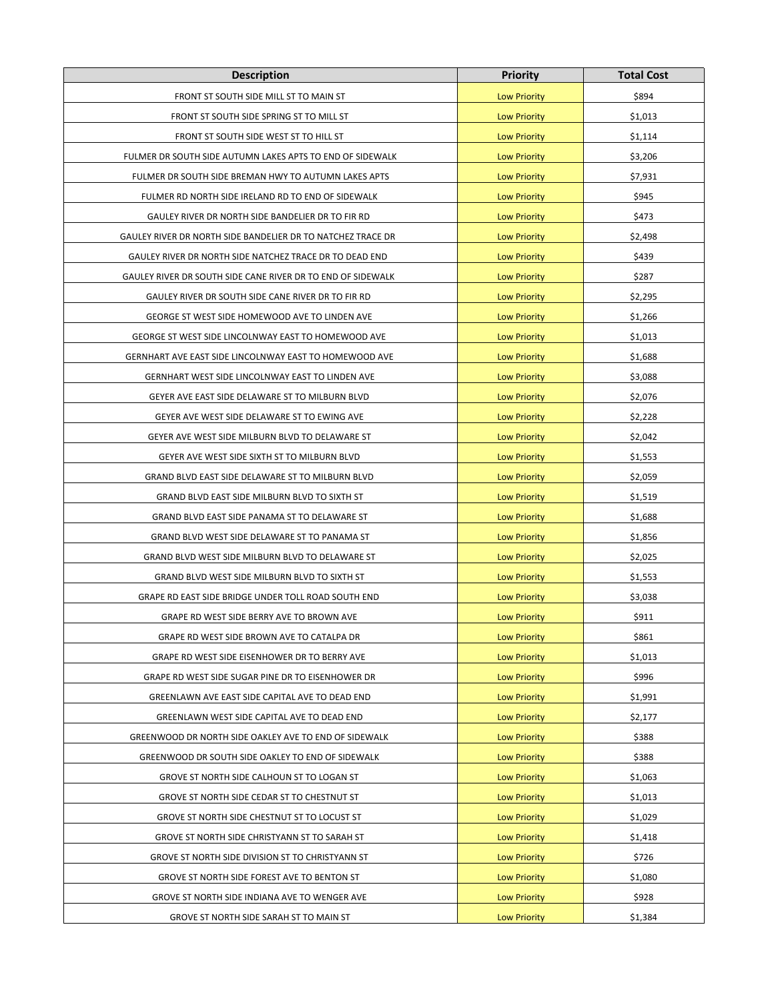| <b>Description</b>                                          | <b>Priority</b>     | <b>Total Cost</b> |
|-------------------------------------------------------------|---------------------|-------------------|
| FRONT ST SOUTH SIDE MILL ST TO MAIN ST                      | <b>Low Priority</b> | \$894             |
| FRONT ST SOUTH SIDE SPRING ST TO MILL ST                    | <b>Low Priority</b> | \$1,013           |
| FRONT ST SOUTH SIDE WEST ST TO HILL ST                      | <b>Low Priority</b> | \$1,114           |
| FULMER DR SOUTH SIDE AUTUMN LAKES APTS TO END OF SIDEWALK   | <b>Low Priority</b> | \$3,206           |
| FULMER DR SOUTH SIDE BREMAN HWY TO AUTUMN LAKES APTS        | <b>Low Priority</b> | \$7,931           |
| FULMER RD NORTH SIDE IRELAND RD TO END OF SIDEWALK          | <b>Low Priority</b> | \$945             |
| GAULEY RIVER DR NORTH SIDE BANDELIER DR TO FIR RD           | <b>Low Priority</b> | \$473             |
| GAULEY RIVER DR NORTH SIDE BANDELIER DR TO NATCHEZ TRACE DR | <b>Low Priority</b> | \$2,498           |
| GAULEY RIVER DR NORTH SIDE NATCHEZ TRACE DR TO DEAD END     | <b>Low Priority</b> | \$439             |
| GAULEY RIVER DR SOUTH SIDE CANE RIVER DR TO END OF SIDEWALK | <b>Low Priority</b> | \$287             |
| GAULEY RIVER DR SOUTH SIDE CANE RIVER DR TO FIR RD          | <b>Low Priority</b> | \$2,295           |
| GEORGE ST WEST SIDE HOMEWOOD AVE TO LINDEN AVE              | <b>Low Priority</b> | \$1,266           |
| GEORGE ST WEST SIDE LINCOLNWAY EAST TO HOMEWOOD AVE         | <b>Low Priority</b> | \$1,013           |
| GERNHART AVE EAST SIDE LINCOLNWAY EAST TO HOMEWOOD AVE      | <b>Low Priority</b> | \$1,688           |
| GERNHART WEST SIDE LINCOLNWAY EAST TO LINDEN AVE            | <b>Low Priority</b> | \$3,088           |
| GEYER AVE EAST SIDE DELAWARE ST TO MILBURN BLVD             | <b>Low Priority</b> | \$2,076           |
| GEYER AVE WEST SIDE DELAWARE ST TO EWING AVE                | <b>Low Priority</b> | \$2,228           |
| GEYER AVE WEST SIDE MILBURN BLVD TO DELAWARE ST             | <b>Low Priority</b> | \$2,042           |
| GEYER AVE WEST SIDE SIXTH ST TO MILBURN BLVD                | <b>Low Priority</b> | \$1,553           |
| GRAND BLVD EAST SIDE DELAWARE ST TO MILBURN BLVD            | <b>Low Priority</b> | \$2,059           |
| GRAND BLVD EAST SIDE MILBURN BLVD TO SIXTH ST               | <b>Low Priority</b> | \$1,519           |
| GRAND BLVD EAST SIDE PANAMA ST TO DELAWARE ST               | <b>Low Priority</b> | \$1,688           |
| GRAND BLVD WEST SIDE DELAWARE ST TO PANAMA ST               | <b>Low Priority</b> | \$1,856           |
| GRAND BLVD WEST SIDE MILBURN BLVD TO DELAWARE ST            | <b>Low Priority</b> | \$2,025           |
| GRAND BLVD WEST SIDE MILBURN BLVD TO SIXTH ST               | <b>Low Priority</b> | \$1,553           |
| GRAPE RD EAST SIDE BRIDGE UNDER TOLL ROAD SOUTH END         | <b>Low Priority</b> | \$3,038           |
| GRAPE RD WEST SIDE BERRY AVE TO BROWN AVE                   | <b>Low Priority</b> | \$911             |
| GRAPE RD WEST SIDE BROWN AVE TO CATALPA DR                  | <b>Low Priority</b> | \$861             |
| GRAPE RD WEST SIDE EISENHOWER DR TO BERRY AVE               | <b>Low Priority</b> | \$1,013           |
| GRAPE RD WEST SIDE SUGAR PINE DR TO EISENHOWER DR           | <b>Low Priority</b> | \$996             |
| GREENLAWN AVE EAST SIDE CAPITAL AVE TO DEAD END             | <b>Low Priority</b> | \$1,991           |
| GREENLAWN WEST SIDE CAPITAL AVE TO DEAD END                 | <b>Low Priority</b> | \$2,177           |
| GREENWOOD DR NORTH SIDE OAKLEY AVE TO END OF SIDEWALK       | <b>Low Priority</b> | \$388             |
| GREENWOOD DR SOUTH SIDE OAKLEY TO END OF SIDEWALK           | <b>Low Priority</b> | \$388             |
| GROVE ST NORTH SIDE CALHOUN ST TO LOGAN ST                  | <b>Low Priority</b> | \$1,063           |
| GROVE ST NORTH SIDE CEDAR ST TO CHESTNUT ST                 | <b>Low Priority</b> | \$1,013           |
| GROVE ST NORTH SIDE CHESTNUT ST TO LOCUST ST                | <b>Low Priority</b> | \$1,029           |
| GROVE ST NORTH SIDE CHRISTYANN ST TO SARAH ST               | <b>Low Priority</b> | \$1,418           |
| GROVE ST NORTH SIDE DIVISION ST TO CHRISTYANN ST            | <b>Low Priority</b> | \$726             |
| GROVE ST NORTH SIDE FOREST AVE TO BENTON ST                 | <b>Low Priority</b> | \$1,080           |
| GROVE ST NORTH SIDE INDIANA AVE TO WENGER AVE               | <b>Low Priority</b> | \$928             |
| GROVE ST NORTH SIDE SARAH ST TO MAIN ST                     | <b>Low Priority</b> | \$1,384           |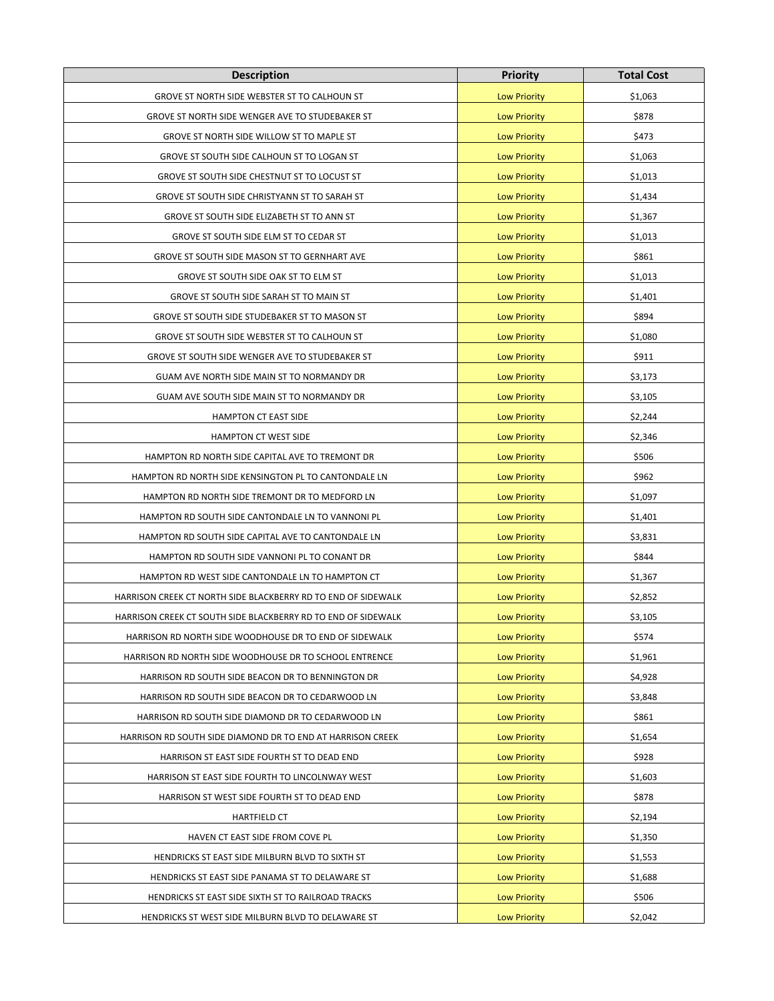| <b>Description</b>                                            | <b>Priority</b>     | <b>Total Cost</b> |
|---------------------------------------------------------------|---------------------|-------------------|
| GROVE ST NORTH SIDE WEBSTER ST TO CALHOUN ST                  | <b>Low Priority</b> | \$1,063           |
| GROVE ST NORTH SIDE WENGER AVE TO STUDEBAKER ST               | <b>Low Priority</b> | \$878             |
| GROVE ST NORTH SIDE WILLOW ST TO MAPLE ST                     | <b>Low Priority</b> | \$473             |
| GROVE ST SOUTH SIDE CALHOUN ST TO LOGAN ST                    | <b>Low Priority</b> | \$1,063           |
| GROVE ST SOUTH SIDE CHESTNUT ST TO LOCUST ST                  | <b>Low Priority</b> | \$1,013           |
| GROVE ST SOUTH SIDE CHRISTYANN ST TO SARAH ST                 | <b>Low Priority</b> | \$1,434           |
| GROVE ST SOUTH SIDE ELIZABETH ST TO ANN ST                    | <b>Low Priority</b> | \$1,367           |
| GROVE ST SOUTH SIDE ELM ST TO CEDAR ST                        | <b>Low Priority</b> | \$1,013           |
| GROVE ST SOUTH SIDE MASON ST TO GERNHART AVE                  | <b>Low Priority</b> | \$861             |
| GROVE ST SOUTH SIDE OAK ST TO ELM ST                          | <b>Low Priority</b> | \$1,013           |
| GROVE ST SOUTH SIDE SARAH ST TO MAIN ST                       | <b>Low Priority</b> | \$1,401           |
| GROVE ST SOUTH SIDE STUDEBAKER ST TO MASON ST                 | <b>Low Priority</b> | \$894             |
| GROVE ST SOUTH SIDE WEBSTER ST TO CALHOUN ST                  | <b>Low Priority</b> | \$1,080           |
| GROVE ST SOUTH SIDE WENGER AVE TO STUDEBAKER ST               | <b>Low Priority</b> | \$911             |
| GUAM AVE NORTH SIDE MAIN ST TO NORMANDY DR                    | <b>Low Priority</b> | \$3,173           |
| GUAM AVE SOUTH SIDE MAIN ST TO NORMANDY DR                    | <b>Low Priority</b> | \$3,105           |
| <b>HAMPTON CT EAST SIDE</b>                                   | <b>Low Priority</b> | \$2,244           |
| <b>HAMPTON CT WEST SIDE</b>                                   | <b>Low Priority</b> | \$2,346           |
| HAMPTON RD NORTH SIDE CAPITAL AVE TO TREMONT DR               | <b>Low Priority</b> | \$506             |
| HAMPTON RD NORTH SIDE KENSINGTON PL TO CANTONDALE LN          | <b>Low Priority</b> | \$962             |
| HAMPTON RD NORTH SIDE TREMONT DR TO MEDFORD LN                | <b>Low Priority</b> | \$1,097           |
| HAMPTON RD SOUTH SIDE CANTONDALE LN TO VANNONI PL             | <b>Low Priority</b> | \$1,401           |
| HAMPTON RD SOUTH SIDE CAPITAL AVE TO CANTONDALE LN            | <b>Low Priority</b> | \$3,831           |
| HAMPTON RD SOUTH SIDE VANNONI PL TO CONANT DR                 | <b>Low Priority</b> | \$844             |
| HAMPTON RD WEST SIDE CANTONDALE LN TO HAMPTON CT              | <b>Low Priority</b> | \$1,367           |
| HARRISON CREEK CT NORTH SIDE BLACKBERRY RD TO END OF SIDEWALK | <b>Low Priority</b> | \$2,852           |
| HARRISON CREEK CT SOUTH SIDE BLACKBERRY RD TO END OF SIDEWALK | <b>Low Priority</b> | \$3,105           |
| HARRISON RD NORTH SIDE WOODHOUSE DR TO END OF SIDEWALK        | <b>Low Priority</b> | \$574             |
| HARRISON RD NORTH SIDE WOODHOUSE DR TO SCHOOL ENTRENCE        | <b>Low Priority</b> | \$1,961           |
| HARRISON RD SOUTH SIDE BEACON DR TO BENNINGTON DR             | <b>Low Priority</b> | \$4,928           |
| HARRISON RD SOUTH SIDE BEACON DR TO CEDARWOOD LN              | <b>Low Priority</b> | \$3,848           |
| HARRISON RD SOUTH SIDE DIAMOND DR TO CEDARWOOD LN             | <b>Low Priority</b> | \$861             |
| HARRISON RD SOUTH SIDE DIAMOND DR TO END AT HARRISON CREEK    | <b>Low Priority</b> | \$1,654           |
| HARRISON ST EAST SIDE FOURTH ST TO DEAD END                   | <b>Low Priority</b> | \$928             |
| HARRISON ST EAST SIDE FOURTH TO LINCOLNWAY WEST               | <b>Low Priority</b> | \$1,603           |
| HARRISON ST WEST SIDE FOURTH ST TO DEAD END                   | <b>Low Priority</b> | \$878             |
| <b>HARTFIELD CT</b>                                           | <b>Low Priority</b> | \$2,194           |
| HAVEN CT EAST SIDE FROM COVE PL                               | <b>Low Priority</b> | \$1,350           |
| HENDRICKS ST EAST SIDE MILBURN BLVD TO SIXTH ST               | <b>Low Priority</b> | \$1,553           |
| HENDRICKS ST EAST SIDE PANAMA ST TO DELAWARE ST               | <b>Low Priority</b> | \$1,688           |
| HENDRICKS ST EAST SIDE SIXTH ST TO RAILROAD TRACKS            | <b>Low Priority</b> | \$506             |
| HENDRICKS ST WEST SIDE MILBURN BLVD TO DELAWARE ST            | <b>Low Priority</b> | \$2,042           |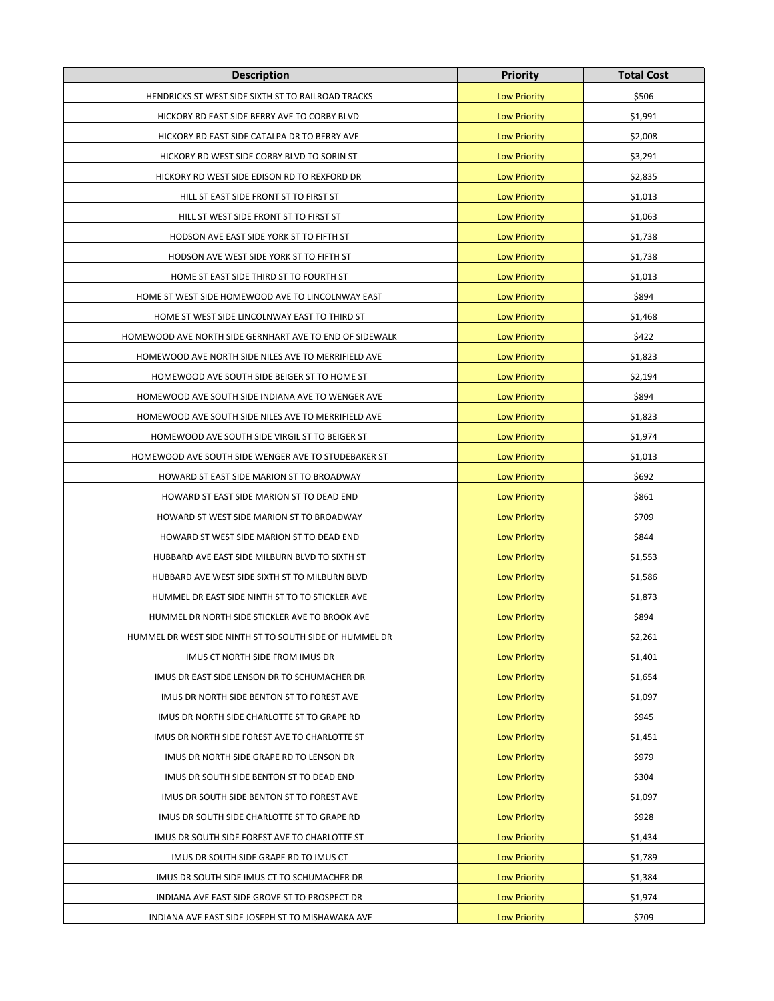| <b>Description</b>                                      | <b>Priority</b>     | <b>Total Cost</b> |
|---------------------------------------------------------|---------------------|-------------------|
| HENDRICKS ST WEST SIDE SIXTH ST TO RAILROAD TRACKS      | <b>Low Priority</b> | \$506             |
| HICKORY RD EAST SIDE BERRY AVE TO CORBY BLVD            | <b>Low Priority</b> | \$1,991           |
| HICKORY RD EAST SIDE CATALPA DR TO BERRY AVE            | <b>Low Priority</b> | \$2,008           |
| HICKORY RD WEST SIDE CORBY BLVD TO SORIN ST             | <b>Low Priority</b> | \$3,291           |
| HICKORY RD WEST SIDE EDISON RD TO REXFORD DR            | <b>Low Priority</b> | \$2,835           |
| HILL ST EAST SIDE FRONT ST TO FIRST ST                  | <b>Low Priority</b> | \$1,013           |
| HILL ST WEST SIDE FRONT ST TO FIRST ST                  | <b>Low Priority</b> | \$1,063           |
| HODSON AVE EAST SIDE YORK ST TO FIFTH ST                | <b>Low Priority</b> | \$1,738           |
| HODSON AVE WEST SIDE YORK ST TO FIFTH ST                | <b>Low Priority</b> | \$1,738           |
| HOME ST EAST SIDE THIRD ST TO FOURTH ST                 | <b>Low Priority</b> | \$1,013           |
| HOME ST WEST SIDE HOMEWOOD AVE TO LINCOLNWAY EAST       | <b>Low Priority</b> | \$894             |
| HOME ST WEST SIDE LINCOLNWAY EAST TO THIRD ST           | <b>Low Priority</b> | \$1,468           |
| HOMEWOOD AVE NORTH SIDE GERNHART AVE TO END OF SIDEWALK | <b>Low Priority</b> | \$422             |
| HOMEWOOD AVE NORTH SIDE NILES AVE TO MERRIFIELD AVE     | <b>Low Priority</b> | \$1,823           |
| HOMEWOOD AVE SOUTH SIDE BEIGER ST TO HOME ST            | <b>Low Priority</b> | \$2,194           |
| HOMEWOOD AVE SOUTH SIDE INDIANA AVE TO WENGER AVE       | <b>Low Priority</b> | \$894             |
| HOMEWOOD AVE SOUTH SIDE NILES AVE TO MERRIFIELD AVE     | <b>Low Priority</b> | \$1,823           |
| HOMEWOOD AVE SOUTH SIDE VIRGIL ST TO BEIGER ST          | <b>Low Priority</b> | \$1,974           |
| HOMEWOOD AVE SOUTH SIDE WENGER AVE TO STUDEBAKER ST     | <b>Low Priority</b> | \$1,013           |
| HOWARD ST EAST SIDE MARION ST TO BROADWAY               | <b>Low Priority</b> | \$692             |
| HOWARD ST EAST SIDE MARION ST TO DEAD END               | <b>Low Priority</b> | \$861             |
| HOWARD ST WEST SIDE MARION ST TO BROADWAY               | <b>Low Priority</b> | \$709             |
| HOWARD ST WEST SIDE MARION ST TO DEAD END               | <b>Low Priority</b> | \$844             |
| HUBBARD AVE EAST SIDE MILBURN BLVD TO SIXTH ST          | <b>Low Priority</b> | \$1,553           |
| HUBBARD AVE WEST SIDE SIXTH ST TO MILBURN BLVD          | <b>Low Priority</b> | \$1,586           |
| HUMMEL DR EAST SIDE NINTH ST TO TO STICKLER AVE         | <b>Low Priority</b> | \$1,873           |
| HUMMEL DR NORTH SIDE STICKLER AVE TO BROOK AVE          | <b>Low Priority</b> | \$894             |
| HUMMEL DR WEST SIDE NINTH ST TO SOUTH SIDE OF HUMMEL DR | <b>Low Priority</b> | \$2,261           |
| IMUS CT NORTH SIDE FROM IMUS DR                         | <b>Low Priority</b> | \$1,401           |
| IMUS DR EAST SIDE LENSON DR TO SCHUMACHER DR            | <b>Low Priority</b> | \$1,654           |
| IMUS DR NORTH SIDE BENTON ST TO FOREST AVE              | <b>Low Priority</b> | \$1,097           |
| IMUS DR NORTH SIDE CHARLOTTE ST TO GRAPE RD             | <b>Low Priority</b> | \$945             |
| IMUS DR NORTH SIDE FOREST AVE TO CHARLOTTE ST           | <b>Low Priority</b> | \$1,451           |
| IMUS DR NORTH SIDE GRAPE RD TO LENSON DR                | <b>Low Priority</b> | \$979             |
| IMUS DR SOUTH SIDE BENTON ST TO DEAD END                | <b>Low Priority</b> | \$304             |
| IMUS DR SOUTH SIDE BENTON ST TO FOREST AVE              | <b>Low Priority</b> | \$1,097           |
| IMUS DR SOUTH SIDE CHARLOTTE ST TO GRAPE RD             | <b>Low Priority</b> | \$928             |
| IMUS DR SOUTH SIDE FOREST AVE TO CHARLOTTE ST           | <b>Low Priority</b> | \$1,434           |
| IMUS DR SOUTH SIDE GRAPE RD TO IMUS CT                  | <b>Low Priority</b> | \$1,789           |
| IMUS DR SOUTH SIDE IMUS CT TO SCHUMACHER DR             | <b>Low Priority</b> | \$1,384           |
| INDIANA AVE EAST SIDE GROVE ST TO PROSPECT DR           | <b>Low Priority</b> | \$1,974           |
| INDIANA AVE EAST SIDE JOSEPH ST TO MISHAWAKA AVE        | <b>Low Priority</b> | \$709             |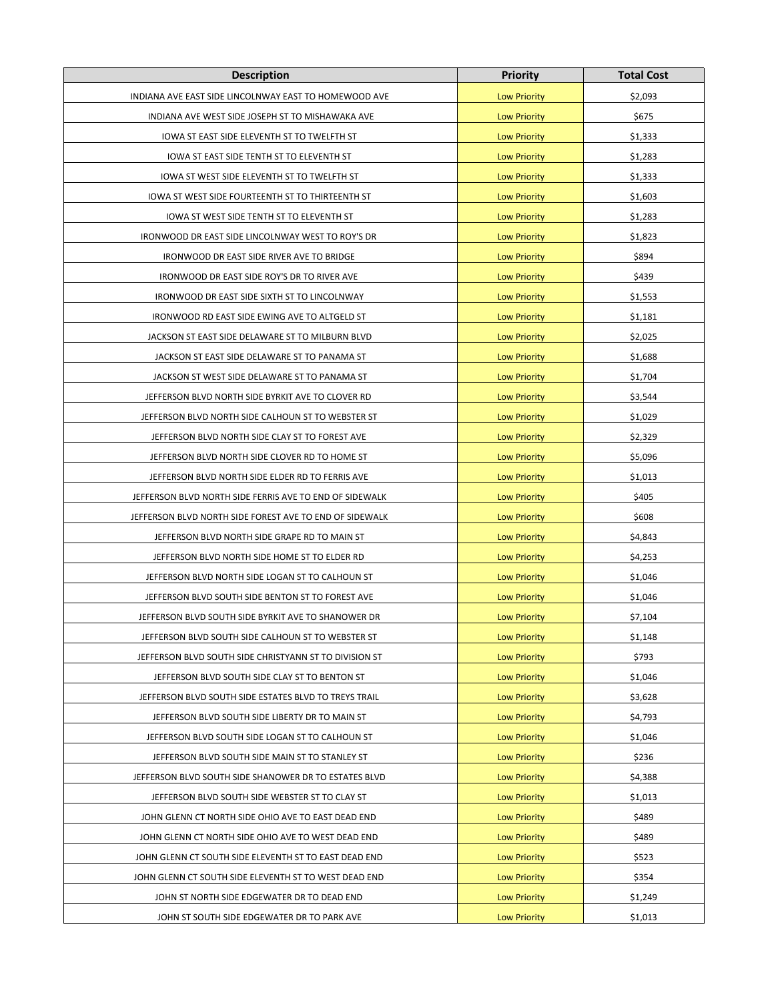| <b>Description</b>                                      | <b>Priority</b>     | <b>Total Cost</b> |
|---------------------------------------------------------|---------------------|-------------------|
| INDIANA AVE EAST SIDE LINCOLNWAY EAST TO HOMEWOOD AVE   | <b>Low Priority</b> | \$2,093           |
| INDIANA AVE WEST SIDE JOSEPH ST TO MISHAWAKA AVE        | <b>Low Priority</b> | \$675             |
| IOWA ST EAST SIDE ELEVENTH ST TO TWELFTH ST             | <b>Low Priority</b> | \$1,333           |
| IOWA ST EAST SIDE TENTH ST TO ELEVENTH ST               | <b>Low Priority</b> | \$1,283           |
| IOWA ST WEST SIDE ELEVENTH ST TO TWELFTH ST             | <b>Low Priority</b> | \$1,333           |
| IOWA ST WEST SIDE FOURTEENTH ST TO THIRTEENTH ST        | <b>Low Priority</b> | \$1,603           |
| IOWA ST WEST SIDE TENTH ST TO ELEVENTH ST               | <b>Low Priority</b> | \$1,283           |
| IRONWOOD DR EAST SIDE LINCOLNWAY WEST TO ROY'S DR       | <b>Low Priority</b> | \$1,823           |
| IRONWOOD DR EAST SIDE RIVER AVE TO BRIDGE               | <b>Low Priority</b> | \$894             |
| IRONWOOD DR EAST SIDE ROY'S DR TO RIVER AVE             | <b>Low Priority</b> | \$439             |
| IRONWOOD DR EAST SIDE SIXTH ST TO LINCOLNWAY            | <b>Low Priority</b> | \$1,553           |
| IRONWOOD RD EAST SIDE EWING AVE TO ALTGELD ST           | <b>Low Priority</b> | \$1,181           |
| JACKSON ST EAST SIDE DELAWARE ST TO MILBURN BLVD        | <b>Low Priority</b> | \$2,025           |
| JACKSON ST EAST SIDE DELAWARE ST TO PANAMA ST           | <b>Low Priority</b> | \$1,688           |
| JACKSON ST WEST SIDE DELAWARE ST TO PANAMA ST           | <b>Low Priority</b> | \$1,704           |
| JEFFERSON BLVD NORTH SIDE BYRKIT AVE TO CLOVER RD       | <b>Low Priority</b> | \$3,544           |
| JEFFERSON BLVD NORTH SIDE CALHOUN ST TO WEBSTER ST      | <b>Low Priority</b> | \$1,029           |
| JEFFERSON BLVD NORTH SIDE CLAY ST TO FOREST AVE         | <b>Low Priority</b> | \$2,329           |
| JEFFERSON BLVD NORTH SIDE CLOVER RD TO HOME ST          | <b>Low Priority</b> | \$5,096           |
| JEFFERSON BLVD NORTH SIDE ELDER RD TO FERRIS AVE        | <b>Low Priority</b> | \$1,013           |
| JEFFERSON BLVD NORTH SIDE FERRIS AVE TO END OF SIDEWALK | <b>Low Priority</b> | \$405             |
| JEFFERSON BLVD NORTH SIDE FOREST AVE TO END OF SIDEWALK | <b>Low Priority</b> | \$608             |
| JEFFERSON BLVD NORTH SIDE GRAPE RD TO MAIN ST           | <b>Low Priority</b> | \$4,843           |
| JEFFERSON BLVD NORTH SIDE HOME ST TO ELDER RD           | <b>Low Priority</b> | \$4,253           |
| JEFFERSON BLVD NORTH SIDE LOGAN ST TO CALHOUN ST        | <b>Low Priority</b> | \$1,046           |
| JEFFERSON BLVD SOUTH SIDE BENTON ST TO FOREST AVE       | <b>Low Priority</b> | \$1,046           |
| JEFFERSON BLVD SOUTH SIDE BYRKIT AVE TO SHANOWER DR     | <b>Low Priority</b> | \$7,104           |
| JEFFERSON BLVD SOUTH SIDE CALHOUN ST TO WEBSTER ST      | <b>Low Priority</b> | \$1,148           |
| JEFFERSON BLVD SOUTH SIDE CHRISTYANN ST TO DIVISION ST  | <b>Low Priority</b> | \$793             |
| JEFFERSON BLVD SOUTH SIDE CLAY ST TO BENTON ST          | <b>Low Priority</b> | \$1,046           |
| JEFFERSON BLVD SOUTH SIDE ESTATES BLVD TO TREYS TRAIL   | <b>Low Priority</b> | \$3,628           |
| JEFFERSON BLVD SOUTH SIDE LIBERTY DR TO MAIN ST         | <b>Low Priority</b> | \$4,793           |
| JEFFERSON BLVD SOUTH SIDE LOGAN ST TO CALHOUN ST        | <b>Low Priority</b> | \$1,046           |
| JEFFERSON BLVD SOUTH SIDE MAIN ST TO STANLEY ST         | <b>Low Priority</b> | \$236             |
| JEFFERSON BLVD SOUTH SIDE SHANOWER DR TO ESTATES BLVD   | <b>Low Priority</b> | \$4,388           |
| JEFFERSON BLVD SOUTH SIDE WEBSTER ST TO CLAY ST         | <b>Low Priority</b> | \$1,013           |
| JOHN GLENN CT NORTH SIDE OHIO AVE TO EAST DEAD END      | <b>Low Priority</b> | \$489             |
| JOHN GLENN CT NORTH SIDE OHIO AVE TO WEST DEAD END      | <b>Low Priority</b> | \$489             |
| JOHN GLENN CT SOUTH SIDE ELEVENTH ST TO EAST DEAD END   | <b>Low Priority</b> | \$523             |
| JOHN GLENN CT SOUTH SIDE ELEVENTH ST TO WEST DEAD END   | <b>Low Priority</b> | \$354             |
| JOHN ST NORTH SIDE EDGEWATER DR TO DEAD END             | <b>Low Priority</b> | \$1,249           |
| JOHN ST SOUTH SIDE EDGEWATER DR TO PARK AVE             | <b>Low Priority</b> | \$1,013           |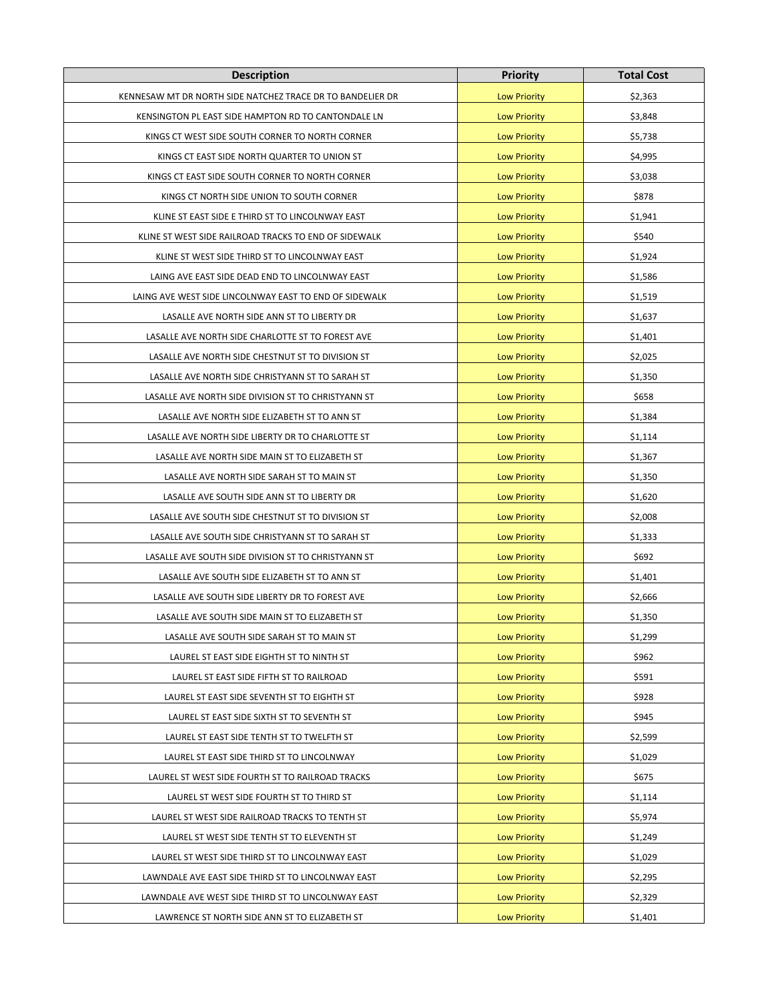| <b>Description</b>                                         | <b>Priority</b>     | <b>Total Cost</b> |
|------------------------------------------------------------|---------------------|-------------------|
| KENNESAW MT DR NORTH SIDE NATCHEZ TRACE DR TO BANDELIER DR | <b>Low Priority</b> | \$2,363           |
| KENSINGTON PL EAST SIDE HAMPTON RD TO CANTONDALE LN        | <b>Low Priority</b> | \$3,848           |
| KINGS CT WEST SIDE SOUTH CORNER TO NORTH CORNER            | <b>Low Priority</b> | \$5,738           |
| KINGS CT EAST SIDE NORTH QUARTER TO UNION ST               | <b>Low Priority</b> | \$4,995           |
| KINGS CT EAST SIDE SOUTH CORNER TO NORTH CORNER            | <b>Low Priority</b> | \$3,038           |
| KINGS CT NORTH SIDE UNION TO SOUTH CORNER                  | <b>Low Priority</b> | \$878             |
| KLINE ST EAST SIDE E THIRD ST TO LINCOLNWAY EAST           | <b>Low Priority</b> | \$1,941           |
| KLINE ST WEST SIDE RAILROAD TRACKS TO END OF SIDEWALK      | <b>Low Priority</b> | \$540             |
| KLINE ST WEST SIDE THIRD ST TO LINCOLNWAY EAST             | <b>Low Priority</b> | \$1,924           |
| LAING AVE EAST SIDE DEAD END TO LINCOLNWAY EAST            | <b>Low Priority</b> | \$1,586           |
| LAING AVE WEST SIDE LINCOLNWAY EAST TO END OF SIDEWALK     | <b>Low Priority</b> | \$1,519           |
| LASALLE AVE NORTH SIDE ANN ST TO LIBERTY DR                | <b>Low Priority</b> | \$1,637           |
| LASALLE AVE NORTH SIDE CHARLOTTE ST TO FOREST AVE          | <b>Low Priority</b> | \$1,401           |
| LASALLE AVE NORTH SIDE CHESTNUT ST TO DIVISION ST          | <b>Low Priority</b> | \$2,025           |
| LASALLE AVE NORTH SIDE CHRISTYANN ST TO SARAH ST           | <b>Low Priority</b> | \$1,350           |
| LASALLE AVE NORTH SIDE DIVISION ST TO CHRISTYANN ST        | <b>Low Priority</b> | \$658             |
| LASALLE AVE NORTH SIDE ELIZABETH ST TO ANN ST              | <b>Low Priority</b> | \$1,384           |
| LASALLE AVE NORTH SIDE LIBERTY DR TO CHARLOTTE ST          | <b>Low Priority</b> | \$1,114           |
| LASALLE AVE NORTH SIDE MAIN ST TO ELIZABETH ST             | <b>Low Priority</b> | \$1,367           |
| LASALLE AVE NORTH SIDE SARAH ST TO MAIN ST                 | <b>Low Priority</b> | \$1,350           |
| LASALLE AVE SOUTH SIDE ANN ST TO LIBERTY DR                | <b>Low Priority</b> | \$1,620           |
| LASALLE AVE SOUTH SIDE CHESTNUT ST TO DIVISION ST          | <b>Low Priority</b> | \$2,008           |
| LASALLE AVE SOUTH SIDE CHRISTYANN ST TO SARAH ST           | <b>Low Priority</b> | \$1,333           |
| LASALLE AVE SOUTH SIDE DIVISION ST TO CHRISTYANN ST        | <b>Low Priority</b> | \$692             |
| LASALLE AVE SOUTH SIDE ELIZABETH ST TO ANN ST              | <b>Low Priority</b> | \$1,401           |
| LASALLE AVE SOUTH SIDE LIBERTY DR TO FOREST AVE            | <b>Low Priority</b> | \$2,666           |
| LASALLE AVE SOUTH SIDE MAIN ST TO ELIZABETH ST             | <b>Low Priority</b> | \$1,350           |
| LASALLE AVE SOUTH SIDE SARAH ST TO MAIN ST                 | <b>Low Priority</b> | \$1,299           |
| LAUREL ST EAST SIDE EIGHTH ST TO NINTH ST                  | <b>Low Priority</b> | \$962             |
| LAUREL ST EAST SIDE FIFTH ST TO RAILROAD                   | <b>Low Priority</b> | \$591             |
| LAUREL ST EAST SIDE SEVENTH ST TO EIGHTH ST                | <b>Low Priority</b> | \$928             |
| LAUREL ST EAST SIDE SIXTH ST TO SEVENTH ST                 | <b>Low Priority</b> | \$945             |
| LAUREL ST EAST SIDE TENTH ST TO TWELFTH ST                 | <b>Low Priority</b> | \$2,599           |
| LAUREL ST EAST SIDE THIRD ST TO LINCOLNWAY                 | <b>Low Priority</b> | \$1,029           |
| LAUREL ST WEST SIDE FOURTH ST TO RAILROAD TRACKS           | <b>Low Priority</b> | \$675             |
| LAUREL ST WEST SIDE FOURTH ST TO THIRD ST                  | <b>Low Priority</b> | \$1,114           |
| LAUREL ST WEST SIDE RAILROAD TRACKS TO TENTH ST            | <b>Low Priority</b> | \$5,974           |
| LAUREL ST WEST SIDE TENTH ST TO ELEVENTH ST                | <b>Low Priority</b> | \$1,249           |
| LAUREL ST WEST SIDE THIRD ST TO LINCOLNWAY EAST            | <b>Low Priority</b> | \$1,029           |
| LAWNDALE AVE EAST SIDE THIRD ST TO LINCOLNWAY EAST         | <b>Low Priority</b> | \$2,295           |
| LAWNDALE AVE WEST SIDE THIRD ST TO LINCOLNWAY EAST         | <b>Low Priority</b> | \$2,329           |
| LAWRENCE ST NORTH SIDE ANN ST TO ELIZABETH ST              | <b>Low Priority</b> | \$1,401           |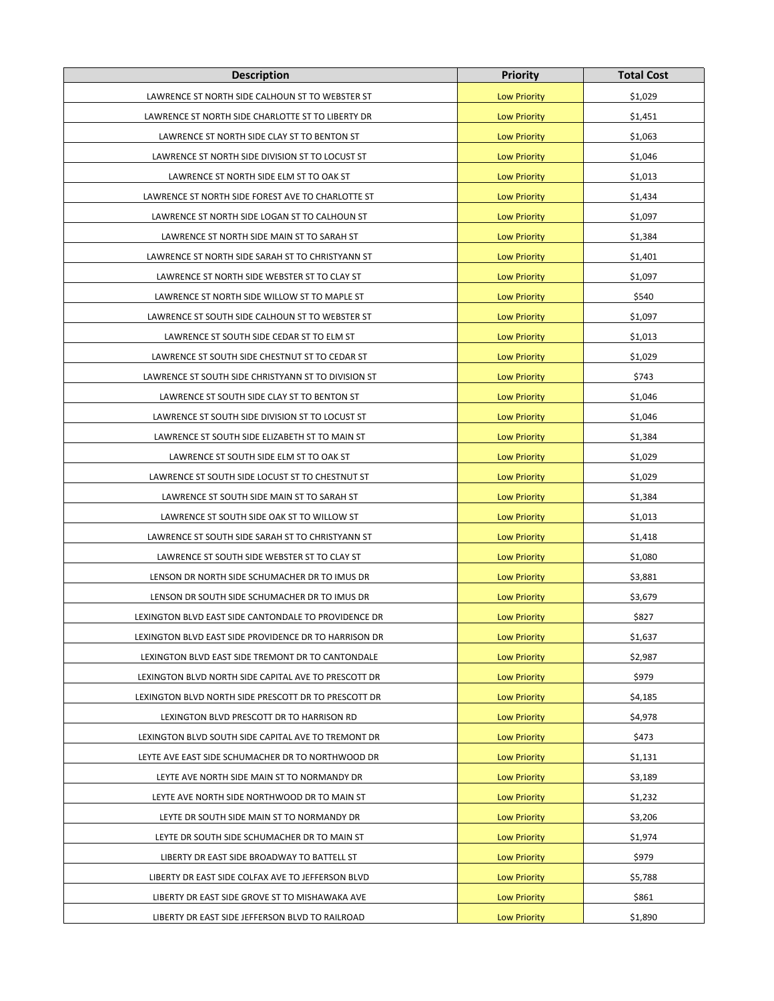| <b>Description</b>                                    | <b>Priority</b>     | <b>Total Cost</b> |
|-------------------------------------------------------|---------------------|-------------------|
| LAWRENCE ST NORTH SIDE CALHOUN ST TO WEBSTER ST       | <b>Low Priority</b> | \$1,029           |
| LAWRENCE ST NORTH SIDE CHARLOTTE ST TO LIBERTY DR     | <b>Low Priority</b> | \$1,451           |
| LAWRENCE ST NORTH SIDE CLAY ST TO BENTON ST           | <b>Low Priority</b> | \$1,063           |
| LAWRENCE ST NORTH SIDE DIVISION ST TO LOCUST ST       | <b>Low Priority</b> | \$1,046           |
| LAWRENCE ST NORTH SIDE ELM ST TO OAK ST               | <b>Low Priority</b> | \$1,013           |
| LAWRENCE ST NORTH SIDE FOREST AVE TO CHARLOTTE ST     | <b>Low Priority</b> | \$1,434           |
| LAWRENCE ST NORTH SIDE LOGAN ST TO CALHOUN ST         | <b>Low Priority</b> | \$1,097           |
| LAWRENCE ST NORTH SIDE MAIN ST TO SARAH ST            | <b>Low Priority</b> | \$1,384           |
| LAWRENCE ST NORTH SIDE SARAH ST TO CHRISTYANN ST      | <b>Low Priority</b> | \$1,401           |
| LAWRENCE ST NORTH SIDE WEBSTER ST TO CLAY ST          | <b>Low Priority</b> | \$1,097           |
| LAWRENCE ST NORTH SIDE WILLOW ST TO MAPLE ST          | <b>Low Priority</b> | \$540             |
| LAWRENCE ST SOUTH SIDE CALHOUN ST TO WEBSTER ST       | <b>Low Priority</b> | \$1,097           |
| LAWRENCE ST SOUTH SIDE CEDAR ST TO ELM ST             | <b>Low Priority</b> | \$1,013           |
| LAWRENCE ST SOUTH SIDE CHESTNUT ST TO CEDAR ST        | <b>Low Priority</b> | \$1,029           |
| LAWRENCE ST SOUTH SIDE CHRISTYANN ST TO DIVISION ST   | <b>Low Priority</b> | \$743             |
| LAWRENCE ST SOUTH SIDE CLAY ST TO BENTON ST           | <b>Low Priority</b> | \$1,046           |
| LAWRENCE ST SOUTH SIDE DIVISION ST TO LOCUST ST       | <b>Low Priority</b> | \$1,046           |
| LAWRENCE ST SOUTH SIDE ELIZABETH ST TO MAIN ST        | <b>Low Priority</b> | \$1,384           |
| LAWRENCE ST SOUTH SIDE ELM ST TO OAK ST               | <b>Low Priority</b> | \$1,029           |
| LAWRENCE ST SOUTH SIDE LOCUST ST TO CHESTNUT ST       | <b>Low Priority</b> | \$1,029           |
| LAWRENCE ST SOUTH SIDE MAIN ST TO SARAH ST            | <b>Low Priority</b> | \$1,384           |
| LAWRENCE ST SOUTH SIDE OAK ST TO WILLOW ST            | <b>Low Priority</b> | \$1,013           |
| LAWRENCE ST SOUTH SIDE SARAH ST TO CHRISTYANN ST      | <b>Low Priority</b> | \$1,418           |
| LAWRENCE ST SOUTH SIDE WEBSTER ST TO CLAY ST          | <b>Low Priority</b> | \$1,080           |
| LENSON DR NORTH SIDE SCHUMACHER DR TO IMUS DR         | <b>Low Priority</b> | \$3,881           |
| LENSON DR SOUTH SIDE SCHUMACHER DR TO IMUS DR         | <b>Low Priority</b> | \$3,679           |
| LEXINGTON BLVD EAST SIDE CANTONDALE TO PROVIDENCE DR  | <b>Low Priority</b> | \$827             |
| LEXINGTON BLVD EAST SIDE PROVIDENCE DR TO HARRISON DR | <b>Low Priority</b> | \$1,637           |
| LEXINGTON BLVD EAST SIDE TREMONT DR TO CANTONDALE     | <b>Low Priority</b> | \$2,987           |
| LEXINGTON BLVD NORTH SIDE CAPITAL AVE TO PRESCOTT DR  | <b>Low Priority</b> | \$979             |
| LEXINGTON BLVD NORTH SIDE PRESCOTT DR TO PRESCOTT DR  | <b>Low Priority</b> | \$4,185           |
| LEXINGTON BLVD PRESCOTT DR TO HARRISON RD             | <b>Low Priority</b> | \$4,978           |
| LEXINGTON BLVD SOUTH SIDE CAPITAL AVE TO TREMONT DR   | <b>Low Priority</b> | \$473             |
| LEYTE AVE EAST SIDE SCHUMACHER DR TO NORTHWOOD DR     | <b>Low Priority</b> | \$1,131           |
| LEYTE AVE NORTH SIDE MAIN ST TO NORMANDY DR           | <b>Low Priority</b> | \$3,189           |
| LEYTE AVE NORTH SIDE NORTHWOOD DR TO MAIN ST          | <b>Low Priority</b> | \$1,232           |
| LEYTE DR SOUTH SIDE MAIN ST TO NORMANDY DR            | <b>Low Priority</b> | \$3,206           |
| LEYTE DR SOUTH SIDE SCHUMACHER DR TO MAIN ST          | <b>Low Priority</b> | \$1,974           |
| LIBERTY DR EAST SIDE BROADWAY TO BATTELL ST           | <b>Low Priority</b> | \$979             |
| LIBERTY DR EAST SIDE COLFAX AVE TO JEFFERSON BLVD     | <b>Low Priority</b> | \$5,788           |
| LIBERTY DR EAST SIDE GROVE ST TO MISHAWAKA AVE        | <b>Low Priority</b> | \$861             |
| LIBERTY DR EAST SIDE JEFFERSON BLVD TO RAILROAD       | <b>Low Priority</b> | \$1,890           |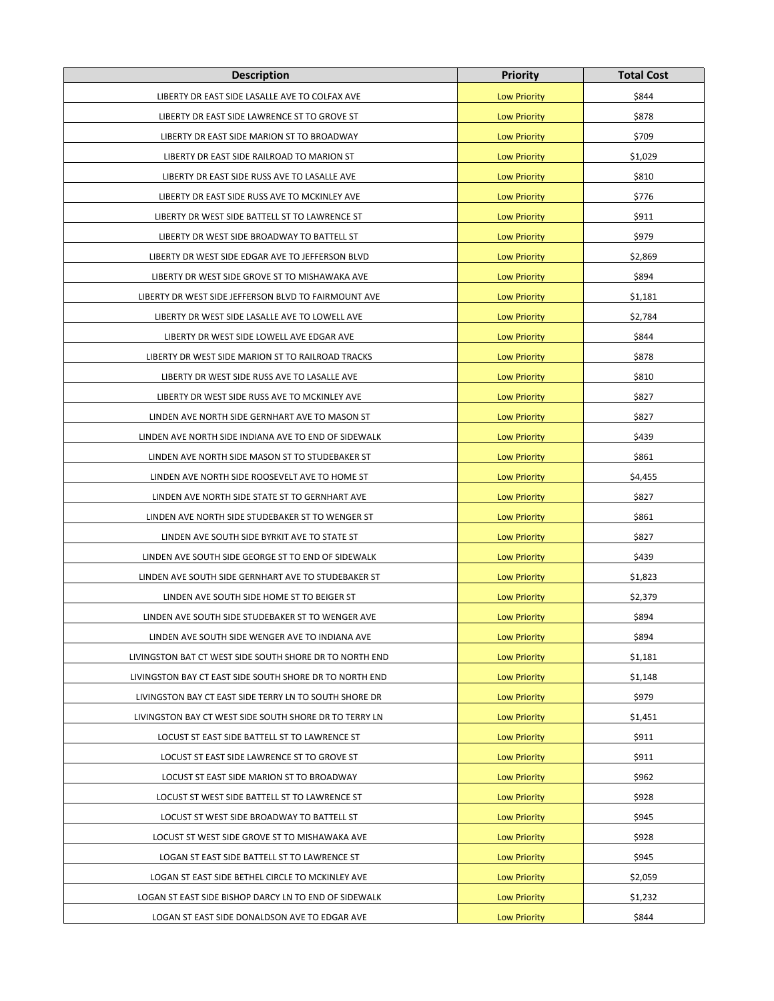| <b>Description</b>                                      | <b>Priority</b>     | <b>Total Cost</b> |
|---------------------------------------------------------|---------------------|-------------------|
| LIBERTY DR EAST SIDE LASALLE AVE TO COLFAX AVE          | <b>Low Priority</b> | \$844             |
| LIBERTY DR EAST SIDE LAWRENCE ST TO GROVE ST            | <b>Low Priority</b> | \$878             |
| LIBERTY DR EAST SIDE MARION ST TO BROADWAY              | <b>Low Priority</b> | \$709             |
| LIBERTY DR EAST SIDE RAILROAD TO MARION ST              | <b>Low Priority</b> | \$1,029           |
| LIBERTY DR EAST SIDE RUSS AVE TO LASALLE AVE            | <b>Low Priority</b> | \$810             |
| LIBERTY DR EAST SIDE RUSS AVE TO MCKINLEY AVE           | <b>Low Priority</b> | \$776             |
| LIBERTY DR WEST SIDE BATTELL ST TO LAWRENCE ST          | <b>Low Priority</b> | \$911             |
| LIBERTY DR WEST SIDE BROADWAY TO BATTELL ST             | <b>Low Priority</b> | \$979             |
| LIBERTY DR WEST SIDE EDGAR AVE TO JEFFERSON BLVD        | <b>Low Priority</b> | \$2,869           |
| LIBERTY DR WEST SIDE GROVE ST TO MISHAWAKA AVE          | <b>Low Priority</b> | \$894             |
| LIBERTY DR WEST SIDE JEFFERSON BLVD TO FAIRMOUNT AVE    | <b>Low Priority</b> | \$1,181           |
| LIBERTY DR WEST SIDE LASALLE AVE TO LOWELL AVE          | <b>Low Priority</b> | \$2,784           |
| LIBERTY DR WEST SIDE LOWELL AVE EDGAR AVE               | <b>Low Priority</b> | \$844             |
| LIBERTY DR WEST SIDE MARION ST TO RAILROAD TRACKS       | <b>Low Priority</b> | \$878             |
| LIBERTY DR WEST SIDE RUSS AVE TO LASALLE AVE            | <b>Low Priority</b> | \$810             |
| LIBERTY DR WEST SIDE RUSS AVE TO MCKINLEY AVE           | <b>Low Priority</b> | \$827             |
| LINDEN AVE NORTH SIDE GERNHART AVE TO MASON ST          | <b>Low Priority</b> | \$827             |
| LINDEN AVE NORTH SIDE INDIANA AVE TO END OF SIDEWALK    | <b>Low Priority</b> | \$439             |
| LINDEN AVE NORTH SIDE MASON ST TO STUDEBAKER ST         | <b>Low Priority</b> | \$861             |
| LINDEN AVE NORTH SIDE ROOSEVELT AVE TO HOME ST          | <b>Low Priority</b> | \$4,455           |
| LINDEN AVE NORTH SIDE STATE ST TO GERNHART AVE          | <b>Low Priority</b> | \$827             |
| LINDEN AVE NORTH SIDE STUDEBAKER ST TO WENGER ST        | <b>Low Priority</b> | \$861             |
| LINDEN AVE SOUTH SIDE BYRKIT AVE TO STATE ST            | <b>Low Priority</b> | \$827             |
| LINDEN AVE SOUTH SIDE GEORGE ST TO END OF SIDEWALK      | <b>Low Priority</b> | \$439             |
| LINDEN AVE SOUTH SIDE GERNHART AVE TO STUDEBAKER ST     | <b>Low Priority</b> | \$1,823           |
| LINDEN AVE SOUTH SIDE HOME ST TO BEIGER ST              | <b>Low Priority</b> | \$2,379           |
| LINDEN AVE SOUTH SIDE STUDEBAKER ST TO WENGER AVE       | <b>Low Priority</b> | \$894             |
| LINDEN AVE SOUTH SIDE WENGER AVE TO INDIANA AVE         | <b>Low Priority</b> | \$894             |
| LIVINGSTON BAT CT WEST SIDE SOUTH SHORE DR TO NORTH END | <b>Low Priority</b> | \$1,181           |
| LIVINGSTON BAY CT EAST SIDE SOUTH SHORE DR TO NORTH END | <b>Low Priority</b> | \$1,148           |
| LIVINGSTON BAY CT EAST SIDE TERRY LN TO SOUTH SHORE DR  | <b>Low Priority</b> | \$979             |
| LIVINGSTON BAY CT WEST SIDE SOUTH SHORE DR TO TERRY LN  | <b>Low Priority</b> | \$1,451           |
| LOCUST ST EAST SIDE BATTELL ST TO LAWRENCE ST           | <b>Low Priority</b> | \$911             |
| LOCUST ST EAST SIDE LAWRENCE ST TO GROVE ST             | <b>Low Priority</b> | \$911             |
| LOCUST ST EAST SIDE MARION ST TO BROADWAY               | <b>Low Priority</b> | \$962             |
| LOCUST ST WEST SIDE BATTELL ST TO LAWRENCE ST           | <b>Low Priority</b> | \$928             |
| LOCUST ST WEST SIDE BROADWAY TO BATTELL ST              | <b>Low Priority</b> | \$945             |
| LOCUST ST WEST SIDE GROVE ST TO MISHAWAKA AVE           | <b>Low Priority</b> | \$928             |
| LOGAN ST EAST SIDE BATTELL ST TO LAWRENCE ST            | <b>Low Priority</b> | \$945             |
| LOGAN ST EAST SIDE BETHEL CIRCLE TO MCKINLEY AVE        | <b>Low Priority</b> | \$2,059           |
| LOGAN ST EAST SIDE BISHOP DARCY LN TO END OF SIDEWALK   | <b>Low Priority</b> | \$1,232           |
| LOGAN ST EAST SIDE DONALDSON AVE TO EDGAR AVE           | <b>Low Priority</b> | \$844             |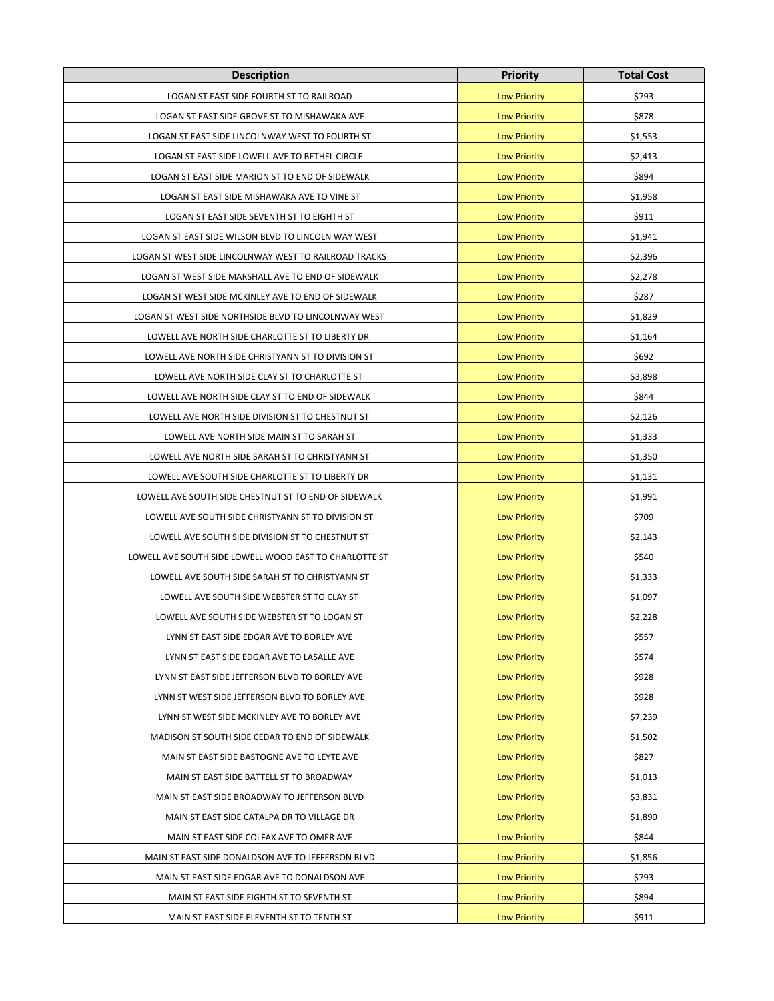| <b>Description</b>                                     | <b>Priority</b>     | <b>Total Cost</b> |
|--------------------------------------------------------|---------------------|-------------------|
| LOGAN ST EAST SIDE FOURTH ST TO RAILROAD               | <b>Low Priority</b> | \$793             |
| LOGAN ST EAST SIDE GROVE ST TO MISHAWAKA AVE           | <b>Low Priority</b> | \$878             |
| LOGAN ST EAST SIDE LINCOLNWAY WEST TO FOURTH ST        | <b>Low Priority</b> | \$1,553           |
| LOGAN ST EAST SIDE LOWELL AVE TO BETHEL CIRCLE         | <b>Low Priority</b> | \$2,413           |
| LOGAN ST EAST SIDE MARION ST TO END OF SIDEWALK        | <b>Low Priority</b> | \$894             |
| LOGAN ST EAST SIDE MISHAWAKA AVE TO VINE ST            | <b>Low Priority</b> | \$1,958           |
| LOGAN ST EAST SIDE SEVENTH ST TO EIGHTH ST             | <b>Low Priority</b> | \$911             |
| LOGAN ST EAST SIDE WILSON BLVD TO LINCOLN WAY WEST     | <b>Low Priority</b> | \$1,941           |
| LOGAN ST WEST SIDE LINCOLNWAY WEST TO RAILROAD TRACKS  | <b>Low Priority</b> | \$2,396           |
| LOGAN ST WEST SIDE MARSHALL AVE TO END OF SIDEWALK     | <b>Low Priority</b> | \$2,278           |
| LOGAN ST WEST SIDE MCKINLEY AVE TO END OF SIDEWALK     | <b>Low Priority</b> | \$287             |
| LOGAN ST WEST SIDE NORTHSIDE BLVD TO LINCOLNWAY WEST   | <b>Low Priority</b> | \$1,829           |
| LOWELL AVE NORTH SIDE CHARLOTTE ST TO LIBERTY DR       | <b>Low Priority</b> | \$1,164           |
| LOWELL AVE NORTH SIDE CHRISTYANN ST TO DIVISION ST     | <b>Low Priority</b> | \$692             |
| LOWELL AVE NORTH SIDE CLAY ST TO CHARLOTTE ST          | <b>Low Priority</b> | \$3,898           |
| LOWELL AVE NORTH SIDE CLAY ST TO END OF SIDEWALK       | <b>Low Priority</b> | \$844             |
| LOWELL AVE NORTH SIDE DIVISION ST TO CHESTNUT ST       | <b>Low Priority</b> | \$2,126           |
| LOWELL AVE NORTH SIDE MAIN ST TO SARAH ST              | <b>Low Priority</b> | \$1,333           |
| LOWELL AVE NORTH SIDE SARAH ST TO CHRISTYANN ST        | <b>Low Priority</b> | \$1,350           |
| LOWELL AVE SOUTH SIDE CHARLOTTE ST TO LIBERTY DR       | <b>Low Priority</b> | \$1,131           |
| LOWELL AVE SOUTH SIDE CHESTNUT ST TO END OF SIDEWALK   | <b>Low Priority</b> | \$1,991           |
| LOWELL AVE SOUTH SIDE CHRISTYANN ST TO DIVISION ST     | <b>Low Priority</b> | \$709             |
| LOWELL AVE SOUTH SIDE DIVISION ST TO CHESTNUT ST       | <b>Low Priority</b> | \$2,143           |
| LOWELL AVE SOUTH SIDE LOWELL WOOD EAST TO CHARLOTTE ST | <b>Low Priority</b> | \$540             |
| LOWELL AVE SOUTH SIDE SARAH ST TO CHRISTYANN ST        | <b>Low Priority</b> | \$1,333           |
| LOWELL AVE SOUTH SIDE WEBSTER ST TO CLAY ST            | <b>Low Priority</b> | \$1,097           |
| LOWELL AVE SOUTH SIDE WEBSTER ST TO LOGAN ST           | <b>Low Priority</b> | \$2,228           |
| LYNN ST EAST SIDE EDGAR AVE TO BORLEY AVE              | <b>Low Priority</b> | \$557             |
| LYNN ST EAST SIDE EDGAR AVE TO LASALLE AVE             | <b>Low Priority</b> | \$574             |
| LYNN ST EAST SIDE JEFFERSON BLVD TO BORLEY AVE         | <b>Low Priority</b> | \$928             |
| LYNN ST WEST SIDE JEFFERSON BLVD TO BORLEY AVE         | <b>Low Priority</b> | \$928             |
| LYNN ST WEST SIDE MCKINLEY AVE TO BORLEY AVE           | <b>Low Priority</b> | \$7,239           |
| MADISON ST SOUTH SIDE CEDAR TO END OF SIDEWALK         | <b>Low Priority</b> | \$1,502           |
| MAIN ST EAST SIDE BASTOGNE AVE TO LEYTE AVE            | <b>Low Priority</b> | \$827             |
| MAIN ST EAST SIDE BATTELL ST TO BROADWAY               | <b>Low Priority</b> | \$1,013           |
| MAIN ST EAST SIDE BROADWAY TO JEFFERSON BLVD           | <b>Low Priority</b> | \$3,831           |
| MAIN ST EAST SIDE CATALPA DR TO VILLAGE DR             | <b>Low Priority</b> | \$1,890           |
| MAIN ST EAST SIDE COLFAX AVE TO OMER AVE               | <b>Low Priority</b> | \$844             |
| MAIN ST EAST SIDE DONALDSON AVE TO JEFFERSON BLVD      | <b>Low Priority</b> | \$1,856           |
| MAIN ST EAST SIDE EDGAR AVE TO DONALDSON AVE           | <b>Low Priority</b> | \$793             |
| MAIN ST EAST SIDE EIGHTH ST TO SEVENTH ST              | <b>Low Priority</b> | \$894             |
| MAIN ST EAST SIDE ELEVENTH ST TO TENTH ST              | <b>Low Priority</b> | \$911             |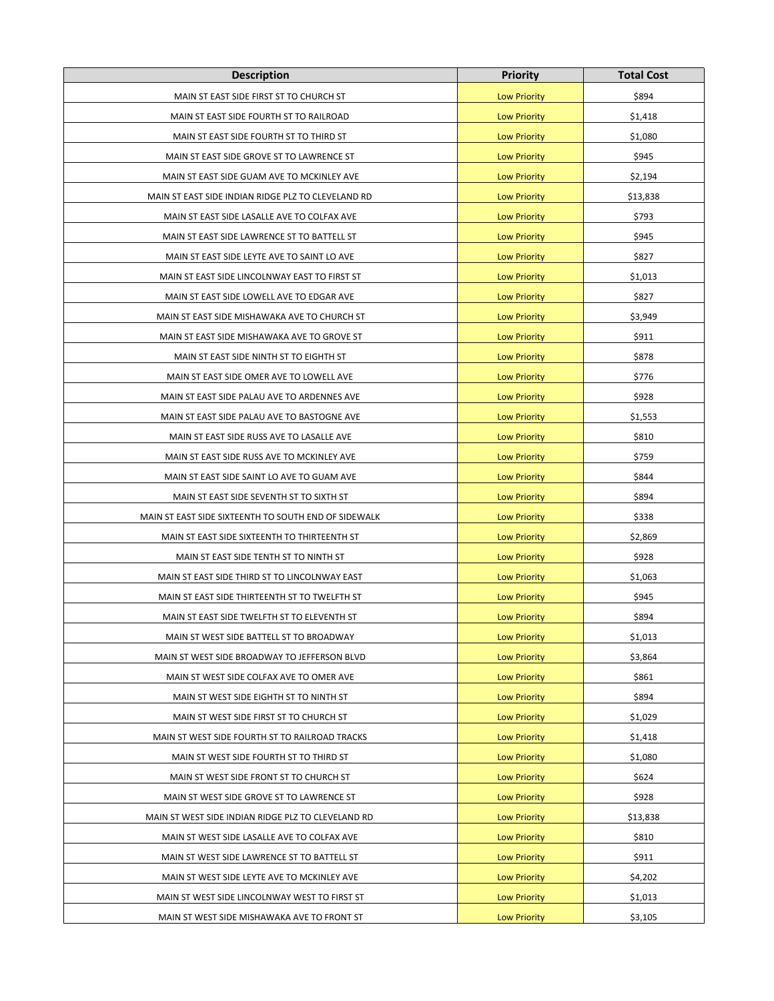| <b>Description</b>                                   | <b>Priority</b>     | <b>Total Cost</b> |
|------------------------------------------------------|---------------------|-------------------|
| MAIN ST EAST SIDE FIRST ST TO CHURCH ST              | <b>Low Priority</b> | \$894             |
| MAIN ST EAST SIDE FOURTH ST TO RAILROAD              | <b>Low Priority</b> | \$1,418           |
| MAIN ST EAST SIDE FOURTH ST TO THIRD ST              | <b>Low Priority</b> | \$1,080           |
| MAIN ST EAST SIDE GROVE ST TO LAWRENCE ST            | <b>Low Priority</b> | \$945             |
| MAIN ST EAST SIDE GUAM AVE TO MCKINLEY AVE           | <b>Low Priority</b> | \$2,194           |
| MAIN ST EAST SIDE INDIAN RIDGE PLZ TO CLEVELAND RD   | <b>Low Priority</b> | \$13,838          |
| MAIN ST EAST SIDE LASALLE AVE TO COLFAX AVE          | <b>Low Priority</b> | \$793             |
| MAIN ST EAST SIDE LAWRENCE ST TO BATTELL ST          | <b>Low Priority</b> | \$945             |
| MAIN ST EAST SIDE LEYTE AVE TO SAINT LO AVE          | <b>Low Priority</b> | \$827             |
| MAIN ST EAST SIDE LINCOLNWAY EAST TO FIRST ST        | <b>Low Priority</b> | \$1,013           |
| MAIN ST EAST SIDE LOWELL AVE TO EDGAR AVE            | <b>Low Priority</b> | \$827             |
| MAIN ST EAST SIDE MISHAWAKA AVE TO CHURCH ST         | <b>Low Priority</b> | \$3,949           |
| MAIN ST EAST SIDE MISHAWAKA AVE TO GROVE ST          | <b>Low Priority</b> | \$911             |
| MAIN ST EAST SIDE NINTH ST TO EIGHTH ST              | <b>Low Priority</b> | \$878             |
| MAIN ST EAST SIDE OMER AVE TO LOWELL AVE             | <b>Low Priority</b> | \$776             |
| MAIN ST EAST SIDE PALAU AVE TO ARDENNES AVE          | <b>Low Priority</b> | \$928             |
| MAIN ST EAST SIDE PALAU AVE TO BASTOGNE AVE          | <b>Low Priority</b> | \$1,553           |
| MAIN ST EAST SIDE RUSS AVE TO LASALLE AVE            | <b>Low Priority</b> | \$810             |
| MAIN ST EAST SIDE RUSS AVE TO MCKINLEY AVE           | <b>Low Priority</b> | \$759             |
| MAIN ST EAST SIDE SAINT LO AVE TO GUAM AVE           | <b>Low Priority</b> | \$844             |
| MAIN ST EAST SIDE SEVENTH ST TO SIXTH ST             | <b>Low Priority</b> | \$894             |
| MAIN ST EAST SIDE SIXTEENTH TO SOUTH END OF SIDEWALK | <b>Low Priority</b> | \$338             |
| MAIN ST EAST SIDE SIXTEENTH TO THIRTEENTH ST         | <b>Low Priority</b> | \$2,869           |
| MAIN ST EAST SIDE TENTH ST TO NINTH ST               | <b>Low Priority</b> | \$928             |
| MAIN ST EAST SIDE THIRD ST TO LINCOLNWAY EAST        | <b>Low Priority</b> | \$1,063           |
| MAIN ST EAST SIDE THIRTEENTH ST TO TWELFTH ST        | <b>Low Priority</b> | \$945             |
| MAIN ST EAST SIDE TWELFTH ST TO ELEVENTH ST          | <b>Low Priority</b> | \$894             |
| MAIN ST WEST SIDE BATTELL ST TO BROADWAY             | <b>Low Priority</b> | \$1,013           |
| MAIN ST WEST SIDE BROADWAY TO JEFFERSON BLVD         | <b>Low Priority</b> | \$3,864           |
| MAIN ST WEST SIDE COLFAX AVE TO OMER AVE             | <b>Low Priority</b> | \$861             |
| MAIN ST WEST SIDE EIGHTH ST TO NINTH ST              | <b>Low Priority</b> | \$894             |
| MAIN ST WEST SIDE FIRST ST TO CHURCH ST              | <b>Low Priority</b> | \$1,029           |
| MAIN ST WEST SIDE FOURTH ST TO RAILROAD TRACKS       | <b>Low Priority</b> | \$1,418           |
| MAIN ST WEST SIDE FOURTH ST TO THIRD ST              | <b>Low Priority</b> | \$1,080           |
| MAIN ST WEST SIDE FRONT ST TO CHURCH ST              | <b>Low Priority</b> | \$624             |
| MAIN ST WEST SIDE GROVE ST TO LAWRENCE ST            | <b>Low Priority</b> | \$928             |
| MAIN ST WEST SIDE INDIAN RIDGE PLZ TO CLEVELAND RD   | <b>Low Priority</b> | \$13,838          |
| MAIN ST WEST SIDE LASALLE AVE TO COLFAX AVE          | <b>Low Priority</b> | \$810             |
| MAIN ST WEST SIDE LAWRENCE ST TO BATTELL ST          | <b>Low Priority</b> | \$911             |
| MAIN ST WEST SIDE LEYTE AVE TO MCKINLEY AVE          | <b>Low Priority</b> | \$4,202           |
| MAIN ST WEST SIDE LINCOLNWAY WEST TO FIRST ST        | <b>Low Priority</b> | \$1,013           |
| MAIN ST WEST SIDE MISHAWAKA AVE TO FRONT ST          | <b>Low Priority</b> | \$3,105           |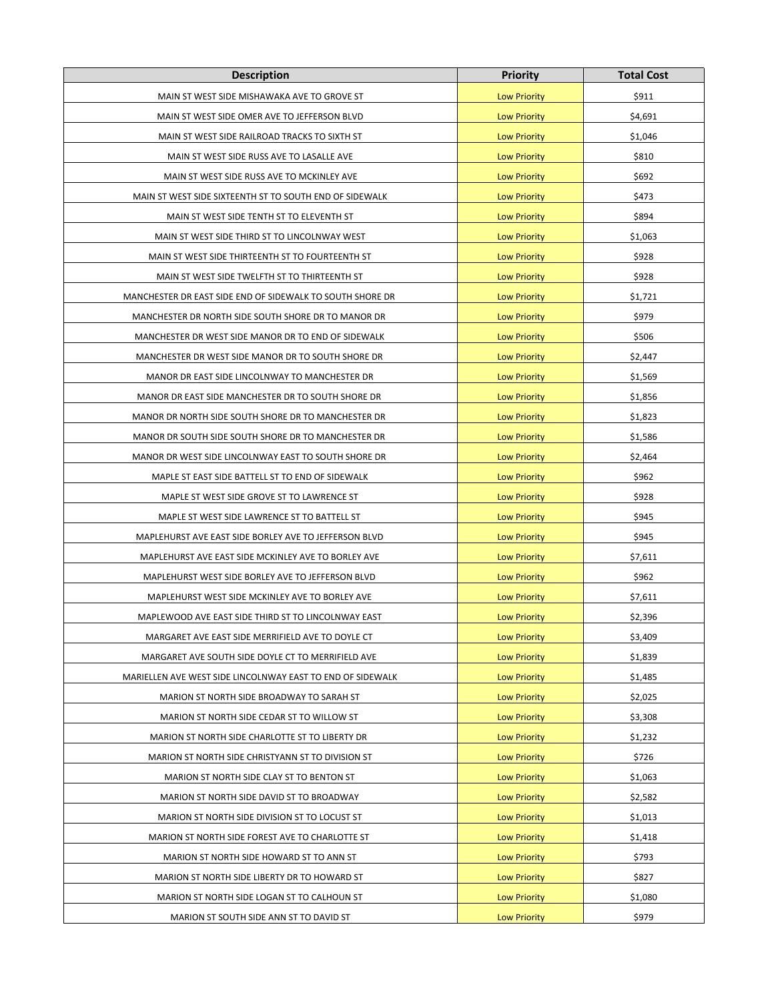| <b>Description</b>                                         | <b>Priority</b>     | <b>Total Cost</b> |
|------------------------------------------------------------|---------------------|-------------------|
| MAIN ST WEST SIDE MISHAWAKA AVE TO GROVE ST                | <b>Low Priority</b> | \$911             |
| MAIN ST WEST SIDE OMER AVE TO JEFFERSON BLVD               | <b>Low Priority</b> | \$4,691           |
| MAIN ST WEST SIDE RAILROAD TRACKS TO SIXTH ST              | <b>Low Priority</b> | \$1,046           |
| MAIN ST WEST SIDE RUSS AVE TO LASALLE AVE                  | <b>Low Priority</b> | \$810             |
| MAIN ST WEST SIDE RUSS AVE TO MCKINLEY AVE                 | <b>Low Priority</b> | \$692             |
| MAIN ST WEST SIDE SIXTEENTH ST TO SOUTH END OF SIDEWALK    | <b>Low Priority</b> | \$473             |
| MAIN ST WEST SIDE TENTH ST TO ELEVENTH ST                  | <b>Low Priority</b> | \$894             |
| MAIN ST WEST SIDE THIRD ST TO LINCOLNWAY WEST              | <b>Low Priority</b> | \$1,063           |
| MAIN ST WEST SIDE THIRTEENTH ST TO FOURTEENTH ST           | <b>Low Priority</b> | \$928             |
| MAIN ST WEST SIDE TWELFTH ST TO THIRTEENTH ST              | <b>Low Priority</b> | \$928             |
| MANCHESTER DR EAST SIDE END OF SIDEWALK TO SOUTH SHORE DR  | <b>Low Priority</b> | \$1,721           |
| MANCHESTER DR NORTH SIDE SOUTH SHORE DR TO MANOR DR        | <b>Low Priority</b> | \$979             |
| MANCHESTER DR WEST SIDE MANOR DR TO END OF SIDEWALK        | <b>Low Priority</b> | \$506             |
| MANCHESTER DR WEST SIDE MANOR DR TO SOUTH SHORE DR         | <b>Low Priority</b> | \$2,447           |
| MANOR DR EAST SIDE LINCOLNWAY TO MANCHESTER DR             | <b>Low Priority</b> | \$1,569           |
| MANOR DR EAST SIDE MANCHESTER DR TO SOUTH SHORE DR         | <b>Low Priority</b> | \$1,856           |
| MANOR DR NORTH SIDE SOUTH SHORE DR TO MANCHESTER DR        | <b>Low Priority</b> | \$1,823           |
| MANOR DR SOUTH SIDE SOUTH SHORE DR TO MANCHESTER DR        | <b>Low Priority</b> | \$1,586           |
| MANOR DR WEST SIDE LINCOLNWAY EAST TO SOUTH SHORE DR       | <b>Low Priority</b> | \$2,464           |
| MAPLE ST EAST SIDE BATTELL ST TO END OF SIDEWALK           | <b>Low Priority</b> | \$962             |
| MAPLE ST WEST SIDE GROVE ST TO LAWRENCE ST                 | <b>Low Priority</b> | \$928             |
| MAPLE ST WEST SIDE LAWRENCE ST TO BATTELL ST               | <b>Low Priority</b> | \$945             |
| MAPLEHURST AVE EAST SIDE BORLEY AVE TO JEFFERSON BLVD      | <b>Low Priority</b> | \$945             |
| MAPLEHURST AVE EAST SIDE MCKINLEY AVE TO BORLEY AVE        | <b>Low Priority</b> | \$7,611           |
| MAPLEHURST WEST SIDE BORLEY AVE TO JEFFERSON BLVD          | <b>Low Priority</b> | \$962             |
| MAPLEHURST WEST SIDE MCKINLEY AVE TO BORLEY AVE            | <b>Low Priority</b> | \$7,611           |
| MAPLEWOOD AVE EAST SIDE THIRD ST TO LINCOLNWAY EAST        | <b>Low Priority</b> | \$2,396           |
| MARGARET AVE EAST SIDE MERRIFIELD AVE TO DOYLE CT          | <b>Low Priority</b> | \$3,409           |
| MARGARET AVE SOUTH SIDE DOYLE CT TO MERRIFIELD AVE         | <b>Low Priority</b> | \$1,839           |
| MARIELLEN AVE WEST SIDE LINCOLNWAY EAST TO END OF SIDEWALK | <b>Low Priority</b> | \$1,485           |
| MARION ST NORTH SIDE BROADWAY TO SARAH ST                  | <b>Low Priority</b> | \$2,025           |
| MARION ST NORTH SIDE CEDAR ST TO WILLOW ST                 | <b>Low Priority</b> | \$3,308           |
| MARION ST NORTH SIDE CHARLOTTE ST TO LIBERTY DR            | <b>Low Priority</b> | \$1,232           |
| MARION ST NORTH SIDE CHRISTYANN ST TO DIVISION ST          | <b>Low Priority</b> | \$726             |
| MARION ST NORTH SIDE CLAY ST TO BENTON ST                  | <b>Low Priority</b> | \$1,063           |
| MARION ST NORTH SIDE DAVID ST TO BROADWAY                  | <b>Low Priority</b> | \$2,582           |
| MARION ST NORTH SIDE DIVISION ST TO LOCUST ST              | <b>Low Priority</b> | \$1,013           |
| MARION ST NORTH SIDE FOREST AVE TO CHARLOTTE ST            | <b>Low Priority</b> | \$1,418           |
| MARION ST NORTH SIDE HOWARD ST TO ANN ST                   | <b>Low Priority</b> | \$793             |
| MARION ST NORTH SIDE LIBERTY DR TO HOWARD ST               | <b>Low Priority</b> | \$827             |
| MARION ST NORTH SIDE LOGAN ST TO CALHOUN ST                | <b>Low Priority</b> | \$1,080           |
| MARION ST SOUTH SIDE ANN ST TO DAVID ST                    | <b>Low Priority</b> | \$979             |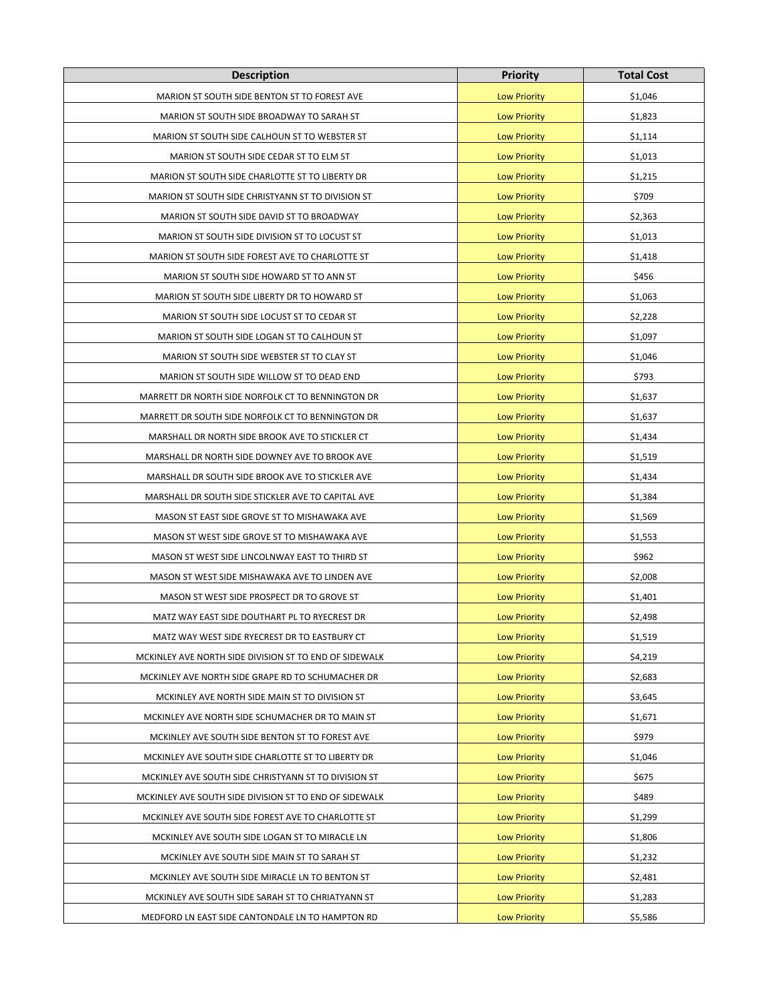| <b>Description</b>                                     | <b>Priority</b>     | <b>Total Cost</b> |
|--------------------------------------------------------|---------------------|-------------------|
| MARION ST SOUTH SIDE BENTON ST TO FOREST AVE           | <b>Low Priority</b> | \$1,046           |
| MARION ST SOUTH SIDE BROADWAY TO SARAH ST              | <b>Low Priority</b> | \$1,823           |
| MARION ST SOUTH SIDE CALHOUN ST TO WEBSTER ST          | <b>Low Priority</b> | \$1,114           |
| MARION ST SOUTH SIDE CEDAR ST TO ELM ST                | <b>Low Priority</b> | \$1,013           |
| MARION ST SOUTH SIDE CHARLOTTE ST TO LIBERTY DR        | <b>Low Priority</b> | \$1,215           |
| MARION ST SOUTH SIDE CHRISTYANN ST TO DIVISION ST      | <b>Low Priority</b> | \$709             |
| MARION ST SOUTH SIDE DAVID ST TO BROADWAY              | <b>Low Priority</b> | \$2,363           |
| MARION ST SOUTH SIDE DIVISION ST TO LOCUST ST          | <b>Low Priority</b> | \$1,013           |
| MARION ST SOUTH SIDE FOREST AVE TO CHARLOTTE ST        | <b>Low Priority</b> | \$1,418           |
| MARION ST SOUTH SIDE HOWARD ST TO ANN ST               | <b>Low Priority</b> | \$456             |
| MARION ST SOUTH SIDE LIBERTY DR TO HOWARD ST           | <b>Low Priority</b> | \$1,063           |
| MARION ST SOUTH SIDE LOCUST ST TO CEDAR ST             | <b>Low Priority</b> | \$2,228           |
| MARION ST SOUTH SIDE LOGAN ST TO CALHOUN ST            | <b>Low Priority</b> | \$1,097           |
| MARION ST SOUTH SIDE WEBSTER ST TO CLAY ST             | <b>Low Priority</b> | \$1,046           |
| MARION ST SOUTH SIDE WILLOW ST TO DEAD END             | <b>Low Priority</b> | \$793             |
| MARRETT DR NORTH SIDE NORFOLK CT TO BENNINGTON DR      | <b>Low Priority</b> | \$1,637           |
| MARRETT DR SOUTH SIDE NORFOLK CT TO BENNINGTON DR      | <b>Low Priority</b> | \$1,637           |
| MARSHALL DR NORTH SIDE BROOK AVE TO STICKLER CT        | <b>Low Priority</b> | \$1,434           |
| MARSHALL DR NORTH SIDE DOWNEY AVE TO BROOK AVE         | <b>Low Priority</b> | \$1,519           |
| MARSHALL DR SOUTH SIDE BROOK AVE TO STICKLER AVE       | <b>Low Priority</b> | \$1,434           |
| MARSHALL DR SOUTH SIDE STICKLER AVE TO CAPITAL AVE     | <b>Low Priority</b> | \$1,384           |
| MASON ST EAST SIDE GROVE ST TO MISHAWAKA AVE           | <b>Low Priority</b> | \$1,569           |
| MASON ST WEST SIDE GROVE ST TO MISHAWAKA AVE           | <b>Low Priority</b> | \$1,553           |
| MASON ST WEST SIDE LINCOLNWAY EAST TO THIRD ST         | <b>Low Priority</b> | \$962             |
| MASON ST WEST SIDE MISHAWAKA AVE TO LINDEN AVE         | <b>Low Priority</b> | \$2,008           |
| MASON ST WEST SIDE PROSPECT DR TO GROVE ST             | <b>Low Priority</b> | \$1,401           |
| MATZ WAY EAST SIDE DOUTHART PL TO RYECREST DR          | <b>Low Priority</b> | \$2,498           |
| MATZ WAY WEST SIDE RYECREST DR TO EASTBURY CT          | <b>Low Priority</b> | \$1,519           |
| MCKINLEY AVE NORTH SIDE DIVISION ST TO END OF SIDEWALK | <b>Low Priority</b> | \$4,219           |
| MCKINLEY AVE NORTH SIDE GRAPE RD TO SCHUMACHER DR      | <b>Low Priority</b> | \$2,683           |
| MCKINLEY AVE NORTH SIDE MAIN ST TO DIVISION ST         | <b>Low Priority</b> | \$3,645           |
| MCKINLEY AVE NORTH SIDE SCHUMACHER DR TO MAIN ST       | <b>Low Priority</b> | \$1,671           |
| MCKINLEY AVE SOUTH SIDE BENTON ST TO FOREST AVE        | <b>Low Priority</b> | \$979             |
| MCKINLEY AVE SOUTH SIDE CHARLOTTE ST TO LIBERTY DR     | <b>Low Priority</b> | \$1,046           |
| MCKINLEY AVE SOUTH SIDE CHRISTYANN ST TO DIVISION ST   | <b>Low Priority</b> | \$675             |
| MCKINLEY AVE SOUTH SIDE DIVISION ST TO END OF SIDEWALK | <b>Low Priority</b> | \$489             |
| MCKINLEY AVE SOUTH SIDE FOREST AVE TO CHARLOTTE ST     | <b>Low Priority</b> | \$1,299           |
| MCKINLEY AVE SOUTH SIDE LOGAN ST TO MIRACLE LN         | <b>Low Priority</b> | \$1,806           |
| MCKINLEY AVE SOUTH SIDE MAIN ST TO SARAH ST            | <b>Low Priority</b> | \$1,232           |
| MCKINLEY AVE SOUTH SIDE MIRACLE LN TO BENTON ST        | <b>Low Priority</b> | \$2,481           |
| MCKINLEY AVE SOUTH SIDE SARAH ST TO CHRIATYANN ST      | <b>Low Priority</b> | \$1,283           |
| MEDFORD LN EAST SIDE CANTONDALE LN TO HAMPTON RD       | <b>Low Priority</b> | \$5,586           |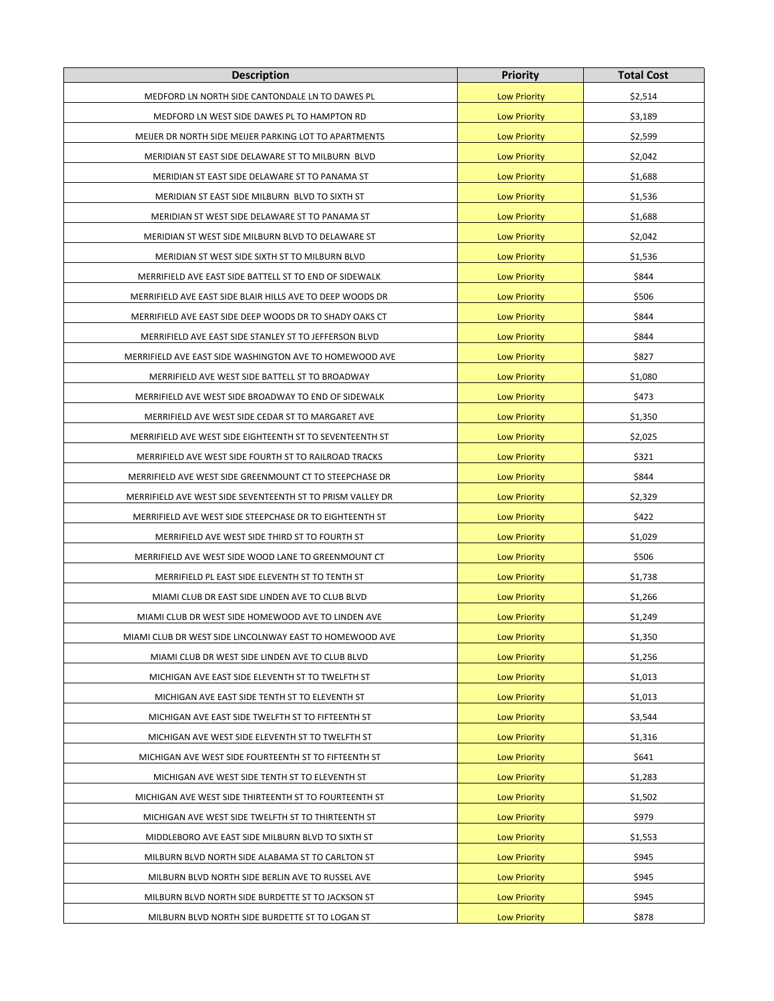| <b>Description</b>                                         | <b>Priority</b>     | <b>Total Cost</b> |
|------------------------------------------------------------|---------------------|-------------------|
| MEDFORD LN NORTH SIDE CANTONDALE LN TO DAWES PL            | <b>Low Priority</b> | \$2,514           |
| MEDFORD LN WEST SIDE DAWES PL TO HAMPTON RD                | <b>Low Priority</b> | \$3,189           |
| MEIJER DR NORTH SIDE MEIJER PARKING LOT TO APARTMENTS      | <b>Low Priority</b> | \$2,599           |
| MERIDIAN ST EAST SIDE DELAWARE ST TO MILBURN BLVD          | <b>Low Priority</b> | \$2,042           |
| MERIDIAN ST EAST SIDE DELAWARE ST TO PANAMA ST             | <b>Low Priority</b> | \$1,688           |
| MERIDIAN ST EAST SIDE MILBURN BLVD TO SIXTH ST             | <b>Low Priority</b> | \$1,536           |
| MERIDIAN ST WEST SIDE DELAWARE ST TO PANAMA ST             | <b>Low Priority</b> | \$1,688           |
| MERIDIAN ST WEST SIDE MILBURN BLVD TO DELAWARE ST          | <b>Low Priority</b> | \$2,042           |
| MERIDIAN ST WEST SIDE SIXTH ST TO MILBURN BLVD             | <b>Low Priority</b> | \$1,536           |
| MERRIFIELD AVE EAST SIDE BATTELL ST TO END OF SIDEWALK     | <b>Low Priority</b> | \$844             |
| MERRIFIELD AVE EAST SIDE BLAIR HILLS AVE TO DEEP WOODS DR  | <b>Low Priority</b> | \$506             |
| MERRIFIELD AVE EAST SIDE DEEP WOODS DR TO SHADY OAKS CT    | <b>Low Priority</b> | \$844             |
| MERRIFIELD AVE EAST SIDE STANLEY ST TO JEFFERSON BLVD      | <b>Low Priority</b> | \$844             |
| MERRIFIELD AVE EAST SIDE WASHINGTON AVE TO HOMEWOOD AVE    | <b>Low Priority</b> | \$827             |
| MERRIFIELD AVE WEST SIDE BATTELL ST TO BROADWAY            | <b>Low Priority</b> | \$1,080           |
| MERRIFIELD AVE WEST SIDE BROADWAY TO END OF SIDEWALK       | <b>Low Priority</b> | \$473             |
| MERRIFIELD AVE WEST SIDE CEDAR ST TO MARGARET AVE          | <b>Low Priority</b> | \$1,350           |
| MERRIFIELD AVE WEST SIDE EIGHTEENTH ST TO SEVENTEENTH ST   | <b>Low Priority</b> | \$2,025           |
| MERRIFIELD AVE WEST SIDE FOURTH ST TO RAILROAD TRACKS      | <b>Low Priority</b> | \$321             |
| MERRIFIELD AVE WEST SIDE GREENMOUNT CT TO STEEPCHASE DR    | <b>Low Priority</b> | \$844             |
| MERRIFIELD AVE WEST SIDE SEVENTEENTH ST TO PRISM VALLEY DR | <b>Low Priority</b> | \$2,329           |
| MERRIFIELD AVE WEST SIDE STEEPCHASE DR TO EIGHTEENTH ST    | <b>Low Priority</b> | \$422             |
| MERRIFIELD AVE WEST SIDE THIRD ST TO FOURTH ST             | <b>Low Priority</b> | \$1,029           |
| MERRIFIELD AVE WEST SIDE WOOD LANE TO GREENMOUNT CT        | <b>Low Priority</b> | \$506             |
| MERRIFIELD PL EAST SIDE ELEVENTH ST TO TENTH ST            | <b>Low Priority</b> | \$1,738           |
| MIAMI CLUB DR EAST SIDE LINDEN AVE TO CLUB BLVD            | <b>Low Priority</b> | \$1,266           |
| MIAMI CLUB DR WEST SIDE HOMEWOOD AVE TO LINDEN AVE         | <b>Low Priority</b> | \$1,249           |
| MIAMI CLUB DR WEST SIDE LINCOLNWAY EAST TO HOMEWOOD AVE    | <b>Low Priority</b> | \$1,350           |
| MIAMI CLUB DR WEST SIDE LINDEN AVE TO CLUB BLVD            | <b>Low Priority</b> | \$1,256           |
| MICHIGAN AVE EAST SIDE ELEVENTH ST TO TWELFTH ST           | <b>Low Priority</b> | \$1,013           |
| MICHIGAN AVE EAST SIDE TENTH ST TO ELEVENTH ST             | <b>Low Priority</b> | \$1,013           |
| MICHIGAN AVE EAST SIDE TWELFTH ST TO FIFTEENTH ST          | <b>Low Priority</b> | \$3,544           |
| MICHIGAN AVE WEST SIDE ELEVENTH ST TO TWELFTH ST           | <b>Low Priority</b> | \$1,316           |
| MICHIGAN AVE WEST SIDE FOURTEENTH ST TO FIFTEENTH ST       | <b>Low Priority</b> | \$641             |
| MICHIGAN AVE WEST SIDE TENTH ST TO ELEVENTH ST             | <b>Low Priority</b> | \$1,283           |
| MICHIGAN AVE WEST SIDE THIRTEENTH ST TO FOURTEENTH ST      | <b>Low Priority</b> | \$1,502           |
| MICHIGAN AVE WEST SIDE TWELFTH ST TO THIRTEENTH ST         | <b>Low Priority</b> | \$979             |
| MIDDLEBORO AVE EAST SIDE MILBURN BLVD TO SIXTH ST          | <b>Low Priority</b> | \$1,553           |
| MILBURN BLVD NORTH SIDE ALABAMA ST TO CARLTON ST           | <b>Low Priority</b> | \$945             |
| MILBURN BLVD NORTH SIDE BERLIN AVE TO RUSSEL AVE           | <b>Low Priority</b> | \$945             |
| MILBURN BLVD NORTH SIDE BURDETTE ST TO JACKSON ST          | <b>Low Priority</b> | \$945             |
| MILBURN BLVD NORTH SIDE BURDETTE ST TO LOGAN ST            | <b>Low Priority</b> | \$878             |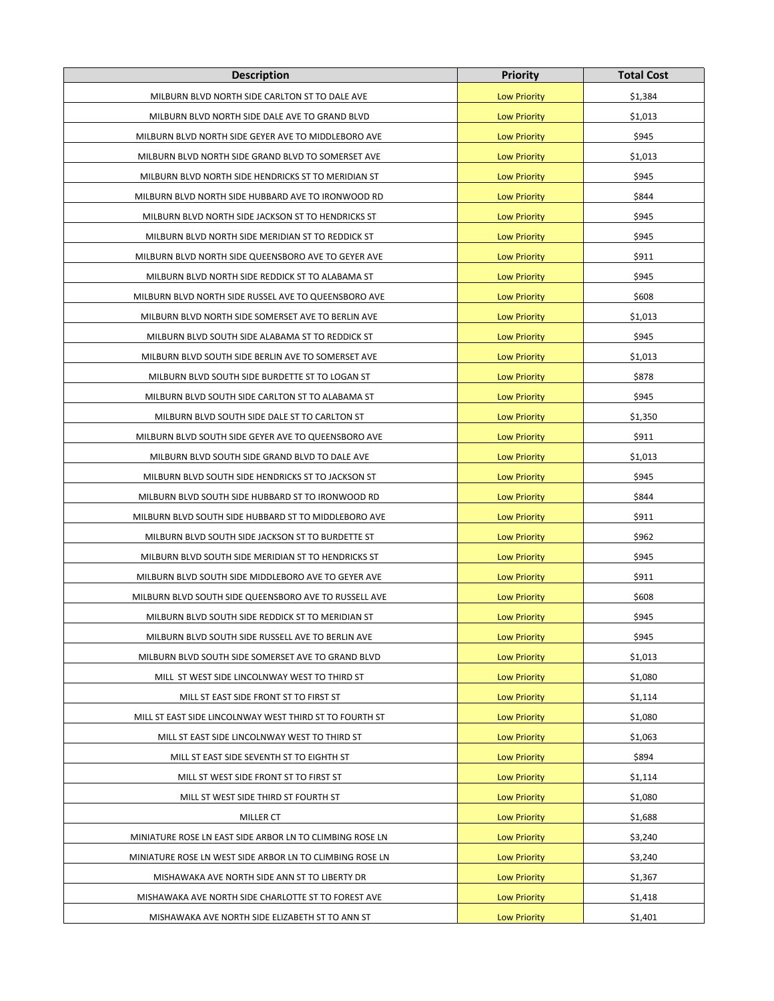| <b>Description</b>                                       | <b>Priority</b>     | <b>Total Cost</b> |
|----------------------------------------------------------|---------------------|-------------------|
| MILBURN BLVD NORTH SIDE CARLTON ST TO DALE AVE           | <b>Low Priority</b> | \$1,384           |
| MILBURN BLVD NORTH SIDE DALE AVE TO GRAND BLVD           | <b>Low Priority</b> | \$1,013           |
| MILBURN BLVD NORTH SIDE GEYER AVE TO MIDDLEBORO AVE      | <b>Low Priority</b> | \$945             |
| MILBURN BLVD NORTH SIDE GRAND BLVD TO SOMERSET AVE       | <b>Low Priority</b> | \$1,013           |
| MILBURN BLVD NORTH SIDE HENDRICKS ST TO MERIDIAN ST      | <b>Low Priority</b> | \$945             |
| MILBURN BLVD NORTH SIDE HUBBARD AVE TO IRONWOOD RD       | <b>Low Priority</b> | \$844             |
| MILBURN BLVD NORTH SIDE JACKSON ST TO HENDRICKS ST       | <b>Low Priority</b> | \$945             |
| MILBURN BLVD NORTH SIDE MERIDIAN ST TO REDDICK ST        | <b>Low Priority</b> | \$945             |
| MILBURN BLVD NORTH SIDE QUEENSBORO AVE TO GEYER AVE      | <b>Low Priority</b> | \$911             |
| MILBURN BLVD NORTH SIDE REDDICK ST TO ALABAMA ST         | <b>Low Priority</b> | \$945             |
| MILBURN BLVD NORTH SIDE RUSSEL AVE TO QUEENSBORO AVE     | <b>Low Priority</b> | \$608             |
| MILBURN BLVD NORTH SIDE SOMERSET AVE TO BERLIN AVE       | <b>Low Priority</b> | \$1,013           |
| MILBURN BLVD SOUTH SIDE ALABAMA ST TO REDDICK ST         | <b>Low Priority</b> | \$945             |
| MILBURN BLVD SOUTH SIDE BERLIN AVE TO SOMERSET AVE       | <b>Low Priority</b> | \$1,013           |
| MILBURN BLVD SOUTH SIDE BURDETTE ST TO LOGAN ST          | <b>Low Priority</b> | \$878             |
| MILBURN BLVD SOUTH SIDE CARLTON ST TO ALABAMA ST         | <b>Low Priority</b> | \$945             |
| MILBURN BLVD SOUTH SIDE DALE ST TO CARLTON ST            | <b>Low Priority</b> | \$1,350           |
| MILBURN BLVD SOUTH SIDE GEYER AVE TO QUEENSBORO AVE      | <b>Low Priority</b> | \$911             |
| MILBURN BLVD SOUTH SIDE GRAND BLVD TO DALE AVE           | <b>Low Priority</b> | \$1,013           |
| MILBURN BLVD SOUTH SIDE HENDRICKS ST TO JACKSON ST       | <b>Low Priority</b> | \$945             |
| MILBURN BLVD SOUTH SIDE HUBBARD ST TO IRONWOOD RD        | <b>Low Priority</b> | \$844             |
| MILBURN BLVD SOUTH SIDE HUBBARD ST TO MIDDLEBORO AVE     | <b>Low Priority</b> | \$911             |
| MILBURN BLVD SOUTH SIDE JACKSON ST TO BURDETTE ST        | <b>Low Priority</b> | \$962             |
| MILBURN BLVD SOUTH SIDE MERIDIAN ST TO HENDRICKS ST      | <b>Low Priority</b> | \$945             |
| MILBURN BLVD SOUTH SIDE MIDDLEBORO AVE TO GEYER AVE      | <b>Low Priority</b> | \$911             |
| MILBURN BLVD SOUTH SIDE QUEENSBORO AVE TO RUSSELL AVE    | <b>Low Priority</b> | \$608             |
| MILBURN BLVD SOUTH SIDE REDDICK ST TO MERIDIAN ST        | <b>Low Priority</b> | \$945             |
| MILBURN BLVD SOUTH SIDE RUSSELL AVE TO BERLIN AVE        | <b>Low Priority</b> | \$945             |
| MILBURN BLVD SOUTH SIDE SOMERSET AVE TO GRAND BLVD       | <b>Low Priority</b> | \$1,013           |
| MILL ST WEST SIDE LINCOLNWAY WEST TO THIRD ST            | <b>Low Priority</b> | \$1,080           |
| MILL ST EAST SIDE FRONT ST TO FIRST ST                   | <b>Low Priority</b> | \$1,114           |
| MILL ST EAST SIDE LINCOLNWAY WEST THIRD ST TO FOURTH ST  | <b>Low Priority</b> | \$1,080           |
| MILL ST EAST SIDE LINCOLNWAY WEST TO THIRD ST            | <b>Low Priority</b> | \$1,063           |
| MILL ST EAST SIDE SEVENTH ST TO EIGHTH ST                | <b>Low Priority</b> | \$894             |
| MILL ST WEST SIDE FRONT ST TO FIRST ST                   | <b>Low Priority</b> | \$1,114           |
| MILL ST WEST SIDE THIRD ST FOURTH ST                     | <b>Low Priority</b> | \$1,080           |
| MILLER CT                                                | <b>Low Priority</b> | \$1,688           |
| MINIATURE ROSE LN EAST SIDE ARBOR LN TO CLIMBING ROSE LN | <b>Low Priority</b> | \$3,240           |
| MINIATURE ROSE LN WEST SIDE ARBOR LN TO CLIMBING ROSE LN | <b>Low Priority</b> | \$3,240           |
| MISHAWAKA AVE NORTH SIDE ANN ST TO LIBERTY DR            | <b>Low Priority</b> | \$1,367           |
| MISHAWAKA AVE NORTH SIDE CHARLOTTE ST TO FOREST AVE      | <b>Low Priority</b> | \$1,418           |
| MISHAWAKA AVE NORTH SIDE ELIZABETH ST TO ANN ST          | <b>Low Priority</b> | \$1,401           |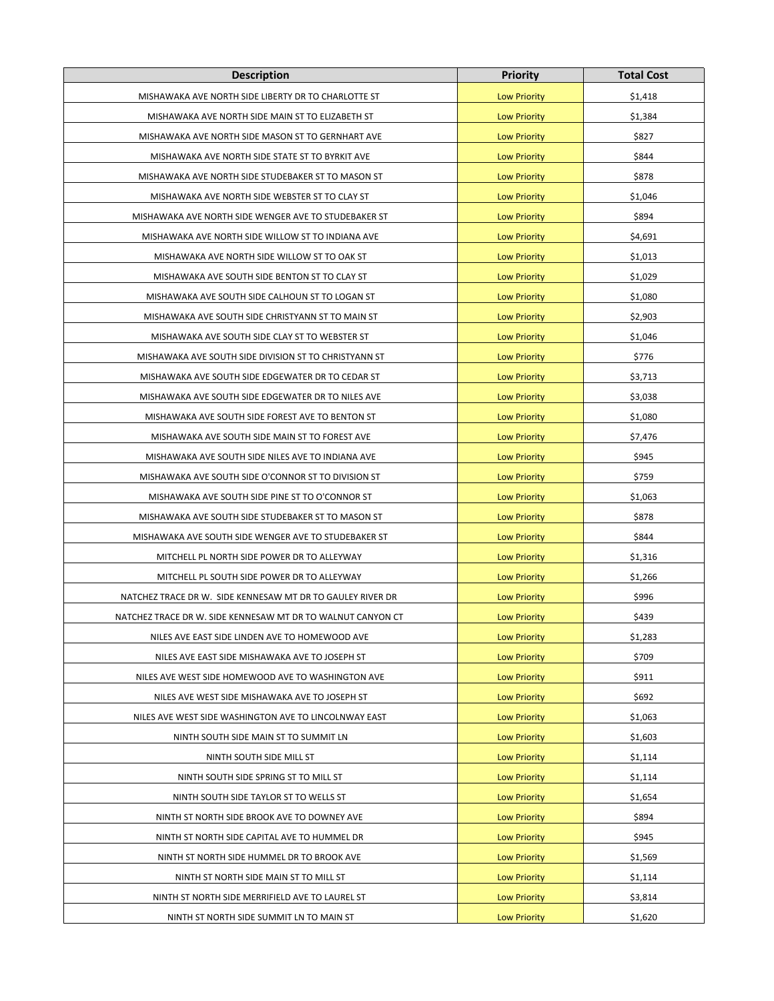| <b>Description</b>                                          | <b>Priority</b>     | <b>Total Cost</b> |
|-------------------------------------------------------------|---------------------|-------------------|
| MISHAWAKA AVE NORTH SIDE LIBERTY DR TO CHARLOTTE ST         | <b>Low Priority</b> | \$1,418           |
| MISHAWAKA AVE NORTH SIDE MAIN ST TO ELIZABETH ST            | <b>Low Priority</b> | \$1,384           |
| MISHAWAKA AVE NORTH SIDE MASON ST TO GERNHART AVE           | <b>Low Priority</b> | \$827             |
| MISHAWAKA AVE NORTH SIDE STATE ST TO BYRKIT AVE             | <b>Low Priority</b> | \$844             |
| MISHAWAKA AVE NORTH SIDE STUDEBAKER ST TO MASON ST          | <b>Low Priority</b> | \$878             |
| MISHAWAKA AVE NORTH SIDE WEBSTER ST TO CLAY ST              | <b>Low Priority</b> | \$1,046           |
| MISHAWAKA AVE NORTH SIDE WENGER AVE TO STUDEBAKER ST        | <b>Low Priority</b> | \$894             |
| MISHAWAKA AVE NORTH SIDE WILLOW ST TO INDIANA AVE           | <b>Low Priority</b> | \$4,691           |
| MISHAWAKA AVE NORTH SIDE WILLOW ST TO OAK ST                | <b>Low Priority</b> | \$1,013           |
| MISHAWAKA AVE SOUTH SIDE BENTON ST TO CLAY ST               | <b>Low Priority</b> | \$1,029           |
| MISHAWAKA AVE SOUTH SIDE CALHOUN ST TO LOGAN ST             | <b>Low Priority</b> | \$1,080           |
| MISHAWAKA AVE SOUTH SIDE CHRISTYANN ST TO MAIN ST           | <b>Low Priority</b> | \$2,903           |
| MISHAWAKA AVE SOUTH SIDE CLAY ST TO WEBSTER ST              | <b>Low Priority</b> | \$1,046           |
| MISHAWAKA AVE SOUTH SIDE DIVISION ST TO CHRISTYANN ST       | <b>Low Priority</b> | \$776             |
| MISHAWAKA AVE SOUTH SIDE EDGEWATER DR TO CEDAR ST           | <b>Low Priority</b> | \$3,713           |
| MISHAWAKA AVE SOUTH SIDE EDGEWATER DR TO NILES AVE          | <b>Low Priority</b> | \$3,038           |
| MISHAWAKA AVE SOUTH SIDE FOREST AVE TO BENTON ST            | <b>Low Priority</b> | \$1,080           |
| MISHAWAKA AVE SOUTH SIDE MAIN ST TO FOREST AVE              | <b>Low Priority</b> | \$7,476           |
| MISHAWAKA AVE SOUTH SIDE NILES AVE TO INDIANA AVE           | <b>Low Priority</b> | \$945             |
| MISHAWAKA AVE SOUTH SIDE O'CONNOR ST TO DIVISION ST         | <b>Low Priority</b> | \$759             |
| MISHAWAKA AVE SOUTH SIDE PINE ST TO O'CONNOR ST             | <b>Low Priority</b> | \$1,063           |
| MISHAWAKA AVE SOUTH SIDE STUDEBAKER ST TO MASON ST          | <b>Low Priority</b> | \$878             |
| MISHAWAKA AVE SOUTH SIDE WENGER AVE TO STUDEBAKER ST        | <b>Low Priority</b> | \$844             |
| MITCHELL PL NORTH SIDE POWER DR TO ALLEYWAY                 | <b>Low Priority</b> | \$1,316           |
| MITCHELL PL SOUTH SIDE POWER DR TO ALLEYWAY                 | <b>Low Priority</b> | \$1,266           |
| NATCHEZ TRACE DR W. SIDE KENNESAW MT DR TO GAULEY RIVER DR  | <b>Low Priority</b> | \$996             |
| NATCHEZ TRACE DR W. SIDE KENNESAW MT DR TO WALNUT CANYON CT | <b>Low Priority</b> | \$439             |
| NILES AVE EAST SIDE LINDEN AVE TO HOMEWOOD AVE              | <b>Low Priority</b> | \$1,283           |
| NILES AVE EAST SIDE MISHAWAKA AVE TO JOSEPH ST              | <b>Low Priority</b> | \$709             |
| NILES AVE WEST SIDE HOMEWOOD AVE TO WASHINGTON AVE          | <b>Low Priority</b> | \$911             |
| NILES AVE WEST SIDE MISHAWAKA AVE TO JOSEPH ST              | <b>Low Priority</b> | \$692             |
| NILES AVE WEST SIDE WASHINGTON AVE TO LINCOLNWAY EAST       | <b>Low Priority</b> | \$1,063           |
| NINTH SOUTH SIDE MAIN ST TO SUMMIT LN                       | <b>Low Priority</b> | \$1,603           |
| NINTH SOUTH SIDE MILL ST                                    | <b>Low Priority</b> | \$1,114           |
| NINTH SOUTH SIDE SPRING ST TO MILL ST                       | <b>Low Priority</b> | \$1,114           |
| NINTH SOUTH SIDE TAYLOR ST TO WELLS ST                      | <b>Low Priority</b> | \$1,654           |
| NINTH ST NORTH SIDE BROOK AVE TO DOWNEY AVE                 | <b>Low Priority</b> | \$894             |
| NINTH ST NORTH SIDE CAPITAL AVE TO HUMMEL DR                | <b>Low Priority</b> | \$945             |
| NINTH ST NORTH SIDE HUMMEL DR TO BROOK AVE                  | <b>Low Priority</b> | \$1,569           |
| NINTH ST NORTH SIDE MAIN ST TO MILL ST                      | <b>Low Priority</b> | \$1,114           |
| NINTH ST NORTH SIDE MERRIFIELD AVE TO LAUREL ST             | <b>Low Priority</b> | \$3,814           |
| NINTH ST NORTH SIDE SUMMIT LN TO MAIN ST                    | <b>Low Priority</b> | \$1,620           |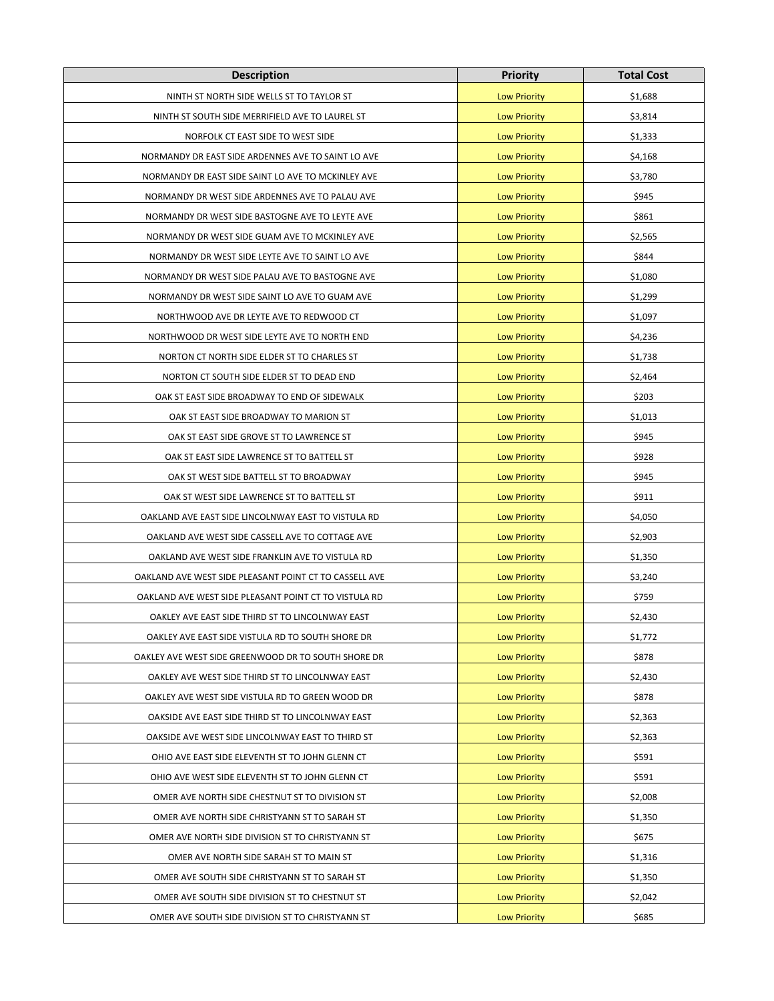| <b>Description</b>                                     | <b>Priority</b>     | <b>Total Cost</b> |
|--------------------------------------------------------|---------------------|-------------------|
| NINTH ST NORTH SIDE WELLS ST TO TAYLOR ST              | <b>Low Priority</b> | \$1,688           |
| NINTH ST SOUTH SIDE MERRIFIELD AVE TO LAUREL ST        | <b>Low Priority</b> | \$3,814           |
| NORFOLK CT EAST SIDE TO WEST SIDE                      | <b>Low Priority</b> | \$1,333           |
| NORMANDY DR EAST SIDE ARDENNES AVE TO SAINT LO AVE     | <b>Low Priority</b> | \$4,168           |
| NORMANDY DR EAST SIDE SAINT LO AVE TO MCKINLEY AVE     | <b>Low Priority</b> | \$3,780           |
| NORMANDY DR WEST SIDE ARDENNES AVE TO PALAU AVE        | <b>Low Priority</b> | \$945             |
| NORMANDY DR WEST SIDE BASTOGNE AVE TO LEYTE AVE        | <b>Low Priority</b> | \$861             |
| NORMANDY DR WEST SIDE GUAM AVE TO MCKINLEY AVE         | <b>Low Priority</b> | \$2,565           |
| NORMANDY DR WEST SIDE LEYTE AVE TO SAINT LO AVE        | <b>Low Priority</b> | \$844             |
| NORMANDY DR WEST SIDE PALAU AVE TO BASTOGNE AVE        | <b>Low Priority</b> | \$1,080           |
| NORMANDY DR WEST SIDE SAINT LO AVE TO GUAM AVE         | <b>Low Priority</b> | \$1,299           |
| NORTHWOOD AVE DR LEYTE AVE TO REDWOOD CT               | <b>Low Priority</b> | \$1,097           |
| NORTHWOOD DR WEST SIDE LEYTE AVE TO NORTH END          | <b>Low Priority</b> | \$4,236           |
| NORTON CT NORTH SIDE ELDER ST TO CHARLES ST            | <b>Low Priority</b> | \$1,738           |
| NORTON CT SOUTH SIDE ELDER ST TO DEAD END              | <b>Low Priority</b> | \$2,464           |
| OAK ST EAST SIDE BROADWAY TO END OF SIDEWALK           | <b>Low Priority</b> | \$203             |
| OAK ST EAST SIDE BROADWAY TO MARION ST                 | <b>Low Priority</b> | \$1,013           |
| OAK ST EAST SIDE GROVE ST TO LAWRENCE ST               | <b>Low Priority</b> | \$945             |
| OAK ST EAST SIDE LAWRENCE ST TO BATTELL ST             | <b>Low Priority</b> | \$928             |
| OAK ST WEST SIDE BATTELL ST TO BROADWAY                | <b>Low Priority</b> | \$945             |
| OAK ST WEST SIDE LAWRENCE ST TO BATTELL ST             | <b>Low Priority</b> | \$911             |
| OAKLAND AVE EAST SIDE LINCOLNWAY EAST TO VISTULA RD    | <b>Low Priority</b> | \$4,050           |
| OAKLAND AVE WEST SIDE CASSELL AVE TO COTTAGE AVE       | <b>Low Priority</b> | \$2,903           |
| OAKLAND AVE WEST SIDE FRANKLIN AVE TO VISTULA RD       | <b>Low Priority</b> | \$1,350           |
| OAKLAND AVE WEST SIDE PLEASANT POINT CT TO CASSELL AVE | <b>Low Priority</b> | \$3,240           |
| OAKLAND AVE WEST SIDE PLEASANT POINT CT TO VISTULA RD  | <b>Low Priority</b> | \$759             |
| OAKLEY AVE EAST SIDE THIRD ST TO LINCOLNWAY EAST       | <b>Low Priority</b> | \$2,430           |
| OAKLEY AVE EAST SIDE VISTULA RD TO SOUTH SHORE DR      | <b>Low Priority</b> | \$1,772           |
| OAKLEY AVE WEST SIDE GREENWOOD DR TO SOUTH SHORE DR    | <b>Low Priority</b> | \$878             |
| OAKLEY AVE WEST SIDE THIRD ST TO LINCOLNWAY EAST       | <b>Low Priority</b> | \$2,430           |
| OAKLEY AVE WEST SIDE VISTULA RD TO GREEN WOOD DR       | <b>Low Priority</b> | \$878             |
| OAKSIDE AVE EAST SIDE THIRD ST TO LINCOLNWAY EAST      | <b>Low Priority</b> | \$2,363           |
| OAKSIDE AVE WEST SIDE LINCOLNWAY EAST TO THIRD ST      | <b>Low Priority</b> | \$2,363           |
| OHIO AVE EAST SIDE ELEVENTH ST TO JOHN GLENN CT        | <b>Low Priority</b> | \$591             |
| OHIO AVE WEST SIDE ELEVENTH ST TO JOHN GLENN CT        | <b>Low Priority</b> | \$591             |
| OMER AVE NORTH SIDE CHESTNUT ST TO DIVISION ST         | <b>Low Priority</b> | \$2,008           |
| OMER AVE NORTH SIDE CHRISTYANN ST TO SARAH ST          | <b>Low Priority</b> | \$1,350           |
| OMER AVE NORTH SIDE DIVISION ST TO CHRISTYANN ST       | <b>Low Priority</b> | \$675             |
| OMER AVE NORTH SIDE SARAH ST TO MAIN ST                | <b>Low Priority</b> | \$1,316           |
| OMER AVE SOUTH SIDE CHRISTYANN ST TO SARAH ST          | <b>Low Priority</b> | \$1,350           |
| OMER AVE SOUTH SIDE DIVISION ST TO CHESTNUT ST         | <b>Low Priority</b> | \$2,042           |
| OMER AVE SOUTH SIDE DIVISION ST TO CHRISTYANN ST       | <b>Low Priority</b> | \$685             |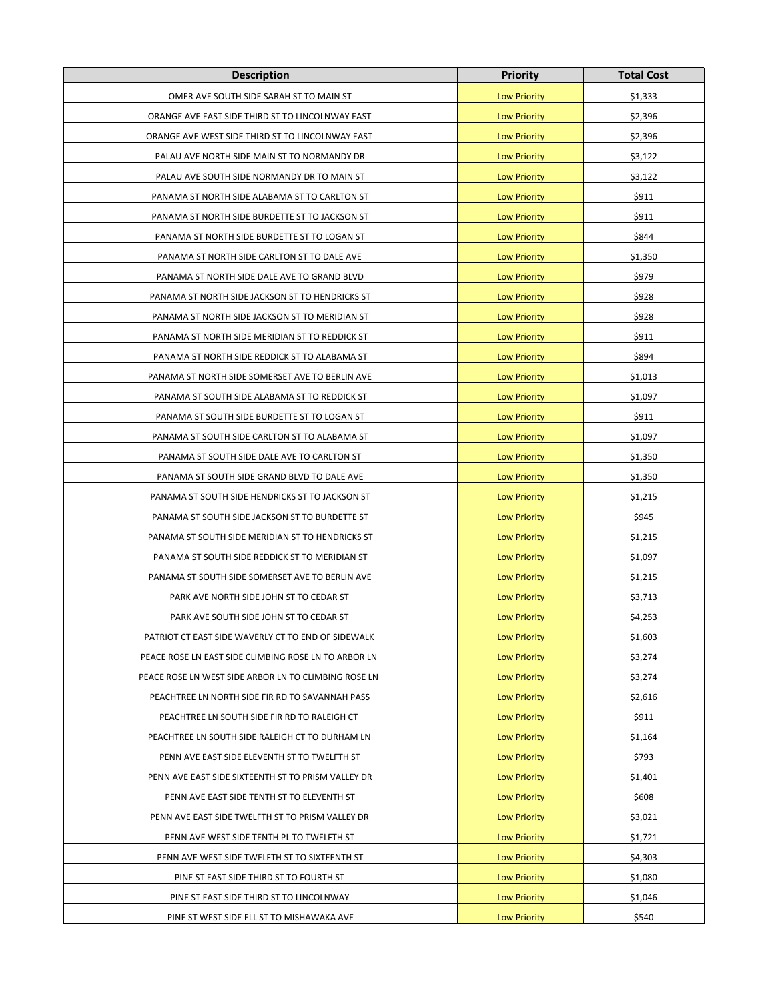| <b>Description</b>                                   | <b>Priority</b>     | <b>Total Cost</b> |
|------------------------------------------------------|---------------------|-------------------|
| OMER AVE SOUTH SIDE SARAH ST TO MAIN ST              | <b>Low Priority</b> | \$1,333           |
| ORANGE AVE EAST SIDE THIRD ST TO LINCOLNWAY EAST     | <b>Low Priority</b> | \$2,396           |
| ORANGE AVE WEST SIDE THIRD ST TO LINCOLNWAY EAST     | <b>Low Priority</b> | \$2,396           |
| PALAU AVE NORTH SIDE MAIN ST TO NORMANDY DR          | <b>Low Priority</b> | \$3,122           |
| PALAU AVE SOUTH SIDE NORMANDY DR TO MAIN ST          | <b>Low Priority</b> | \$3,122           |
| PANAMA ST NORTH SIDE ALABAMA ST TO CARLTON ST        | <b>Low Priority</b> | \$911             |
| PANAMA ST NORTH SIDE BURDETTE ST TO JACKSON ST       | <b>Low Priority</b> | \$911             |
| PANAMA ST NORTH SIDE BURDETTE ST TO LOGAN ST         | <b>Low Priority</b> | \$844             |
| PANAMA ST NORTH SIDE CARLTON ST TO DALE AVE          | <b>Low Priority</b> | \$1,350           |
| PANAMA ST NORTH SIDE DALE AVE TO GRAND BLVD          | <b>Low Priority</b> | \$979             |
| PANAMA ST NORTH SIDE JACKSON ST TO HENDRICKS ST      | <b>Low Priority</b> | \$928             |
| PANAMA ST NORTH SIDE JACKSON ST TO MERIDIAN ST       | <b>Low Priority</b> | \$928             |
| PANAMA ST NORTH SIDE MERIDIAN ST TO REDDICK ST       | <b>Low Priority</b> | \$911             |
| PANAMA ST NORTH SIDE REDDICK ST TO ALABAMA ST        | <b>Low Priority</b> | \$894             |
| PANAMA ST NORTH SIDE SOMERSET AVE TO BERLIN AVE      | <b>Low Priority</b> | \$1,013           |
| PANAMA ST SOUTH SIDE ALABAMA ST TO REDDICK ST        | <b>Low Priority</b> | \$1,097           |
| PANAMA ST SOUTH SIDE BURDETTE ST TO LOGAN ST         | <b>Low Priority</b> | \$911             |
| PANAMA ST SOUTH SIDE CARLTON ST TO ALABAMA ST        | <b>Low Priority</b> | \$1,097           |
| PANAMA ST SOUTH SIDE DALE AVE TO CARLTON ST          | <b>Low Priority</b> | \$1,350           |
| PANAMA ST SOUTH SIDE GRAND BLVD TO DALE AVE          | <b>Low Priority</b> | \$1,350           |
| PANAMA ST SOUTH SIDE HENDRICKS ST TO JACKSON ST      | <b>Low Priority</b> | \$1,215           |
| PANAMA ST SOUTH SIDE JACKSON ST TO BURDETTE ST       | <b>Low Priority</b> | \$945             |
| PANAMA ST SOUTH SIDE MERIDIAN ST TO HENDRICKS ST     | <b>Low Priority</b> | \$1,215           |
| PANAMA ST SOUTH SIDE REDDICK ST TO MERIDIAN ST       | <b>Low Priority</b> | \$1,097           |
| PANAMA ST SOUTH SIDE SOMERSET AVE TO BERLIN AVE      | <b>Low Priority</b> | \$1,215           |
| PARK AVE NORTH SIDE JOHN ST TO CEDAR ST              | <b>Low Priority</b> | \$3,713           |
| PARK AVE SOUTH SIDE JOHN ST TO CEDAR ST              | <b>Low Priority</b> | \$4,253           |
| PATRIOT CT EAST SIDE WAVERLY CT TO END OF SIDEWALK   | <b>Low Priority</b> | \$1,603           |
| PEACE ROSE LN EAST SIDE CLIMBING ROSE LN TO ARBOR LN | <b>Low Priority</b> | \$3,274           |
| PEACE ROSE LN WEST SIDE ARBOR LN TO CLIMBING ROSE LN | <b>Low Priority</b> | \$3,274           |
| PEACHTREE LN NORTH SIDE FIR RD TO SAVANNAH PASS      | <b>Low Priority</b> | \$2,616           |
| PEACHTREE LN SOUTH SIDE FIR RD TO RALEIGH CT         | <b>Low Priority</b> | \$911             |
| PEACHTREE LN SOUTH SIDE RALEIGH CT TO DURHAM LN      | <b>Low Priority</b> | \$1,164           |
| PENN AVE EAST SIDE ELEVENTH ST TO TWELFTH ST         | <b>Low Priority</b> | \$793             |
| PENN AVE EAST SIDE SIXTEENTH ST TO PRISM VALLEY DR   | <b>Low Priority</b> | \$1,401           |
| PENN AVE EAST SIDE TENTH ST TO ELEVENTH ST           | <b>Low Priority</b> | \$608             |
| PENN AVE EAST SIDE TWELFTH ST TO PRISM VALLEY DR     | <b>Low Priority</b> | \$3,021           |
| PENN AVE WEST SIDE TENTH PL TO TWELFTH ST            | <b>Low Priority</b> | \$1,721           |
| PENN AVE WEST SIDE TWELFTH ST TO SIXTEENTH ST        | <b>Low Priority</b> | \$4,303           |
| PINE ST EAST SIDE THIRD ST TO FOURTH ST              | <b>Low Priority</b> | \$1,080           |
| PINE ST EAST SIDE THIRD ST TO LINCOLNWAY             | <b>Low Priority</b> | \$1,046           |
| PINE ST WEST SIDE ELL ST TO MISHAWAKA AVE            | <b>Low Priority</b> | \$540             |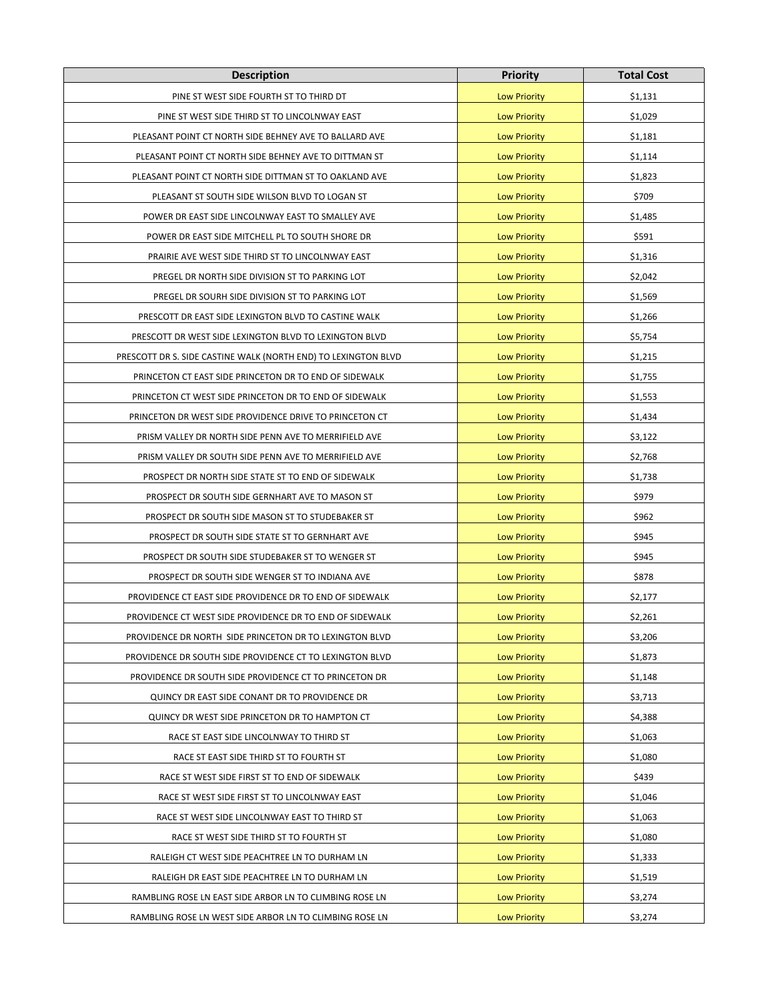| <b>Description</b>                                             | <b>Priority</b>     | <b>Total Cost</b> |
|----------------------------------------------------------------|---------------------|-------------------|
| PINE ST WEST SIDE FOURTH ST TO THIRD DT                        | <b>Low Priority</b> | \$1,131           |
| PINE ST WEST SIDE THIRD ST TO LINCOLNWAY EAST                  | <b>Low Priority</b> | \$1,029           |
| PLEASANT POINT CT NORTH SIDE BEHNEY AVE TO BALLARD AVE         | <b>Low Priority</b> | \$1,181           |
| PLEASANT POINT CT NORTH SIDE BEHNEY AVE TO DITTMAN ST          | <b>Low Priority</b> | \$1,114           |
| PLEASANT POINT CT NORTH SIDE DITTMAN ST TO OAKLAND AVE         | <b>Low Priority</b> | \$1,823           |
| PLEASANT ST SOUTH SIDE WILSON BLVD TO LOGAN ST                 | <b>Low Priority</b> | \$709             |
| POWER DR EAST SIDE LINCOLNWAY EAST TO SMALLEY AVE              | <b>Low Priority</b> | \$1,485           |
| POWER DR EAST SIDE MITCHELL PL TO SOUTH SHORE DR               | <b>Low Priority</b> | \$591             |
| PRAIRIE AVE WEST SIDE THIRD ST TO LINCOLNWAY EAST              | <b>Low Priority</b> | \$1,316           |
| PREGEL DR NORTH SIDE DIVISION ST TO PARKING LOT                | <b>Low Priority</b> | \$2,042           |
| PREGEL DR SOURH SIDE DIVISION ST TO PARKING LOT                | <b>Low Priority</b> | \$1,569           |
| PRESCOTT DR EAST SIDE LEXINGTON BLVD TO CASTINE WALK           | <b>Low Priority</b> | \$1,266           |
| PRESCOTT DR WEST SIDE LEXINGTON BLVD TO LEXINGTON BLVD         | <b>Low Priority</b> | \$5,754           |
| PRESCOTT DR S. SIDE CASTINE WALK (NORTH END) TO LEXINGTON BLVD | <b>Low Priority</b> | \$1,215           |
| PRINCETON CT EAST SIDE PRINCETON DR TO END OF SIDEWALK         | <b>Low Priority</b> | \$1,755           |
| PRINCETON CT WEST SIDE PRINCETON DR TO END OF SIDEWALK         | <b>Low Priority</b> | \$1,553           |
| PRINCETON DR WEST SIDE PROVIDENCE DRIVE TO PRINCETON CT        | <b>Low Priority</b> | \$1,434           |
| PRISM VALLEY DR NORTH SIDE PENN AVE TO MERRIFIELD AVE          | <b>Low Priority</b> | \$3,122           |
| PRISM VALLEY DR SOUTH SIDE PENN AVE TO MERRIFIELD AVE          | <b>Low Priority</b> | \$2,768           |
| PROSPECT DR NORTH SIDE STATE ST TO END OF SIDEWALK             | <b>Low Priority</b> | \$1,738           |
| PROSPECT DR SOUTH SIDE GERNHART AVE TO MASON ST                | <b>Low Priority</b> | \$979             |
| PROSPECT DR SOUTH SIDE MASON ST TO STUDEBAKER ST               | <b>Low Priority</b> | \$962             |
| PROSPECT DR SOUTH SIDE STATE ST TO GERNHART AVE                | <b>Low Priority</b> | \$945             |
| PROSPECT DR SOUTH SIDE STUDEBAKER ST TO WENGER ST              | <b>Low Priority</b> | \$945             |
| PROSPECT DR SOUTH SIDE WENGER ST TO INDIANA AVE                | <b>Low Priority</b> | \$878             |
| PROVIDENCE CT EAST SIDE PROVIDENCE DR TO END OF SIDEWALK       | <b>Low Priority</b> | \$2,177           |
| PROVIDENCE CT WEST SIDE PROVIDENCE DR TO END OF SIDEWALK       | <b>Low Priority</b> | \$2,261           |
| PROVIDENCE DR NORTH SIDE PRINCETON DR TO LEXINGTON BLVD        | <b>Low Priority</b> | \$3,206           |
| PROVIDENCE DR SOUTH SIDE PROVIDENCE CT TO LEXINGTON BLVD       | <b>Low Priority</b> | \$1,873           |
| PROVIDENCE DR SOUTH SIDE PROVIDENCE CT TO PRINCETON DR         | <b>Low Priority</b> | \$1,148           |
| QUINCY DR EAST SIDE CONANT DR TO PROVIDENCE DR                 | <b>Low Priority</b> | \$3,713           |
| QUINCY DR WEST SIDE PRINCETON DR TO HAMPTON CT                 | <b>Low Priority</b> | \$4,388           |
| RACE ST EAST SIDE LINCOLNWAY TO THIRD ST                       | <b>Low Priority</b> | \$1,063           |
| RACE ST EAST SIDE THIRD ST TO FOURTH ST                        | <b>Low Priority</b> | \$1,080           |
| RACE ST WEST SIDE FIRST ST TO END OF SIDEWALK                  | <b>Low Priority</b> | \$439             |
| RACE ST WEST SIDE FIRST ST TO LINCOLNWAY EAST                  | <b>Low Priority</b> | \$1,046           |
| RACE ST WEST SIDE LINCOLNWAY EAST TO THIRD ST                  | <b>Low Priority</b> | \$1,063           |
| RACE ST WEST SIDE THIRD ST TO FOURTH ST                        | <b>Low Priority</b> | \$1,080           |
| RALEIGH CT WEST SIDE PEACHTREE LN TO DURHAM LN                 | <b>Low Priority</b> | \$1,333           |
| RALEIGH DR EAST SIDE PEACHTREE LN TO DURHAM LN                 | <b>Low Priority</b> | \$1,519           |
| RAMBLING ROSE LN EAST SIDE ARBOR LN TO CLIMBING ROSE LN        | <b>Low Priority</b> | \$3,274           |
| RAMBLING ROSE LN WEST SIDE ARBOR LN TO CLIMBING ROSE LN        | <b>Low Priority</b> | \$3,274           |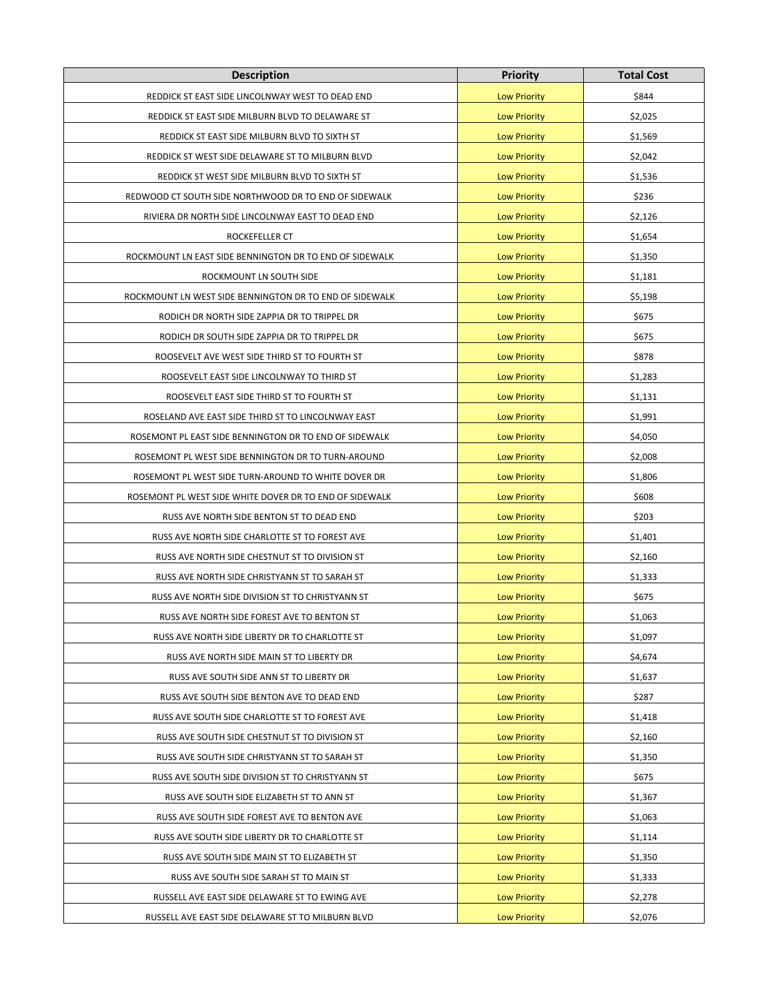| <b>Description</b>                                      | <b>Priority</b>     | <b>Total Cost</b> |
|---------------------------------------------------------|---------------------|-------------------|
| REDDICK ST EAST SIDE LINCOLNWAY WEST TO DEAD END        | <b>Low Priority</b> | \$844             |
| REDDICK ST EAST SIDE MILBURN BLVD TO DELAWARE ST        | <b>Low Priority</b> | \$2,025           |
| REDDICK ST EAST SIDE MILBURN BLVD TO SIXTH ST           | <b>Low Priority</b> | \$1,569           |
| REDDICK ST WEST SIDE DELAWARE ST TO MILBURN BLVD        | <b>Low Priority</b> | \$2,042           |
| REDDICK ST WEST SIDE MILBURN BLVD TO SIXTH ST           | <b>Low Priority</b> | \$1,536           |
| REDWOOD CT SOUTH SIDE NORTHWOOD DR TO END OF SIDEWALK   | <b>Low Priority</b> | \$236             |
| RIVIERA DR NORTH SIDE LINCOLNWAY EAST TO DEAD END       | <b>Low Priority</b> | \$2,126           |
| ROCKEFELLER CT                                          | <b>Low Priority</b> | \$1,654           |
| ROCKMOUNT LN EAST SIDE BENNINGTON DR TO END OF SIDEWALK | <b>Low Priority</b> | \$1,350           |
| ROCKMOUNT LN SOUTH SIDE                                 | <b>Low Priority</b> | \$1,181           |
| ROCKMOUNT LN WEST SIDE BENNINGTON DR TO END OF SIDEWALK | <b>Low Priority</b> | \$5,198           |
| RODICH DR NORTH SIDE ZAPPIA DR TO TRIPPEL DR            | <b>Low Priority</b> | \$675             |
| RODICH DR SOUTH SIDE ZAPPIA DR TO TRIPPEL DR            | <b>Low Priority</b> | \$675             |
| ROOSEVELT AVE WEST SIDE THIRD ST TO FOURTH ST           | <b>Low Priority</b> | \$878             |
| ROOSEVELT EAST SIDE LINCOLNWAY TO THIRD ST              | <b>Low Priority</b> | \$1,283           |
| ROOSEVELT EAST SIDE THIRD ST TO FOURTH ST               | <b>Low Priority</b> | \$1,131           |
| ROSELAND AVE EAST SIDE THIRD ST TO LINCOLNWAY EAST      | <b>Low Priority</b> | \$1,991           |
| ROSEMONT PL EAST SIDE BENNINGTON DR TO END OF SIDEWALK  | <b>Low Priority</b> | \$4,050           |
| ROSEMONT PL WEST SIDE BENNINGTON DR TO TURN-AROUND      | <b>Low Priority</b> | \$2,008           |
| ROSEMONT PL WEST SIDE TURN-AROUND TO WHITE DOVER DR     | <b>Low Priority</b> | \$1,806           |
| ROSEMONT PL WEST SIDE WHITE DOVER DR TO END OF SIDEWALK | <b>Low Priority</b> | \$608             |
| RUSS AVE NORTH SIDE BENTON ST TO DEAD END               | <b>Low Priority</b> | \$203             |
| RUSS AVE NORTH SIDE CHARLOTTE ST TO FOREST AVE          | <b>Low Priority</b> | \$1,401           |
| RUSS AVE NORTH SIDE CHESTNUT ST TO DIVISION ST          | <b>Low Priority</b> | \$2,160           |
| RUSS AVE NORTH SIDE CHRISTYANN ST TO SARAH ST           | <b>Low Priority</b> | \$1,333           |
| RUSS AVE NORTH SIDE DIVISION ST TO CHRISTYANN ST        | <b>Low Priority</b> | \$675             |
| RUSS AVE NORTH SIDE FOREST AVE TO BENTON ST             | <b>Low Priority</b> | \$1,063           |
| RUSS AVE NORTH SIDE LIBERTY DR TO CHARLOTTE ST          | <b>Low Priority</b> | \$1,097           |
| RUSS AVE NORTH SIDE MAIN ST TO LIBERTY DR               | <b>Low Priority</b> | \$4,674           |
| RUSS AVE SOUTH SIDE ANN ST TO LIBERTY DR                | <b>Low Priority</b> | \$1,637           |
| RUSS AVE SOUTH SIDE BENTON AVE TO DEAD END              | <b>Low Priority</b> | \$287             |
| RUSS AVE SOUTH SIDE CHARLOTTE ST TO FOREST AVE          | <b>Low Priority</b> | \$1,418           |
| RUSS AVE SOUTH SIDE CHESTNUT ST TO DIVISION ST          | <b>Low Priority</b> | \$2,160           |
| RUSS AVE SOUTH SIDE CHRISTYANN ST TO SARAH ST           | <b>Low Priority</b> | \$1,350           |
| RUSS AVE SOUTH SIDE DIVISION ST TO CHRISTYANN ST        | <b>Low Priority</b> | \$675             |
| RUSS AVE SOUTH SIDE ELIZABETH ST TO ANN ST              | <b>Low Priority</b> | \$1,367           |
| RUSS AVE SOUTH SIDE FOREST AVE TO BENTON AVE            | <b>Low Priority</b> | \$1,063           |
| RUSS AVE SOUTH SIDE LIBERTY DR TO CHARLOTTE ST          | <b>Low Priority</b> | \$1,114           |
| RUSS AVE SOUTH SIDE MAIN ST TO ELIZABETH ST             | <b>Low Priority</b> | \$1,350           |
| RUSS AVE SOUTH SIDE SARAH ST TO MAIN ST                 | <b>Low Priority</b> | \$1,333           |
| RUSSELL AVE EAST SIDE DELAWARE ST TO EWING AVE          | <b>Low Priority</b> | \$2,278           |
| RUSSELL AVE EAST SIDE DELAWARE ST TO MILBURN BLVD       | <b>Low Priority</b> | \$2,076           |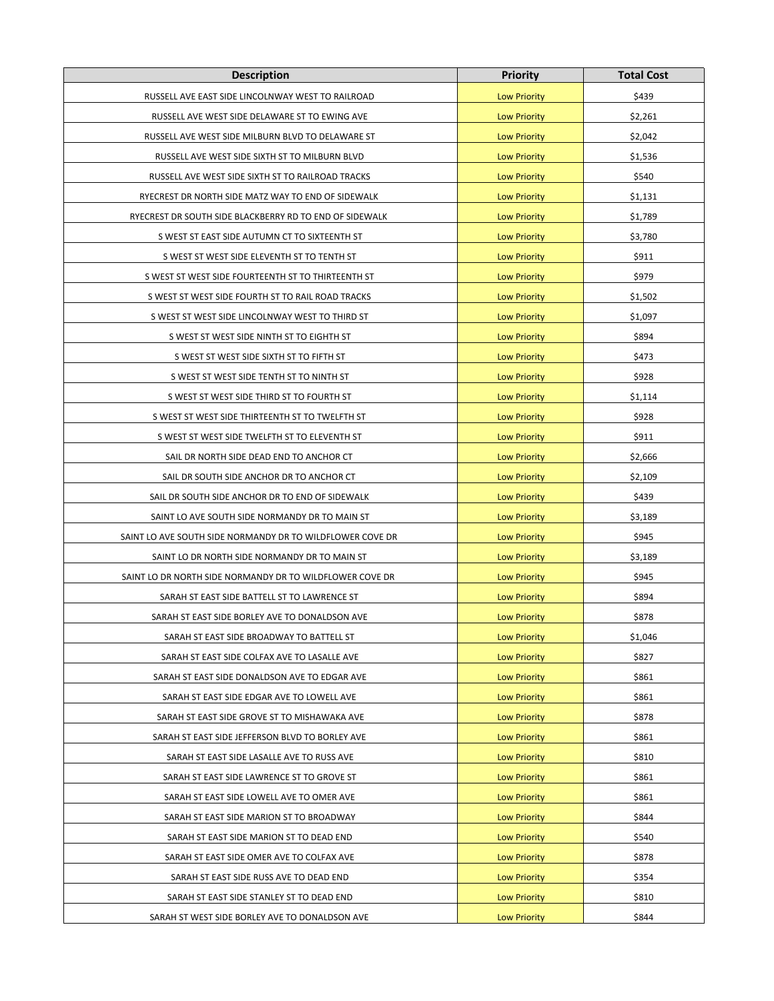| <b>Description</b>                                        | <b>Priority</b>     | <b>Total Cost</b> |
|-----------------------------------------------------------|---------------------|-------------------|
| RUSSELL AVE EAST SIDE LINCOLNWAY WEST TO RAILROAD         | <b>Low Priority</b> | \$439             |
| RUSSELL AVE WEST SIDE DELAWARE ST TO EWING AVE            | <b>Low Priority</b> | \$2,261           |
| RUSSELL AVE WEST SIDE MILBURN BLVD TO DELAWARE ST         | <b>Low Priority</b> | \$2,042           |
| RUSSELL AVE WEST SIDE SIXTH ST TO MILBURN BLVD            | <b>Low Priority</b> | \$1,536           |
| RUSSELL AVE WEST SIDE SIXTH ST TO RAILROAD TRACKS         | <b>Low Priority</b> | \$540             |
| RYECREST DR NORTH SIDE MATZ WAY TO END OF SIDEWALK        | <b>Low Priority</b> | \$1,131           |
| RYECREST DR SOUTH SIDE BLACKBERRY RD TO END OF SIDEWALK   | <b>Low Priority</b> | \$1,789           |
| S WEST ST EAST SIDE AUTUMN CT TO SIXTEENTH ST             | <b>Low Priority</b> | \$3,780           |
| S WEST ST WEST SIDE ELEVENTH ST TO TENTH ST               | <b>Low Priority</b> | \$911             |
| S WEST ST WEST SIDE FOURTEENTH ST TO THIRTEENTH ST        | <b>Low Priority</b> | \$979             |
| S WEST ST WEST SIDE FOURTH ST TO RAIL ROAD TRACKS         | <b>Low Priority</b> | \$1,502           |
| S WEST ST WEST SIDE LINCOLNWAY WEST TO THIRD ST           | <b>Low Priority</b> | \$1,097           |
| S WEST ST WEST SIDE NINTH ST TO EIGHTH ST                 | <b>Low Priority</b> | \$894             |
| S WEST ST WEST SIDE SIXTH ST TO FIFTH ST                  | <b>Low Priority</b> | \$473             |
| S WEST ST WEST SIDE TENTH ST TO NINTH ST                  | <b>Low Priority</b> | \$928             |
| S WEST ST WEST SIDE THIRD ST TO FOURTH ST                 | <b>Low Priority</b> | \$1,114           |
| S WEST ST WEST SIDE THIRTEENTH ST TO TWELFTH ST           | <b>Low Priority</b> | \$928             |
| S WEST ST WEST SIDE TWELFTH ST TO ELEVENTH ST             | <b>Low Priority</b> | \$911             |
| SAIL DR NORTH SIDE DEAD END TO ANCHOR CT                  | <b>Low Priority</b> | \$2,666           |
| SAIL DR SOUTH SIDE ANCHOR DR TO ANCHOR CT                 | <b>Low Priority</b> | \$2,109           |
| SAIL DR SOUTH SIDE ANCHOR DR TO END OF SIDEWALK           | <b>Low Priority</b> | \$439             |
| SAINT LO AVE SOUTH SIDE NORMANDY DR TO MAIN ST            | <b>Low Priority</b> | \$3,189           |
| SAINT LO AVE SOUTH SIDE NORMANDY DR TO WILDFLOWER COVE DR | <b>Low Priority</b> | \$945             |
| SAINT LO DR NORTH SIDE NORMANDY DR TO MAIN ST             | <b>Low Priority</b> | \$3,189           |
| SAINT LO DR NORTH SIDE NORMANDY DR TO WILDFLOWER COVE DR  | <b>Low Priority</b> | \$945             |
| SARAH ST EAST SIDE BATTELL ST TO LAWRENCE ST              | <b>Low Priority</b> | \$894             |
| SARAH ST EAST SIDE BORLEY AVE TO DONALDSON AVE            | <b>Low Priority</b> | \$878             |
| SARAH ST EAST SIDE BROADWAY TO BATTELL ST                 | <b>Low Priority</b> | \$1,046           |
| SARAH ST EAST SIDE COLFAX AVE TO LASALLE AVE              | <b>Low Priority</b> | \$827             |
| SARAH ST EAST SIDE DONALDSON AVE TO EDGAR AVE             | <b>Low Priority</b> | \$861             |
| SARAH ST EAST SIDE EDGAR AVE TO LOWELL AVE                | <b>Low Priority</b> | \$861             |
| SARAH ST EAST SIDE GROVE ST TO MISHAWAKA AVE              | <b>Low Priority</b> | \$878             |
| SARAH ST EAST SIDE JEFFERSON BLVD TO BORLEY AVE           | <b>Low Priority</b> | \$861             |
| SARAH ST EAST SIDE LASALLE AVE TO RUSS AVE                | <b>Low Priority</b> | \$810             |
| SARAH ST EAST SIDE LAWRENCE ST TO GROVE ST                | <b>Low Priority</b> | \$861             |
| SARAH ST EAST SIDE LOWELL AVE TO OMER AVE                 | <b>Low Priority</b> | \$861             |
| SARAH ST EAST SIDE MARION ST TO BROADWAY                  | <b>Low Priority</b> | \$844             |
| SARAH ST EAST SIDE MARION ST TO DEAD END                  | <b>Low Priority</b> | \$540             |
| SARAH ST EAST SIDE OMER AVE TO COLFAX AVE                 | <b>Low Priority</b> | \$878             |
| SARAH ST EAST SIDE RUSS AVE TO DEAD END                   | <b>Low Priority</b> | \$354             |
| SARAH ST EAST SIDE STANLEY ST TO DEAD END                 | <b>Low Priority</b> | \$810             |
| SARAH ST WEST SIDE BORLEY AVE TO DONALDSON AVE            | <b>Low Priority</b> | \$844             |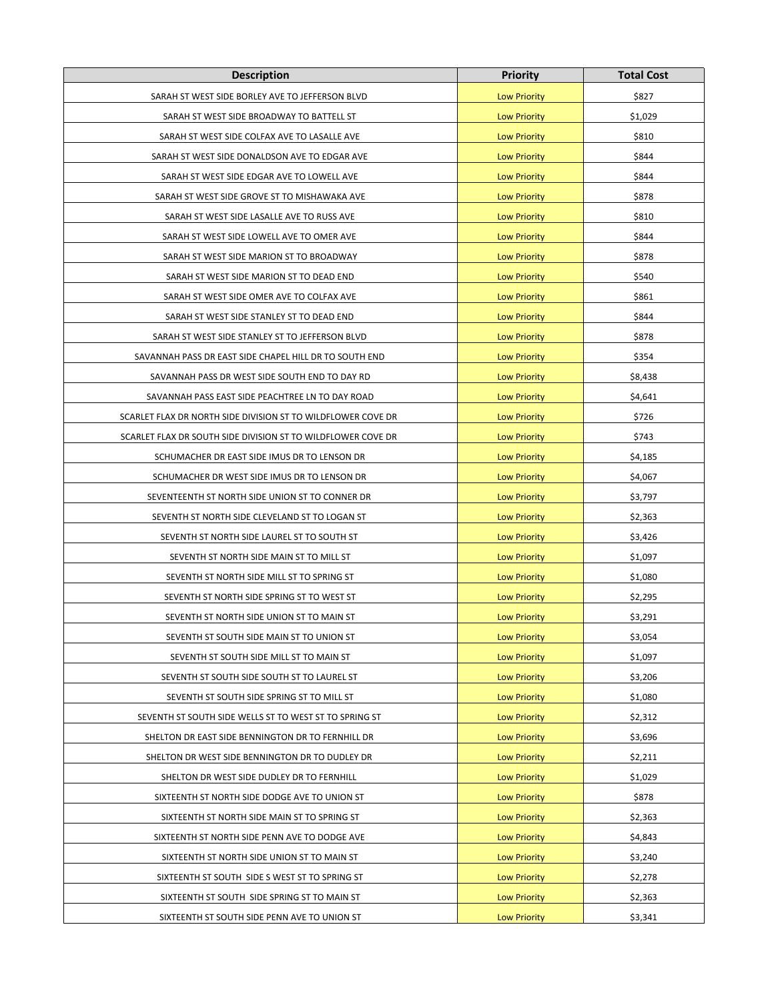| <b>Description</b>                                           | <b>Priority</b>     | <b>Total Cost</b> |
|--------------------------------------------------------------|---------------------|-------------------|
| SARAH ST WEST SIDE BORLEY AVE TO JEFFERSON BLVD              | <b>Low Priority</b> | \$827             |
| SARAH ST WEST SIDE BROADWAY TO BATTELL ST                    | <b>Low Priority</b> | \$1,029           |
| SARAH ST WEST SIDE COLFAX AVE TO LASALLE AVE                 | <b>Low Priority</b> | \$810             |
| SARAH ST WEST SIDE DONALDSON AVE TO EDGAR AVE                | <b>Low Priority</b> | \$844             |
| SARAH ST WEST SIDE EDGAR AVE TO LOWELL AVE                   | <b>Low Priority</b> | \$844             |
| SARAH ST WEST SIDE GROVE ST TO MISHAWAKA AVE                 | <b>Low Priority</b> | \$878             |
| SARAH ST WEST SIDE LASALLE AVE TO RUSS AVE                   | <b>Low Priority</b> | \$810             |
| SARAH ST WEST SIDE LOWELL AVE TO OMER AVE                    | <b>Low Priority</b> | \$844             |
| SARAH ST WEST SIDE MARION ST TO BROADWAY                     | <b>Low Priority</b> | \$878             |
| SARAH ST WEST SIDE MARION ST TO DEAD END                     | <b>Low Priority</b> | \$540             |
| SARAH ST WEST SIDE OMER AVE TO COLFAX AVE                    | <b>Low Priority</b> | \$861             |
| SARAH ST WEST SIDE STANLEY ST TO DEAD END                    | <b>Low Priority</b> | \$844             |
| SARAH ST WEST SIDE STANLEY ST TO JEFFERSON BLVD              | <b>Low Priority</b> | \$878             |
| SAVANNAH PASS DR EAST SIDE CHAPEL HILL DR TO SOUTH END       | <b>Low Priority</b> | \$354             |
| SAVANNAH PASS DR WEST SIDE SOUTH END TO DAY RD               | <b>Low Priority</b> | \$8,438           |
| SAVANNAH PASS EAST SIDE PEACHTREE LN TO DAY ROAD             | <b>Low Priority</b> | \$4,641           |
| SCARLET FLAX DR NORTH SIDE DIVISION ST TO WILDFLOWER COVE DR | <b>Low Priority</b> | \$726             |
| SCARLET FLAX DR SOUTH SIDE DIVISION ST TO WILDFLOWER COVE DR | <b>Low Priority</b> | \$743             |
| SCHUMACHER DR EAST SIDE IMUS DR TO LENSON DR                 | <b>Low Priority</b> | \$4,185           |
| SCHUMACHER DR WEST SIDE IMUS DR TO LENSON DR                 | <b>Low Priority</b> | \$4,067           |
| SEVENTEENTH ST NORTH SIDE UNION ST TO CONNER DR              | <b>Low Priority</b> | \$3,797           |
| SEVENTH ST NORTH SIDE CLEVELAND ST TO LOGAN ST               | <b>Low Priority</b> | \$2,363           |
| SEVENTH ST NORTH SIDE LAUREL ST TO SOUTH ST                  | <b>Low Priority</b> | \$3,426           |
| SEVENTH ST NORTH SIDE MAIN ST TO MILL ST                     | <b>Low Priority</b> | \$1,097           |
| SEVENTH ST NORTH SIDE MILL ST TO SPRING ST                   | <b>Low Priority</b> | \$1,080           |
| SEVENTH ST NORTH SIDE SPRING ST TO WEST ST                   | <b>Low Priority</b> | \$2,295           |
| SEVENTH ST NORTH SIDE UNION ST TO MAIN ST                    | <b>Low Priority</b> | \$3,291           |
| SEVENTH ST SOUTH SIDE MAIN ST TO UNION ST                    | <b>Low Priority</b> | \$3,054           |
| SEVENTH ST SOUTH SIDE MILL ST TO MAIN ST                     | <b>Low Priority</b> | \$1,097           |
| SEVENTH ST SOUTH SIDE SOUTH ST TO LAUREL ST                  | <b>Low Priority</b> | \$3,206           |
| SEVENTH ST SOUTH SIDE SPRING ST TO MILL ST                   | <b>Low Priority</b> | \$1,080           |
| SEVENTH ST SOUTH SIDE WELLS ST TO WEST ST TO SPRING ST       | <b>Low Priority</b> | \$2,312           |
| SHELTON DR EAST SIDE BENNINGTON DR TO FERNHILL DR            | <b>Low Priority</b> | \$3,696           |
| SHELTON DR WEST SIDE BENNINGTON DR TO DUDLEY DR              | <b>Low Priority</b> | \$2,211           |
| SHELTON DR WEST SIDE DUDLEY DR TO FERNHILL                   | <b>Low Priority</b> | \$1,029           |
| SIXTEENTH ST NORTH SIDE DODGE AVE TO UNION ST                | <b>Low Priority</b> | \$878             |
| SIXTEENTH ST NORTH SIDE MAIN ST TO SPRING ST                 | <b>Low Priority</b> | \$2,363           |
| SIXTEENTH ST NORTH SIDE PENN AVE TO DODGE AVE                | <b>Low Priority</b> | \$4,843           |
| SIXTEENTH ST NORTH SIDE UNION ST TO MAIN ST                  | <b>Low Priority</b> | \$3,240           |
| SIXTEENTH ST SOUTH SIDE S WEST ST TO SPRING ST               | <b>Low Priority</b> | \$2,278           |
| SIXTEENTH ST SOUTH SIDE SPRING ST TO MAIN ST                 | <b>Low Priority</b> | \$2,363           |
| SIXTEENTH ST SOUTH SIDE PENN AVE TO UNION ST                 | <b>Low Priority</b> | \$3,341           |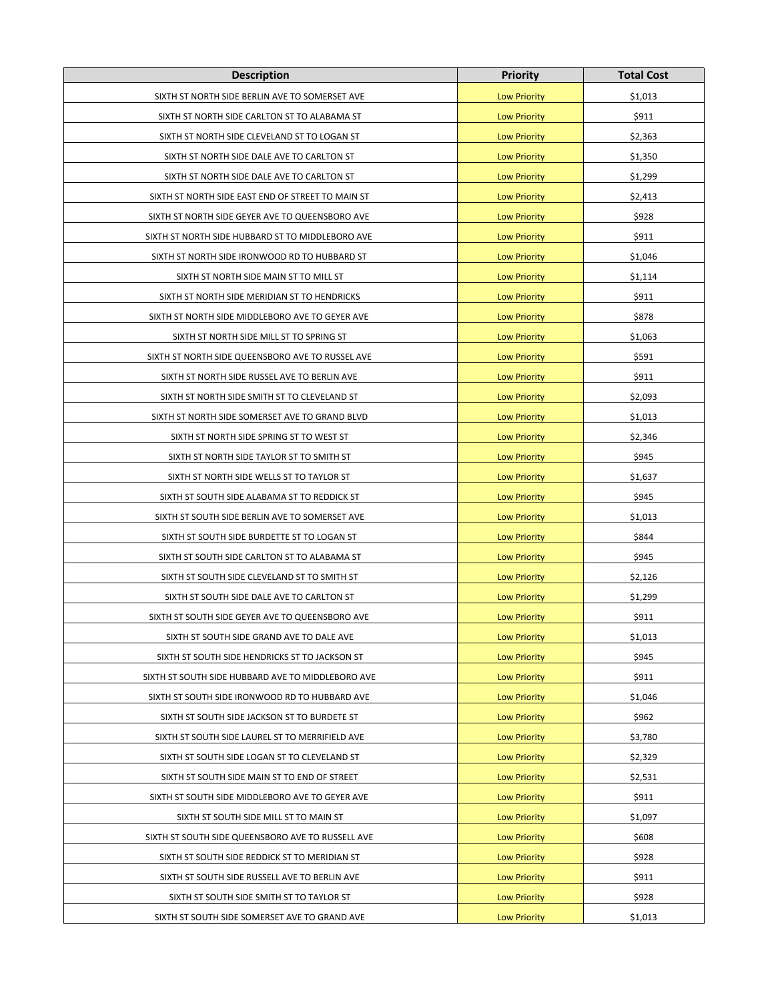| <b>Description</b>                                | <b>Priority</b>     | <b>Total Cost</b> |
|---------------------------------------------------|---------------------|-------------------|
| SIXTH ST NORTH SIDE BERLIN AVE TO SOMERSET AVE    | <b>Low Priority</b> | \$1,013           |
| SIXTH ST NORTH SIDE CARLTON ST TO ALABAMA ST      | <b>Low Priority</b> | \$911             |
| SIXTH ST NORTH SIDE CLEVELAND ST TO LOGAN ST      | <b>Low Priority</b> | \$2,363           |
| SIXTH ST NORTH SIDE DALE AVE TO CARLTON ST        | <b>Low Priority</b> | \$1,350           |
| SIXTH ST NORTH SIDE DALE AVE TO CARLTON ST        | <b>Low Priority</b> | \$1,299           |
| SIXTH ST NORTH SIDE EAST END OF STREET TO MAIN ST | <b>Low Priority</b> | \$2,413           |
| SIXTH ST NORTH SIDE GEYER AVE TO QUEENSBORO AVE   | <b>Low Priority</b> | \$928             |
| SIXTH ST NORTH SIDE HUBBARD ST TO MIDDLEBORO AVE  | <b>Low Priority</b> | \$911             |
| SIXTH ST NORTH SIDE IRONWOOD RD TO HUBBARD ST     | <b>Low Priority</b> | \$1,046           |
| SIXTH ST NORTH SIDE MAIN ST TO MILL ST            | <b>Low Priority</b> | \$1,114           |
| SIXTH ST NORTH SIDE MERIDIAN ST TO HENDRICKS      | <b>Low Priority</b> | \$911             |
| SIXTH ST NORTH SIDE MIDDLEBORO AVE TO GEYER AVE   | <b>Low Priority</b> | \$878             |
| SIXTH ST NORTH SIDE MILL ST TO SPRING ST          | <b>Low Priority</b> | \$1,063           |
| SIXTH ST NORTH SIDE QUEENSBORO AVE TO RUSSEL AVE  | <b>Low Priority</b> | \$591             |
| SIXTH ST NORTH SIDE RUSSEL AVE TO BERLIN AVE      | <b>Low Priority</b> | \$911             |
| SIXTH ST NORTH SIDE SMITH ST TO CLEVELAND ST      | <b>Low Priority</b> | \$2,093           |
| SIXTH ST NORTH SIDE SOMERSET AVE TO GRAND BLVD    | <b>Low Priority</b> | \$1,013           |
| SIXTH ST NORTH SIDE SPRING ST TO WEST ST          | <b>Low Priority</b> | \$2,346           |
| SIXTH ST NORTH SIDE TAYLOR ST TO SMITH ST         | <b>Low Priority</b> | \$945             |
| SIXTH ST NORTH SIDE WELLS ST TO TAYLOR ST         | <b>Low Priority</b> | \$1,637           |
| SIXTH ST SOUTH SIDE ALABAMA ST TO REDDICK ST      | <b>Low Priority</b> | \$945             |
| SIXTH ST SOUTH SIDE BERLIN AVE TO SOMERSET AVE    | <b>Low Priority</b> | \$1,013           |
| SIXTH ST SOUTH SIDE BURDETTE ST TO LOGAN ST       | <b>Low Priority</b> | \$844             |
| SIXTH ST SOUTH SIDE CARLTON ST TO ALABAMA ST      | <b>Low Priority</b> | \$945             |
| SIXTH ST SOUTH SIDE CLEVELAND ST TO SMITH ST      | <b>Low Priority</b> | \$2,126           |
| SIXTH ST SOUTH SIDE DALE AVE TO CARLTON ST        | <b>Low Priority</b> | \$1,299           |
| SIXTH ST SOUTH SIDE GEYER AVE TO QUEENSBORO AVE   | <b>Low Priority</b> | \$911             |
| SIXTH ST SOUTH SIDE GRAND AVE TO DALE AVE         | <b>Low Priority</b> | \$1,013           |
| SIXTH ST SOUTH SIDE HENDRICKS ST TO JACKSON ST    | <b>Low Priority</b> | \$945             |
| SIXTH ST SOUTH SIDE HUBBARD AVE TO MIDDLEBORO AVE | <b>Low Priority</b> | \$911             |
| SIXTH ST SOUTH SIDE IRONWOOD RD TO HUBBARD AVE    | <b>Low Priority</b> | \$1,046           |
| SIXTH ST SOUTH SIDE JACKSON ST TO BURDETE ST      | <b>Low Priority</b> | \$962             |
| SIXTH ST SOUTH SIDE LAUREL ST TO MERRIFIELD AVE   | <b>Low Priority</b> | \$3,780           |
| SIXTH ST SOUTH SIDE LOGAN ST TO CLEVELAND ST      | <b>Low Priority</b> | \$2,329           |
| SIXTH ST SOUTH SIDE MAIN ST TO END OF STREET      | <b>Low Priority</b> | \$2,531           |
| SIXTH ST SOUTH SIDE MIDDLEBORO AVE TO GEYER AVE   | <b>Low Priority</b> | \$911             |
| SIXTH ST SOUTH SIDE MILL ST TO MAIN ST            | <b>Low Priority</b> | \$1,097           |
| SIXTH ST SOUTH SIDE QUEENSBORO AVE TO RUSSELL AVE | <b>Low Priority</b> | \$608             |
| SIXTH ST SOUTH SIDE REDDICK ST TO MERIDIAN ST     | <b>Low Priority</b> | \$928             |
| SIXTH ST SOUTH SIDE RUSSELL AVE TO BERLIN AVE     | <b>Low Priority</b> | \$911             |
| SIXTH ST SOUTH SIDE SMITH ST TO TAYLOR ST         | <b>Low Priority</b> | \$928             |
| SIXTH ST SOUTH SIDE SOMERSET AVE TO GRAND AVE     | <b>Low Priority</b> | \$1,013           |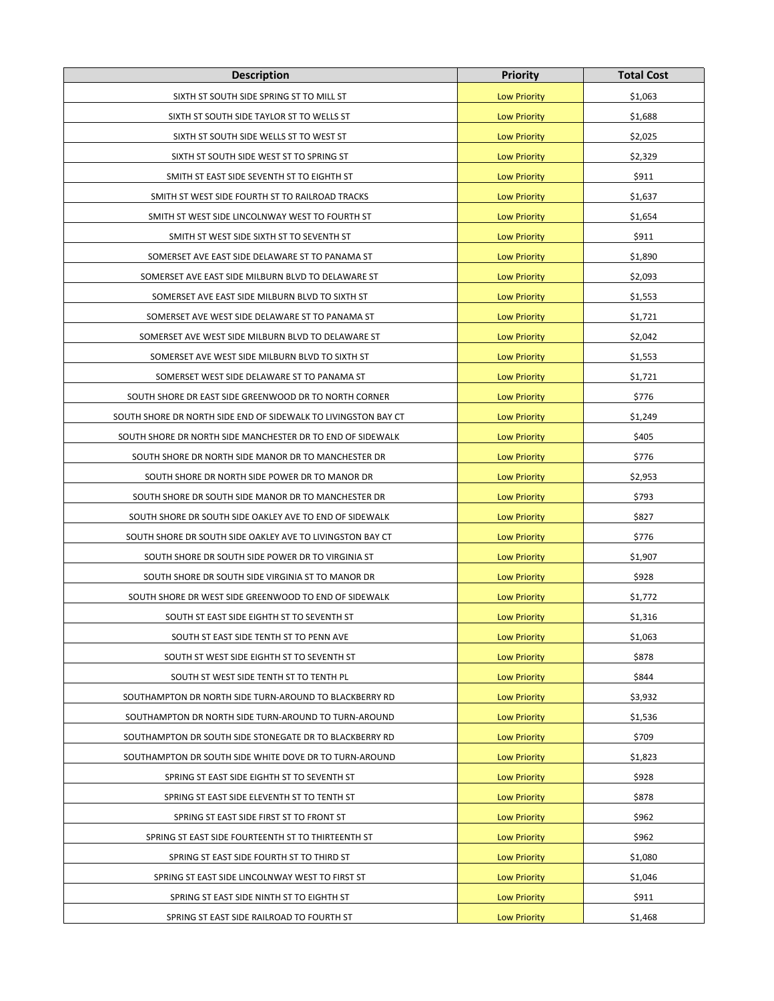| <b>Description</b>                                             | <b>Priority</b>     | <b>Total Cost</b> |
|----------------------------------------------------------------|---------------------|-------------------|
| SIXTH ST SOUTH SIDE SPRING ST TO MILL ST                       | <b>Low Priority</b> | \$1,063           |
| SIXTH ST SOUTH SIDE TAYLOR ST TO WELLS ST                      | <b>Low Priority</b> | \$1,688           |
| SIXTH ST SOUTH SIDE WELLS ST TO WEST ST                        | <b>Low Priority</b> | \$2,025           |
| SIXTH ST SOUTH SIDE WEST ST TO SPRING ST                       | <b>Low Priority</b> | \$2,329           |
| SMITH ST EAST SIDE SEVENTH ST TO EIGHTH ST                     | <b>Low Priority</b> | \$911             |
| SMITH ST WEST SIDE FOURTH ST TO RAILROAD TRACKS                | <b>Low Priority</b> | \$1,637           |
| SMITH ST WEST SIDE LINCOLNWAY WEST TO FOURTH ST                | <b>Low Priority</b> | \$1,654           |
| SMITH ST WEST SIDE SIXTH ST TO SEVENTH ST                      | <b>Low Priority</b> | \$911             |
| SOMERSET AVE EAST SIDE DELAWARE ST TO PANAMA ST                | <b>Low Priority</b> | \$1,890           |
| SOMERSET AVE EAST SIDE MILBURN BLVD TO DELAWARE ST             | <b>Low Priority</b> | \$2,093           |
| SOMERSET AVE EAST SIDE MILBURN BLVD TO SIXTH ST                | <b>Low Priority</b> | \$1,553           |
| SOMERSET AVE WEST SIDE DELAWARE ST TO PANAMA ST                | <b>Low Priority</b> | \$1,721           |
| SOMERSET AVE WEST SIDE MILBURN BLVD TO DELAWARE ST             | <b>Low Priority</b> | \$2,042           |
| SOMERSET AVE WEST SIDE MILBURN BLVD TO SIXTH ST                | <b>Low Priority</b> | \$1,553           |
| SOMERSET WEST SIDE DELAWARE ST TO PANAMA ST                    | <b>Low Priority</b> | \$1,721           |
| SOUTH SHORE DR EAST SIDE GREENWOOD DR TO NORTH CORNER          | <b>Low Priority</b> | \$776             |
| SOUTH SHORE DR NORTH SIDE END OF SIDEWALK TO LIVINGSTON BAY CT | <b>Low Priority</b> | \$1,249           |
| SOUTH SHORE DR NORTH SIDE MANCHESTER DR TO END OF SIDEWALK     | <b>Low Priority</b> | \$405             |
| SOUTH SHORE DR NORTH SIDE MANOR DR TO MANCHESTER DR            | <b>Low Priority</b> | \$776             |
| SOUTH SHORE DR NORTH SIDE POWER DR TO MANOR DR                 | <b>Low Priority</b> | \$2,953           |
| SOUTH SHORE DR SOUTH SIDE MANOR DR TO MANCHESTER DR            | <b>Low Priority</b> | \$793             |
| SOUTH SHORE DR SOUTH SIDE OAKLEY AVE TO END OF SIDEWALK        | <b>Low Priority</b> | \$827             |
| SOUTH SHORE DR SOUTH SIDE OAKLEY AVE TO LIVINGSTON BAY CT      | <b>Low Priority</b> | \$776             |
| SOUTH SHORE DR SOUTH SIDE POWER DR TO VIRGINIA ST              | <b>Low Priority</b> | \$1,907           |
| SOUTH SHORE DR SOUTH SIDE VIRGINIA ST TO MANOR DR              | <b>Low Priority</b> | \$928             |
| SOUTH SHORE DR WEST SIDE GREENWOOD TO END OF SIDEWALK          | <b>Low Priority</b> | \$1,772           |
| SOUTH ST EAST SIDE EIGHTH ST TO SEVENTH ST                     | <b>Low Priority</b> | \$1,316           |
| SOUTH ST EAST SIDE TENTH ST TO PENN AVE                        | <b>Low Priority</b> | \$1,063           |
| SOUTH ST WEST SIDE EIGHTH ST TO SEVENTH ST                     | <b>Low Priority</b> | \$878             |
| SOUTH ST WEST SIDE TENTH ST TO TENTH PL                        | <b>Low Priority</b> | \$844             |
| SOUTHAMPTON DR NORTH SIDE TURN-AROUND TO BLACKBERRY RD         | <b>Low Priority</b> | \$3,932           |
| SOUTHAMPTON DR NORTH SIDE TURN-AROUND TO TURN-AROUND           | <b>Low Priority</b> | \$1,536           |
| SOUTHAMPTON DR SOUTH SIDE STONEGATE DR TO BLACKBERRY RD        | <b>Low Priority</b> | \$709             |
| SOUTHAMPTON DR SOUTH SIDE WHITE DOVE DR TO TURN-AROUND         | <b>Low Priority</b> | \$1,823           |
| SPRING ST EAST SIDE EIGHTH ST TO SEVENTH ST                    | <b>Low Priority</b> | \$928             |
| SPRING ST EAST SIDE ELEVENTH ST TO TENTH ST                    | <b>Low Priority</b> | \$878             |
| SPRING ST EAST SIDE FIRST ST TO FRONT ST                       | <b>Low Priority</b> | \$962             |
| SPRING ST EAST SIDE FOURTEENTH ST TO THIRTEENTH ST             | <b>Low Priority</b> | \$962             |
| SPRING ST EAST SIDE FOURTH ST TO THIRD ST                      | <b>Low Priority</b> | \$1,080           |
| SPRING ST EAST SIDE LINCOLNWAY WEST TO FIRST ST                | <b>Low Priority</b> | \$1,046           |
| SPRING ST EAST SIDE NINTH ST TO EIGHTH ST                      | <b>Low Priority</b> | \$911             |
| SPRING ST EAST SIDE RAILROAD TO FOURTH ST                      | <b>Low Priority</b> | \$1,468           |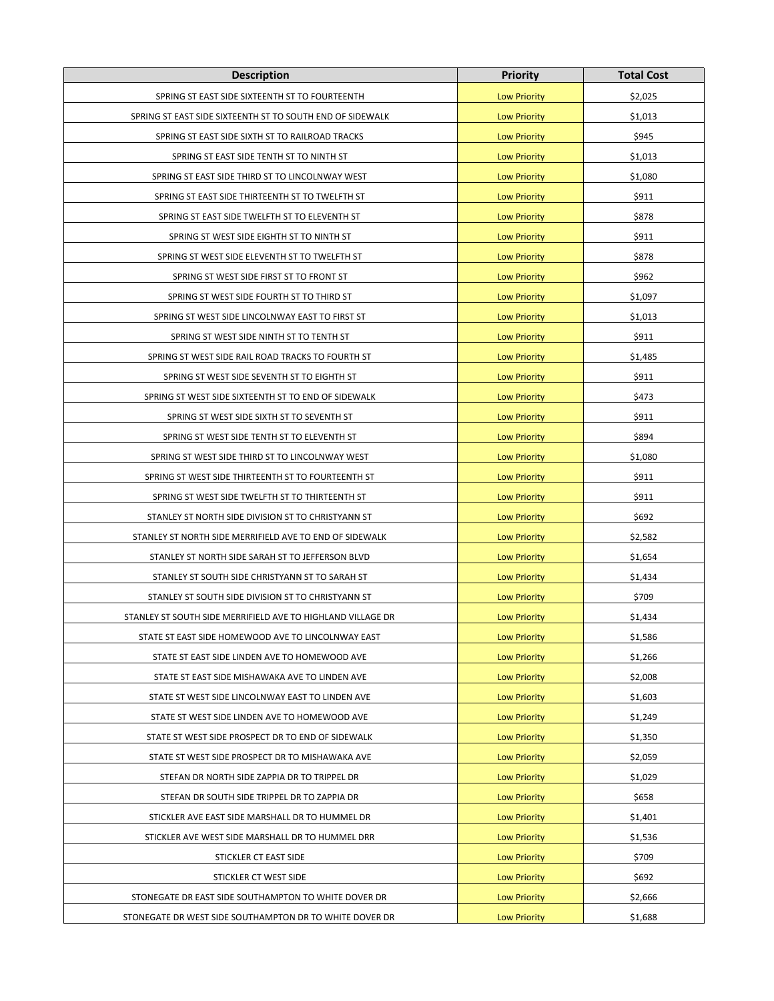| <b>Description</b>                                          | <b>Priority</b>     | <b>Total Cost</b> |
|-------------------------------------------------------------|---------------------|-------------------|
| SPRING ST EAST SIDE SIXTEENTH ST TO FOURTEENTH              | <b>Low Priority</b> | \$2,025           |
| SPRING ST EAST SIDE SIXTEENTH ST TO SOUTH END OF SIDEWALK   | <b>Low Priority</b> | \$1,013           |
| SPRING ST EAST SIDE SIXTH ST TO RAILROAD TRACKS             | <b>Low Priority</b> | \$945             |
| SPRING ST EAST SIDE TENTH ST TO NINTH ST                    | <b>Low Priority</b> | \$1,013           |
| SPRING ST EAST SIDE THIRD ST TO LINCOLNWAY WEST             | <b>Low Priority</b> | \$1,080           |
| SPRING ST EAST SIDE THIRTEENTH ST TO TWELFTH ST             | <b>Low Priority</b> | \$911             |
| SPRING ST EAST SIDE TWELFTH ST TO ELEVENTH ST               | <b>Low Priority</b> | \$878             |
| SPRING ST WEST SIDE EIGHTH ST TO NINTH ST                   | <b>Low Priority</b> | \$911             |
| SPRING ST WEST SIDE ELEVENTH ST TO TWELFTH ST               | <b>Low Priority</b> | \$878             |
| SPRING ST WEST SIDE FIRST ST TO FRONT ST                    | <b>Low Priority</b> | \$962             |
| SPRING ST WEST SIDE FOURTH ST TO THIRD ST                   | <b>Low Priority</b> | \$1,097           |
| SPRING ST WEST SIDE LINCOLNWAY EAST TO FIRST ST             | <b>Low Priority</b> | \$1,013           |
| SPRING ST WEST SIDE NINTH ST TO TENTH ST                    | <b>Low Priority</b> | \$911             |
| SPRING ST WEST SIDE RAIL ROAD TRACKS TO FOURTH ST           | <b>Low Priority</b> | \$1,485           |
| SPRING ST WEST SIDE SEVENTH ST TO EIGHTH ST                 | <b>Low Priority</b> | \$911             |
| SPRING ST WEST SIDE SIXTEENTH ST TO END OF SIDEWALK         | <b>Low Priority</b> | \$473             |
| SPRING ST WEST SIDE SIXTH ST TO SEVENTH ST                  | <b>Low Priority</b> | \$911             |
| SPRING ST WEST SIDE TENTH ST TO ELEVENTH ST                 | <b>Low Priority</b> | \$894             |
| SPRING ST WEST SIDE THIRD ST TO LINCOLNWAY WEST             | <b>Low Priority</b> | \$1,080           |
| SPRING ST WEST SIDE THIRTEENTH ST TO FOURTEENTH ST          | <b>Low Priority</b> | \$911             |
| SPRING ST WEST SIDE TWELFTH ST TO THIRTEENTH ST             | <b>Low Priority</b> | \$911             |
| STANLEY ST NORTH SIDE DIVISION ST TO CHRISTYANN ST          | <b>Low Priority</b> | \$692             |
| STANLEY ST NORTH SIDE MERRIFIELD AVE TO END OF SIDEWALK     | <b>Low Priority</b> | \$2,582           |
| STANLEY ST NORTH SIDE SARAH ST TO JEFFERSON BLVD            | <b>Low Priority</b> | \$1,654           |
| STANLEY ST SOUTH SIDE CHRISTYANN ST TO SARAH ST             | <b>Low Priority</b> | \$1,434           |
| STANLEY ST SOUTH SIDE DIVISION ST TO CHRISTYANN ST          | <b>Low Priority</b> | \$709             |
| STANLEY ST SOUTH SIDE MERRIFIELD AVE TO HIGHLAND VILLAGE DR | <b>Low Priority</b> | \$1,434           |
| STATE ST EAST SIDE HOMEWOOD AVE TO LINCOLNWAY EAST          | <b>Low Priority</b> | \$1,586           |
| STATE ST EAST SIDE LINDEN AVE TO HOMEWOOD AVE               | <b>Low Priority</b> | \$1,266           |
| STATE ST EAST SIDE MISHAWAKA AVE TO LINDEN AVE              | <b>Low Priority</b> | \$2,008           |
| STATE ST WEST SIDE LINCOLNWAY EAST TO LINDEN AVE            | <b>Low Priority</b> | \$1,603           |
| STATE ST WEST SIDE LINDEN AVE TO HOMEWOOD AVE               | <b>Low Priority</b> | \$1,249           |
| STATE ST WEST SIDE PROSPECT DR TO END OF SIDEWALK           | <b>Low Priority</b> | \$1,350           |
| STATE ST WEST SIDE PROSPECT DR TO MISHAWAKA AVE             | <b>Low Priority</b> | \$2,059           |
| STEFAN DR NORTH SIDE ZAPPIA DR TO TRIPPEL DR                | <b>Low Priority</b> | \$1,029           |
| STEFAN DR SOUTH SIDE TRIPPEL DR TO ZAPPIA DR                | <b>Low Priority</b> | \$658             |
| STICKLER AVE EAST SIDE MARSHALL DR TO HUMMEL DR             | <b>Low Priority</b> | \$1,401           |
| STICKLER AVE WEST SIDE MARSHALL DR TO HUMMEL DRR            | <b>Low Priority</b> | \$1,536           |
| STICKLER CT EAST SIDE                                       | <b>Low Priority</b> | \$709             |
| STICKLER CT WEST SIDE                                       | <b>Low Priority</b> | \$692             |
| STONEGATE DR EAST SIDE SOUTHAMPTON TO WHITE DOVER DR        | <b>Low Priority</b> | \$2,666           |
| STONEGATE DR WEST SIDE SOUTHAMPTON DR TO WHITE DOVER DR     | <b>Low Priority</b> | \$1,688           |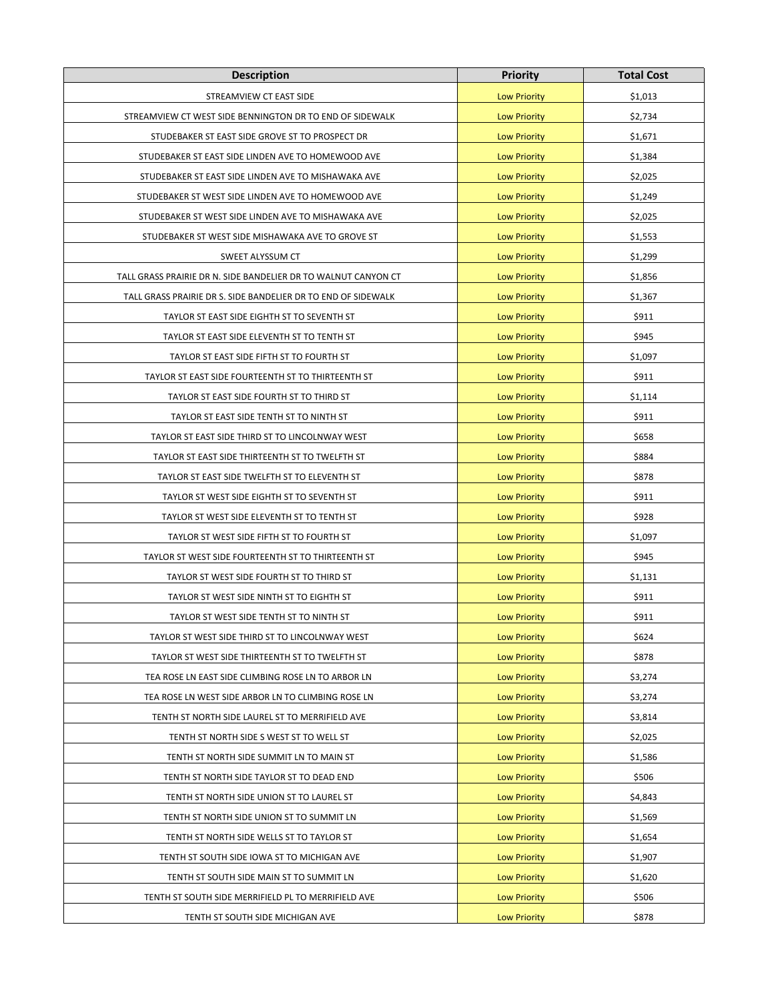| <b>Description</b>                                             | <b>Priority</b>     | <b>Total Cost</b> |
|----------------------------------------------------------------|---------------------|-------------------|
| STREAMVIEW CT EAST SIDE                                        | <b>Low Priority</b> | \$1,013           |
| STREAMVIEW CT WEST SIDE BENNINGTON DR TO END OF SIDEWALK       | <b>Low Priority</b> | \$2,734           |
| STUDEBAKER ST EAST SIDE GROVE ST TO PROSPECT DR                | <b>Low Priority</b> | \$1,671           |
| STUDEBAKER ST EAST SIDE LINDEN AVE TO HOMEWOOD AVE             | <b>Low Priority</b> | \$1,384           |
| STUDEBAKER ST EAST SIDE LINDEN AVE TO MISHAWAKA AVE            | <b>Low Priority</b> | \$2,025           |
| STUDEBAKER ST WEST SIDE LINDEN AVE TO HOMEWOOD AVE             | <b>Low Priority</b> | \$1,249           |
| STUDEBAKER ST WEST SIDE LINDEN AVE TO MISHAWAKA AVE            | <b>Low Priority</b> | \$2,025           |
| STUDEBAKER ST WEST SIDE MISHAWAKA AVE TO GROVE ST              | <b>Low Priority</b> | \$1,553           |
| SWEET ALYSSUM CT                                               | <b>Low Priority</b> | \$1,299           |
| TALL GRASS PRAIRIE DR N. SIDE BANDELIER DR TO WALNUT CANYON CT | <b>Low Priority</b> | \$1,856           |
| TALL GRASS PRAIRIE DR S. SIDE BANDELIER DR TO END OF SIDEWALK  | <b>Low Priority</b> | \$1,367           |
| TAYLOR ST EAST SIDE EIGHTH ST TO SEVENTH ST                    | <b>Low Priority</b> | \$911             |
| TAYLOR ST EAST SIDE ELEVENTH ST TO TENTH ST                    | <b>Low Priority</b> | \$945             |
| TAYLOR ST EAST SIDE FIFTH ST TO FOURTH ST                      | <b>Low Priority</b> | \$1,097           |
| TAYLOR ST EAST SIDE FOURTEENTH ST TO THIRTEENTH ST             | <b>Low Priority</b> | \$911             |
| TAYLOR ST EAST SIDE FOURTH ST TO THIRD ST                      | <b>Low Priority</b> | \$1,114           |
| TAYLOR ST EAST SIDE TENTH ST TO NINTH ST                       | <b>Low Priority</b> | \$911             |
| TAYLOR ST EAST SIDE THIRD ST TO LINCOLNWAY WEST                | <b>Low Priority</b> | \$658             |
| TAYLOR ST EAST SIDE THIRTEENTH ST TO TWELFTH ST                | <b>Low Priority</b> | \$884             |
| TAYLOR ST EAST SIDE TWELFTH ST TO ELEVENTH ST                  | <b>Low Priority</b> | \$878             |
| TAYLOR ST WEST SIDE EIGHTH ST TO SEVENTH ST                    | <b>Low Priority</b> | \$911             |
| TAYLOR ST WEST SIDE ELEVENTH ST TO TENTH ST                    | <b>Low Priority</b> | \$928             |
| TAYLOR ST WEST SIDE FIFTH ST TO FOURTH ST                      | <b>Low Priority</b> | \$1,097           |
| TAYLOR ST WEST SIDE FOURTEENTH ST TO THIRTEENTH ST             | <b>Low Priority</b> | \$945             |
| TAYLOR ST WEST SIDE FOURTH ST TO THIRD ST                      | <b>Low Priority</b> | \$1,131           |
| TAYLOR ST WEST SIDE NINTH ST TO EIGHTH ST                      | <b>Low Priority</b> | \$911             |
| TAYLOR ST WEST SIDE TENTH ST TO NINTH ST                       | <b>Low Priority</b> | \$911             |
| TAYLOR ST WEST SIDE THIRD ST TO LINCOLNWAY WEST                | <b>Low Priority</b> | \$624             |
| TAYLOR ST WEST SIDE THIRTEENTH ST TO TWELFTH ST                | <b>Low Priority</b> | \$878             |
| TEA ROSE LN EAST SIDE CLIMBING ROSE LN TO ARBOR LN             | <b>Low Priority</b> | \$3,274           |
| TEA ROSE LN WEST SIDE ARBOR LN TO CLIMBING ROSE LN             | <b>Low Priority</b> | \$3,274           |
| TENTH ST NORTH SIDE LAUREL ST TO MERRIFIELD AVE                | <b>Low Priority</b> | \$3,814           |
| TENTH ST NORTH SIDE S WEST ST TO WELL ST                       | <b>Low Priority</b> | \$2,025           |
| TENTH ST NORTH SIDE SUMMIT LN TO MAIN ST                       | <b>Low Priority</b> | \$1,586           |
| TENTH ST NORTH SIDE TAYLOR ST TO DEAD END                      | <b>Low Priority</b> | \$506             |
| TENTH ST NORTH SIDE UNION ST TO LAUREL ST                      | <b>Low Priority</b> | \$4,843           |
| TENTH ST NORTH SIDE UNION ST TO SUMMIT LN                      | <b>Low Priority</b> | \$1,569           |
| TENTH ST NORTH SIDE WELLS ST TO TAYLOR ST                      | <b>Low Priority</b> | \$1,654           |
| TENTH ST SOUTH SIDE IOWA ST TO MICHIGAN AVE                    | <b>Low Priority</b> | \$1,907           |
| TENTH ST SOUTH SIDE MAIN ST TO SUMMIT LN                       | <b>Low Priority</b> | \$1,620           |
| TENTH ST SOUTH SIDE MERRIFIELD PL TO MERRIFIELD AVE            | <b>Low Priority</b> | \$506             |
| TENTH ST SOUTH SIDE MICHIGAN AVE                               | <b>Low Priority</b> | \$878             |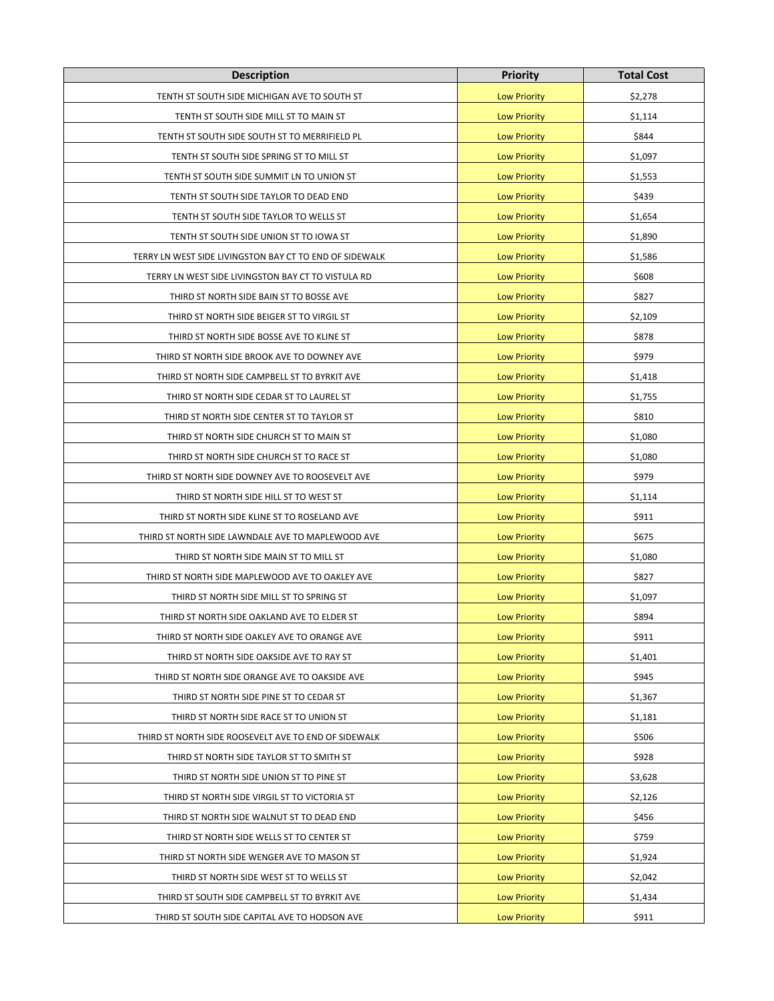| <b>Description</b>                                      | <b>Priority</b>     | <b>Total Cost</b> |
|---------------------------------------------------------|---------------------|-------------------|
| TENTH ST SOUTH SIDE MICHIGAN AVE TO SOUTH ST            | <b>Low Priority</b> | \$2,278           |
| TENTH ST SOUTH SIDE MILL ST TO MAIN ST                  | <b>Low Priority</b> | \$1,114           |
| TENTH ST SOUTH SIDE SOUTH ST TO MERRIFIELD PL           | <b>Low Priority</b> | \$844             |
| TENTH ST SOUTH SIDE SPRING ST TO MILL ST                | <b>Low Priority</b> | \$1,097           |
| TENTH ST SOUTH SIDE SUMMIT LN TO UNION ST               | <b>Low Priority</b> | \$1,553           |
| TENTH ST SOUTH SIDE TAYLOR TO DEAD END                  | <b>Low Priority</b> | \$439             |
| TENTH ST SOUTH SIDE TAYLOR TO WELLS ST                  | <b>Low Priority</b> | \$1,654           |
| TENTH ST SOUTH SIDE UNION ST TO IOWA ST                 | <b>Low Priority</b> | \$1,890           |
| TERRY LN WEST SIDE LIVINGSTON BAY CT TO END OF SIDEWALK | <b>Low Priority</b> | \$1,586           |
| TERRY LN WEST SIDE LIVINGSTON BAY CT TO VISTULA RD      | <b>Low Priority</b> | \$608             |
| THIRD ST NORTH SIDE BAIN ST TO BOSSE AVE                | <b>Low Priority</b> | \$827             |
| THIRD ST NORTH SIDE BEIGER ST TO VIRGIL ST              | <b>Low Priority</b> | \$2,109           |
| THIRD ST NORTH SIDE BOSSE AVE TO KLINE ST               | <b>Low Priority</b> | \$878             |
| THIRD ST NORTH SIDE BROOK AVE TO DOWNEY AVE             | <b>Low Priority</b> | \$979             |
| THIRD ST NORTH SIDE CAMPBELL ST TO BYRKIT AVE           | <b>Low Priority</b> | \$1,418           |
| THIRD ST NORTH SIDE CEDAR ST TO LAUREL ST               | <b>Low Priority</b> | \$1,755           |
| THIRD ST NORTH SIDE CENTER ST TO TAYLOR ST              | <b>Low Priority</b> | \$810             |
| THIRD ST NORTH SIDE CHURCH ST TO MAIN ST                | <b>Low Priority</b> | \$1,080           |
| THIRD ST NORTH SIDE CHURCH ST TO RACE ST                | <b>Low Priority</b> | \$1,080           |
| THIRD ST NORTH SIDE DOWNEY AVE TO ROOSEVELT AVE         | <b>Low Priority</b> | \$979             |
| THIRD ST NORTH SIDE HILL ST TO WEST ST                  | <b>Low Priority</b> | \$1,114           |
| THIRD ST NORTH SIDE KLINE ST TO ROSELAND AVE            | <b>Low Priority</b> | \$911             |
| THIRD ST NORTH SIDE LAWNDALE AVE TO MAPLEWOOD AVE       | <b>Low Priority</b> | \$675             |
| THIRD ST NORTH SIDE MAIN ST TO MILL ST                  | <b>Low Priority</b> | \$1,080           |
| THIRD ST NORTH SIDE MAPLEWOOD AVE TO OAKLEY AVE         | <b>Low Priority</b> | \$827             |
| THIRD ST NORTH SIDE MILL ST TO SPRING ST                | <b>Low Priority</b> | \$1,097           |
| THIRD ST NORTH SIDE OAKLAND AVE TO ELDER ST             | <b>Low Priority</b> | \$894             |
| THIRD ST NORTH SIDE OAKLEY AVE TO ORANGE AVE            | <b>Low Priority</b> | \$911             |
| THIRD ST NORTH SIDE OAKSIDE AVE TO RAY ST               | <b>Low Priority</b> | \$1,401           |
| THIRD ST NORTH SIDE ORANGE AVE TO OAKSIDE AVE           | <b>Low Priority</b> | \$945             |
| THIRD ST NORTH SIDE PINE ST TO CEDAR ST                 | <b>Low Priority</b> | \$1,367           |
| THIRD ST NORTH SIDE RACE ST TO UNION ST                 | <b>Low Priority</b> | \$1,181           |
| THIRD ST NORTH SIDE ROOSEVELT AVE TO END OF SIDEWALK    | <b>Low Priority</b> | \$506             |
| THIRD ST NORTH SIDE TAYLOR ST TO SMITH ST               | <b>Low Priority</b> | \$928             |
| THIRD ST NORTH SIDE UNION ST TO PINE ST                 | <b>Low Priority</b> | \$3,628           |
| THIRD ST NORTH SIDE VIRGIL ST TO VICTORIA ST            | <b>Low Priority</b> | \$2,126           |
| THIRD ST NORTH SIDE WALNUT ST TO DEAD END               | <b>Low Priority</b> | \$456             |
| THIRD ST NORTH SIDE WELLS ST TO CENTER ST               | <b>Low Priority</b> | \$759             |
| THIRD ST NORTH SIDE WENGER AVE TO MASON ST              | <b>Low Priority</b> | \$1,924           |
| THIRD ST NORTH SIDE WEST ST TO WELLS ST                 | <b>Low Priority</b> | \$2,042           |
| THIRD ST SOUTH SIDE CAMPBELL ST TO BYRKIT AVE           | <b>Low Priority</b> | \$1,434           |
| THIRD ST SOUTH SIDE CAPITAL AVE TO HODSON AVE           | <b>Low Priority</b> | \$911             |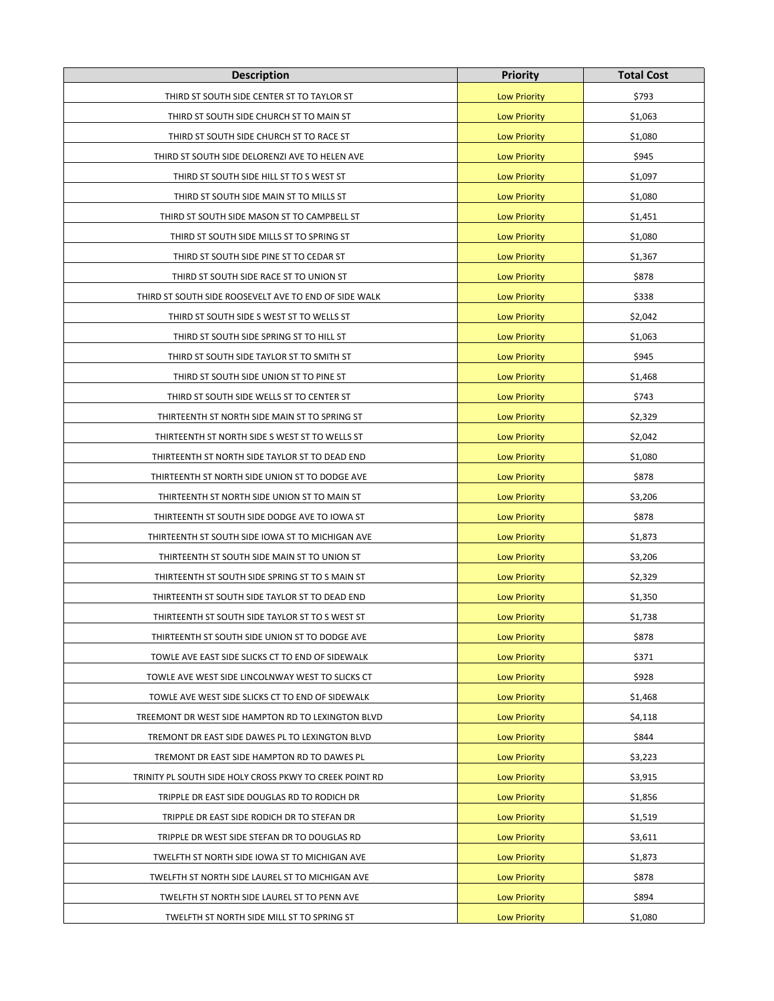| <b>Description</b>                                      | <b>Priority</b>     | <b>Total Cost</b> |
|---------------------------------------------------------|---------------------|-------------------|
| THIRD ST SOUTH SIDE CENTER ST TO TAYLOR ST              | <b>Low Priority</b> | \$793             |
| THIRD ST SOUTH SIDE CHURCH ST TO MAIN ST                | <b>Low Priority</b> | \$1,063           |
| THIRD ST SOUTH SIDE CHURCH ST TO RACE ST                | <b>Low Priority</b> | \$1,080           |
| THIRD ST SOUTH SIDE DELORENZI AVE TO HELEN AVE          | <b>Low Priority</b> | \$945             |
| THIRD ST SOUTH SIDE HILL ST TO S WEST ST                | <b>Low Priority</b> | \$1,097           |
| THIRD ST SOUTH SIDE MAIN ST TO MILLS ST                 | <b>Low Priority</b> | \$1,080           |
| THIRD ST SOUTH SIDE MASON ST TO CAMPBELL ST             | <b>Low Priority</b> | \$1,451           |
| THIRD ST SOUTH SIDE MILLS ST TO SPRING ST               | <b>Low Priority</b> | \$1,080           |
| THIRD ST SOUTH SIDE PINE ST TO CEDAR ST                 | <b>Low Priority</b> | \$1,367           |
| THIRD ST SOUTH SIDE RACE ST TO UNION ST                 | <b>Low Priority</b> | \$878             |
| THIRD ST SOUTH SIDE ROOSEVELT AVE TO END OF SIDE WALK   | <b>Low Priority</b> | \$338             |
| THIRD ST SOUTH SIDE S WEST ST TO WELLS ST               | <b>Low Priority</b> | \$2,042           |
| THIRD ST SOUTH SIDE SPRING ST TO HILL ST                | <b>Low Priority</b> | \$1,063           |
| THIRD ST SOUTH SIDE TAYLOR ST TO SMITH ST               | <b>Low Priority</b> | \$945             |
| THIRD ST SOUTH SIDE UNION ST TO PINE ST                 | <b>Low Priority</b> | \$1,468           |
| THIRD ST SOUTH SIDE WELLS ST TO CENTER ST               | <b>Low Priority</b> | \$743             |
| THIRTEENTH ST NORTH SIDE MAIN ST TO SPRING ST           | <b>Low Priority</b> | \$2,329           |
| THIRTEENTH ST NORTH SIDE S WEST ST TO WELLS ST          | <b>Low Priority</b> | \$2,042           |
| THIRTEENTH ST NORTH SIDE TAYLOR ST TO DEAD END          | <b>Low Priority</b> | \$1,080           |
| THIRTEENTH ST NORTH SIDE UNION ST TO DODGE AVE          | <b>Low Priority</b> | \$878             |
| THIRTEENTH ST NORTH SIDE UNION ST TO MAIN ST            | <b>Low Priority</b> | \$3,206           |
| THIRTEENTH ST SOUTH SIDE DODGE AVE TO IOWA ST           | <b>Low Priority</b> | \$878             |
| THIRTEENTH ST SOUTH SIDE IOWA ST TO MICHIGAN AVE        | <b>Low Priority</b> | \$1,873           |
| THIRTEENTH ST SOUTH SIDE MAIN ST TO UNION ST            | <b>Low Priority</b> | \$3,206           |
| THIRTEENTH ST SOUTH SIDE SPRING ST TO S MAIN ST         | <b>Low Priority</b> | \$2,329           |
| THIRTEENTH ST SOUTH SIDE TAYLOR ST TO DEAD END          | <b>Low Priority</b> | \$1,350           |
| THIRTEENTH ST SOUTH SIDE TAYLOR ST TO S WEST ST         | <b>Low Priority</b> | \$1,738           |
| THIRTEENTH ST SOUTH SIDE UNION ST TO DODGE AVE          | <b>Low Priority</b> | \$878             |
| TOWLE AVE EAST SIDE SLICKS CT TO END OF SIDEWALK        | <b>Low Priority</b> | \$371             |
| TOWLE AVE WEST SIDE LINCOLNWAY WEST TO SLICKS CT        | <b>Low Priority</b> | \$928             |
| TOWLE AVE WEST SIDE SLICKS CT TO END OF SIDEWALK        | <b>Low Priority</b> | \$1,468           |
| TREEMONT DR WEST SIDE HAMPTON RD TO LEXINGTON BLVD      | <b>Low Priority</b> | \$4,118           |
| TREMONT DR EAST SIDE DAWES PL TO LEXINGTON BLVD         | <b>Low Priority</b> | \$844             |
| TREMONT DR EAST SIDE HAMPTON RD TO DAWES PL             | <b>Low Priority</b> | \$3,223           |
| TRINITY PL SOUTH SIDE HOLY CROSS PKWY TO CREEK POINT RD | <b>Low Priority</b> | \$3,915           |
| TRIPPLE DR EAST SIDE DOUGLAS RD TO RODICH DR            | <b>Low Priority</b> | \$1,856           |
| TRIPPLE DR EAST SIDE RODICH DR TO STEFAN DR             | <b>Low Priority</b> | \$1,519           |
| TRIPPLE DR WEST SIDE STEFAN DR TO DOUGLAS RD            | <b>Low Priority</b> | \$3,611           |
| TWELFTH ST NORTH SIDE IOWA ST TO MICHIGAN AVE           | <b>Low Priority</b> | \$1,873           |
| TWELFTH ST NORTH SIDE LAUREL ST TO MICHIGAN AVE         | <b>Low Priority</b> | \$878             |
| TWELFTH ST NORTH SIDE LAUREL ST TO PENN AVE             | <b>Low Priority</b> | \$894             |
| TWELFTH ST NORTH SIDE MILL ST TO SPRING ST              | <b>Low Priority</b> | \$1,080           |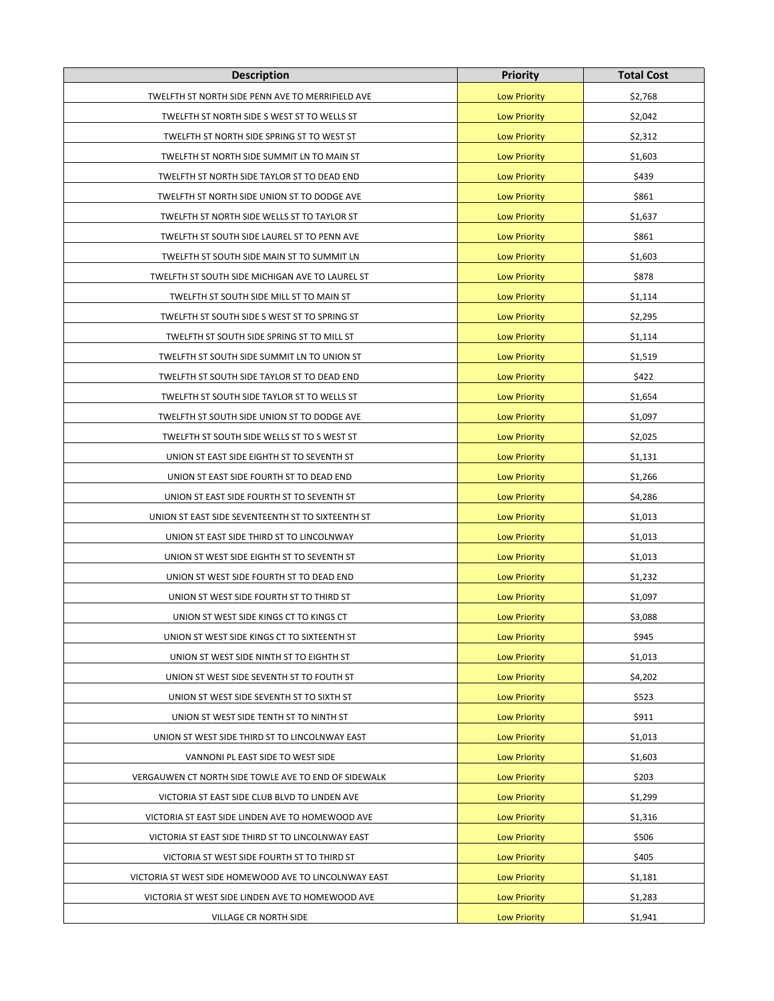| <b>Description</b>                                    | <b>Priority</b>     | <b>Total Cost</b> |
|-------------------------------------------------------|---------------------|-------------------|
| TWELFTH ST NORTH SIDE PENN AVE TO MERRIFIELD AVE      | <b>Low Priority</b> | \$2,768           |
| TWELFTH ST NORTH SIDE S WEST ST TO WELLS ST           | <b>Low Priority</b> | \$2,042           |
| TWELFTH ST NORTH SIDE SPRING ST TO WEST ST            | <b>Low Priority</b> | \$2,312           |
| TWELFTH ST NORTH SIDE SUMMIT LN TO MAIN ST            | <b>Low Priority</b> | \$1,603           |
| TWELFTH ST NORTH SIDE TAYLOR ST TO DEAD END           | <b>Low Priority</b> | \$439             |
| TWELFTH ST NORTH SIDE UNION ST TO DODGE AVE           | <b>Low Priority</b> | \$861             |
| TWELFTH ST NORTH SIDE WELLS ST TO TAYLOR ST           | <b>Low Priority</b> | \$1,637           |
| TWELFTH ST SOUTH SIDE LAUREL ST TO PENN AVE           | <b>Low Priority</b> | \$861             |
| TWELFTH ST SOUTH SIDE MAIN ST TO SUMMIT LN            | <b>Low Priority</b> | \$1,603           |
| TWELFTH ST SOUTH SIDE MICHIGAN AVE TO LAUREL ST       | <b>Low Priority</b> | \$878             |
| TWELFTH ST SOUTH SIDE MILL ST TO MAIN ST              | <b>Low Priority</b> | \$1,114           |
| TWELFTH ST SOUTH SIDE S WEST ST TO SPRING ST          | <b>Low Priority</b> | \$2,295           |
| TWELFTH ST SOUTH SIDE SPRING ST TO MILL ST            | <b>Low Priority</b> | \$1,114           |
| TWELFTH ST SOUTH SIDE SUMMIT LN TO UNION ST           | <b>Low Priority</b> | \$1,519           |
| TWELFTH ST SOUTH SIDE TAYLOR ST TO DEAD END           | <b>Low Priority</b> | \$422             |
| TWELFTH ST SOUTH SIDE TAYLOR ST TO WELLS ST           | <b>Low Priority</b> | \$1,654           |
| TWELFTH ST SOUTH SIDE UNION ST TO DODGE AVE           | <b>Low Priority</b> | \$1,097           |
| TWELFTH ST SOUTH SIDE WELLS ST TO S WEST ST           | <b>Low Priority</b> | \$2,025           |
| UNION ST EAST SIDE EIGHTH ST TO SEVENTH ST            | <b>Low Priority</b> | \$1,131           |
| UNION ST EAST SIDE FOURTH ST TO DEAD END              | <b>Low Priority</b> | \$1,266           |
| UNION ST EAST SIDE FOURTH ST TO SEVENTH ST            | <b>Low Priority</b> | \$4,286           |
| UNION ST EAST SIDE SEVENTEENTH ST TO SIXTEENTH ST     | <b>Low Priority</b> | \$1,013           |
| UNION ST EAST SIDE THIRD ST TO LINCOLNWAY             | <b>Low Priority</b> | \$1,013           |
| UNION ST WEST SIDE EIGHTH ST TO SEVENTH ST            | <b>Low Priority</b> | \$1,013           |
| UNION ST WEST SIDE FOURTH ST TO DEAD END              | <b>Low Priority</b> | \$1,232           |
| UNION ST WEST SIDE FOURTH ST TO THIRD ST              | <b>Low Priority</b> | \$1,097           |
| UNION ST WEST SIDE KINGS CT TO KINGS CT               | <b>Low Priority</b> | \$3,088           |
| UNION ST WEST SIDE KINGS CT TO SIXTEENTH ST           | <b>Low Priority</b> | \$945             |
| UNION ST WEST SIDE NINTH ST TO EIGHTH ST              | <b>Low Priority</b> | \$1,013           |
| UNION ST WEST SIDE SEVENTH ST TO FOUTH ST             | <b>Low Priority</b> | \$4,202           |
| UNION ST WEST SIDE SEVENTH ST TO SIXTH ST             | <b>Low Priority</b> | \$523             |
| UNION ST WEST SIDE TENTH ST TO NINTH ST               | <b>Low Priority</b> | \$911             |
| UNION ST WEST SIDE THIRD ST TO LINCOLNWAY EAST        | <b>Low Priority</b> | \$1,013           |
| VANNONI PL EAST SIDE TO WEST SIDE                     | <b>Low Priority</b> | \$1,603           |
| VERGAUWEN CT NORTH SIDE TOWLE AVE TO END OF SIDEWALK  | <b>Low Priority</b> | \$203             |
| VICTORIA ST EAST SIDE CLUB BLVD TO LINDEN AVE         | <b>Low Priority</b> | \$1,299           |
| VICTORIA ST EAST SIDE LINDEN AVE TO HOMEWOOD AVE      | <b>Low Priority</b> | \$1,316           |
| VICTORIA ST EAST SIDE THIRD ST TO LINCOLNWAY EAST     | <b>Low Priority</b> | \$506             |
| VICTORIA ST WEST SIDE FOURTH ST TO THIRD ST           | <b>Low Priority</b> | \$405             |
| VICTORIA ST WEST SIDE HOMEWOOD AVE TO LINCOLNWAY EAST | <b>Low Priority</b> | \$1,181           |
| VICTORIA ST WEST SIDE LINDEN AVE TO HOMEWOOD AVE      | <b>Low Priority</b> | \$1,283           |
| VILLAGE CR NORTH SIDE                                 | <b>Low Priority</b> | \$1,941           |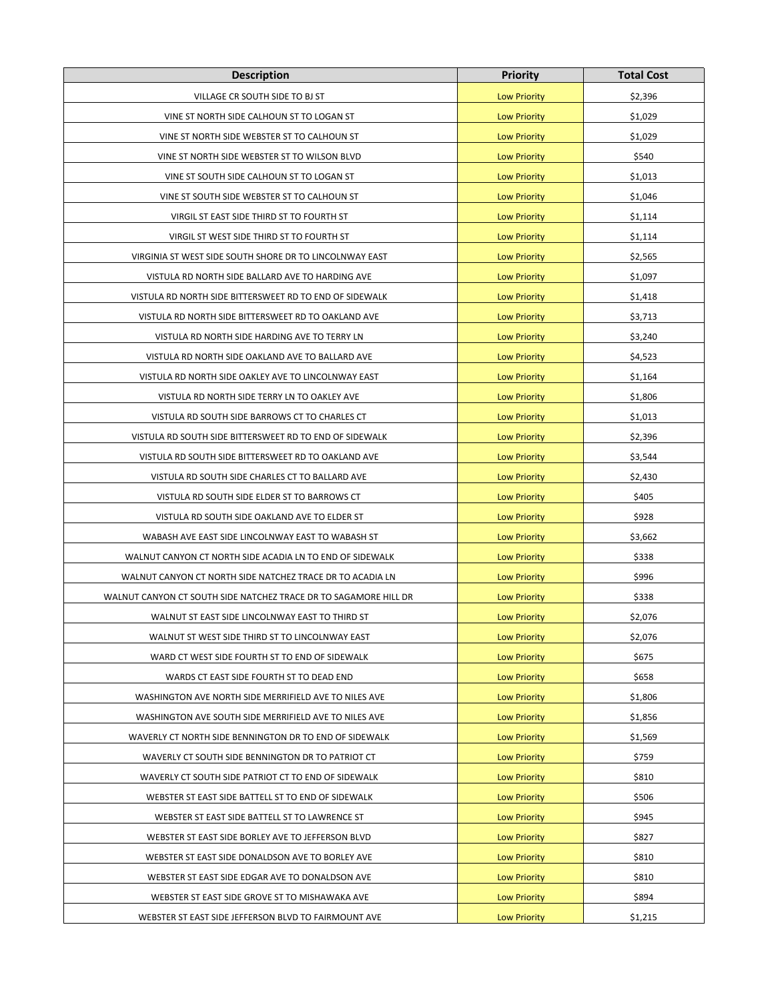| <b>Description</b>                                               | Priority            | <b>Total Cost</b> |
|------------------------------------------------------------------|---------------------|-------------------|
| VILLAGE CR SOUTH SIDE TO BJ ST                                   | <b>Low Priority</b> | \$2,396           |
| VINE ST NORTH SIDE CALHOUN ST TO LOGAN ST                        | <b>Low Priority</b> | \$1,029           |
| VINE ST NORTH SIDE WEBSTER ST TO CALHOUN ST                      | <b>Low Priority</b> | \$1,029           |
| VINE ST NORTH SIDE WEBSTER ST TO WILSON BLVD                     | <b>Low Priority</b> | \$540             |
| VINE ST SOUTH SIDE CALHOUN ST TO LOGAN ST                        | <b>Low Priority</b> | \$1,013           |
| VINE ST SOUTH SIDE WEBSTER ST TO CALHOUN ST                      | <b>Low Priority</b> | \$1,046           |
| VIRGIL ST EAST SIDE THIRD ST TO FOURTH ST                        | <b>Low Priority</b> | \$1,114           |
| VIRGIL ST WEST SIDE THIRD ST TO FOURTH ST                        | <b>Low Priority</b> | \$1,114           |
| VIRGINIA ST WEST SIDE SOUTH SHORE DR TO LINCOLNWAY EAST          | <b>Low Priority</b> | \$2,565           |
| VISTULA RD NORTH SIDE BALLARD AVE TO HARDING AVE                 | <b>Low Priority</b> | \$1,097           |
| VISTULA RD NORTH SIDE BITTERSWEET RD TO END OF SIDEWALK          | <b>Low Priority</b> | \$1,418           |
| VISTULA RD NORTH SIDE BITTERSWEET RD TO OAKLAND AVE              | <b>Low Priority</b> | \$3,713           |
| VISTULA RD NORTH SIDE HARDING AVE TO TERRY LN                    | <b>Low Priority</b> | \$3,240           |
| VISTULA RD NORTH SIDE OAKLAND AVE TO BALLARD AVE                 | <b>Low Priority</b> | \$4,523           |
| VISTULA RD NORTH SIDE OAKLEY AVE TO LINCOLNWAY EAST              | <b>Low Priority</b> | \$1,164           |
| VISTULA RD NORTH SIDE TERRY LN TO OAKLEY AVE                     | <b>Low Priority</b> | \$1,806           |
| VISTULA RD SOUTH SIDE BARROWS CT TO CHARLES CT                   | <b>Low Priority</b> | \$1,013           |
| VISTULA RD SOUTH SIDE BITTERSWEET RD TO END OF SIDEWALK          | <b>Low Priority</b> | \$2,396           |
| VISTULA RD SOUTH SIDE BITTERSWEET RD TO OAKLAND AVE              | <b>Low Priority</b> | \$3,544           |
| VISTULA RD SOUTH SIDE CHARLES CT TO BALLARD AVE                  | <b>Low Priority</b> | \$2,430           |
| VISTULA RD SOUTH SIDE ELDER ST TO BARROWS CT                     | <b>Low Priority</b> | \$405             |
| VISTULA RD SOUTH SIDE OAKLAND AVE TO ELDER ST                    | <b>Low Priority</b> | \$928             |
| WABASH AVE EAST SIDE LINCOLNWAY EAST TO WABASH ST                | <b>Low Priority</b> | \$3,662           |
| WALNUT CANYON CT NORTH SIDE ACADIA LN TO END OF SIDEWALK         | <b>Low Priority</b> | \$338             |
| WALNUT CANYON CT NORTH SIDE NATCHEZ TRACE DR TO ACADIA LN        | <b>Low Priority</b> | \$996             |
| WALNUT CANYON CT SOUTH SIDE NATCHEZ TRACE DR TO SAGAMORE HILL DR | <b>Low Priority</b> | \$338             |
| WALNUT ST EAST SIDE LINCOLNWAY EAST TO THIRD ST                  | <b>Low Priority</b> | \$2,076           |
| WALNUT ST WEST SIDE THIRD ST TO LINCOLNWAY EAST                  | <b>Low Priority</b> | \$2,076           |
| WARD CT WEST SIDE FOURTH ST TO END OF SIDEWALK                   | <b>Low Priority</b> | \$675             |
| WARDS CT EAST SIDE FOURTH ST TO DEAD END                         | <b>Low Priority</b> | \$658             |
| WASHINGTON AVE NORTH SIDE MERRIFIELD AVE TO NILES AVE            | <b>Low Priority</b> | \$1,806           |
| WASHINGTON AVE SOUTH SIDE MERRIFIELD AVE TO NILES AVE            | <b>Low Priority</b> | \$1,856           |
| WAVERLY CT NORTH SIDE BENNINGTON DR TO END OF SIDEWALK           | <b>Low Priority</b> | \$1,569           |
| WAVERLY CT SOUTH SIDE BENNINGTON DR TO PATRIOT CT                | <b>Low Priority</b> | \$759             |
| WAVERLY CT SOUTH SIDE PATRIOT CT TO END OF SIDEWALK              | <b>Low Priority</b> | \$810             |
| WEBSTER ST EAST SIDE BATTELL ST TO END OF SIDEWALK               | <b>Low Priority</b> | \$506             |
| WEBSTER ST EAST SIDE BATTELL ST TO LAWRENCE ST                   | <b>Low Priority</b> | \$945             |
| WEBSTER ST EAST SIDE BORLEY AVE TO JEFFERSON BLVD                | <b>Low Priority</b> | \$827             |
| WEBSTER ST EAST SIDE DONALDSON AVE TO BORLEY AVE                 | <b>Low Priority</b> | \$810             |
| WEBSTER ST EAST SIDE EDGAR AVE TO DONALDSON AVE                  | <b>Low Priority</b> | \$810             |
| WEBSTER ST EAST SIDE GROVE ST TO MISHAWAKA AVE                   | <b>Low Priority</b> | \$894             |
| WEBSTER ST EAST SIDE JEFFERSON BLVD TO FAIRMOUNT AVE             | <b>Low Priority</b> | \$1,215           |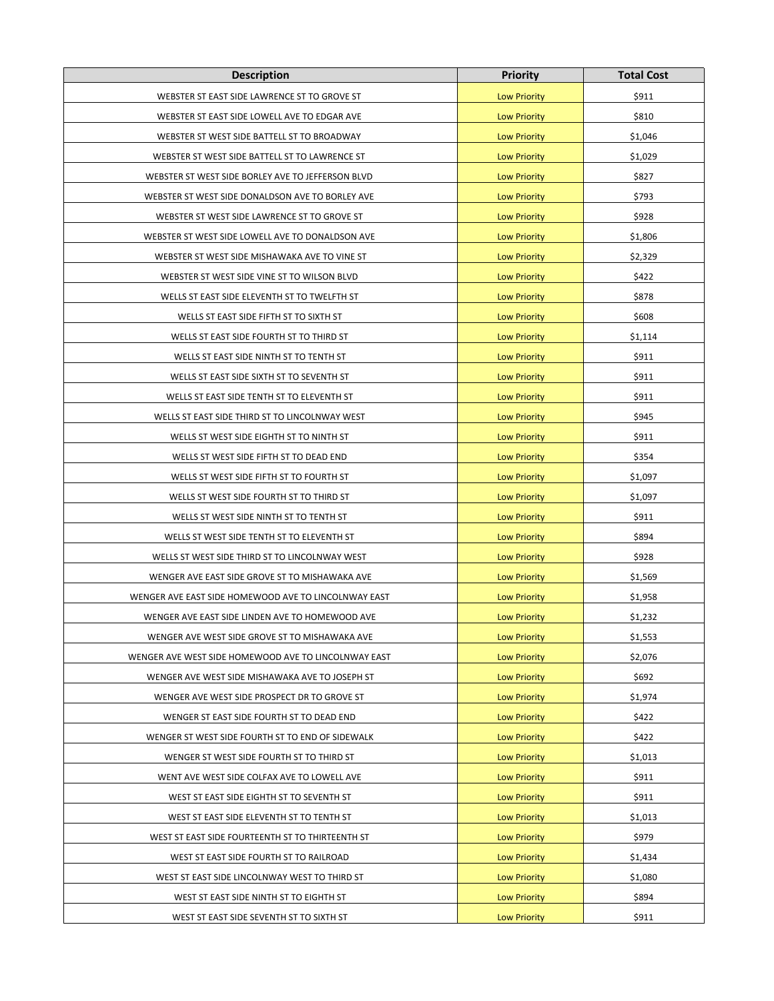| <b>Description</b>                                   | <b>Priority</b>     | <b>Total Cost</b> |
|------------------------------------------------------|---------------------|-------------------|
| WEBSTER ST EAST SIDE LAWRENCE ST TO GROVE ST         | <b>Low Priority</b> | \$911             |
| WEBSTER ST EAST SIDE LOWELL AVE TO EDGAR AVE         | <b>Low Priority</b> | \$810             |
| WEBSTER ST WEST SIDE BATTELL ST TO BROADWAY          | <b>Low Priority</b> | \$1,046           |
| WEBSTER ST WEST SIDE BATTELL ST TO LAWRENCE ST       | <b>Low Priority</b> | \$1,029           |
| WEBSTER ST WEST SIDE BORLEY AVE TO JEFFERSON BLVD    | <b>Low Priority</b> | \$827             |
| WEBSTER ST WEST SIDE DONALDSON AVE TO BORLEY AVE     | <b>Low Priority</b> | \$793             |
| WEBSTER ST WEST SIDE LAWRENCE ST TO GROVE ST         | <b>Low Priority</b> | \$928             |
| WEBSTER ST WEST SIDE LOWELL AVE TO DONALDSON AVE     | <b>Low Priority</b> | \$1,806           |
| WEBSTER ST WEST SIDE MISHAWAKA AVE TO VINE ST        | <b>Low Priority</b> | \$2,329           |
| WEBSTER ST WEST SIDE VINE ST TO WILSON BLVD          | <b>Low Priority</b> | \$422             |
| WELLS ST EAST SIDE ELEVENTH ST TO TWELFTH ST         | <b>Low Priority</b> | \$878             |
| WELLS ST EAST SIDE FIFTH ST TO SIXTH ST              | <b>Low Priority</b> | \$608             |
| WELLS ST EAST SIDE FOURTH ST TO THIRD ST             | <b>Low Priority</b> | \$1,114           |
| WELLS ST EAST SIDE NINTH ST TO TENTH ST              | <b>Low Priority</b> | \$911             |
| WELLS ST EAST SIDE SIXTH ST TO SEVENTH ST            | <b>Low Priority</b> | \$911             |
| WELLS ST EAST SIDE TENTH ST TO ELEVENTH ST           | <b>Low Priority</b> | \$911             |
| WELLS ST EAST SIDE THIRD ST TO LINCOLNWAY WEST       | <b>Low Priority</b> | \$945             |
| WELLS ST WEST SIDE EIGHTH ST TO NINTH ST             | <b>Low Priority</b> | \$911             |
| WELLS ST WEST SIDE FIFTH ST TO DEAD END              | <b>Low Priority</b> | \$354             |
| WELLS ST WEST SIDE FIFTH ST TO FOURTH ST             | <b>Low Priority</b> | \$1,097           |
| WELLS ST WEST SIDE FOURTH ST TO THIRD ST             | <b>Low Priority</b> | \$1,097           |
| WELLS ST WEST SIDE NINTH ST TO TENTH ST              | <b>Low Priority</b> | \$911             |
| WELLS ST WEST SIDE TENTH ST TO ELEVENTH ST           | <b>Low Priority</b> | \$894             |
| WELLS ST WEST SIDE THIRD ST TO LINCOLNWAY WEST       | <b>Low Priority</b> | \$928             |
| WENGER AVE EAST SIDE GROVE ST TO MISHAWAKA AVE       | <b>Low Priority</b> | \$1,569           |
| WENGER AVE EAST SIDE HOMEWOOD AVE TO LINCOLNWAY EAST | <b>Low Priority</b> | \$1,958           |
| WENGER AVE EAST SIDE LINDEN AVE TO HOMEWOOD AVE      | <b>Low Priority</b> | \$1,232           |
| WENGER AVE WEST SIDE GROVE ST TO MISHAWAKA AVE       | <b>Low Priority</b> | \$1,553           |
| WENGER AVE WEST SIDE HOMEWOOD AVE TO LINCOLNWAY EAST | <b>Low Priority</b> | \$2,076           |
| WENGER AVE WEST SIDE MISHAWAKA AVE TO JOSEPH ST      | <b>Low Priority</b> | \$692             |
| WENGER AVE WEST SIDE PROSPECT DR TO GROVE ST         | <b>Low Priority</b> | \$1,974           |
| WENGER ST EAST SIDE FOURTH ST TO DEAD END            | <b>Low Priority</b> | \$422             |
| WENGER ST WEST SIDE FOURTH ST TO END OF SIDEWALK     | <b>Low Priority</b> | \$422             |
| WENGER ST WEST SIDE FOURTH ST TO THIRD ST            | <b>Low Priority</b> | \$1,013           |
| WENT AVE WEST SIDE COLFAX AVE TO LOWELL AVE          | <b>Low Priority</b> | \$911             |
| WEST ST EAST SIDE EIGHTH ST TO SEVENTH ST            | <b>Low Priority</b> | \$911             |
| WEST ST EAST SIDE ELEVENTH ST TO TENTH ST            | <b>Low Priority</b> | \$1,013           |
| WEST ST EAST SIDE FOURTEENTH ST TO THIRTEENTH ST     | <b>Low Priority</b> | \$979             |
| WEST ST EAST SIDE FOURTH ST TO RAILROAD              | <b>Low Priority</b> | \$1,434           |
| WEST ST EAST SIDE LINCOLNWAY WEST TO THIRD ST        | <b>Low Priority</b> | \$1,080           |
| WEST ST EAST SIDE NINTH ST TO EIGHTH ST              | <b>Low Priority</b> | \$894             |
| WEST ST EAST SIDE SEVENTH ST TO SIXTH ST             | <b>Low Priority</b> | \$911             |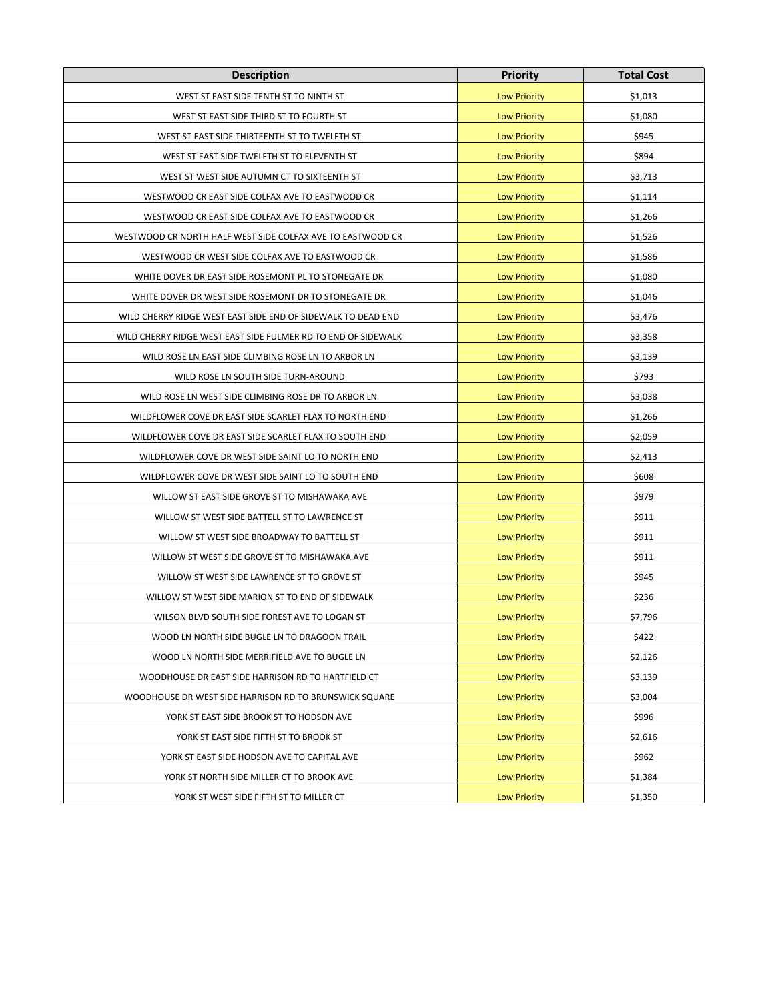| <b>Description</b>                                            | <b>Priority</b>     | <b>Total Cost</b> |
|---------------------------------------------------------------|---------------------|-------------------|
| WEST ST EAST SIDE TENTH ST TO NINTH ST                        | <b>Low Priority</b> | \$1,013           |
| WEST ST EAST SIDE THIRD ST TO FOURTH ST                       | <b>Low Priority</b> | \$1,080           |
| WEST ST EAST SIDE THIRTEENTH ST TO TWELFTH ST                 | <b>Low Priority</b> | \$945             |
| WEST ST EAST SIDE TWELFTH ST TO ELEVENTH ST                   | <b>Low Priority</b> | \$894             |
| WEST ST WEST SIDE AUTUMN CT TO SIXTEENTH ST                   | <b>Low Priority</b> | \$3,713           |
| WESTWOOD CR EAST SIDE COLFAX AVE TO EASTWOOD CR               | <b>Low Priority</b> | \$1,114           |
| WESTWOOD CR EAST SIDE COLFAX AVE TO EASTWOOD CR               | <b>Low Priority</b> | \$1,266           |
| WESTWOOD CR NORTH HALF WEST SIDE COLFAX AVE TO EASTWOOD CR    | <b>Low Priority</b> | \$1,526           |
| WESTWOOD CR WEST SIDE COLFAX AVE TO EASTWOOD CR               | <b>Low Priority</b> | \$1,586           |
| WHITE DOVER DR EAST SIDE ROSEMONT PL TO STONEGATE DR          | <b>Low Priority</b> | \$1,080           |
| WHITE DOVER DR WEST SIDE ROSEMONT DR TO STONEGATE DR          | <b>Low Priority</b> | \$1,046           |
| WILD CHERRY RIDGE WEST EAST SIDE END OF SIDEWALK TO DEAD END  | <b>Low Priority</b> | \$3,476           |
| WILD CHERRY RIDGE WEST EAST SIDE FULMER RD TO END OF SIDEWALK | <b>Low Priority</b> | \$3,358           |
| WILD ROSE LN EAST SIDE CLIMBING ROSE LN TO ARBOR LN           | <b>Low Priority</b> | \$3,139           |
| WILD ROSE LN SOUTH SIDE TURN-AROUND                           | <b>Low Priority</b> | \$793             |
| WILD ROSE LN WEST SIDE CLIMBING ROSE DR TO ARBOR LN           | <b>Low Priority</b> | \$3,038           |
| WILDFLOWER COVE DR EAST SIDE SCARLET FLAX TO NORTH END        | <b>Low Priority</b> | \$1,266           |
| WILDFLOWER COVE DR EAST SIDE SCARLET FLAX TO SOUTH END        | <b>Low Priority</b> | \$2,059           |
| WILDFLOWER COVE DR WEST SIDE SAINT LO TO NORTH END            | <b>Low Priority</b> | \$2,413           |
| WILDFLOWER COVE DR WEST SIDE SAINT LO TO SOUTH END            | <b>Low Priority</b> | \$608             |
| WILLOW ST EAST SIDE GROVE ST TO MISHAWAKA AVE                 | <b>Low Priority</b> | \$979             |
| WILLOW ST WEST SIDE BATTELL ST TO LAWRENCE ST                 | <b>Low Priority</b> | \$911             |
| WILLOW ST WEST SIDE BROADWAY TO BATTELL ST                    | <b>Low Priority</b> | \$911             |
| WILLOW ST WEST SIDE GROVE ST TO MISHAWAKA AVE                 | <b>Low Priority</b> | \$911             |
| WILLOW ST WEST SIDE LAWRENCE ST TO GROVE ST                   | <b>Low Priority</b> | \$945             |
| WILLOW ST WEST SIDE MARION ST TO END OF SIDEWALK              | <b>Low Priority</b> | \$236             |
| WILSON BLVD SOUTH SIDE FOREST AVE TO LOGAN ST                 | <b>Low Priority</b> | \$7,796           |
| WOOD LN NORTH SIDE BUGLE LN TO DRAGOON TRAIL                  | <b>Low Priority</b> | \$422             |
| WOOD LN NORTH SIDE MERRIFIELD AVE TO BUGLE LN                 | <b>Low Priority</b> | \$2,126           |
| WOODHOUSE DR EAST SIDE HARRISON RD TO HARTFIELD CT            | <b>Low Priority</b> | \$3,139           |
| WOODHOUSE DR WEST SIDE HARRISON RD TO BRUNSWICK SQUARE        | <b>Low Priority</b> | \$3,004           |
| YORK ST EAST SIDE BROOK ST TO HODSON AVE                      | <b>Low Priority</b> | \$996             |
| YORK ST EAST SIDE FIFTH ST TO BROOK ST                        | <b>Low Priority</b> | \$2,616           |
| YORK ST EAST SIDE HODSON AVE TO CAPITAL AVE                   | <b>Low Priority</b> | \$962             |
| YORK ST NORTH SIDE MILLER CT TO BROOK AVE                     | <b>Low Priority</b> | \$1,384           |
| YORK ST WEST SIDE FIFTH ST TO MILLER CT                       | <b>Low Priority</b> | \$1,350           |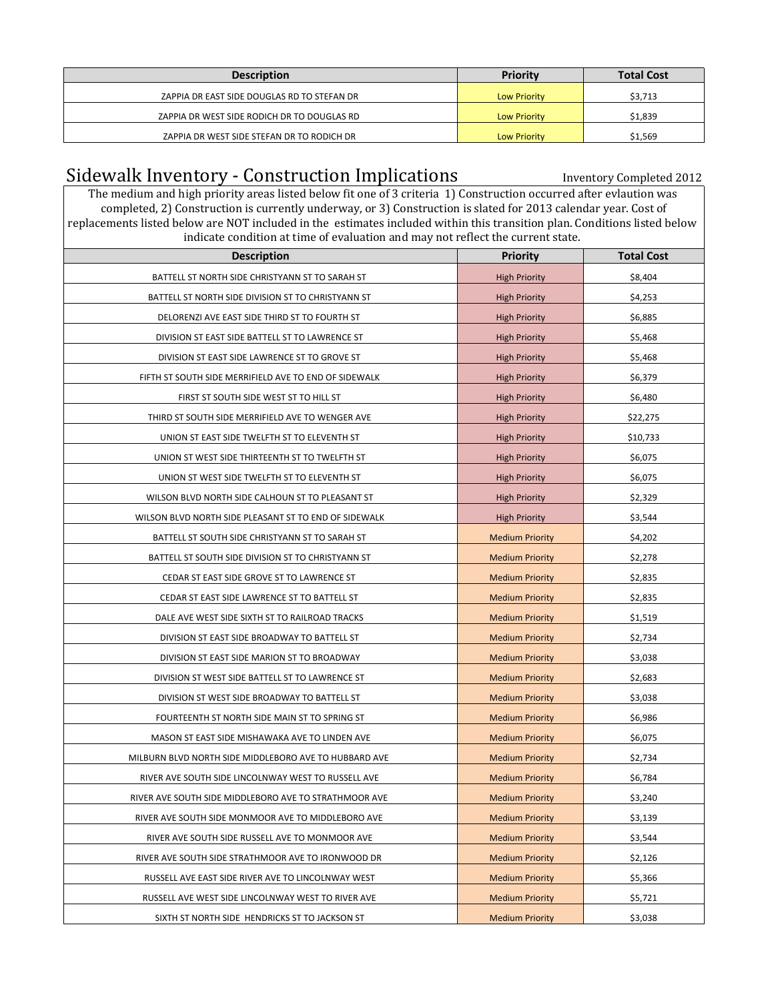| <b>Description</b>                          | <b>Priority</b>     | <b>Total Cost</b> |
|---------------------------------------------|---------------------|-------------------|
| ZAPPIA DR EAST SIDE DOUGLAS RD TO STEFAN DR | <b>Low Priority</b> | \$3,713           |
| ZAPPIA DR WEST SIDE RODICH DR TO DOUGLAS RD | <b>Low Priority</b> | \$1,839           |
| ZAPPIA DR WEST SIDE STEFAN DR TO RODICH DR  | <b>Low Priority</b> | \$1,569           |

## Sidewalk Inventory - Construction Implications **Inventory Completed 2012**

The medium and high priority areas listed below fit one of 3 criteria 1) Construction occurred after evlaution was completed, 2) Construction is currently underway, or 3) Construction is slated for 2013 calendar year. Cost of replacements listed below are NOT included in the estimates included within this transition plan. Conditions listed below indicate condition at time of evaluation and may not reflect the current state.

| muicate condition at time of evaluation and may not reflect the current state.<br><b>Description</b> | <b>Priority</b>        | <b>Total Cost</b> |
|------------------------------------------------------------------------------------------------------|------------------------|-------------------|
| BATTELL ST NORTH SIDE CHRISTYANN ST TO SARAH ST                                                      | <b>High Priority</b>   | \$8,404           |
| BATTELL ST NORTH SIDE DIVISION ST TO CHRISTYANN ST                                                   | <b>High Priority</b>   | \$4,253           |
| DELORENZI AVE EAST SIDE THIRD ST TO FOURTH ST                                                        | <b>High Priority</b>   | \$6,885           |
| DIVISION ST EAST SIDE BATTELL ST TO LAWRENCE ST                                                      | <b>High Priority</b>   | \$5,468           |
| DIVISION ST EAST SIDE LAWRENCE ST TO GROVE ST                                                        | <b>High Priority</b>   | \$5,468           |
| FIFTH ST SOUTH SIDE MERRIFIELD AVE TO END OF SIDEWALK                                                | <b>High Priority</b>   | \$6,379           |
| FIRST ST SOUTH SIDE WEST ST TO HILL ST                                                               | <b>High Priority</b>   | \$6,480           |
| THIRD ST SOUTH SIDE MERRIFIELD AVE TO WENGER AVE                                                     | <b>High Priority</b>   | \$22,275          |
| UNION ST EAST SIDE TWELFTH ST TO ELEVENTH ST                                                         | <b>High Priority</b>   | \$10,733          |
| UNION ST WEST SIDE THIRTEENTH ST TO TWELFTH ST                                                       | <b>High Priority</b>   | \$6,075           |
| UNION ST WEST SIDE TWELFTH ST TO ELEVENTH ST                                                         | <b>High Priority</b>   | \$6,075           |
| WILSON BLVD NORTH SIDE CALHOUN ST TO PLEASANT ST                                                     | <b>High Priority</b>   | \$2,329           |
| WILSON BLVD NORTH SIDE PLEASANT ST TO END OF SIDEWALK                                                | <b>High Priority</b>   | \$3,544           |
| BATTELL ST SOUTH SIDE CHRISTYANN ST TO SARAH ST                                                      | <b>Medium Priority</b> | \$4,202           |
| BATTELL ST SOUTH SIDE DIVISION ST TO CHRISTYANN ST                                                   | <b>Medium Priority</b> | \$2,278           |
| CEDAR ST EAST SIDE GROVE ST TO LAWRENCE ST                                                           | <b>Medium Priority</b> | \$2,835           |
| CEDAR ST EAST SIDE LAWRENCE ST TO BATTELL ST                                                         | <b>Medium Priority</b> | \$2,835           |
| DALE AVE WEST SIDE SIXTH ST TO RAILROAD TRACKS                                                       | <b>Medium Priority</b> | \$1,519           |
| DIVISION ST EAST SIDE BROADWAY TO BATTELL ST                                                         | <b>Medium Priority</b> | \$2,734           |
| DIVISION ST EAST SIDE MARION ST TO BROADWAY                                                          | <b>Medium Priority</b> | \$3,038           |
| DIVISION ST WEST SIDE BATTELL ST TO LAWRENCE ST                                                      | <b>Medium Priority</b> | \$2,683           |
| DIVISION ST WEST SIDE BROADWAY TO BATTELL ST                                                         | <b>Medium Priority</b> | \$3,038           |
| FOURTEENTH ST NORTH SIDE MAIN ST TO SPRING ST                                                        | <b>Medium Priority</b> | \$6,986           |
| MASON ST EAST SIDE MISHAWAKA AVE TO LINDEN AVE                                                       | <b>Medium Priority</b> | \$6,075           |
| MILBURN BLVD NORTH SIDE MIDDLEBORO AVE TO HUBBARD AVE                                                | <b>Medium Priority</b> | \$2,734           |
| RIVER AVE SOUTH SIDE LINCOLNWAY WEST TO RUSSELL AVE                                                  | <b>Medium Priority</b> | \$6,784           |
| RIVER AVE SOUTH SIDE MIDDLEBORO AVE TO STRATHMOOR AVE                                                | <b>Medium Priority</b> | \$3,240           |
| RIVER AVE SOUTH SIDE MONMOOR AVE TO MIDDLEBORO AVE                                                   | <b>Medium Priority</b> | \$3,139           |
| RIVER AVE SOUTH SIDE RUSSELL AVE TO MONMOOR AVE                                                      | <b>Medium Priority</b> | \$3,544           |
| RIVER AVE SOUTH SIDE STRATHMOOR AVE TO IRONWOOD DR                                                   | <b>Medium Priority</b> | \$2,126           |
| RUSSELL AVE EAST SIDE RIVER AVE TO LINCOLNWAY WEST                                                   | <b>Medium Priority</b> | \$5,366           |
| RUSSELL AVE WEST SIDE LINCOLNWAY WEST TO RIVER AVE                                                   | <b>Medium Priority</b> | \$5,721           |
| SIXTH ST NORTH SIDE HENDRICKS ST TO JACKSON ST                                                       | <b>Medium Priority</b> | \$3,038           |